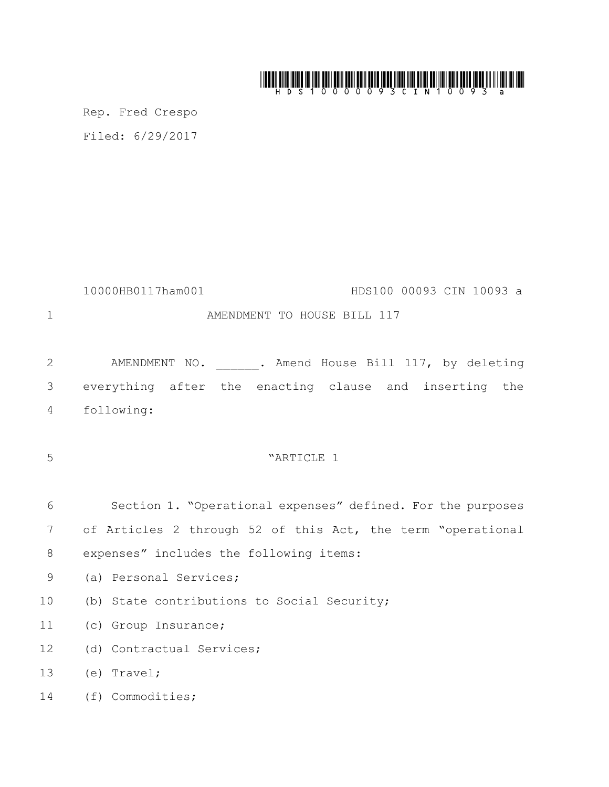# 

Rep. Fred Crespo Filed: 6/29/2017

10000HB0117ham001 HDS100 00093 CIN 10093 a 1 AMENDMENT TO HOUSE BILL 117

2 AMENDMENT NO. . Amend House Bill 117, by deleting everything after the enacting clause and inserting the following:

"ARTICLE 1

 Section 1. "Operational expenses" defined. For the purposes of Articles 2 through 52 of this Act, the term "operational expenses" includes the following items:

- (a) Personal Services;
- (b) State contributions to Social Security;
- (c) Group Insurance;
- (d) Contractual Services;
- (e) Travel;
- (f) Commodities;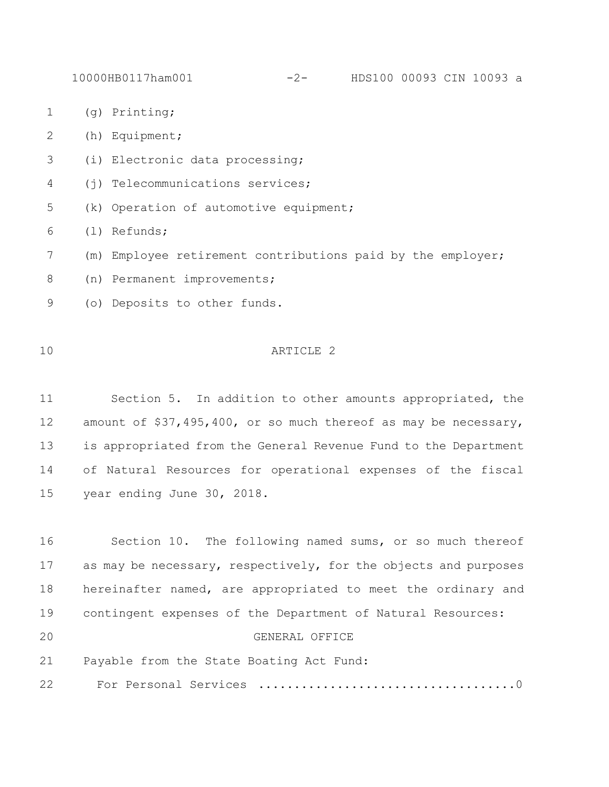- (g) Printing;
- (h) Equipment;
- (i) Electronic data processing;
- (j) Telecommunications services;
- (k) Operation of automotive equipment;
- (l) Refunds;
- (m) Employee retirement contributions paid by the employer;
- 8 (n) Permanent improvements;
- (o) Deposits to other funds.

## ARTICLE 2

 Section 5. In addition to other amounts appropriated, the amount of \$37,495,400, or so much thereof as may be necessary, is appropriated from the General Revenue Fund to the Department of Natural Resources for operational expenses of the fiscal year ending June 30, 2018.

 Section 10. The following named sums, or so much thereof 17 as may be necessary, respectively, for the objects and purposes hereinafter named, are appropriated to meet the ordinary and contingent expenses of the Department of Natural Resources: GENERAL OFFICE Payable from the State Boating Act Fund: For Personal Services ....................................0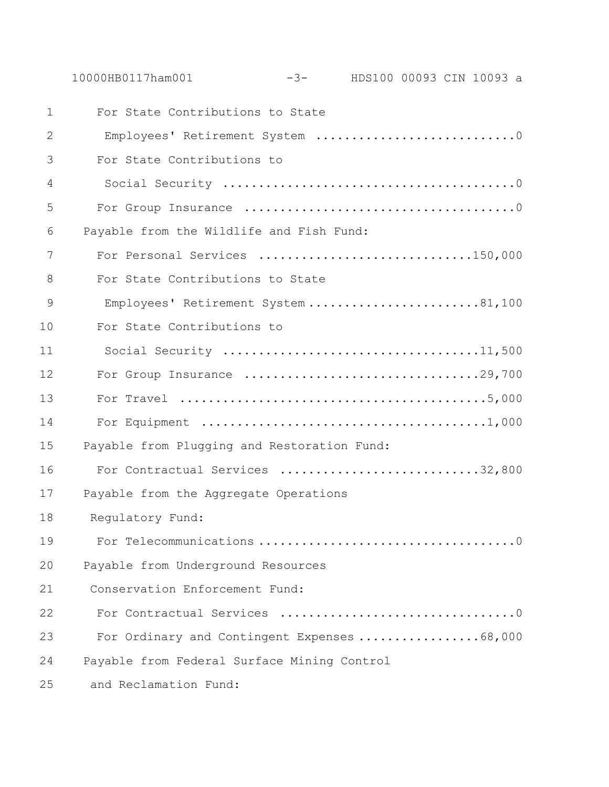|                | $-3$ - HDS100 00093 CIN 10093 a<br>10000HB0117ham001 |
|----------------|------------------------------------------------------|
| $\mathbf 1$    | For State Contributions to State                     |
| 2              | Employees' Retirement System 0                       |
| 3              | For State Contributions to                           |
| $\overline{4}$ |                                                      |
| 5              |                                                      |
| 6              | Payable from the Wildlife and Fish Fund:             |
| 7              | For Personal Services 150,000                        |
| 8              | For State Contributions to State                     |
| 9              | Employees' Retirement System 81,100                  |
| 10             | For State Contributions to                           |
| 11             |                                                      |
| 12             |                                                      |
| 13             |                                                      |
| 14             |                                                      |
| 15             | Payable from Plugging and Restoration Fund:          |
| 16             | For Contractual Services 32,800                      |
| 17             | Payable from the Aggregate Operations                |
| 18             | Regulatory Fund:                                     |
| 19             |                                                      |
| 20             | Payable from Underground Resources                   |
| 21             | Conservation Enforcement Fund:                       |
| 22             |                                                      |
| 23             | For Ordinary and Contingent Expenses 68,000          |
| 24             | Payable from Federal Surface Mining Control          |
| 25             | and Reclamation Fund:                                |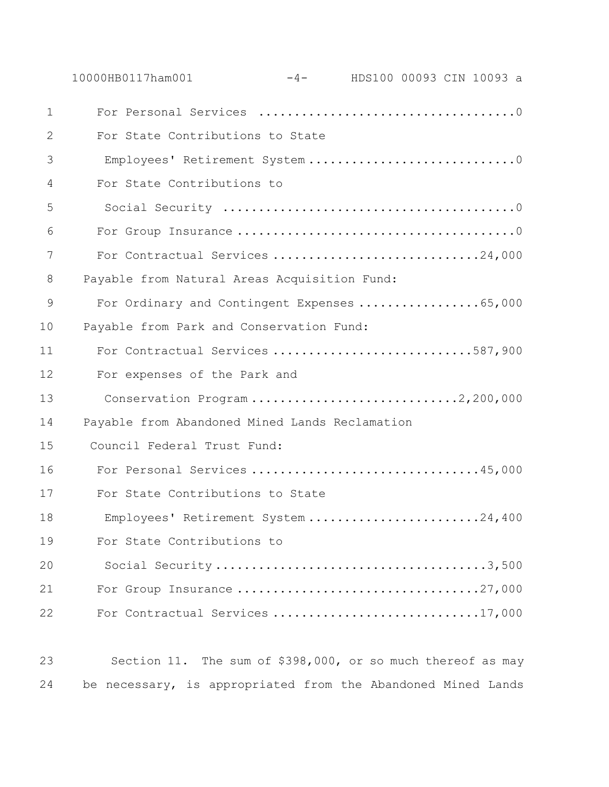|             | 10000HB0117ham001                              | $-4-$ HDS100 00093 CIN 10093 a |  |  |
|-------------|------------------------------------------------|--------------------------------|--|--|
| $\mathbf 1$ |                                                |                                |  |  |
| 2           | For State Contributions to State               |                                |  |  |
| 3           |                                                |                                |  |  |
| 4           | For State Contributions to                     |                                |  |  |
| 5           |                                                |                                |  |  |
| 6           |                                                |                                |  |  |
| 7           | For Contractual Services 24,000                |                                |  |  |
| 8           | Payable from Natural Areas Acquisition Fund:   |                                |  |  |
| 9           | For Ordinary and Contingent Expenses 65,000    |                                |  |  |
| 10          | Payable from Park and Conservation Fund:       |                                |  |  |
| 11          | For Contractual Services 587,900               |                                |  |  |
| 12          | For expenses of the Park and                   |                                |  |  |
| 13          | Conservation Program2,200,000                  |                                |  |  |
| 14          | Payable from Abandoned Mined Lands Reclamation |                                |  |  |
| 15          | Council Federal Trust Fund:                    |                                |  |  |
| 16          | For Personal Services 45,000                   |                                |  |  |
| 17          | For State Contributions to State               |                                |  |  |
| 18          | Employees' Retirement System 24,400            |                                |  |  |
| 19          | For State Contributions to                     |                                |  |  |
| 20          |                                                |                                |  |  |
| 21          |                                                |                                |  |  |
| 22          | For Contractual Services 17,000                |                                |  |  |
|             |                                                |                                |  |  |

 Section 11. The sum of \$398,000, or so much thereof as may be necessary, is appropriated from the Abandoned Mined Lands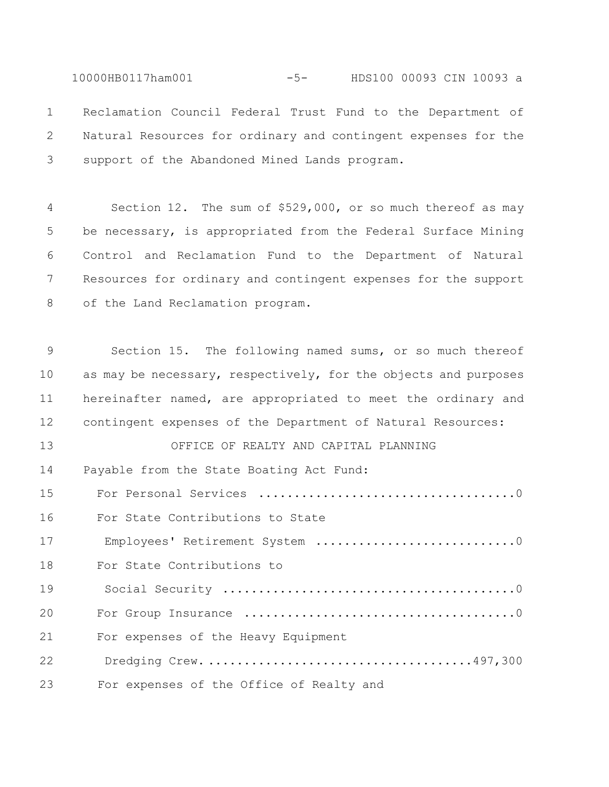10000HB0117ham001 -5- HDS100 00093 CIN 10093 a Reclamation Council Federal Trust Fund to the Department of Natural Resources for ordinary and contingent expenses for the support of the Abandoned Mined Lands program.

 Section 12. The sum of \$529,000, or so much thereof as may be necessary, is appropriated from the Federal Surface Mining Control and Reclamation Fund to the Department of Natural Resources for ordinary and contingent expenses for the support of the Land Reclamation program.

 Section 15. The following named sums, or so much thereof 10 as may be necessary, respectively, for the objects and purposes hereinafter named, are appropriated to meet the ordinary and contingent expenses of the Department of Natural Resources: OFFICE OF REALTY AND CAPITAL PLANNING

 Payable from the State Boating Act Fund: For Personal Services ....................................0 For State Contributions to State 17 Employees' Retirement System ................................0 For State Contributions to 19 Social Security .........................................0 For Group Insurance ......................................0 For expenses of the Heavy Equipment 22 Dredging Crew. .....................................497,300 23 For expenses of the Office of Realty and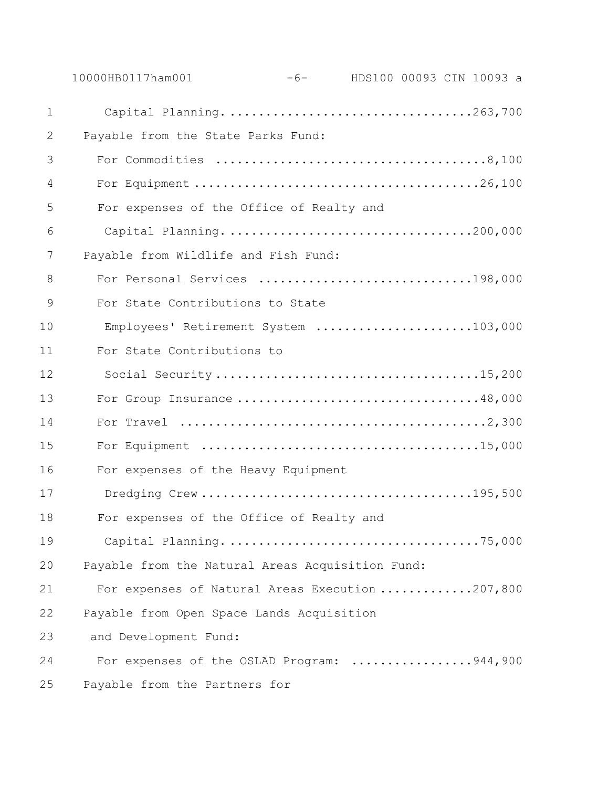|                | -6- HDS100 00093 CIN 10093 a<br>10000HB0117ham001                                       |
|----------------|-----------------------------------------------------------------------------------------|
| $\mathbf 1$    |                                                                                         |
| 2              | Payable from the State Parks Fund:                                                      |
| 3              |                                                                                         |
| $\overline{4}$ |                                                                                         |
| 5              | For expenses of the Office of Realty and                                                |
| 6              |                                                                                         |
| 7              | Payable from Wildlife and Fish Fund:                                                    |
| 8              | For Personal Services 198,000                                                           |
| 9              | For State Contributions to State                                                        |
| 10             | Employees' Retirement System 103,000                                                    |
| 11             | For State Contributions to                                                              |
| 12             |                                                                                         |
| 13             | For Group Insurance 48,000                                                              |
| 14             |                                                                                         |
| 15             | For Equipment $\dots\dots\dots\dots\dots\dots\dots\dots\dots\dots\dots\dots\dots15,000$ |
| 16             | For expenses of the Heavy Equipment                                                     |
| 17             |                                                                                         |
| 18             | For expenses of the Office of Realty and                                                |
| 19             |                                                                                         |
| 20             | Payable from the Natural Areas Acquisition Fund:                                        |
| 21             | For expenses of Natural Areas Execution 207,800                                         |
| 22             | Payable from Open Space Lands Acquisition                                               |
| 23             | and Development Fund:                                                                   |
| 24             | For expenses of the OSLAD Program: 944,900                                              |
| 25             | Payable from the Partners for                                                           |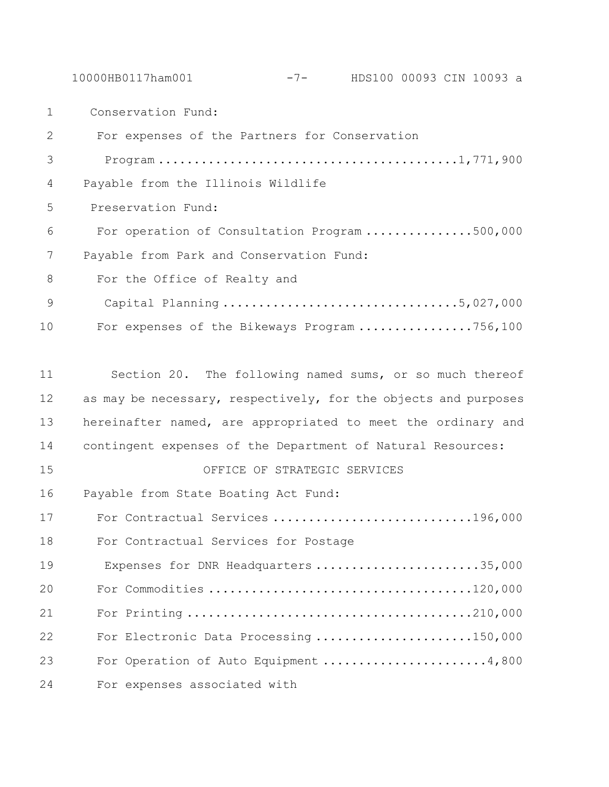10000HB0117ham001 -7- HDS100 00093 CIN 10093 a

Conservation Fund:

 For expenses of the Partners for Conservation 3 Program ..........................................1,771,900 Payable from the Illinois Wildlife Preservation Fund: For operation of Consultation Program ...............500,000 Payable from Park and Conservation Fund: For the Office of Realty and 9 Capital Planning .................................5,027,000 For expenses of the Bikeways Program ................756,100 Section 20. The following named sums, or so much thereof 12 as may be necessary, respectively, for the objects and purposes hereinafter named, are appropriated to meet the ordinary and contingent expenses of the Department of Natural Resources: OFFICE OF STRATEGIC SERVICES Payable from State Boating Act Fund: For Contractual Services ............................196,000 For Contractual Services for Postage 19 Expenses for DNR Headquarters ..........................35,000 For Commodities .....................................120,000 For Printing ........................................210,000 For Electronic Data Processing ......................150,000 For Operation of Auto Equipment .......................4,800 For expenses associated with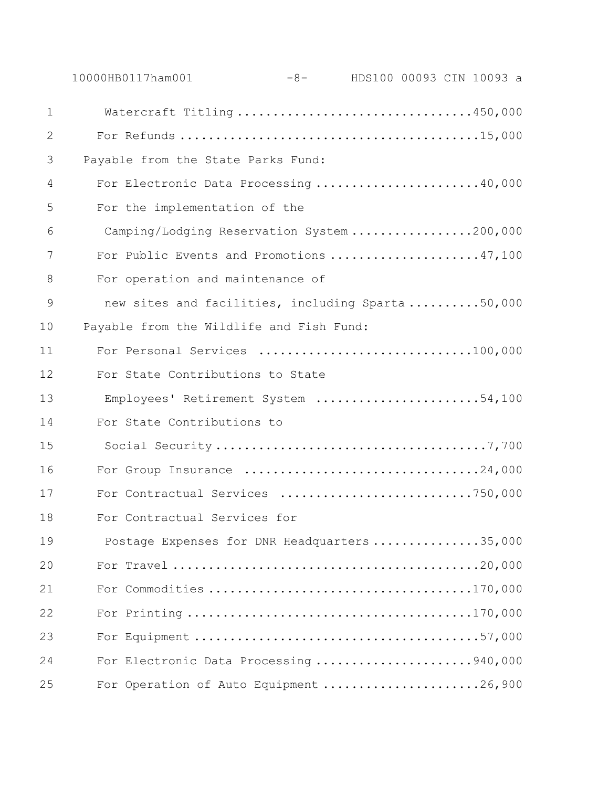|              | 10000HB0117ham001                                | -8- HDS100 00093 CIN 10093 a |  |  |
|--------------|--------------------------------------------------|------------------------------|--|--|
| $\mathbf{1}$ | Watercraft Titling 450,000                       |                              |  |  |
| 2            |                                                  |                              |  |  |
| 3            | Payable from the State Parks Fund:               |                              |  |  |
| 4            | For Electronic Data Processing 40,000            |                              |  |  |
| 5            | For the implementation of the                    |                              |  |  |
| 6            | Camping/Lodging Reservation System 200,000       |                              |  |  |
| 7            | For Public Events and Promotions 47,100          |                              |  |  |
| 8            | For operation and maintenance of                 |                              |  |  |
| 9            | new sites and facilities, including Sparta50,000 |                              |  |  |
| 10           | Payable from the Wildlife and Fish Fund:         |                              |  |  |
| 11           | For Personal Services 100,000                    |                              |  |  |
| 12           | For State Contributions to State                 |                              |  |  |
| 13           | Employees' Retirement System 54,100              |                              |  |  |
| 14           | For State Contributions to                       |                              |  |  |
| 15           |                                                  |                              |  |  |
| 16           | For Group Insurance 24,000                       |                              |  |  |
| 17           | For Contractual Services 750,000                 |                              |  |  |
| 18           | For Contractual Services for                     |                              |  |  |
| 19           | Postage Expenses for DNR Headquarters 35,000     |                              |  |  |
| 20           |                                                  |                              |  |  |
| 21           |                                                  |                              |  |  |
| 22           |                                                  |                              |  |  |
| 23           |                                                  |                              |  |  |
| 24           | For Electronic Data Processing 940,000           |                              |  |  |
| 25           | For Operation of Auto Equipment 26,900           |                              |  |  |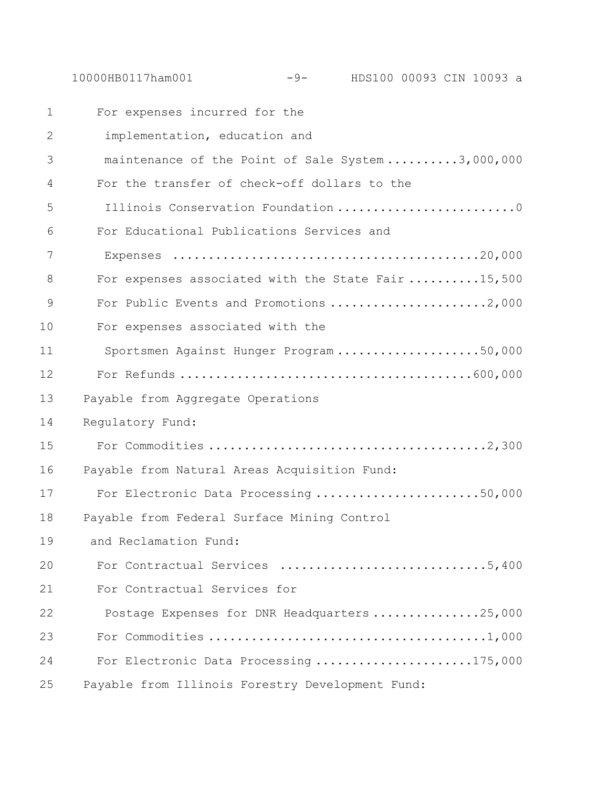|               | HDS100 00093 CIN 10093 a<br>10000HB0117ham001<br>$-9-$ |
|---------------|--------------------------------------------------------|
| $\mathbf 1$   | For expenses incurred for the                          |
| $\mathbf{2}$  | implementation, education and                          |
| 3             | maintenance of the Point of Sale System 3,000,000      |
| 4             | For the transfer of check-off dollars to the           |
| 5             | Illinois Conservation Foundation 0                     |
| 6             | For Educational Publications Services and              |
| 7             |                                                        |
| 8             | For expenses associated with the State Fair 15,500     |
| $\mathcal{G}$ | For Public Events and Promotions 2,000                 |
| 10            | For expenses associated with the                       |
| 11            | Sportsmen Against Hunger Program50,000                 |
| 12            |                                                        |
| 13            | Payable from Aggregate Operations                      |
| 14            | Regulatory Fund:                                       |
| 15            |                                                        |
| 16            | Payable from Natural Areas Acquisition Fund:           |
| 17            | For Electronic Data Processing 50,000                  |
| 18            | Payable from Federal Surface Mining Control            |
| 19            | and Reclamation Fund:                                  |
| 20            | For Contractual Services 5,400                         |
| 21            | For Contractual Services for                           |
| 22            | Postage Expenses for DNR Headquarters 25,000           |
| 23            |                                                        |
| 24            | For Electronic Data Processing 175,000                 |
| 25            | Payable from Illinois Forestry Development Fund:       |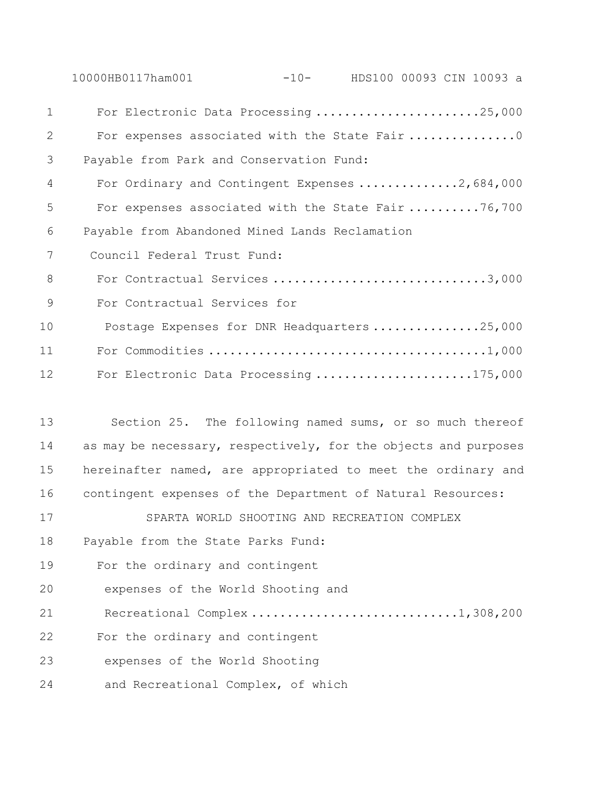|    | 10000HB0117ham001<br>$-10-$<br>HDS100 00093 CIN 10093 a         |
|----|-----------------------------------------------------------------|
| 1  | For Electronic Data Processing 25,000                           |
| 2  | For expenses associated with the State Fair 0                   |
| 3  | Payable from Park and Conservation Fund:                        |
| 4  | For Ordinary and Contingent Expenses 2,684,000                  |
| 5  | For expenses associated with the State Fair 76,700              |
| 6  | Payable from Abandoned Mined Lands Reclamation                  |
| 7  | Council Federal Trust Fund:                                     |
| 8  | For Contractual Services 3,000                                  |
| 9  | For Contractual Services for                                    |
| 10 | Postage Expenses for DNR Headquarters 25,000                    |
| 11 |                                                                 |
| 12 | For Electronic Data Processing 175,000                          |
|    |                                                                 |
| 13 | Section 25. The following named sums, or so much thereof        |
| 14 | as may be necessary, respectively, for the objects and purposes |
| 15 | hereinafter named, are appropriated to meet the ordinary and    |
| 16 | contingent expenses of the Department of Natural Resources:     |
| 17 | SPARTA WORLD SHOOTING AND RECREATION COMPLEX                    |
| 18 | Payable from the State Parks Fund:                              |
| 19 | For the ordinary and contingent                                 |

20 expenses of the World Shooting and

21 Recreational Complex ...............................1,308,200

For the ordinary and contingent

23 expenses of the World Shooting

24 and Recreational Complex, of which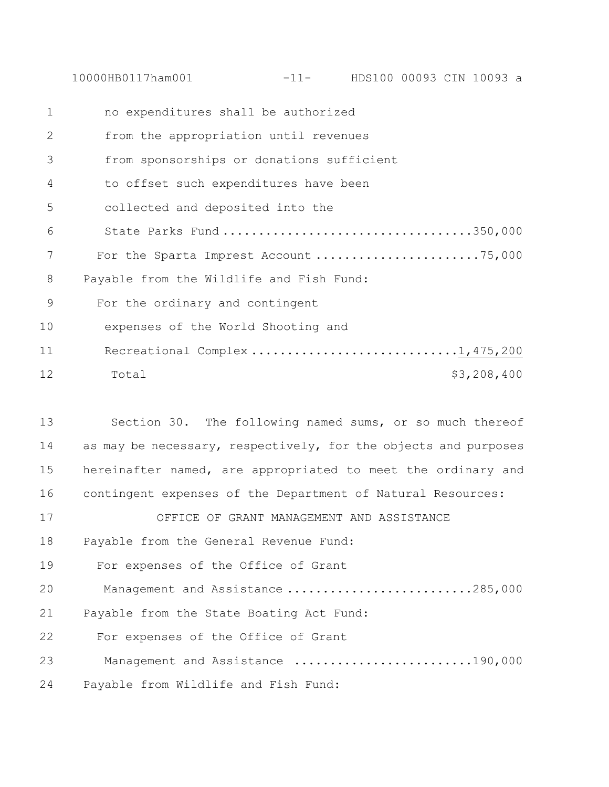10000HB0117ham001 -11- HDS100 00093 CIN 10093 a

| $\mathbf 1$ | no expenditures shall be authorized       |
|-------------|-------------------------------------------|
| 2           | from the appropriation until revenues     |
| 3           | from sponsorships or donations sufficient |
| 4           | to offset such expenditures have been     |
| 5           | collected and deposited into the          |
| 6           | State Parks Fund 350,000                  |
| 7           | For the Sparta Imprest Account 75,000     |
| 8           | Payable from the Wildlife and Fish Fund:  |
| 9           | For the ordinary and contingent           |
| 10          | expenses of the World Shooting and        |
| 11          | Recreational Complex1,475,200             |
| 12          | \$3,208,400<br>Total                      |

 Section 30. The following named sums, or so much thereof 14 as may be necessary, respectively, for the objects and purposes hereinafter named, are appropriated to meet the ordinary and contingent expenses of the Department of Natural Resources: OFFICE OF GRANT MANAGEMENT AND ASSISTANCE Payable from the General Revenue Fund:

19 For expenses of the Office of Grant

20 Management and Assistance ..........................285,000

21 Payable from the State Boating Act Fund:

22 For expenses of the Office of Grant

23 Management and Assistance .........................190,000

24 Payable from Wildlife and Fish Fund: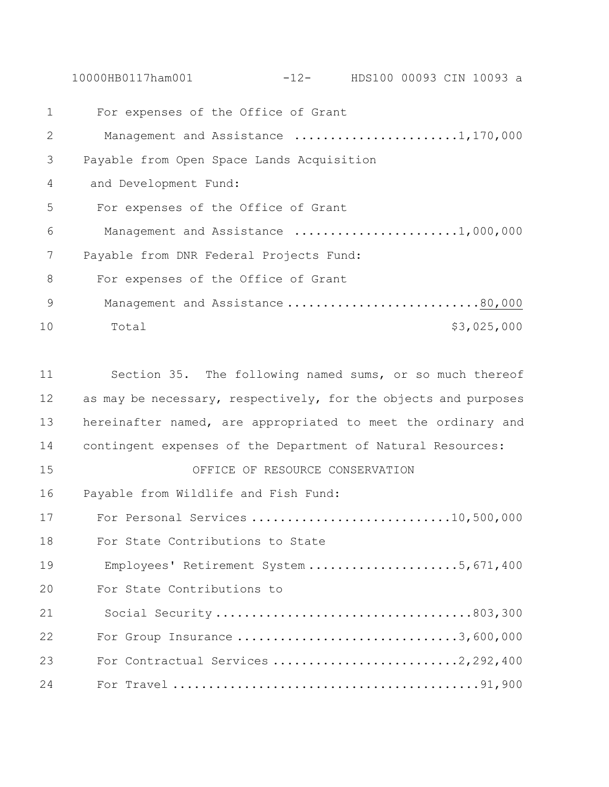10000HB0117ham001 -12- HDS100 00093 CIN 10093 a

 For expenses of the Office of Grant 2 Management and Assistance .......................1,170,000 Payable from Open Space Lands Acquisition and Development Fund: For expenses of the Office of Grant 6 Management and Assistance .......................1,000,000 Payable from DNR Federal Projects Fund: For expenses of the Office of Grant 9 Management and Assistance ..............................80,000 10 Total \$3,025,000 Section 35. The following named sums, or so much thereof as may be necessary, respectively, for the objects and purposes hereinafter named, are appropriated to meet the ordinary and contingent expenses of the Department of Natural Resources:

OFFICE OF RESOURCE CONSERVATION

Payable from Wildlife and Fish Fund:

 For Personal Services ............................10,500,000 For State Contributions to State 19 Employees' Retirement System .....................5,671,400 For State Contributions to 21 Social Security ....................................803,300 For Group Insurance ...............................3,600,000 For Contractual Services ..........................2,292,400 For Travel ...........................................91,900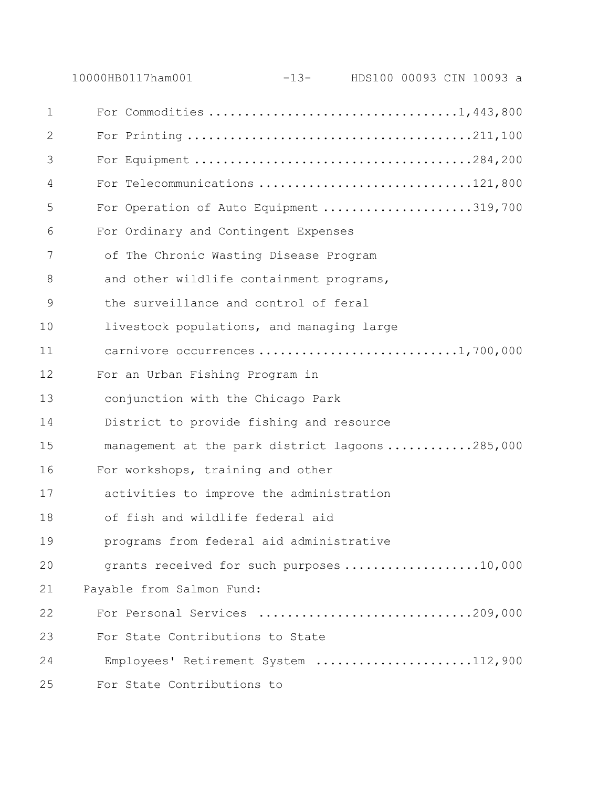|                | 10000HB0117ham001                               | $-13-$ |  | HDS100 00093 CIN 10093 a |
|----------------|-------------------------------------------------|--------|--|--------------------------|
| $\mathbf 1$    | For Commodities 1,443,800                       |        |  |                          |
| $\overline{2}$ |                                                 |        |  |                          |
| 3              |                                                 |        |  |                          |
| 4              | For Telecommunications 121,800                  |        |  |                          |
| 5              | For Operation of Auto Equipment 319,700         |        |  |                          |
| 6              | For Ordinary and Contingent Expenses            |        |  |                          |
| 7              | of The Chronic Wasting Disease Program          |        |  |                          |
| 8              | and other wildlife containment programs,        |        |  |                          |
| $\mathcal{G}$  | the surveillance and control of feral           |        |  |                          |
| 10             | livestock populations, and managing large       |        |  |                          |
| 11             | carnivore occurrences 1,700,000                 |        |  |                          |
| 12             | For an Urban Fishing Program in                 |        |  |                          |
| 13             | conjunction with the Chicago Park               |        |  |                          |
| 14             | District to provide fishing and resource        |        |  |                          |
| 15             | management at the park district lagoons 285,000 |        |  |                          |
| 16             | For workshops, training and other               |        |  |                          |
| 17             | activities to improve the administration        |        |  |                          |
| 18             | of fish and wildlife federal aid                |        |  |                          |
| 19             | programs from federal aid administrative        |        |  |                          |
| 20             | grants received for such purposes 10,000        |        |  |                          |
| 21             | Payable from Salmon Fund:                       |        |  |                          |
| 22             | For Personal Services 209,000                   |        |  |                          |
| 23             | For State Contributions to State                |        |  |                          |
| 24             | Employees' Retirement System 112,900            |        |  |                          |
| 25             | For State Contributions to                      |        |  |                          |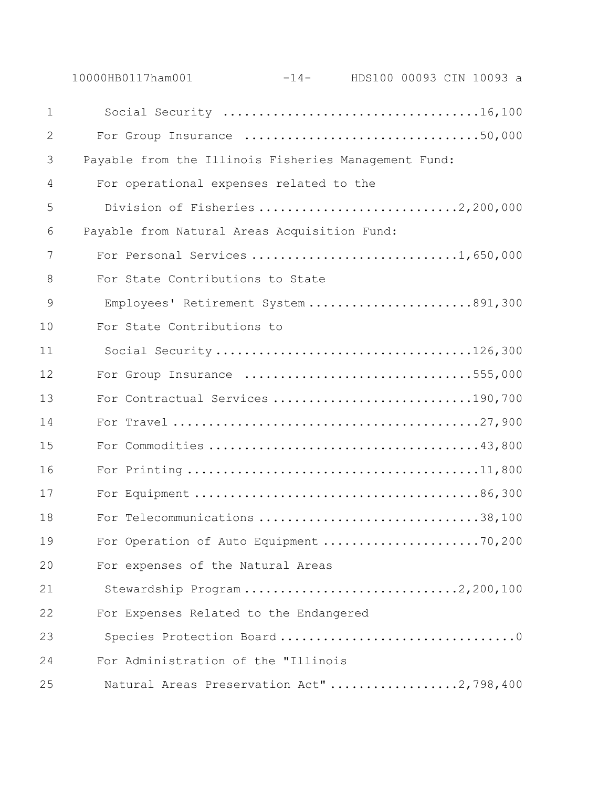|             | 10000HB0117ham001                                    | $-14-$ HDS100 00093 CIN 10093 a           |
|-------------|------------------------------------------------------|-------------------------------------------|
| $\mathbf 1$ |                                                      |                                           |
| 2           |                                                      | For Group Insurance 50,000                |
| 3           | Payable from the Illinois Fisheries Management Fund: |                                           |
| 4           | For operational expenses related to the              |                                           |
| 5           |                                                      | Division of Fisheries 2,200,000           |
| 6           | Payable from Natural Areas Acquisition Fund:         |                                           |
| 7           |                                                      | For Personal Services 1,650,000           |
| 8           | For State Contributions to State                     |                                           |
| 9           |                                                      | Employees' Retirement System 891,300      |
| 10          | For State Contributions to                           |                                           |
| 11          |                                                      | Social Security126,300                    |
| 12          |                                                      | For Group Insurance 555,000               |
| 13          |                                                      | For Contractual Services 190,700          |
| 14          |                                                      |                                           |
| 15          |                                                      |                                           |
| 16          |                                                      |                                           |
| 17          |                                                      |                                           |
| 18          |                                                      | For Telecommunications 38,100             |
| 19          |                                                      | For Operation of Auto Equipment 70,200    |
| 20          | For expenses of the Natural Areas                    |                                           |
| 21          |                                                      | Stewardship Program2,200,100              |
| 22          | For Expenses Related to the Endangered               |                                           |
| 23          |                                                      |                                           |
| 24          | For Administration of the "Illinois                  |                                           |
| 25          |                                                      | Natural Areas Preservation Act" 2,798,400 |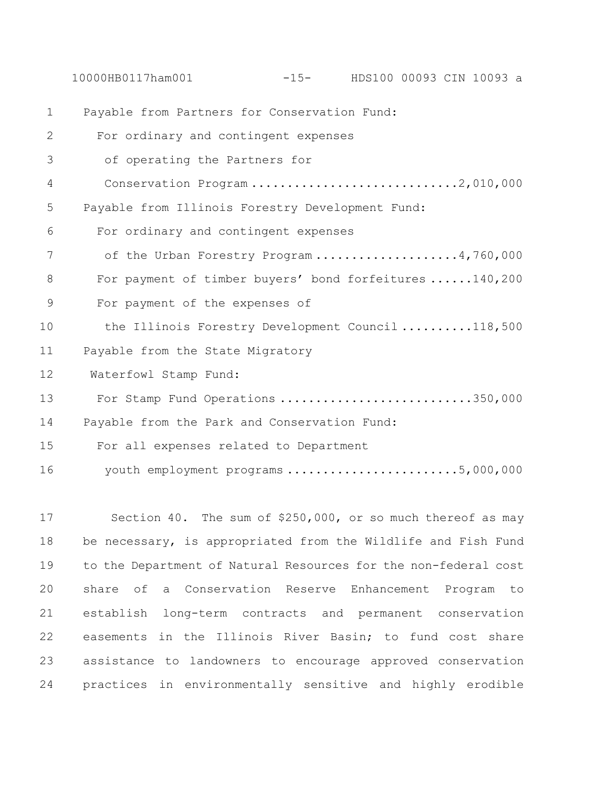10000HB0117ham001 -15- HDS100 00093 CIN 10093 a

 Payable from Partners for Conservation Fund: For ordinary and contingent expenses 3 of operating the Partners for 4 Conservation Program .............................2,010,000 Payable from Illinois Forestry Development Fund: For ordinary and contingent expenses 7 of the Urban Forestry Program ...................4,760,000 For payment of timber buyers' bond forfeitures ......140,200 For payment of the expenses of 10 the Illinois Forestry Development Council ..........118,500 Payable from the State Migratory Waterfowl Stamp Fund: For Stamp Fund Operations ...........................350,000 Payable from the Park and Conservation Fund: For all expenses related to Department 16 youth employment programs ..............................5,000,000

 Section 40. The sum of \$250,000, or so much thereof as may be necessary, is appropriated from the Wildlife and Fish Fund to the Department of Natural Resources for the non-federal cost share of a Conservation Reserve Enhancement Program to establish long-term contracts and permanent conservation easements in the Illinois River Basin; to fund cost share assistance to landowners to encourage approved conservation practices in environmentally sensitive and highly erodible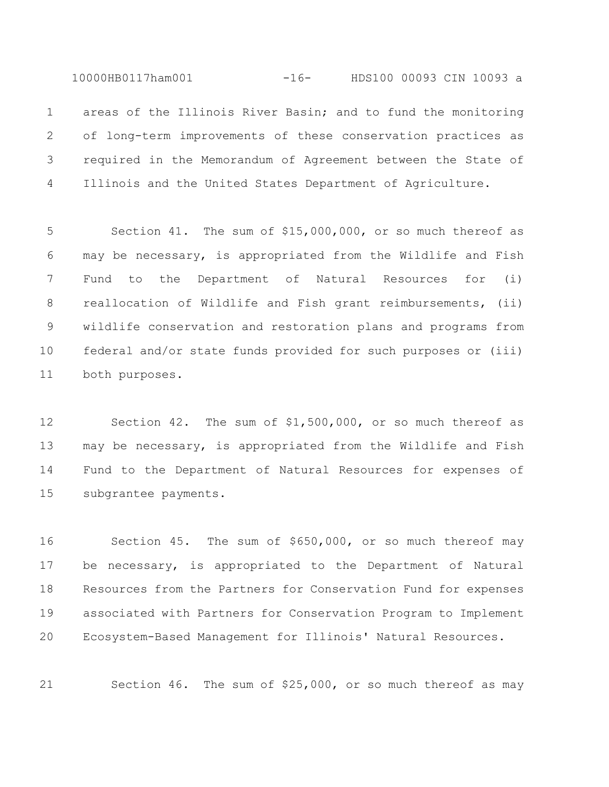10000HB0117ham001 -16- HDS100 00093 CIN 10093 a

 areas of the Illinois River Basin; and to fund the monitoring of long-term improvements of these conservation practices as required in the Memorandum of Agreement between the State of Illinois and the United States Department of Agriculture.

 Section 41. The sum of \$15,000,000, or so much thereof as may be necessary, is appropriated from the Wildlife and Fish Fund to the Department of Natural Resources for (i) reallocation of Wildlife and Fish grant reimbursements, (ii) wildlife conservation and restoration plans and programs from federal and/or state funds provided for such purposes or (iii) both purposes.

 Section 42. The sum of \$1,500,000, or so much thereof as may be necessary, is appropriated from the Wildlife and Fish Fund to the Department of Natural Resources for expenses of subgrantee payments.

 Section 45. The sum of \$650,000, or so much thereof may be necessary, is appropriated to the Department of Natural Resources from the Partners for Conservation Fund for expenses associated with Partners for Conservation Program to Implement Ecosystem-Based Management for Illinois' Natural Resources.

Section 46. The sum of \$25,000, or so much thereof as may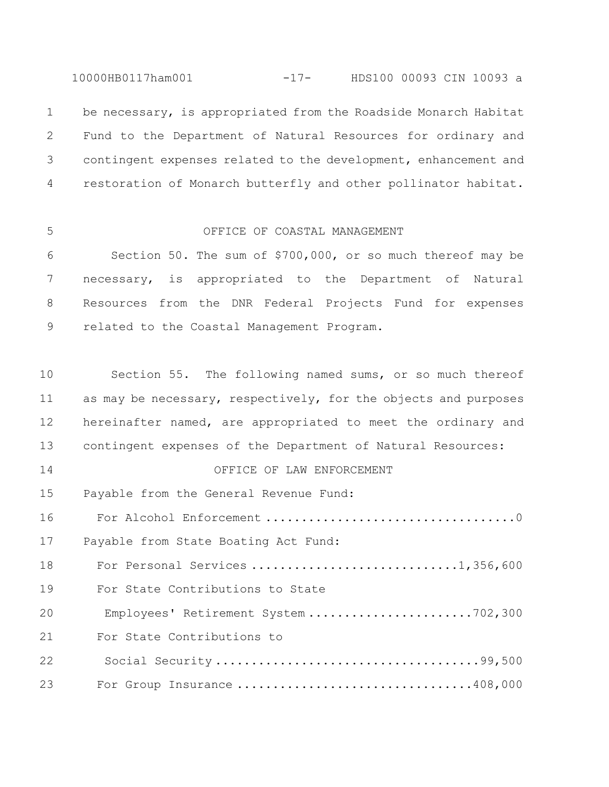10000HB0117ham001 -17- HDS100 00093 CIN 10093 a

1 be necessary, is appropriated from the Roadside Monarch Habitat Fund to the Department of Natural Resources for ordinary and contingent expenses related to the development, enhancement and restoration of Monarch butterfly and other pollinator habitat.

### OFFICE OF COASTAL MANAGEMENT

 Section 50. The sum of \$700,000, or so much thereof may be necessary, is appropriated to the Department of Natural Resources from the DNR Federal Projects Fund for expenses related to the Coastal Management Program.

 Section 55. The following named sums, or so much thereof 11 as may be necessary, respectively, for the objects and purposes hereinafter named, are appropriated to meet the ordinary and contingent expenses of the Department of Natural Resources: OFFICE OF LAW ENFORCEMENT Payable from the General Revenue Fund: For Alcohol Enforcement ...................................0 Payable from State Boating Act Fund: For Personal Services .............................1,356,600 For State Contributions to State 20 Employees' Retirement System .......................702,300 For State Contributions to 22 Social Security .....................................99,500 23 For Group Insurance ...................................408,000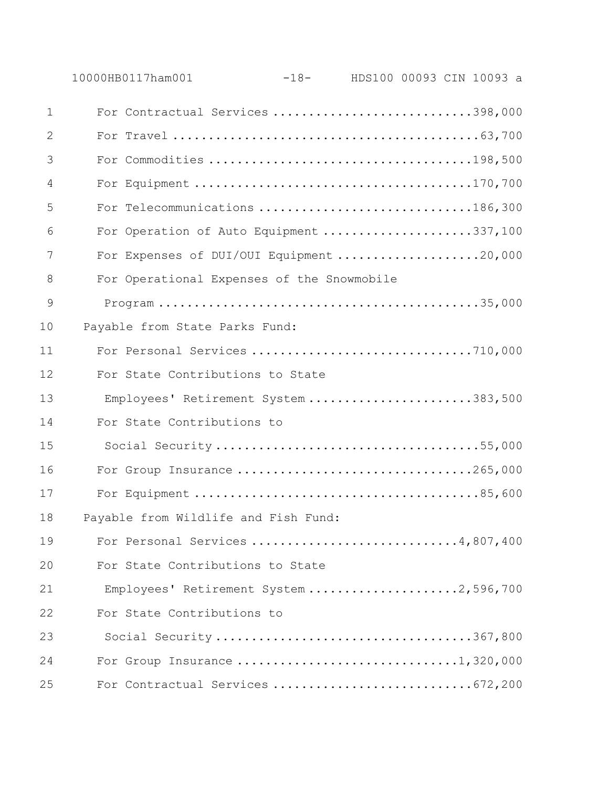|              | 10000HB0117ham001                          | -18- HDS100 00093 CIN 10093 a |  |  |  |
|--------------|--------------------------------------------|-------------------------------|--|--|--|
| $\mathbf{1}$ | For Contractual Services 398,000           |                               |  |  |  |
| 2            |                                            |                               |  |  |  |
| 3            |                                            |                               |  |  |  |
| 4            |                                            |                               |  |  |  |
| 5            | For Telecommunications 186,300             |                               |  |  |  |
| 6            | For Operation of Auto Equipment 337,100    |                               |  |  |  |
| 7            | For Expenses of DUI/OUI Equipment 20,000   |                               |  |  |  |
| 8            | For Operational Expenses of the Snowmobile |                               |  |  |  |
| 9            |                                            |                               |  |  |  |
| 10           | Payable from State Parks Fund:             |                               |  |  |  |
| 11           | For Personal Services 710,000              |                               |  |  |  |
| 12           | For State Contributions to State           |                               |  |  |  |
| 13           | Employees' Retirement System 383,500       |                               |  |  |  |
| 14           | For State Contributions to                 |                               |  |  |  |
| 15           | Social Security55,000                      |                               |  |  |  |
| 16           | For Group Insurance 265,000                |                               |  |  |  |
| 17           |                                            |                               |  |  |  |
| 18           | Payable from Wildlife and Fish Fund:       |                               |  |  |  |
| 19           | For Personal Services 4,807,400            |                               |  |  |  |
| 20           | For State Contributions to State           |                               |  |  |  |
| 21           | Employees' Retirement System 2,596,700     |                               |  |  |  |
| 22           | For State Contributions to                 |                               |  |  |  |
| 23           | Social Security367,800                     |                               |  |  |  |
| 24           | For Group Insurance 1,320,000              |                               |  |  |  |
| 25           |                                            |                               |  |  |  |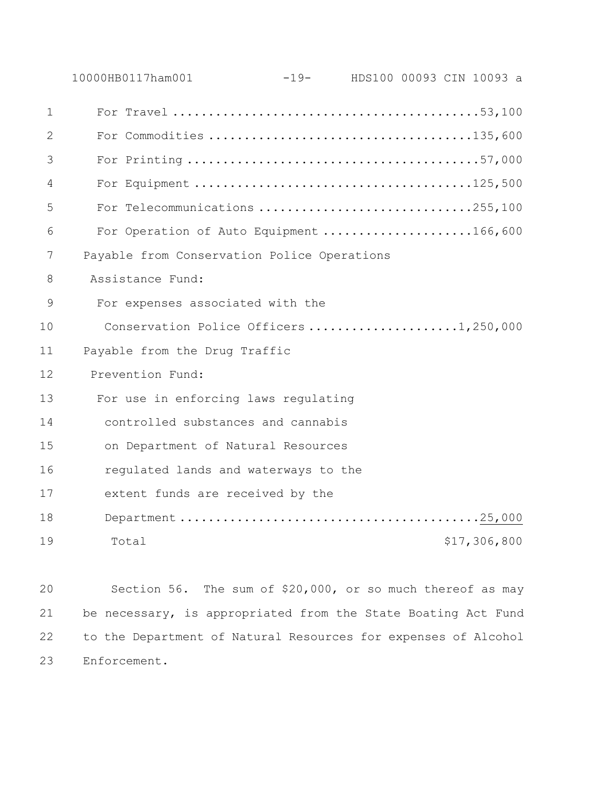|              | 10000HB0117ham001                           | $-19-$ | HDS100 00093 CIN 10093 a |  |              |  |
|--------------|---------------------------------------------|--------|--------------------------|--|--------------|--|
| $\mathbf{1}$ |                                             |        |                          |  |              |  |
| 2            |                                             |        |                          |  |              |  |
| 3            |                                             |        |                          |  |              |  |
| 4            |                                             |        |                          |  |              |  |
| 5            | For Telecommunications 255,100              |        |                          |  |              |  |
| 6            | For Operation of Auto Equipment 166,600     |        |                          |  |              |  |
| 7            | Payable from Conservation Police Operations |        |                          |  |              |  |
| 8            | Assistance Fund:                            |        |                          |  |              |  |
| 9            | For expenses associated with the            |        |                          |  |              |  |
| 10           | Conservation Police Officers 1,250,000      |        |                          |  |              |  |
| 11           | Payable from the Drug Traffic               |        |                          |  |              |  |
| 12           | Prevention Fund:                            |        |                          |  |              |  |
| 13           | For use in enforcing laws regulating        |        |                          |  |              |  |
| 14           | controlled substances and cannabis          |        |                          |  |              |  |
| 15           | on Department of Natural Resources          |        |                          |  |              |  |
| 16           | regulated lands and waterways to the        |        |                          |  |              |  |
| 17           | extent funds are received by the            |        |                          |  |              |  |
| 18           |                                             |        |                          |  |              |  |
| 19           | Total                                       |        |                          |  | \$17,306,800 |  |
|              |                                             |        |                          |  |              |  |

 Section 56. The sum of \$20,000, or so much thereof as may be necessary, is appropriated from the State Boating Act Fund to the Department of Natural Resources for expenses of Alcohol Enforcement.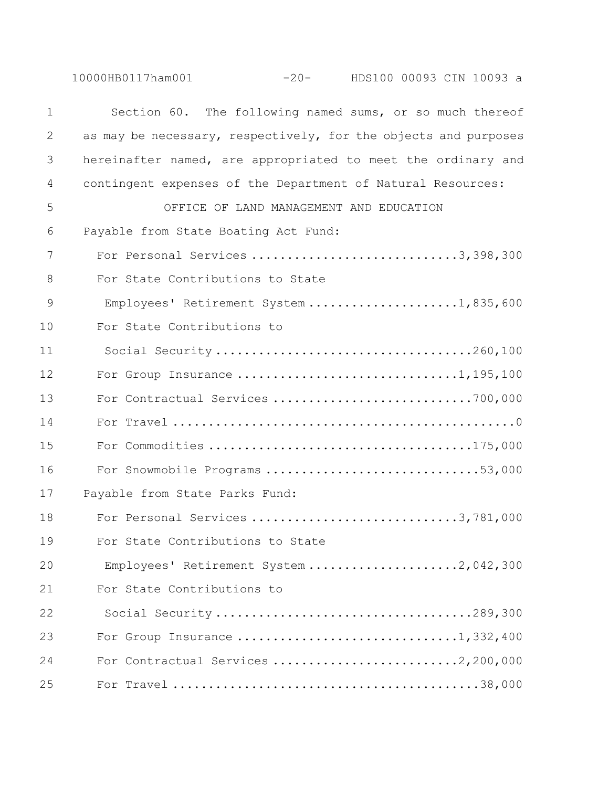10000HB0117ham001 -20- HDS100 00093 CIN 10093 a

 Section 60. The following named sums, or so much thereof as may be necessary, respectively, for the objects and purposes hereinafter named, are appropriated to meet the ordinary and contingent expenses of the Department of Natural Resources: OFFICE OF LAND MANAGEMENT AND EDUCATION Payable from State Boating Act Fund: For Personal Services .............................3,398,300 For State Contributions to State 9 Employees' Retirement System ......................1,835,600 For State Contributions to 11 Social Security ....................................260,100 12 For Group Insurance ..................................1,195,100 For Contractual Services ............................700,000 For Travel ................................................0 For Commodities .....................................175,000 For Snowmobile Programs ..............................53,000 Payable from State Parks Fund: 18 For Personal Services ...............................3,781,000 For State Contributions to State 20 Employees' Retirement System .....................2,042,300 For State Contributions to 22 Social Security ....................................289,300 For Group Insurance ...............................1,332,400 For Contractual Services ..........................2,200,000 For Travel ...........................................38,000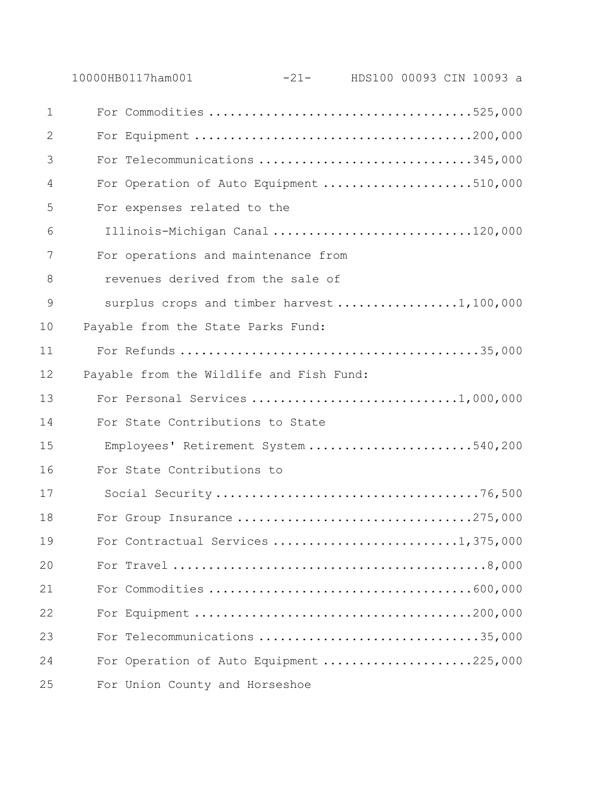|             | 10000HB0117ham001                          | $-21$ - HDS100 00093 CIN 10093 a |  |  |
|-------------|--------------------------------------------|----------------------------------|--|--|
| $\mathbf 1$ |                                            |                                  |  |  |
| 2           |                                            |                                  |  |  |
| 3           | For Telecommunications 345,000             |                                  |  |  |
| 4           | For Operation of Auto Equipment 510,000    |                                  |  |  |
| 5           | For expenses related to the                |                                  |  |  |
| 6           | Illinois-Michigan Canal 120,000            |                                  |  |  |
| 7           | For operations and maintenance from        |                                  |  |  |
| 8           | revenues derived from the sale of          |                                  |  |  |
| 9           | surplus crops and timber harvest 1,100,000 |                                  |  |  |
| 10          | Payable from the State Parks Fund:         |                                  |  |  |
| 11          |                                            |                                  |  |  |
| 12          | Payable from the Wildlife and Fish Fund:   |                                  |  |  |
| 13          | For Personal Services 1,000,000            |                                  |  |  |
| 14          | For State Contributions to State           |                                  |  |  |
| 15          | Employees' Retirement System 540,200       |                                  |  |  |
| 16          | For State Contributions to                 |                                  |  |  |
| 17          |                                            |                                  |  |  |
| $1\,8$      |                                            |                                  |  |  |
| 19          |                                            |                                  |  |  |
| 20          |                                            |                                  |  |  |
| 21          |                                            |                                  |  |  |
| 22          |                                            |                                  |  |  |
| 23          | For Telecommunications 35,000              |                                  |  |  |
| 24          | For Operation of Auto Equipment 225,000    |                                  |  |  |
| 25          | For Union County and Horseshoe             |                                  |  |  |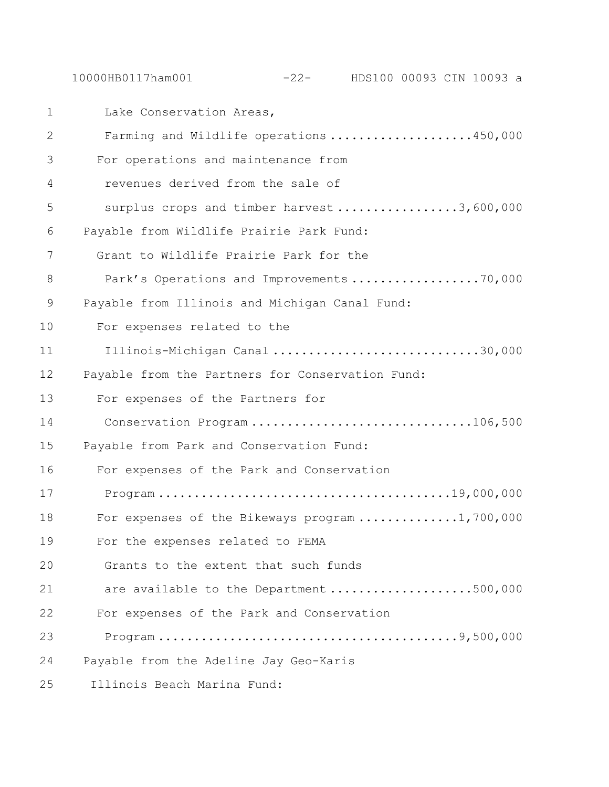10000HB0117ham001 -22- HDS100 00093 CIN 10093 a

1 Lake Conservation Areas, 2 Farming and Wildlife operations ....................450,000 3 For operations and maintenance from 4 revenues derived from the sale of 5 surplus crops and timber harvest ..................3,600,000 6 Payable from Wildlife Prairie Park Fund: 7 Grant to Wildlife Prairie Park for the 8 Park's Operations and Improvements ......................70,000 9 Payable from Illinois and Michigan Canal Fund: 10 For expenses related to the 11 Illinois-Michigan Canal .............................30,000 12 Payable from the Partners for Conservation Fund: 13 For expenses of the Partners for 14 Conservation Program ...............................106,500 15 Payable from Park and Conservation Fund: 16 For expenses of the Park and Conservation 17 Program .........................................19,000,000 18 For expenses of the Bikeways program ..............1,700,000 19 For the expenses related to FEMA 20 Grants to the extent that such funds 21 are available to the Department ....................500,000 22 For expenses of the Park and Conservation 23 Program ..........................................9,500,000 24 Payable from the Adeline Jay Geo-Karis 25 Illinois Beach Marina Fund: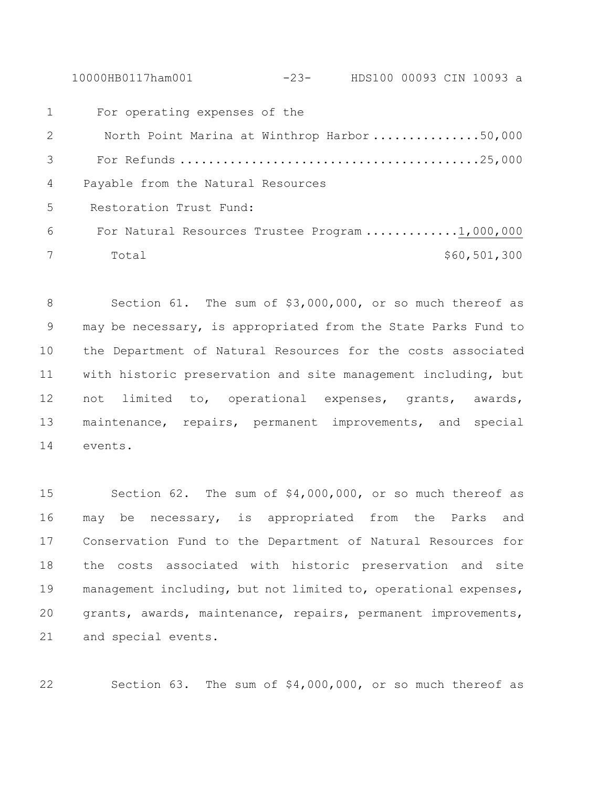10000HB0117ham001 -23- HDS100 00093 CIN 10093 a

 For operating expenses of the 2 North Point Marina at Winthrop Harbor ...............50,000 For Refunds ..........................................25,000 Payable from the Natural Resources Restoration Trust Fund: For Natural Resources Trustee Program .............1,000,000 Total \$60,501,300

 Section 61. The sum of \$3,000,000, or so much thereof as may be necessary, is appropriated from the State Parks Fund to the Department of Natural Resources for the costs associated with historic preservation and site management including, but not limited to, operational expenses, grants, awards, maintenance, repairs, permanent improvements, and special events.

 Section 62. The sum of \$4,000,000, or so much thereof as may be necessary, is appropriated from the Parks and Conservation Fund to the Department of Natural Resources for the costs associated with historic preservation and site management including, but not limited to, operational expenses, grants, awards, maintenance, repairs, permanent improvements, and special events.

Section 63. The sum of \$4,000,000, or so much thereof as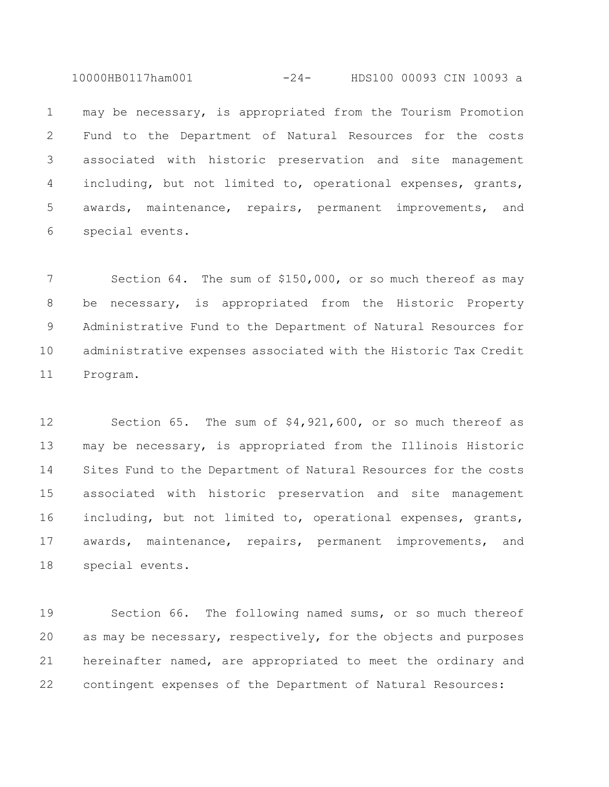10000HB0117ham001 -24- HDS100 00093 CIN 10093 a

 may be necessary, is appropriated from the Tourism Promotion Fund to the Department of Natural Resources for the costs associated with historic preservation and site management including, but not limited to, operational expenses, grants, awards, maintenance, repairs, permanent improvements, and special events.

7 Section 64. The sum of \$150,000, or so much thereof as may be necessary, is appropriated from the Historic Property Administrative Fund to the Department of Natural Resources for administrative expenses associated with the Historic Tax Credit Program.

 Section 65. The sum of \$4,921,600, or so much thereof as may be necessary, is appropriated from the Illinois Historic Sites Fund to the Department of Natural Resources for the costs associated with historic preservation and site management including, but not limited to, operational expenses, grants, awards, maintenance, repairs, permanent improvements, and special events.

 Section 66. The following named sums, or so much thereof as may be necessary, respectively, for the objects and purposes hereinafter named, are appropriated to meet the ordinary and contingent expenses of the Department of Natural Resources: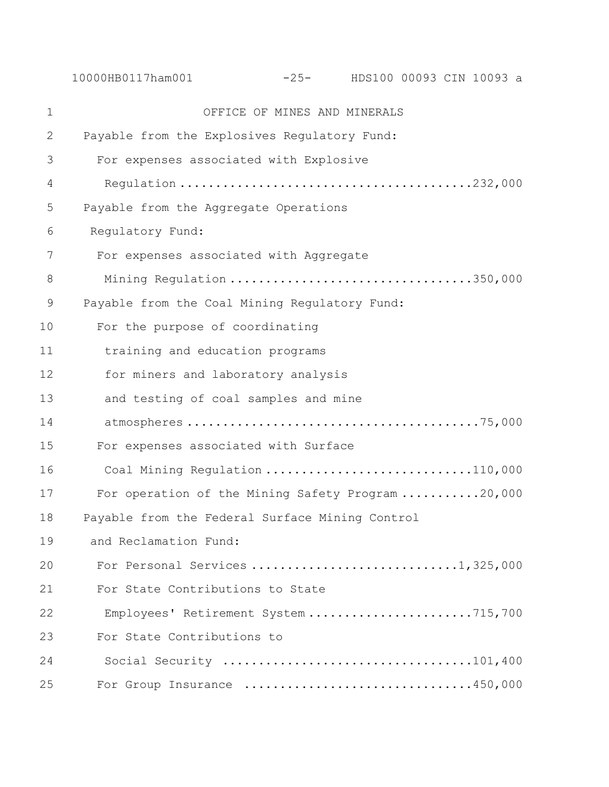10000HB0117ham001 -25- HDS100 00093 CIN 10093 a OFFICE OF MINES AND MINERALS Payable from the Explosives Regulatory Fund: For expenses associated with Explosive 4 Regulation .........................................232,000 Payable from the Aggregate Operations Regulatory Fund: For expenses associated with Aggregate 8 Mining Regulation ..................................350,000 Payable from the Coal Mining Regulatory Fund: For the purpose of coordinating 11 training and education programs 12 for miners and laboratory analysis 13 and testing of coal samples and mine 14 atmospheres .........................................75,000 For expenses associated with Surface 16 Coal Mining Regulation ................................110,000 For operation of the Mining Safety Program ...........20,000 Payable from the Federal Surface Mining Control and Reclamation Fund: For Personal Services .............................1,325,000 For State Contributions to State 22 Employees' Retirement System .......................715,700 For State Contributions to 24 Social Security ...................................101,400 For Group Insurance ................................450,000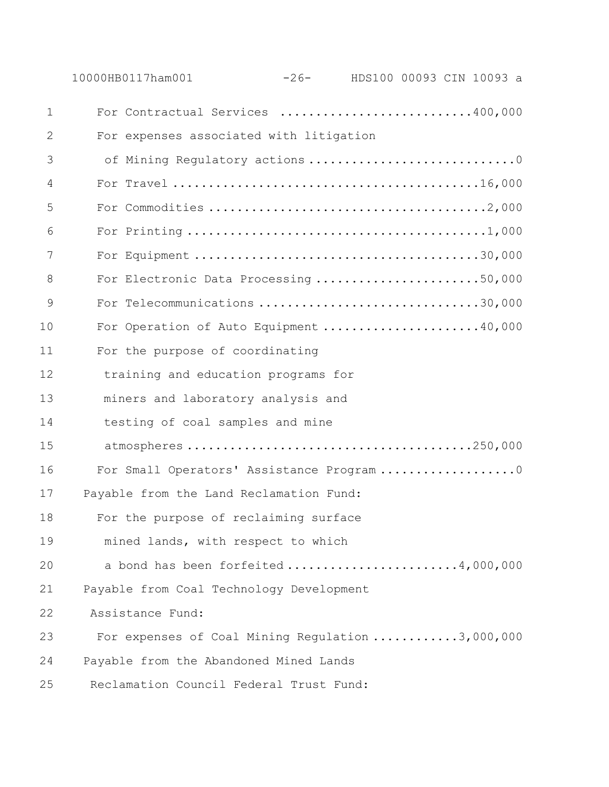|               | 10000HB0117ham001                                | $-26-$ | HDS100 00093 CIN 10093 a |  |  |
|---------------|--------------------------------------------------|--------|--------------------------|--|--|
| $\mathbf 1$   | For Contractual Services 400,000                 |        |                          |  |  |
| 2             | For expenses associated with litigation          |        |                          |  |  |
| 3             | of Mining Regulatory actions 0                   |        |                          |  |  |
| 4             |                                                  |        |                          |  |  |
| 5             |                                                  |        |                          |  |  |
| 6             |                                                  |        |                          |  |  |
| 7             |                                                  |        |                          |  |  |
| 8             | For Electronic Data Processing 50,000            |        |                          |  |  |
| $\mathcal{G}$ | For Telecommunications 30,000                    |        |                          |  |  |
| 10            | For Operation of Auto Equipment 40,000           |        |                          |  |  |
| 11            | For the purpose of coordinating                  |        |                          |  |  |
| 12            | training and education programs for              |        |                          |  |  |
| 13            | miners and laboratory analysis and               |        |                          |  |  |
| 14            | testing of coal samples and mine                 |        |                          |  |  |
| 15            |                                                  |        |                          |  |  |
| 16            | For Small Operators' Assistance Program 0        |        |                          |  |  |
| 17            | Payable from the Land Reclamation Fund:          |        |                          |  |  |
| 18            | For the purpose of reclaiming surface            |        |                          |  |  |
| 19            | mined lands, with respect to which               |        |                          |  |  |
| 20            | a bond has been forfeited 4,000,000              |        |                          |  |  |
| 21            | Payable from Coal Technology Development         |        |                          |  |  |
| 22            | Assistance Fund:                                 |        |                          |  |  |
| 23            | For expenses of Coal Mining Regulation 3,000,000 |        |                          |  |  |
| 24            | Payable from the Abandoned Mined Lands           |        |                          |  |  |
| 25            | Reclamation Council Federal Trust Fund:          |        |                          |  |  |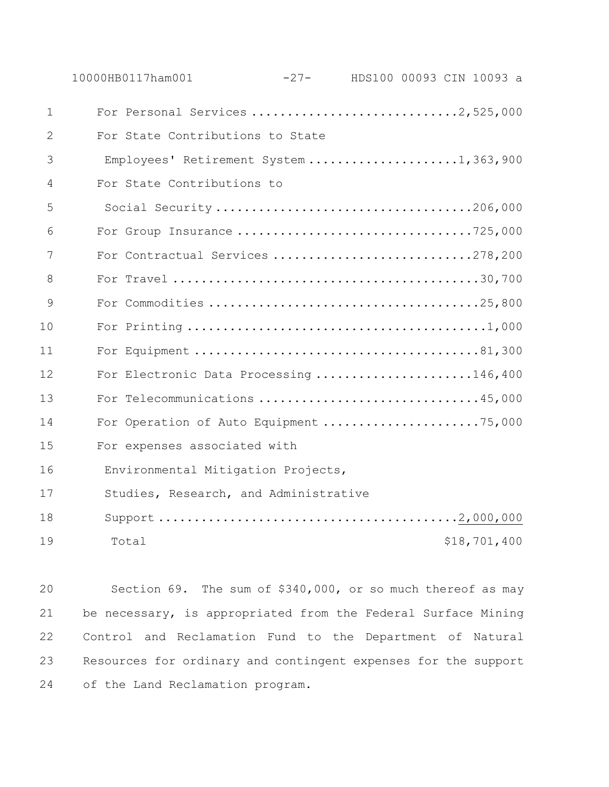|              | 10000HB0117ham001                      | $-27-$ |  | HDS100 00093 CIN 10093 a |
|--------------|----------------------------------------|--------|--|--------------------------|
| $\mathbf{1}$ |                                        |        |  |                          |
| 2            | For State Contributions to State       |        |  |                          |
| 3            | Employees' Retirement System 1,363,900 |        |  |                          |
| 4            | For State Contributions to             |        |  |                          |
| 5            | Social Security 206,000                |        |  |                          |
| 6            | For Group Insurance 725,000            |        |  |                          |
| 7            | For Contractual Services 278,200       |        |  |                          |
| 8            |                                        |        |  |                          |
| 9            |                                        |        |  |                          |
| 10           |                                        |        |  |                          |
| 11           |                                        |        |  |                          |
| 12           | For Electronic Data Processing 146,400 |        |  |                          |
| 13           | For Telecommunications 45,000          |        |  |                          |
| 14           | For Operation of Auto Equipment 75,000 |        |  |                          |
| 15           | For expenses associated with           |        |  |                          |
| 16           | Environmental Mitigation Projects,     |        |  |                          |
| 17           | Studies, Research, and Administrative  |        |  |                          |
| 18           |                                        |        |  |                          |
| 19           | Total                                  |        |  | \$18,701,400             |

 Section 69. The sum of \$340,000, or so much thereof as may be necessary, is appropriated from the Federal Surface Mining Control and Reclamation Fund to the Department of Natural Resources for ordinary and contingent expenses for the support of the Land Reclamation program.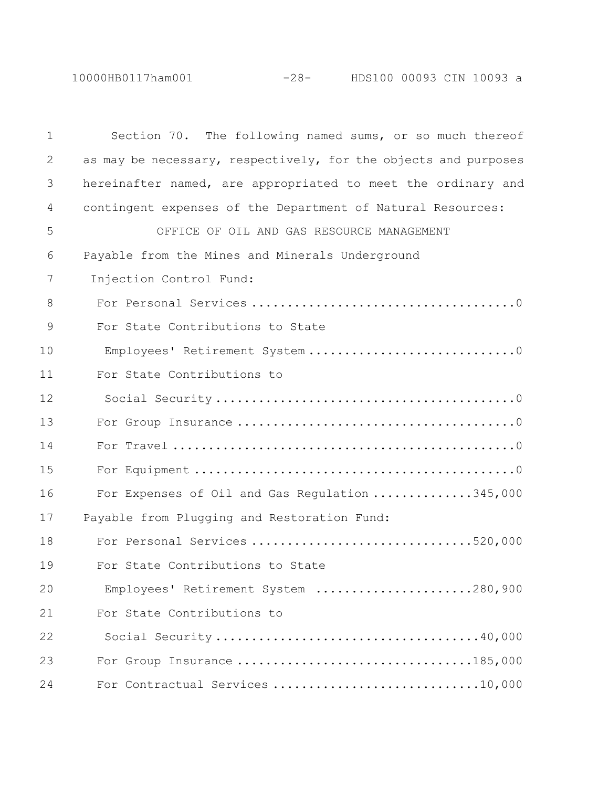10000HB0117ham001 -28- HDS100 00093 CIN 10093 a

| $\mathbf 1$ | Section 70. The following named sums, or so much thereof        |
|-------------|-----------------------------------------------------------------|
| 2           | as may be necessary, respectively, for the objects and purposes |
| 3           | hereinafter named, are appropriated to meet the ordinary and    |
| 4           | contingent expenses of the Department of Natural Resources:     |
| 5           | OFFICE OF OIL AND GAS RESOURCE MANAGEMENT                       |
| 6           | Payable from the Mines and Minerals Underground                 |
| 7           | Injection Control Fund:                                         |
| 8           |                                                                 |
| 9           | For State Contributions to State                                |
| 10          |                                                                 |
| 11          | For State Contributions to                                      |
| 12          |                                                                 |
| 13          |                                                                 |
| 14          |                                                                 |
| 15          |                                                                 |
| 16          | For Expenses of Oil and Gas Regulation 345,000                  |
| 17          | Payable from Plugging and Restoration Fund:                     |
| 18          | For Personal Services 520,000                                   |
| 19          | For State Contributions to State                                |
| 20          | Employees' Retirement System 280,900                            |
| 21          | For State Contributions to                                      |
| 22          |                                                                 |
| 23          | For Group Insurance 185,000                                     |
| 24          | For Contractual Services 10,000                                 |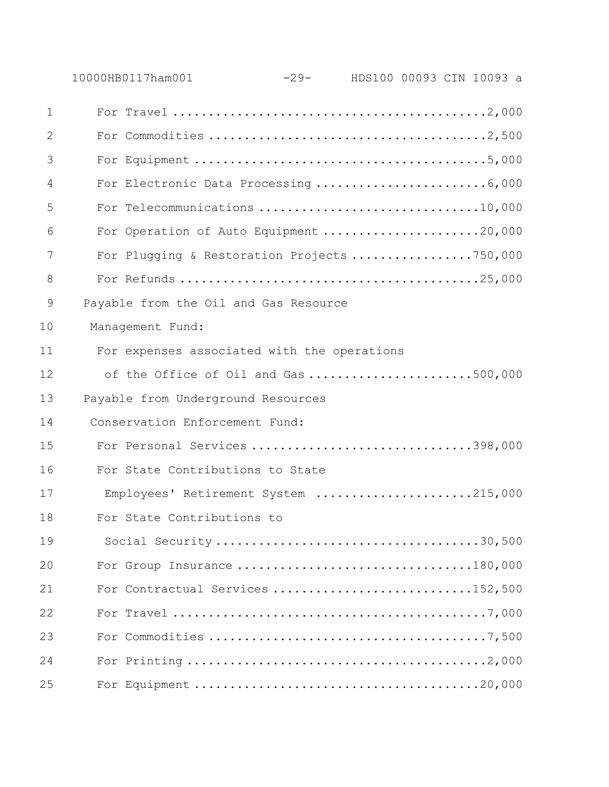|               | 10000HB0117ham001                           | -29- HDS100 00093 CIN 10093 a |  |  |  |
|---------------|---------------------------------------------|-------------------------------|--|--|--|
| $\mathbf 1$   |                                             |                               |  |  |  |
| 2             |                                             |                               |  |  |  |
| 3             |                                             |                               |  |  |  |
| 4             | For Electronic Data Processing 6,000        |                               |  |  |  |
| 5             | For Telecommunications 10,000               |                               |  |  |  |
| 6             | For Operation of Auto Equipment 20,000      |                               |  |  |  |
| 7             | For Plugging & Restoration Projects 750,000 |                               |  |  |  |
| 8             |                                             |                               |  |  |  |
| $\mathcal{G}$ | Payable from the Oil and Gas Resource       |                               |  |  |  |
| 10            | Management Fund:                            |                               |  |  |  |
| 11            | For expenses associated with the operations |                               |  |  |  |
| 12            | of the Office of Oil and Gas 500,000        |                               |  |  |  |
| 13            | Payable from Underground Resources          |                               |  |  |  |
| 14            | Conservation Enforcement Fund:              |                               |  |  |  |
| 15            | For Personal Services 398,000               |                               |  |  |  |
| 16            | For State Contributions to State            |                               |  |  |  |
| 17            | Employees' Retirement System 215,000        |                               |  |  |  |
| 18            | For State Contributions to                  |                               |  |  |  |
| 19            |                                             |                               |  |  |  |
| 20            | For Group Insurance 180,000                 |                               |  |  |  |
| 21            | For Contractual Services 152,500            |                               |  |  |  |
| 22            |                                             |                               |  |  |  |
| 23            |                                             |                               |  |  |  |
| 24            |                                             |                               |  |  |  |
| 25            |                                             |                               |  |  |  |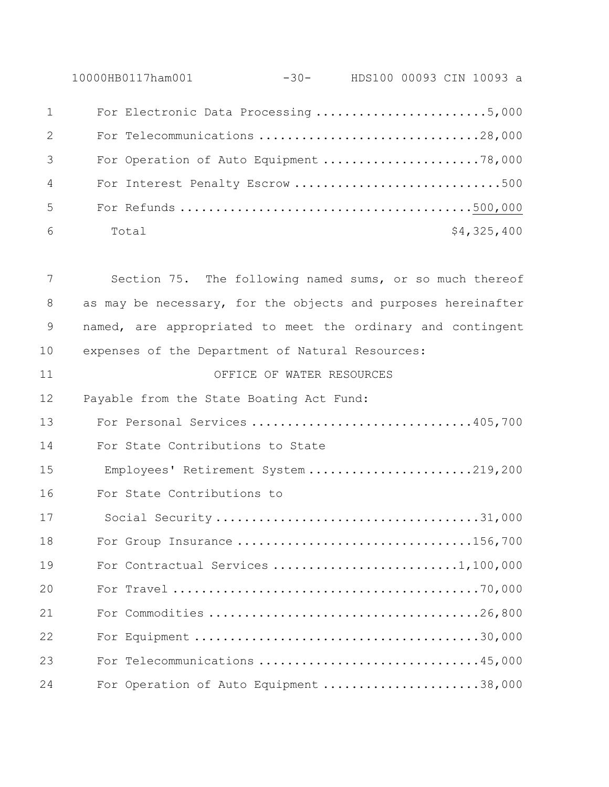10000HB0117ham001 -30- HDS100 00093 CIN 10093 a For Electronic Data Processing ........................5,000

|                                | $101$ $1000$ $1110$ $1000$ $11000$ $1110$ $1111$ |
|--------------------------------|--------------------------------------------------|
| $2 \left( \frac{1}{2} \right)$ |                                                  |
| $\mathcal{S}$                  | For Operation of Auto Equipment 78,000           |
| $4\overline{ }$                | For Interest Penalty Escrow 500                  |
| $5 -$                          |                                                  |
| 6                              | \$4,325,400<br>Total                             |

| 7           | Section 75. The following named sums, or so much thereof      |
|-------------|---------------------------------------------------------------|
| 8           | as may be necessary, for the objects and purposes hereinafter |
| $\mathsf 9$ | named, are appropriated to meet the ordinary and contingent   |
| 10          | expenses of the Department of Natural Resources:              |
| 11          | OFFICE OF WATER RESOURCES                                     |
| 12          | Payable from the State Boating Act Fund:                      |
| 13          | For Personal Services 405,700                                 |
| 14          | For State Contributions to State                              |
| 15          | Employees' Retirement System 219,200                          |
| 16          | For State Contributions to                                    |
| 17          |                                                               |
| 18          | For Group Insurance 156,700                                   |
| 19          |                                                               |
| 20          |                                                               |
| 21          |                                                               |
| 22          |                                                               |
| 23          | For Telecommunications 45,000                                 |
| 24          | For Operation of Auto Equipment 38,000                        |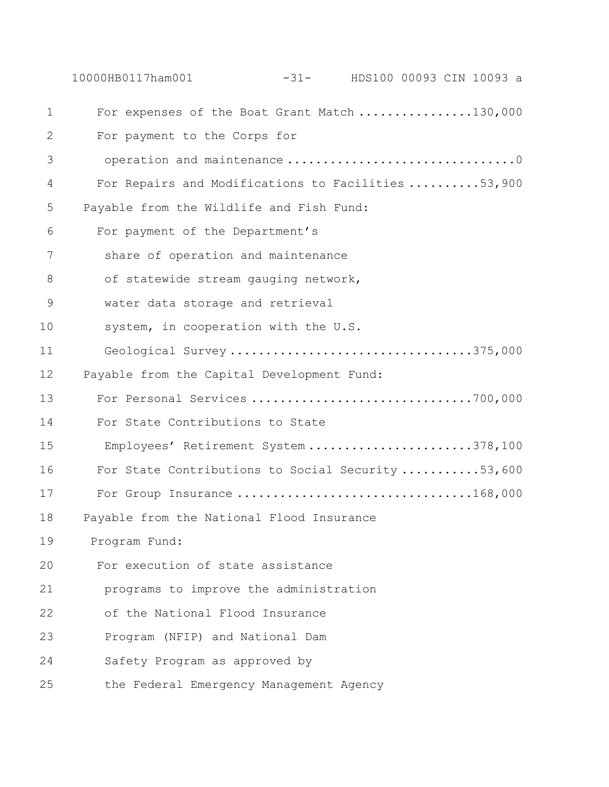|             | -31- HDS100 00093 CIN 10093 a<br>10000HB0117ham001 |
|-------------|----------------------------------------------------|
| $\mathbf 1$ | For expenses of the Boat Grant Match 130,000       |
| 2           | For payment to the Corps for                       |
| 3           |                                                    |
| 4           | For Repairs and Modifications to Facilities 53,900 |
| 5           | Payable from the Wildlife and Fish Fund:           |
| 6           | For payment of the Department's                    |
| 7           | share of operation and maintenance                 |
| 8           | of statewide stream gauging network,               |
| $\mathsf 9$ | water data storage and retrieval                   |
| 10          | system, in cooperation with the U.S.               |
| 11          | Geological Survey 375,000                          |
| 12          | Payable from the Capital Development Fund:         |
| 13          | For Personal Services 700,000                      |
| 14          | For State Contributions to State                   |
| 15          | Employees' Retirement System 378,100               |
| 16          | For State Contributions to Social Security 53,600  |
| 17          | For Group Insurance 168,000                        |
| 18          | Payable from the National Flood Insurance          |
| 19          | Program Fund:                                      |
| 20          | For execution of state assistance                  |
| 21          | programs to improve the administration             |
| 22          | of the National Flood Insurance                    |
| 23          | Program (NFIP) and National Dam                    |
| 24          | Safety Program as approved by                      |
| 25          | the Federal Emergency Management Agency            |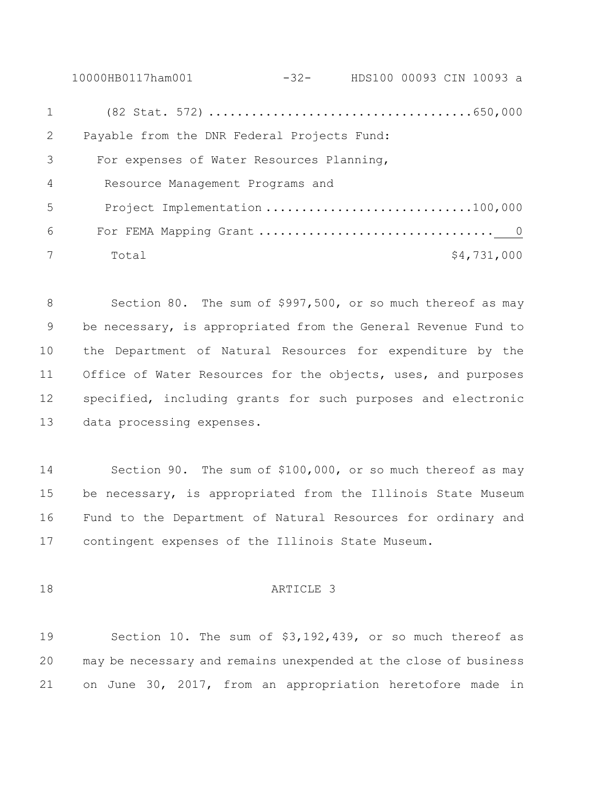10000HB0117ham001 -32- HDS100 00093 CIN 10093 a 1 (82 Stat. 572) .....................................650,000 Payable from the DNR Federal Projects Fund: For expenses of Water Resources Planning, 4 Resource Management Programs and 5 Project Implementation ................................100,000 For FEMA Mapping Grant ................................. 0 7 Total \$4,731,000

8 Section 80. The sum of \$997,500, or so much thereof as may be necessary, is appropriated from the General Revenue Fund to the Department of Natural Resources for expenditure by the Office of Water Resources for the objects, uses, and purposes specified, including grants for such purposes and electronic data processing expenses.

 Section 90. The sum of \$100,000, or so much thereof as may be necessary, is appropriated from the Illinois State Museum Fund to the Department of Natural Resources for ordinary and contingent expenses of the Illinois State Museum.

### ARTICLE 3

 Section 10. The sum of \$3,192,439, or so much thereof as may be necessary and remains unexpended at the close of business on June 30, 2017, from an appropriation heretofore made in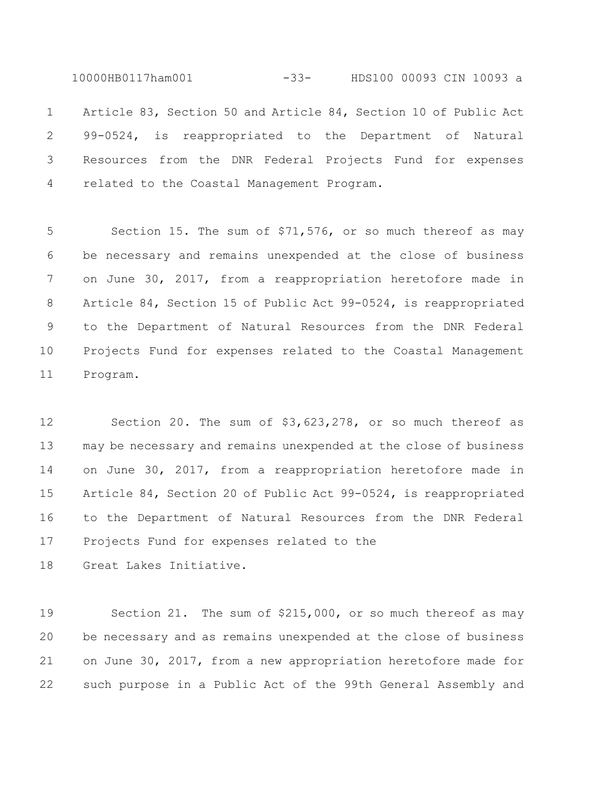10000HB0117ham001 -33- HDS100 00093 CIN 10093 a

 Article 83, Section 50 and Article 84, Section 10 of Public Act 99-0524, is reappropriated to the Department of Natural Resources from the DNR Federal Projects Fund for expenses related to the Coastal Management Program.

 Section 15. The sum of \$71,576, or so much thereof as may be necessary and remains unexpended at the close of business on June 30, 2017, from a reappropriation heretofore made in Article 84, Section 15 of Public Act 99-0524, is reappropriated to the Department of Natural Resources from the DNR Federal Projects Fund for expenses related to the Coastal Management Program.

 Section 20. The sum of \$3,623,278, or so much thereof as may be necessary and remains unexpended at the close of business on June 30, 2017, from a reappropriation heretofore made in Article 84, Section 20 of Public Act 99-0524, is reappropriated to the Department of Natural Resources from the DNR Federal Projects Fund for expenses related to the

Great Lakes Initiative.

 Section 21. The sum of \$215,000, or so much thereof as may be necessary and as remains unexpended at the close of business on June 30, 2017, from a new appropriation heretofore made for such purpose in a Public Act of the 99th General Assembly and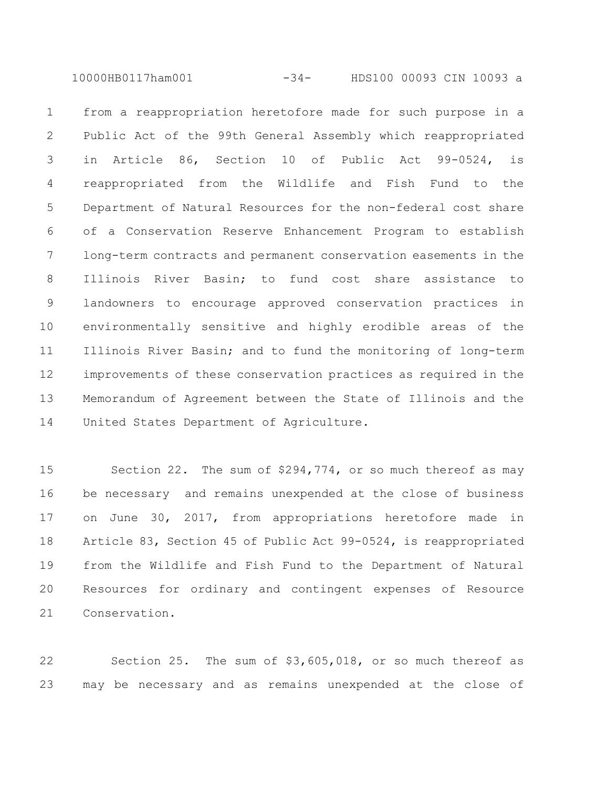10000HB0117ham001 -34- HDS100 00093 CIN 10093 a

 from a reappropriation heretofore made for such purpose in a Public Act of the 99th General Assembly which reappropriated in Article 86, Section 10 of Public Act 99-0524, is reappropriated from the Wildlife and Fish Fund to the Department of Natural Resources for the non-federal cost share of a Conservation Reserve Enhancement Program to establish long-term contracts and permanent conservation easements in the Illinois River Basin; to fund cost share assistance to landowners to encourage approved conservation practices in environmentally sensitive and highly erodible areas of the Illinois River Basin; and to fund the monitoring of long-term improvements of these conservation practices as required in the Memorandum of Agreement between the State of Illinois and the United States Department of Agriculture.

 Section 22. The sum of \$294,774, or so much thereof as may be necessary and remains unexpended at the close of business on June 30, 2017, from appropriations heretofore made in Article 83, Section 45 of Public Act 99-0524, is reappropriated from the Wildlife and Fish Fund to the Department of Natural Resources for ordinary and contingent expenses of Resource Conservation.

 Section 25. The sum of \$3,605,018, or so much thereof as may be necessary and as remains unexpended at the close of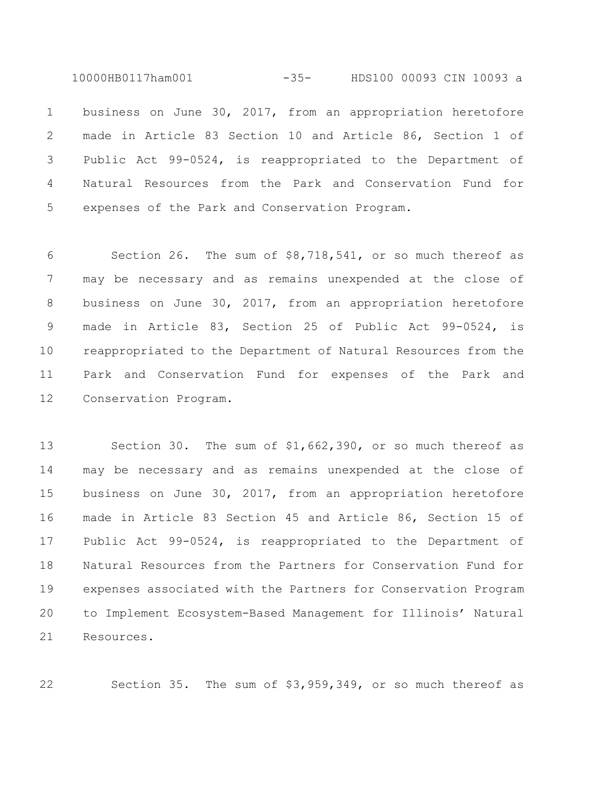10000HB0117ham001 -35- HDS100 00093 CIN 10093 a

 business on June 30, 2017, from an appropriation heretofore made in Article 83 Section 10 and Article 86, Section 1 of Public Act 99-0524, is reappropriated to the Department of Natural Resources from the Park and Conservation Fund for expenses of the Park and Conservation Program.

 Section 26. The sum of \$8,718,541, or so much thereof as may be necessary and as remains unexpended at the close of business on June 30, 2017, from an appropriation heretofore made in Article 83, Section 25 of Public Act 99-0524, is reappropriated to the Department of Natural Resources from the Park and Conservation Fund for expenses of the Park and Conservation Program.

 Section 30. The sum of \$1,662,390, or so much thereof as may be necessary and as remains unexpended at the close of business on June 30, 2017, from an appropriation heretofore made in Article 83 Section 45 and Article 86, Section 15 of Public Act 99-0524, is reappropriated to the Department of Natural Resources from the Partners for Conservation Fund for expenses associated with the Partners for Conservation Program to Implement Ecosystem-Based Management for Illinois' Natural Resources.

Section 35. The sum of \$3,959,349, or so much thereof as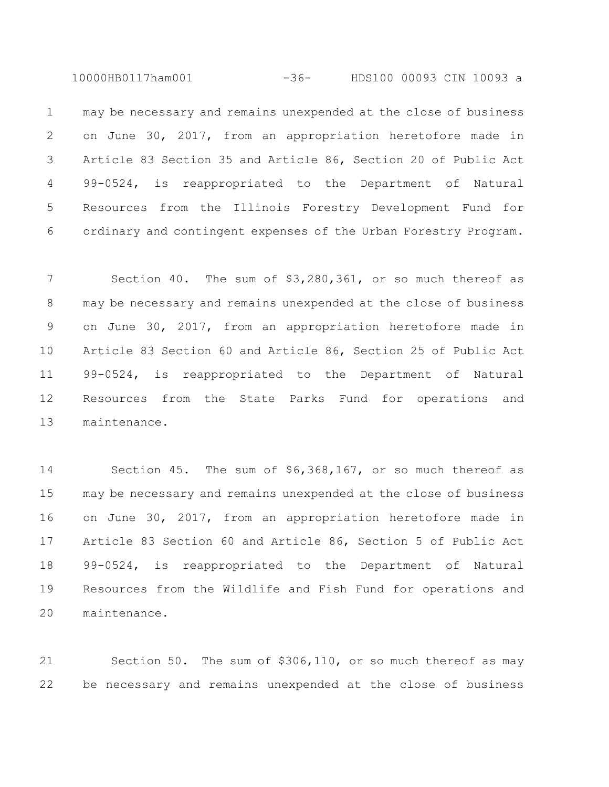10000HB0117ham001 -36- HDS100 00093 CIN 10093 a

 may be necessary and remains unexpended at the close of business on June 30, 2017, from an appropriation heretofore made in Article 83 Section 35 and Article 86, Section 20 of Public Act 99-0524, is reappropriated to the Department of Natural Resources from the Illinois Forestry Development Fund for ordinary and contingent expenses of the Urban Forestry Program.

 Section 40. The sum of \$3,280,361, or so much thereof as may be necessary and remains unexpended at the close of business on June 30, 2017, from an appropriation heretofore made in Article 83 Section 60 and Article 86, Section 25 of Public Act 99-0524, is reappropriated to the Department of Natural Resources from the State Parks Fund for operations and maintenance.

 Section 45. The sum of \$6,368,167, or so much thereof as may be necessary and remains unexpended at the close of business on June 30, 2017, from an appropriation heretofore made in Article 83 Section 60 and Article 86, Section 5 of Public Act 99-0524, is reappropriated to the Department of Natural Resources from the Wildlife and Fish Fund for operations and maintenance.

 Section 50. The sum of \$306,110, or so much thereof as may be necessary and remains unexpended at the close of business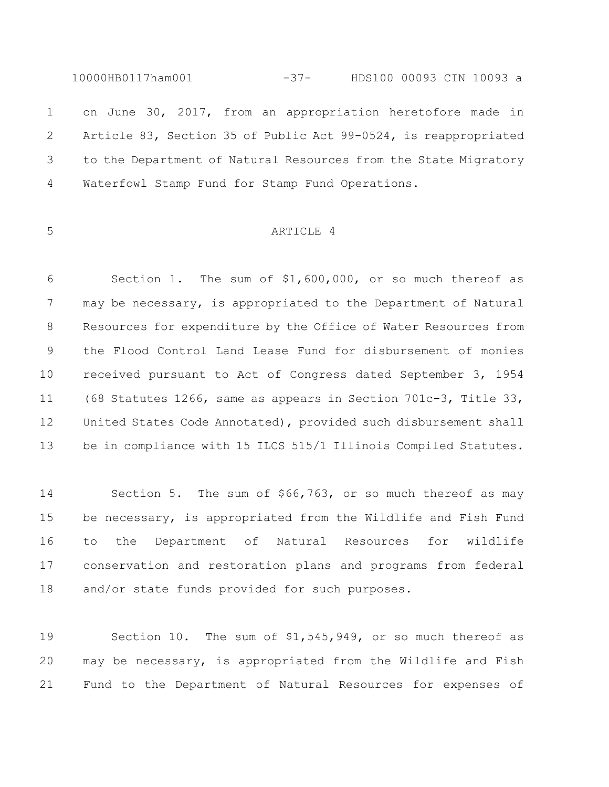10000HB0117ham001 -37- HDS100 00093 CIN 10093 a on June 30, 2017, from an appropriation heretofore made in Article 83, Section 35 of Public Act 99-0524, is reappropriated to the Department of Natural Resources from the State Migratory Waterfowl Stamp Fund for Stamp Fund Operations.

## ARTICLE 4

 Section 1. The sum of \$1,600,000, or so much thereof as may be necessary, is appropriated to the Department of Natural Resources for expenditure by the Office of Water Resources from the Flood Control Land Lease Fund for disbursement of monies received pursuant to Act of Congress dated September 3, 1954 (68 Statutes 1266, same as appears in Section 701c-3, Title 33, United States Code Annotated), provided such disbursement shall be in compliance with 15 ILCS 515/1 Illinois Compiled Statutes.

 Section 5. The sum of \$66,763, or so much thereof as may be necessary, is appropriated from the Wildlife and Fish Fund to the Department of Natural Resources for wildlife conservation and restoration plans and programs from federal and/or state funds provided for such purposes.

 Section 10. The sum of \$1,545,949, or so much thereof as may be necessary, is appropriated from the Wildlife and Fish Fund to the Department of Natural Resources for expenses of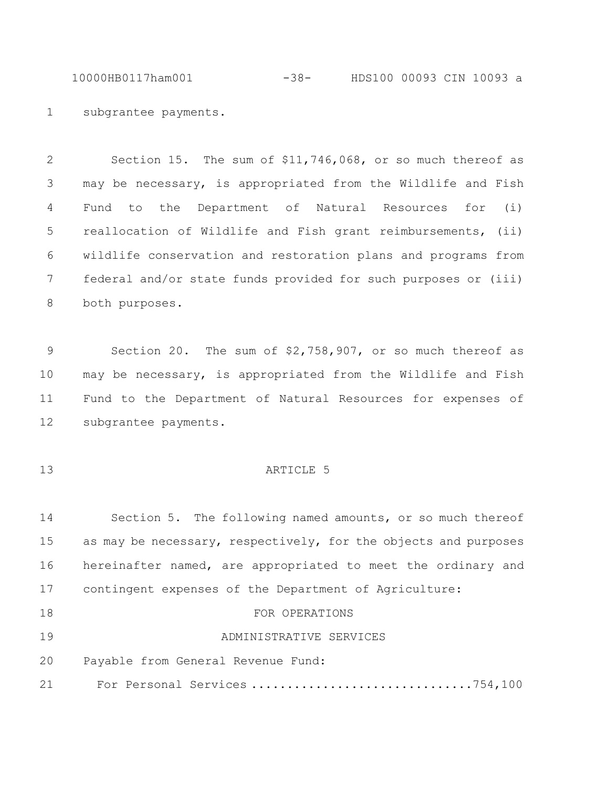10000HB0117ham001 -38- HDS100 00093 CIN 10093 a

subgrantee payments.

 Section 15. The sum of \$11,746,068, or so much thereof as may be necessary, is appropriated from the Wildlife and Fish Fund to the Department of Natural Resources for (i) reallocation of Wildlife and Fish grant reimbursements, (ii) wildlife conservation and restoration plans and programs from federal and/or state funds provided for such purposes or (iii) both purposes.

 Section 20. The sum of \$2,758,907, or so much thereof as may be necessary, is appropriated from the Wildlife and Fish Fund to the Department of Natural Resources for expenses of subgrantee payments.

## **ARTICLE** 5

 Section 5. The following named amounts, or so much thereof 15 as may be necessary, respectively, for the objects and purposes hereinafter named, are appropriated to meet the ordinary and contingent expenses of the Department of Agriculture: 18 FOR OPERATIONS

```
19 ADMINISTRATIVE SERVICES
```
Payable from General Revenue Fund:

For Personal Services ...............................754,100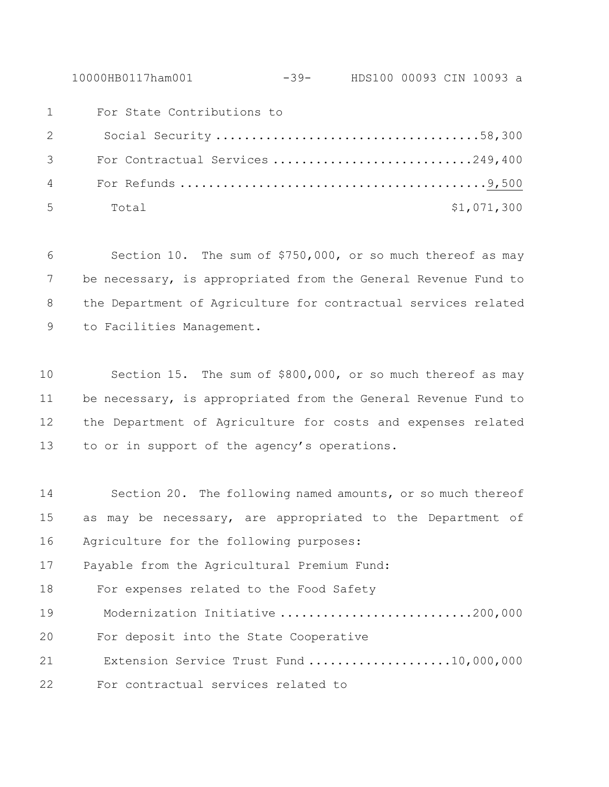10000HB0117ham001 -39- HDS100 00093 CIN 10093 a

 For State Contributions to Social Security .....................................58,300 For Contractual Services ............................249,400 For Refunds ...........................................9,500 Total \$1,071,300

 Section 10. The sum of \$750,000, or so much thereof as may be necessary, is appropriated from the General Revenue Fund to the Department of Agriculture for contractual services related to Facilities Management.

 Section 15. The sum of \$800,000, or so much thereof as may be necessary, is appropriated from the General Revenue Fund to the Department of Agriculture for costs and expenses related to or in support of the agency's operations.

 Section 20. The following named amounts, or so much thereof as may be necessary, are appropriated to the Department of Agriculture for the following purposes: Payable from the Agricultural Premium Fund: For expenses related to the Food Safety Modernization Initiative ...........................200,000 For deposit into the State Cooperative Extension Service Trust Fund ....................10,000,000 For contractual services related to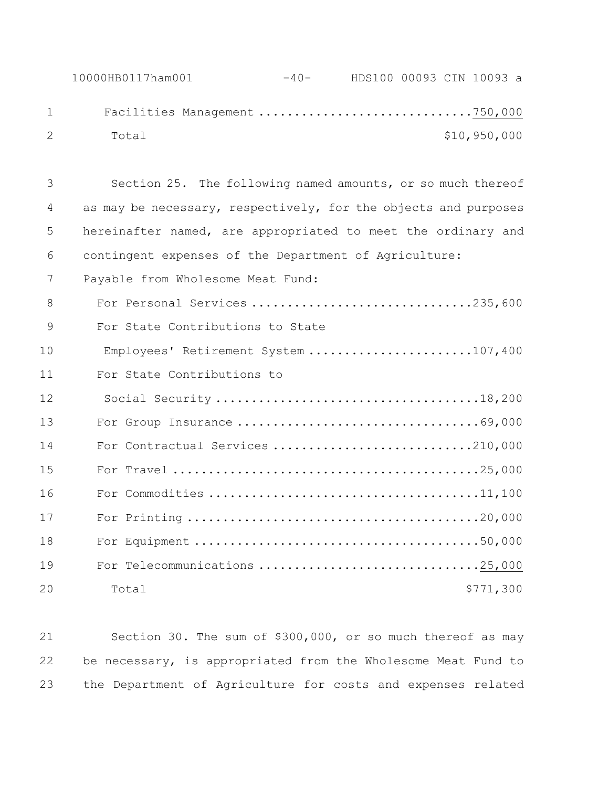Section 25. The following named amounts, or so much thereof as may be necessary, respectively, for the objects and purposes hereinafter named, are appropriated to meet the ordinary and contingent expenses of the Department of Agriculture: Payable from Wholesome Meat Fund: 8 For Personal Services ..................................235,600 For State Contributions to State Employees' Retirement System .......................107,400 For State Contributions to Social Security .....................................18,200 For Group Insurance ..................................69,000 14 For Contractual Services ...............................210,000 For Travel ...........................................25,000 For Commodities ......................................11,100 For Printing .........................................20,000 For Equipment ........................................50,000 For Telecommunications ...............................25,000 20 Total \$771,300

 Section 30. The sum of \$300,000, or so much thereof as may be necessary, is appropriated from the Wholesome Meat Fund to the Department of Agriculture for costs and expenses related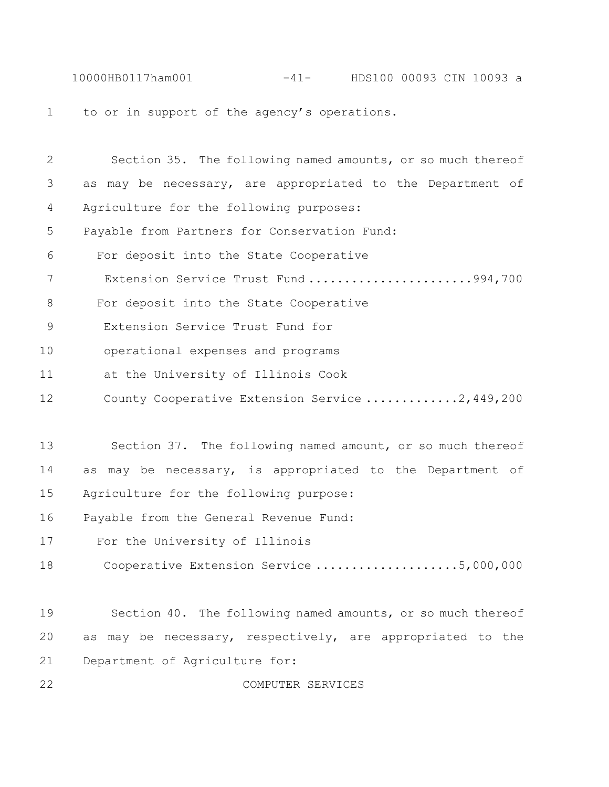10000HB0117ham001 -41- HDS100 00093 CIN 10093 a to or in support of the agency's operations.

| 2  | Section 35. The following named amounts, or so much thereof   |
|----|---------------------------------------------------------------|
| 3  | as may be necessary, are appropriated to the Department of    |
| 4  | Agriculture for the following purposes:                       |
| 5  | Payable from Partners for Conservation Fund:                  |
| 6  | For deposit into the State Cooperative                        |
| 7  | Extension Service Trust Fund994,700                           |
| 8  | For deposit into the State Cooperative                        |
| 9  | Extension Service Trust Fund for                              |
| 10 | operational expenses and programs                             |
| 11 | at the University of Illinois Cook                            |
| 12 | County Cooperative Extension Service 2,449,200                |
|    |                                                               |
| 13 | Section 37. The following named amount, or so much thereof    |
| 14 | as may be necessary, is appropriated to the Department of     |
| 15 | Agriculture for the following purpose:                        |
| 16 | Payable from the General Revenue Fund:                        |
| 17 | For the University of Illinois                                |
| 18 | Cooperative Extension Service 5,000,000                       |
|    |                                                               |
| 19 | Section 40. The following named amounts, or so much thereof   |
| 20 | may be necessary, respectively, are appropriated to the<br>as |
| 21 | Department of Agriculture for:                                |

COMPUTER SERVICES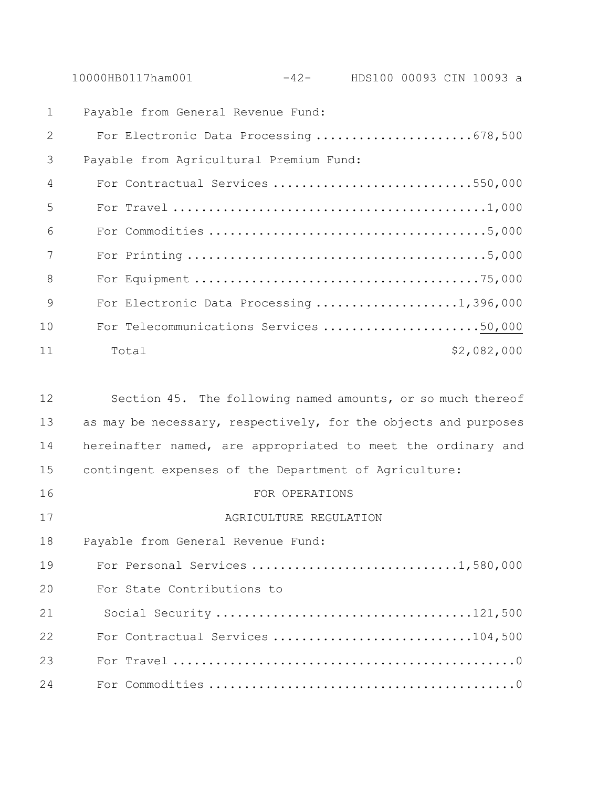10000HB0117ham001 -42- HDS100 00093 CIN 10093 a

| $\mathbf{1}$    | Payable from General Revenue Fund:       |
|-----------------|------------------------------------------|
| 2               | For Electronic Data Processing 678,500   |
| 3               | Payable from Agricultural Premium Fund:  |
| $\overline{4}$  | For Contractual Services 550,000         |
| 5               |                                          |
| $6\overline{6}$ |                                          |
| 7               |                                          |
| 8               |                                          |
| 9               | For Electronic Data Processing 1,396,000 |
| 10              | For Telecommunications Services 50,000   |
| 11              | \$2,082,000<br>Total                     |

| 12 | Section 45. The following named amounts, or so much thereof     |
|----|-----------------------------------------------------------------|
| 13 | as may be necessary, respectively, for the objects and purposes |
| 14 | hereinafter named, are appropriated to meet the ordinary and    |
| 15 | contingent expenses of the Department of Agriculture:           |
| 16 | FOR OPERATIONS                                                  |
| 17 | AGRICULTURE REGULATION                                          |
| 18 | Payable from General Revenue Fund:                              |
| 19 | For Personal Services 1,580,000                                 |
| 20 | For State Contributions to                                      |
| 21 |                                                                 |
| 22 | For Contractual Services 104,500                                |
| 23 |                                                                 |
| 24 |                                                                 |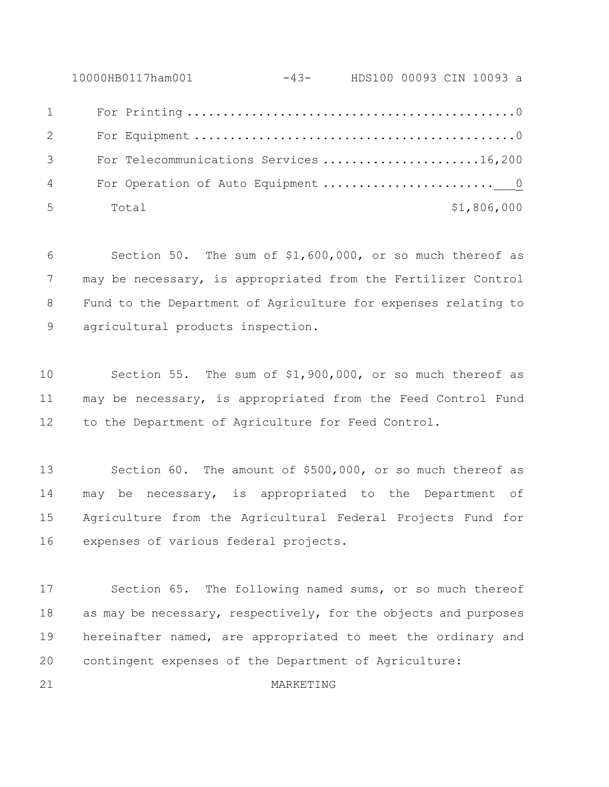10000HB0117ham001 -43- HDS100 00093 CIN 10093 a For Printing ..............................................0 For Equipment .............................................0 For Telecommunications Services ......................16,200 For Operation of Auto Equipment ........................\_\_\_0 Total  $5$  Total  $600$ 

 Section 50. The sum of \$1,600,000, or so much thereof as may be necessary, is appropriated from the Fertilizer Control Fund to the Department of Agriculture for expenses relating to agricultural products inspection.

 Section 55. The sum of \$1,900,000, or so much thereof as may be necessary, is appropriated from the Feed Control Fund to the Department of Agriculture for Feed Control.

 Section 60. The amount of \$500,000, or so much thereof as may be necessary, is appropriated to the Department of Agriculture from the Agricultural Federal Projects Fund for expenses of various federal projects.

 Section 65. The following named sums, or so much thereof 18 as may be necessary, respectively, for the objects and purposes hereinafter named, are appropriated to meet the ordinary and contingent expenses of the Department of Agriculture:

## MARKETING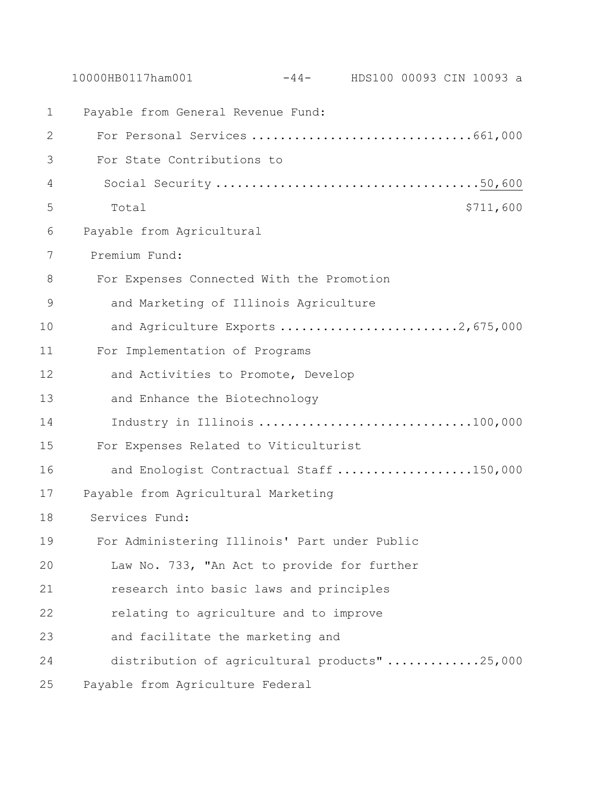|               | 10000HB0117ham001                             | $-44-$ HDS100 00093 CIN 10093 a |  |           |
|---------------|-----------------------------------------------|---------------------------------|--|-----------|
| 1             | Payable from General Revenue Fund:            |                                 |  |           |
| 2             | For Personal Services 661,000                 |                                 |  |           |
| 3             | For State Contributions to                    |                                 |  |           |
| 4             |                                               |                                 |  |           |
| 5             | Total                                         |                                 |  | \$711,600 |
| 6             | Payable from Agricultural                     |                                 |  |           |
| 7             | Premium Fund:                                 |                                 |  |           |
| 8             | For Expenses Connected With the Promotion     |                                 |  |           |
| $\mathcal{G}$ | and Marketing of Illinois Agriculture         |                                 |  |           |
| 10            | and Agriculture Exports 2,675,000             |                                 |  |           |
| 11            | For Implementation of Programs                |                                 |  |           |
| 12            | and Activities to Promote, Develop            |                                 |  |           |
| 13            | and Enhance the Biotechnology                 |                                 |  |           |
| 14            | Industry in Illinois 100,000                  |                                 |  |           |
| 15            | For Expenses Related to Viticulturist         |                                 |  |           |
| 16            | and Enologist Contractual Staff 150,000       |                                 |  |           |
| 17            | Payable from Agricultural Marketing           |                                 |  |           |
| 18            | Services Fund:                                |                                 |  |           |
| 19            | For Administering Illinois' Part under Public |                                 |  |           |
| 20            | Law No. 733, "An Act to provide for further   |                                 |  |           |
| 21            | research into basic laws and principles       |                                 |  |           |
| 22            | relating to agriculture and to improve        |                                 |  |           |
| 23            | and facilitate the marketing and              |                                 |  |           |
| 24            | distribution of agricultural products" 25,000 |                                 |  |           |
| 25            | Payable from Agriculture Federal              |                                 |  |           |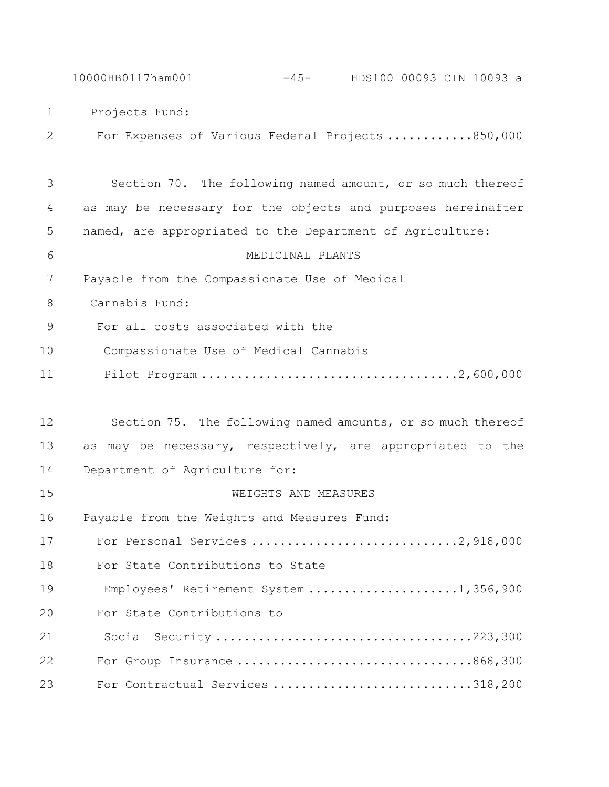10000HB0117ham001 -45- HDS100 00093 CIN 10093 a Projects Fund: For Expenses of Various Federal Projects ............850,000 Section 70. The following named amount, or so much thereof as may be necessary for the objects and purposes hereinafter named, are appropriated to the Department of Agriculture: MEDICINAL PLANTS Payable from the Compassionate Use of Medical Cannabis Fund: For all costs associated with the Compassionate Use of Medical Cannabis Pilot Program ....................................2,600,000 Section 75. The following named amounts, or so much thereof as may be necessary, respectively, are appropriated to the Department of Agriculture for: WEIGHTS AND MEASURES Payable from the Weights and Measures Fund: For Personal Services .............................2,918,000 For State Contributions to State Employees' Retirement System .....................1,356,900 For State Contributions to Social Security ....................................223,300 For Group Insurance .................................868,300

For Contractual Services ............................318,200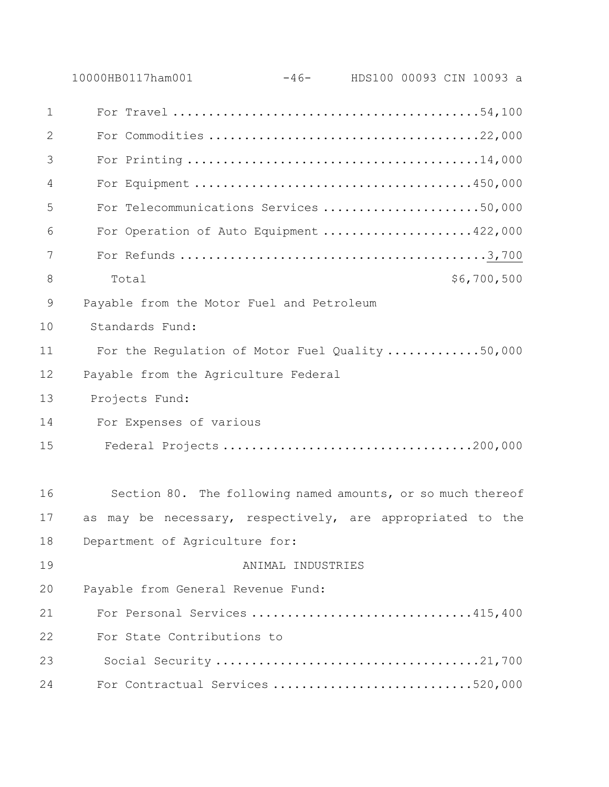|    | $-46$ - HDS100 00093 CIN 10093 a<br>10000HB0117ham001       |  |
|----|-------------------------------------------------------------|--|
| 1  |                                                             |  |
| 2  |                                                             |  |
| 3  |                                                             |  |
| 4  |                                                             |  |
| 5  | For Telecommunications Services 50,000                      |  |
| 6  | For Operation of Auto Equipment 422,000                     |  |
| 7  |                                                             |  |
| 8  | \$6,700,500<br>Total                                        |  |
| 9  | Payable from the Motor Fuel and Petroleum                   |  |
| 10 | Standards Fund:                                             |  |
| 11 | For the Regulation of Motor Fuel Quality 50,000             |  |
| 12 | Payable from the Agriculture Federal                        |  |
| 13 | Projects Fund:                                              |  |
| 14 | For Expenses of various                                     |  |
| 15 | Federal Projects200,000                                     |  |
| 16 | Section 80. The following named amounts, or so much thereof |  |
| 17 | as may be necessary, respectively, are appropriated to the  |  |
| 18 | Department of Agriculture for:                              |  |
| 19 | ANIMAL INDUSTRIES                                           |  |
| 20 | Payable from General Revenue Fund:                          |  |
| 21 | For Personal Services 415,400                               |  |
| 22 | For State Contributions to                                  |  |
| 23 |                                                             |  |
| 24 | For Contractual Services 520,000                            |  |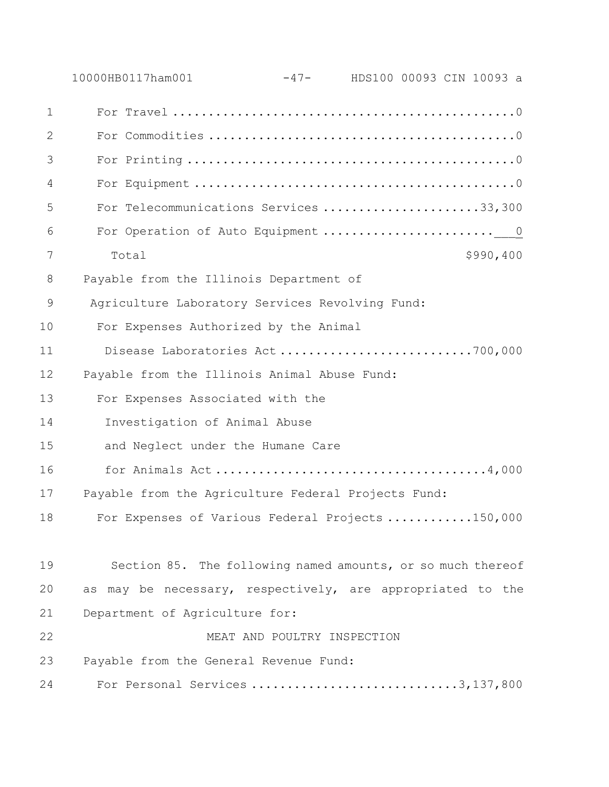|               | 10000HB0117ham001                                           | $-47-$                      | HDS100 00093 CIN 10093 a |
|---------------|-------------------------------------------------------------|-----------------------------|--------------------------|
| $\mathbf{1}$  |                                                             |                             |                          |
| 2             |                                                             |                             |                          |
| 3             |                                                             |                             |                          |
| 4             |                                                             |                             |                          |
| 5             | For Telecommunications Services 33,300                      |                             |                          |
| 6             |                                                             |                             |                          |
| 7             | Total                                                       |                             | \$990,400                |
| 8             | Payable from the Illinois Department of                     |                             |                          |
| $\mathcal{G}$ | Agriculture Laboratory Services Revolving Fund:             |                             |                          |
| 10            | For Expenses Authorized by the Animal                       |                             |                          |
| 11            | Disease Laboratories Act700,000                             |                             |                          |
| 12            | Payable from the Illinois Animal Abuse Fund:                |                             |                          |
| 13            | For Expenses Associated with the                            |                             |                          |
| 14            | Investigation of Animal Abuse                               |                             |                          |
| 15            | and Neglect under the Humane Care                           |                             |                          |
| 16            |                                                             |                             |                          |
| 17            | Payable from the Agriculture Federal Projects Fund:         |                             |                          |
| 18            | For Expenses of Various Federal Projects150,000             |                             |                          |
|               |                                                             |                             |                          |
| 19            | Section 85. The following named amounts, or so much thereof |                             |                          |
| 20            | as may be necessary, respectively, are appropriated to the  |                             |                          |
| 21            | Department of Agriculture for:                              |                             |                          |
| 22            |                                                             | MEAT AND POULTRY INSPECTION |                          |
| 23            | Payable from the General Revenue Fund:                      |                             |                          |
| 24            | For Personal Services 3, 137, 800                           |                             |                          |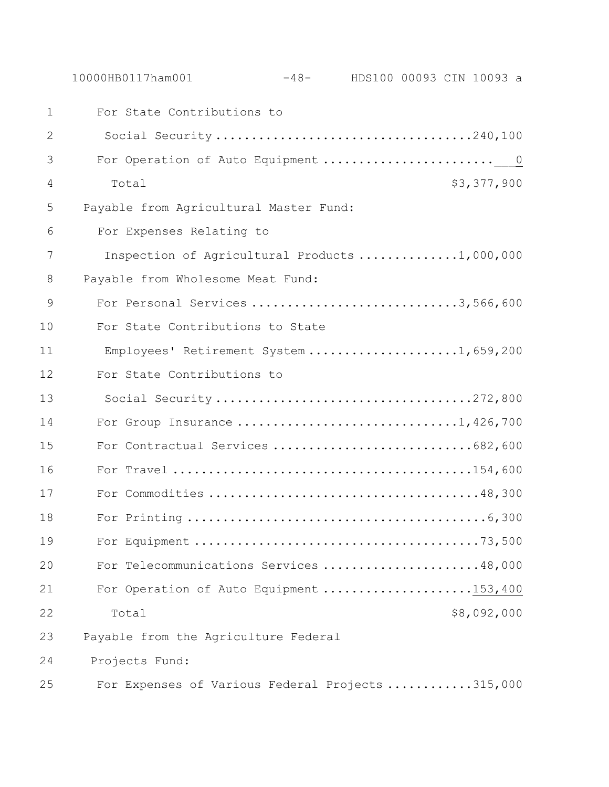10000HB0117ham001 -48- HDS100 00093 CIN 10093 a For State Contributions to 2 Social Security ....................................240,100 For Operation of Auto Equipment ........................\_\_\_0 Total \$3,377,900 Payable from Agricultural Master Fund: 6 For Expenses Relating to Inspection of Agricultural Products ..............1,000,000 Payable from Wholesome Meat Fund: 9 For Personal Services ...............................3,566,600 For State Contributions to State 11 Employees' Retirement System .....................1,659,200 For State Contributions to 13 Social Security ....................................272,800 14 For Group Insurance ...................................1,426,700 For Contractual Services ............................682,600 For Travel ..........................................154,600 For Commodities ......................................48,300 For Printing ..........................................6,300 For Equipment ........................................73,500 For Telecommunications Services ......................48,000 21 For Operation of Auto Equipment .....................153,400 Total \$8,092,000 Payable from the Agriculture Federal Projects Fund: For Expenses of Various Federal Projects ............315,000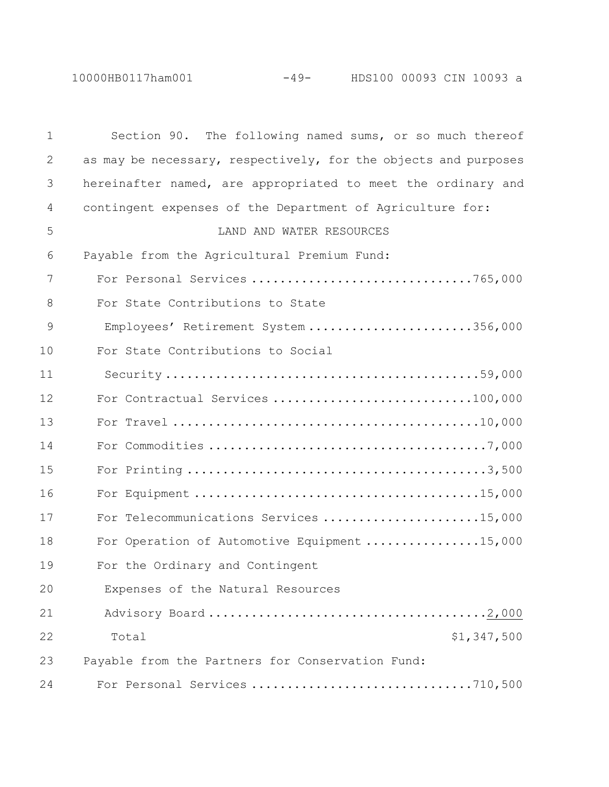10000HB0117ham001 -49- HDS100 00093 CIN 10093 a

| $\mathbf 1$ | Section 90. The following named sums, or so much thereof        |
|-------------|-----------------------------------------------------------------|
| 2           | as may be necessary, respectively, for the objects and purposes |
| 3           | hereinafter named, are appropriated to meet the ordinary and    |
| 4           | contingent expenses of the Department of Agriculture for:       |
| 5           | LAND AND WATER RESOURCES                                        |
| 6           | Payable from the Agricultural Premium Fund:                     |
| 7           |                                                                 |
| 8           | For State Contributions to State                                |
| 9           | Employees' Retirement System 356,000                            |
| 10          | For State Contributions to Social                               |
| 11          |                                                                 |
| 12          | For Contractual Services 100,000                                |
| 13          |                                                                 |
| 14          |                                                                 |
| 15          |                                                                 |
| 16          |                                                                 |
| 17          | For Telecommunications Services 15,000                          |
| 18          | For Operation of Automotive Equipment 15,000                    |
| 19          | For the Ordinary and Contingent                                 |
| 20          | Expenses of the Natural Resources                               |
| 21          |                                                                 |
| 22          | \$1,347,500<br>Total                                            |
| 23          | Payable from the Partners for Conservation Fund:                |
| 24          | For Personal Services 710,500                                   |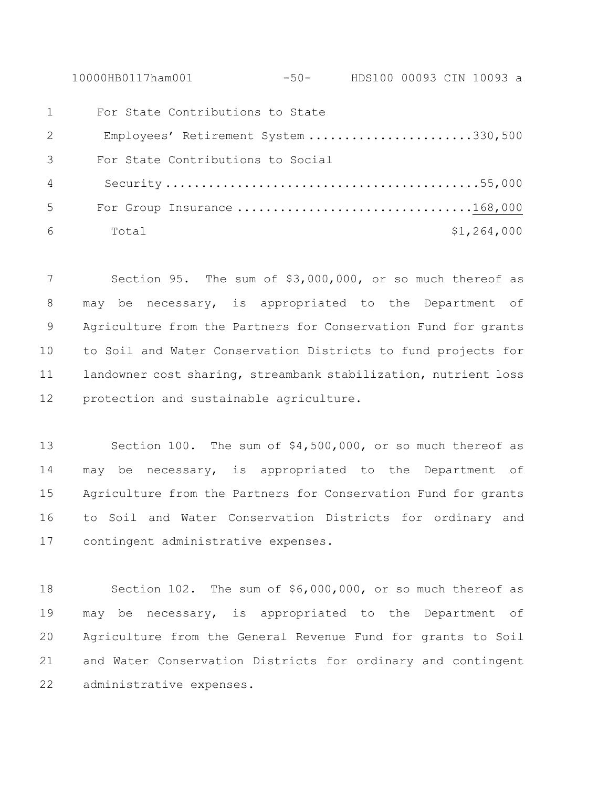10000HB0117ham001 -50- HDS100 00093 CIN 10093 a

| 1 | For State Contributions to State     |             |
|---|--------------------------------------|-------------|
| 2 | Employees' Retirement System 330,500 |             |
| 3 | For State Contributions to Social    |             |
| 4 |                                      |             |
| 5 | For Group Insurance 168,000          |             |
| 6 | Total                                | \$1,264,000 |

 Section 95. The sum of \$3,000,000, or so much thereof as may be necessary, is appropriated to the Department of Agriculture from the Partners for Conservation Fund for grants to Soil and Water Conservation Districts to fund projects for landowner cost sharing, streambank stabilization, nutrient loss protection and sustainable agriculture.

 Section 100. The sum of \$4,500,000, or so much thereof as may be necessary, is appropriated to the Department of Agriculture from the Partners for Conservation Fund for grants to Soil and Water Conservation Districts for ordinary and contingent administrative expenses.

 Section 102. The sum of \$6,000,000, or so much thereof as may be necessary, is appropriated to the Department of Agriculture from the General Revenue Fund for grants to Soil and Water Conservation Districts for ordinary and contingent administrative expenses.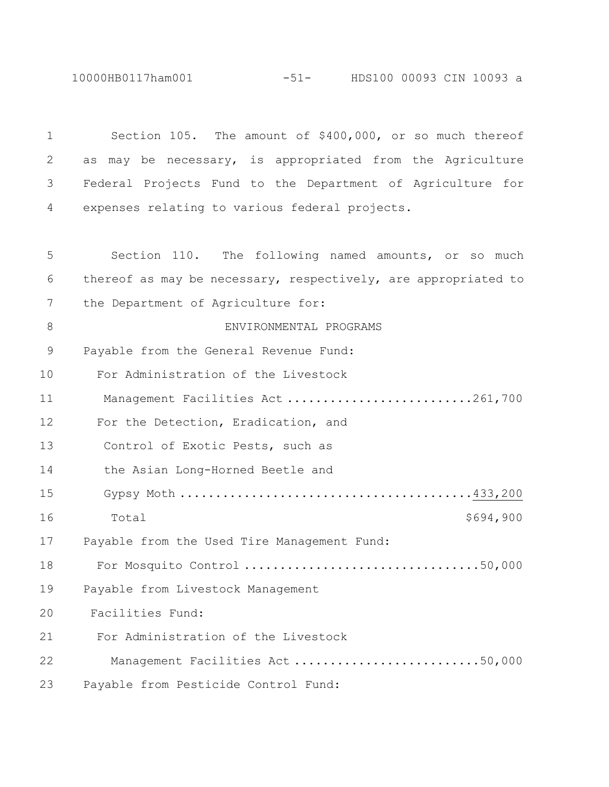10000HB0117ham001 -51- HDS100 00093 CIN 10093 a

 Section 105. The amount of \$400,000, or so much thereof as may be necessary, is appropriated from the Agriculture Federal Projects Fund to the Department of Agriculture for expenses relating to various federal projects. Section 110. The following named amounts, or so much thereof as may be necessary, respectively, are appropriated to 7 the Department of Agriculture for: 8 ENVIRONMENTAL PROGRAMS Payable from the General Revenue Fund: For Administration of the Livestock Management Facilities Act ..........................261,700 For the Detection, Eradication, and Control of Exotic Pests, such as the Asian Long-Horned Beetle and Gypsy Moth .........................................433,200 16 Total \$694,900 Payable from the Used Tire Management Fund: For Mosquito Control .................................50,000 Payable from Livestock Management Facilities Fund: For Administration of the Livestock Management Facilities Act ..........................50,000 Payable from Pesticide Control Fund: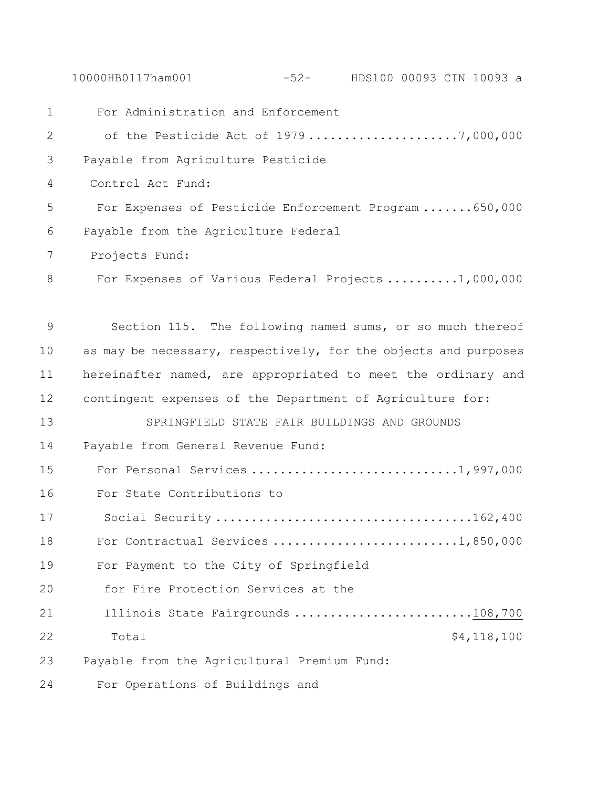10000HB0117ham001 -52- HDS100 00093 CIN 10093 a

 For Administration and Enforcement 2 of the Pesticide Act of 1979 .....................7,000,000 Payable from Agriculture Pesticide Control Act Fund: For Expenses of Pesticide Enforcement Program .......650,000 Payable from the Agriculture Federal Projects Fund: 8 For Expenses of Various Federal Projects .........1,000,000 Section 115. The following named sums, or so much thereof 10 as may be necessary, respectively, for the objects and purposes hereinafter named, are appropriated to meet the ordinary and contingent expenses of the Department of Agriculture for: SPRINGFIELD STATE FAIR BUILDINGS AND GROUNDS Payable from General Revenue Fund: For Personal Services .............................1,997,000 For State Contributions to Social Security ....................................162,400 18 For Contractual Services ............................1,850,000 For Payment to the City of Springfield for Fire Protection Services at the 21 Illinois State Fairgrounds ...........................108,700 22 Total 54,118,100 Payable from the Agricultural Premium Fund: For Operations of Buildings and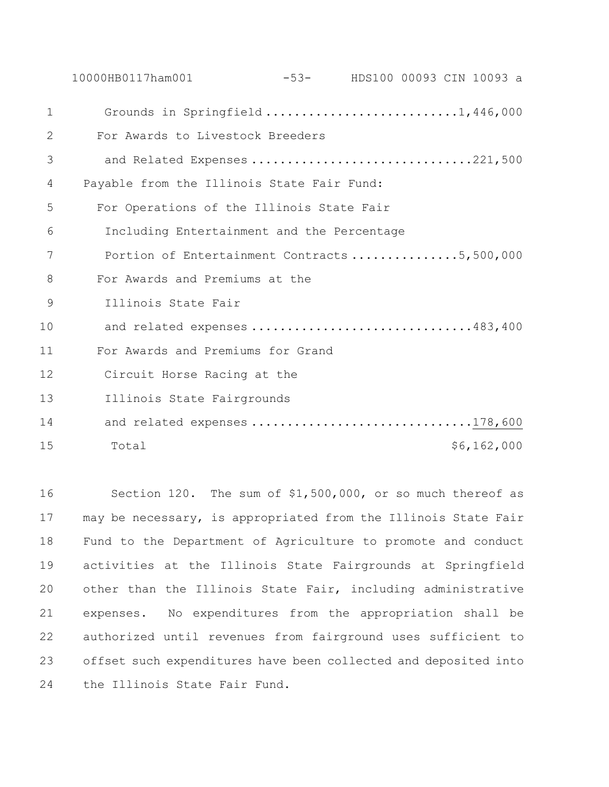10000HB0117ham001 -53- HDS100 00093 CIN 10093 a 1 Grounds in Springfield ...........................1,446,000 2 For Awards to Livestock Breeders 3 and Related Expenses ...............................221,500 4 Payable from the Illinois State Fair Fund: 5 For Operations of the Illinois State Fair 6 Including Entertainment and the Percentage 7 Portion of Entertainment Contracts ...............5,500,000 8 For Awards and Premiums at the 9 Illinois State Fair 10 and related expenses ...............................483,400 11 For Awards and Premiums for Grand 12 Circuit Horse Racing at the 13 Illinois State Fairgrounds 14 and related expenses .................................178,600 15 Total  $15$  Total  $6,162,000$ 

 Section 120. The sum of \$1,500,000, or so much thereof as may be necessary, is appropriated from the Illinois State Fair Fund to the Department of Agriculture to promote and conduct activities at the Illinois State Fairgrounds at Springfield other than the Illinois State Fair, including administrative expenses. No expenditures from the appropriation shall be authorized until revenues from fairground uses sufficient to offset such expenditures have been collected and deposited into the Illinois State Fair Fund.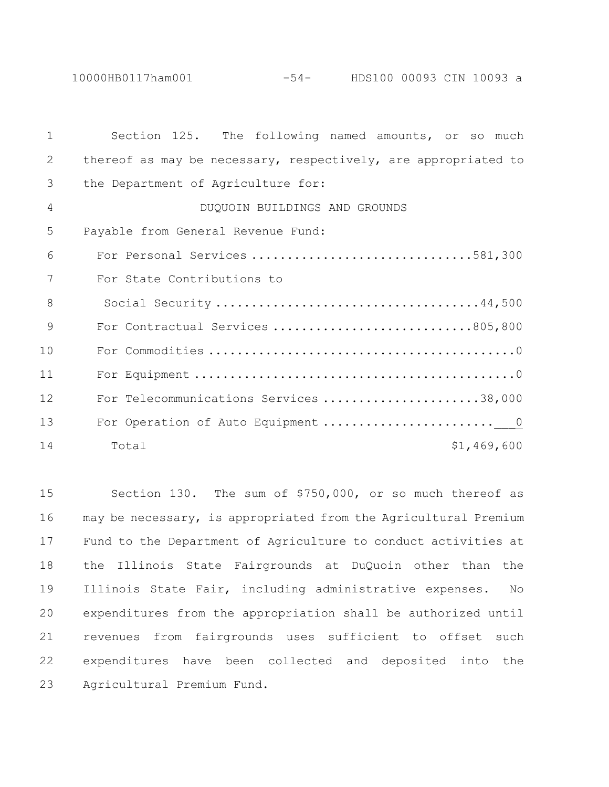| $\mathbf{1}$  | Section 125. The following named amounts, or so much           |
|---------------|----------------------------------------------------------------|
| 2             | thereof as may be necessary, respectively, are appropriated to |
| 3             | the Department of Agriculture for:                             |
| 4             | DUQUOIN BUILDINGS AND GROUNDS                                  |
| 5             | Payable from General Revenue Fund:                             |
| 6             | For Personal Services 581,300                                  |
| 7             | For State Contributions to                                     |
| 8             |                                                                |
| $\mathcal{Q}$ | For Contractual Services 805,800                               |
| 10            |                                                                |
| 11            |                                                                |
| 12            | For Telecommunications Services 38,000                         |
| 13            |                                                                |
| 14            | \$1,469,600<br>Total                                           |

 Section 130. The sum of \$750,000, or so much thereof as may be necessary, is appropriated from the Agricultural Premium Fund to the Department of Agriculture to conduct activities at the Illinois State Fairgrounds at DuQuoin other than the Illinois State Fair, including administrative expenses. No expenditures from the appropriation shall be authorized until revenues from fairgrounds uses sufficient to offset such expenditures have been collected and deposited into the Agricultural Premium Fund.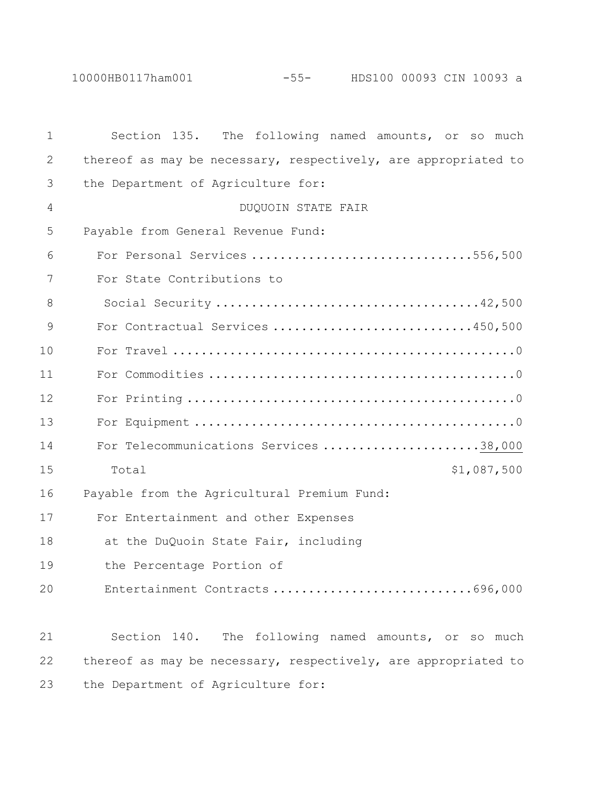| $\mathbf 1$  | The following named amounts, or so much<br>Section 135.        |
|--------------|----------------------------------------------------------------|
| $\mathbf{2}$ | thereof as may be necessary, respectively, are appropriated to |
| 3            | the Department of Agriculture for:                             |
| 4            | DUQUOIN STATE FAIR                                             |
| 5            | Payable from General Revenue Fund:                             |
| 6            | For Personal Services 556,500                                  |
| 7            | For State Contributions to                                     |
| 8            |                                                                |
| 9            | For Contractual Services 450,500                               |
| 10           |                                                                |
| 11           |                                                                |
| 12           |                                                                |
| 13           |                                                                |
| 14           | For Telecommunications Services 38,000                         |
| 15           | \$1,087,500<br>Total                                           |
| 16           | Payable from the Agricultural Premium Fund:                    |
| 17           | For Entertainment and other Expenses                           |
| 18           | at the DuQuoin State Fair, including                           |
| 19           | the Percentage Portion of                                      |
| 20           | Entertainment Contracts 696,000                                |
|              |                                                                |
| 21           | Section 140.<br>The following named amounts, or so much        |
| 22           | thereof as may be necessary, respectively, are appropriated to |
| 23           | the Department of Agriculture for:                             |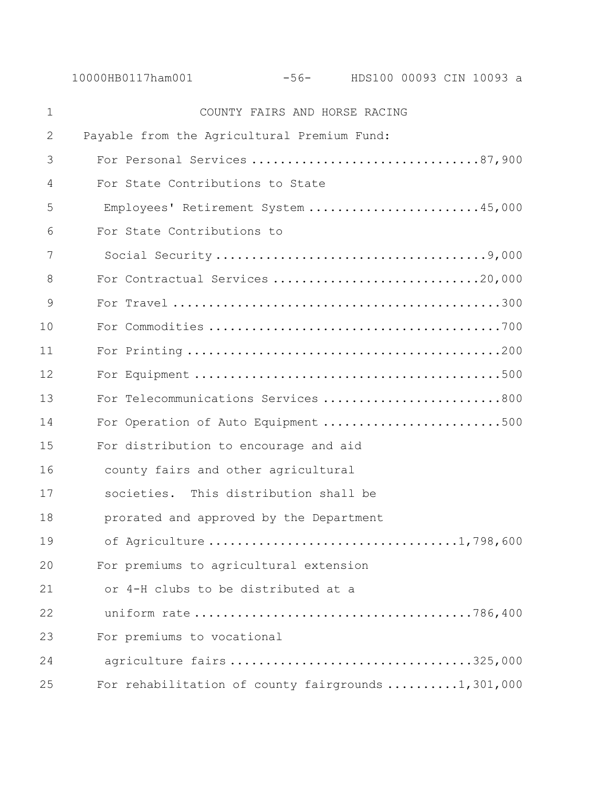| $\mathbf 1$ | COUNTY FAIRS AND HORSE RACING                      |
|-------------|----------------------------------------------------|
| 2           | Payable from the Agricultural Premium Fund:        |
| 3           | For Personal Services 87,900                       |
| 4           | For State Contributions to State                   |
| 5           | Employees' Retirement System 45,000                |
| 6           | For State Contributions to                         |
| 7           |                                                    |
| 8           |                                                    |
| 9           |                                                    |
| 10          |                                                    |
| 11          |                                                    |
| 12          |                                                    |
| 13          | For Telecommunications Services 800                |
| 14          | For Operation of Auto Equipment 500                |
| 15          | For distribution to encourage and aid              |
| 16          | county fairs and other agricultural                |
| 17          | societies. This distribution shall be              |
| 18          | prorated and approved by the Department            |
| 19          |                                                    |
| 20          | For premiums to agricultural extension             |
| 21          | or 4-H clubs to be distributed at a                |
| 22          |                                                    |
| 23          | For premiums to vocational                         |
| 24          | agriculture fairs 325,000                          |
| 25          | For rehabilitation of county fairgrounds 1,301,000 |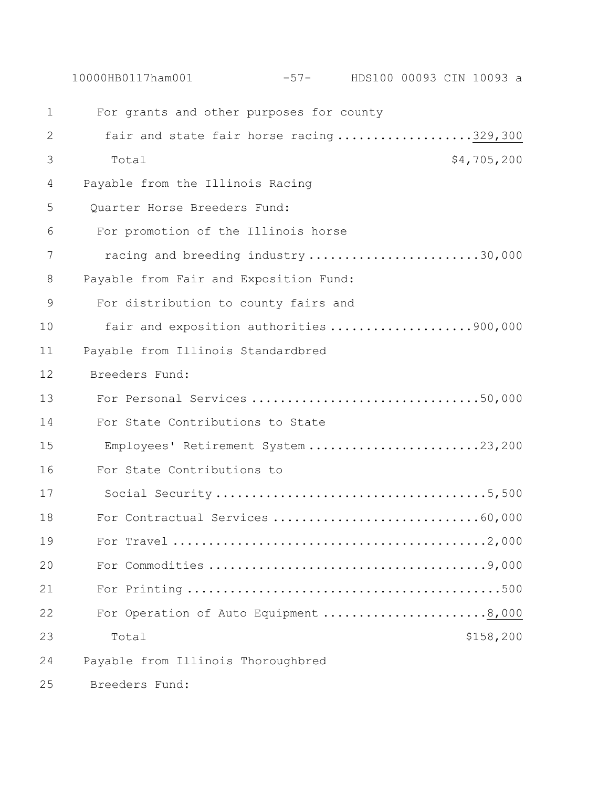|               | 10000HB0117ham001                        | -57- HDS100 00093 CIN 10093 a |
|---------------|------------------------------------------|-------------------------------|
| $\mathbf 1$   | For grants and other purposes for county |                               |
| $\mathbf{2}$  | fair and state fair horse racing329,300  |                               |
| 3             | Total                                    | \$4,705,200                   |
| 4             | Payable from the Illinois Racing         |                               |
| 5             | Quarter Horse Breeders Fund:             |                               |
| 6             | For promotion of the Illinois horse      |                               |
| 7             | racing and breeding industry 30,000      |                               |
| 8             | Payable from Fair and Exposition Fund:   |                               |
| $\mathcal{G}$ | For distribution to county fairs and     |                               |
| 10            | fair and exposition authorities 900,000  |                               |
| 11            | Payable from Illinois Standardbred       |                               |
| 12            | Breeders Fund:                           |                               |
| 13            | For Personal Services 50,000             |                               |
| 14            | For State Contributions to State         |                               |
| 15            | Employees' Retirement System 23,200      |                               |
| 16            | For State Contributions to               |                               |
| 17            |                                          |                               |
| 18            |                                          |                               |
| 19            |                                          |                               |
| 20            |                                          |                               |
| 21            |                                          |                               |
| 22            | For Operation of Auto Equipment 8,000    |                               |
| 23            | Total                                    | \$158, 200                    |
| 24            | Payable from Illinois Thoroughbred       |                               |
| 25            | Breeders Fund:                           |                               |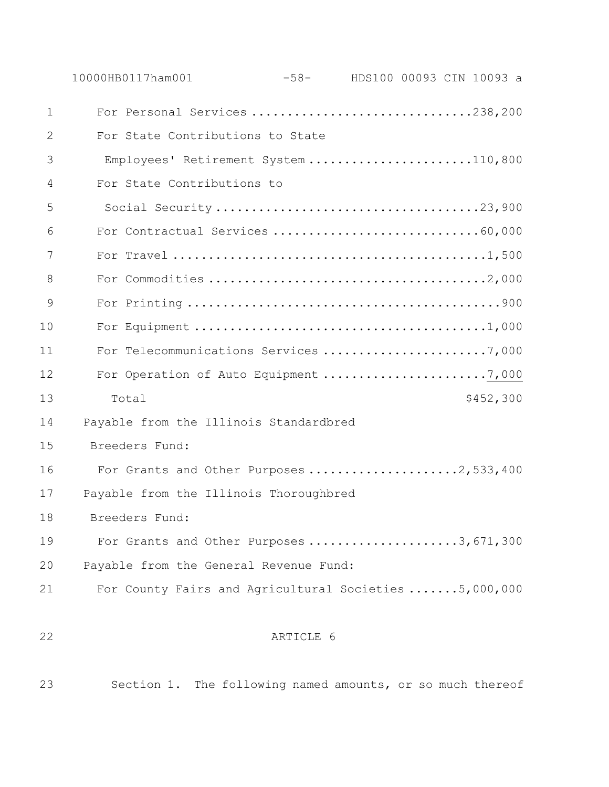| $\mathbf{1}$ | For Personal Services 238,200                         |           |  |           |
|--------------|-------------------------------------------------------|-----------|--|-----------|
| 2            | For State Contributions to State                      |           |  |           |
| 3            | Employees' Retirement System 110,800                  |           |  |           |
| 4            | For State Contributions to                            |           |  |           |
| 5            |                                                       |           |  |           |
| 6            | For Contractual Services 60,000                       |           |  |           |
| 7            |                                                       |           |  |           |
| 8            |                                                       |           |  |           |
| 9            |                                                       |           |  |           |
| 10           |                                                       |           |  |           |
| 11           | For Telecommunications Services 7,000                 |           |  |           |
| 12           | For Operation of Auto Equipment 7,000                 |           |  |           |
| 13           | Total                                                 |           |  | \$452,300 |
| 14           | Payable from the Illinois Standardbred                |           |  |           |
| 15           | Breeders Fund:                                        |           |  |           |
| 16           | For Grants and Other Purposes 2,533,400               |           |  |           |
| 17           | Payable from the Illinois Thoroughbred                |           |  |           |
| 18           | Breeders Fund:                                        |           |  |           |
| 19           | For Grants and Other Purposes 3, 671, 300             |           |  |           |
| 20           | Payable from the General Revenue Fund:                |           |  |           |
| 21           | For County Fairs and Agricultural Societies 5,000,000 |           |  |           |
| 22           |                                                       | ARTICLE 6 |  |           |

Section 1. The following named amounts, or so much thereof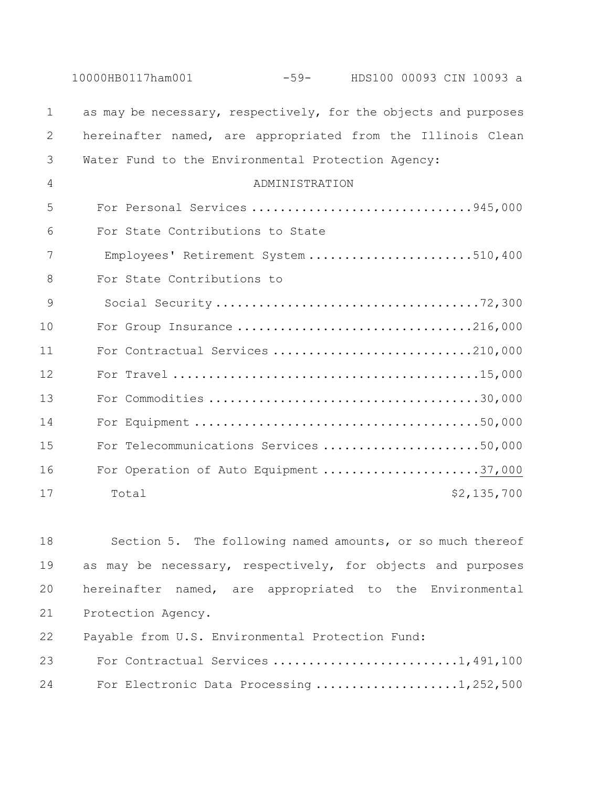|              | 10000HB0117ham001                                  | $-59-$         | HDS100 00093 CIN 10093 a                                        |
|--------------|----------------------------------------------------|----------------|-----------------------------------------------------------------|
| $\mathbf 1$  |                                                    |                | as may be necessary, respectively, for the objects and purposes |
| $\mathbf{2}$ |                                                    |                | hereinafter named, are appropriated from the Illinois Clean     |
| 3            | Water Fund to the Environmental Protection Agency: |                |                                                                 |
| 4            |                                                    | ADMINISTRATION |                                                                 |
| 5            |                                                    |                | For Personal Services 945,000                                   |
| 6            | For State Contributions to State                   |                |                                                                 |
| 7            |                                                    |                | Employees' Retirement System 510,400                            |
| 8            | For State Contributions to                         |                |                                                                 |
| 9            |                                                    |                |                                                                 |
| 10           |                                                    |                | For Group Insurance 216,000                                     |
| 11           |                                                    |                | For Contractual Services 210,000                                |
| 12           |                                                    |                |                                                                 |
| 13           |                                                    |                |                                                                 |
| 14           |                                                    |                |                                                                 |
| 15           |                                                    |                | For Telecommunications Services 50,000                          |
| 16           |                                                    |                | For Operation of Auto Equipment 37,000                          |
| 17           | Total                                              |                | \$2,135,700                                                     |

 Section 5. The following named amounts, or so much thereof as may be necessary, respectively, for objects and purposes hereinafter named, are appropriated to the Environmental Protection Agency.

Payable from U.S. Environmental Protection Fund:

| 23 | For Contractual Services 1,491,100       |  |  |  |  |  |  |  |
|----|------------------------------------------|--|--|--|--|--|--|--|
| 24 | For Electronic Data Processing 1,252,500 |  |  |  |  |  |  |  |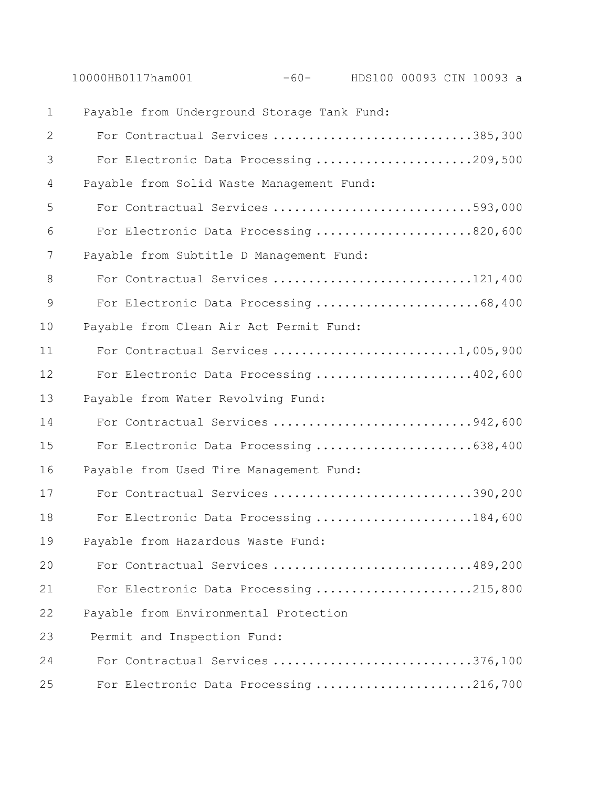|                | 10000HB0117ham001                           | -60- HDS100 00093 CIN 10093 a |  |  |
|----------------|---------------------------------------------|-------------------------------|--|--|
| $\mathbf{1}$   | Payable from Underground Storage Tank Fund: |                               |  |  |
| 2              | For Contractual Services 385,300            |                               |  |  |
| 3              | For Electronic Data Processing 209,500      |                               |  |  |
| $\overline{4}$ | Payable from Solid Waste Management Fund:   |                               |  |  |
| 5              | For Contractual Services 593,000            |                               |  |  |
| 6              | For Electronic Data Processing 820,600      |                               |  |  |
| 7              | Payable from Subtitle D Management Fund:    |                               |  |  |
| 8              | For Contractual Services 121,400            |                               |  |  |
| $\overline{9}$ | For Electronic Data Processing 68,400       |                               |  |  |
| 10             | Payable from Clean Air Act Permit Fund:     |                               |  |  |
| 11             | For Contractual Services 1,005,900          |                               |  |  |
| 12             | For Electronic Data Processing 402,600      |                               |  |  |
| 13             | Payable from Water Revolving Fund:          |                               |  |  |
| 14             | For Contractual Services 942,600            |                               |  |  |
| 15             | For Electronic Data Processing 638,400      |                               |  |  |
| 16             | Payable from Used Tire Management Fund:     |                               |  |  |
| 17             | For Contractual Services 390,200            |                               |  |  |
| 18             | For Electronic Data Processing 184,600      |                               |  |  |
| 19             | Payable from Hazardous Waste Fund:          |                               |  |  |
| 20             | For Contractual Services 489,200            |                               |  |  |
| 21             | For Electronic Data Processing 215,800      |                               |  |  |
| 22             | Payable from Environmental Protection       |                               |  |  |
| 23             | Permit and Inspection Fund:                 |                               |  |  |
| 24             | For Contractual Services 376,100            |                               |  |  |
| 25             | For Electronic Data Processing 216,700      |                               |  |  |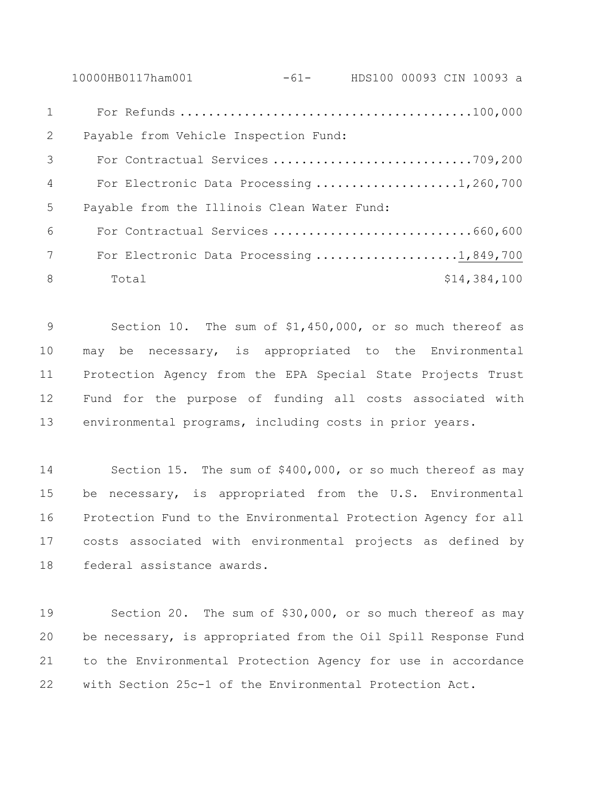10000HB0117ham001 -61- HDS100 00093 CIN 10093 a For Refunds .........................................100,000 Payable from Vehicle Inspection Fund: For Contractual Services ............................709,200 4 For Electronic Data Processing .....................1,260,700 Payable from the Illinois Clean Water Fund: For Contractual Services ............................660,600 7 For Electronic Data Processing ....................1,849,700 8 Total \$14,384,100

 Section 10. The sum of \$1,450,000, or so much thereof as may be necessary, is appropriated to the Environmental Protection Agency from the EPA Special State Projects Trust Fund for the purpose of funding all costs associated with environmental programs, including costs in prior years.

 Section 15. The sum of \$400,000, or so much thereof as may be necessary, is appropriated from the U.S. Environmental Protection Fund to the Environmental Protection Agency for all costs associated with environmental projects as defined by federal assistance awards.

 Section 20. The sum of \$30,000, or so much thereof as may be necessary, is appropriated from the Oil Spill Response Fund to the Environmental Protection Agency for use in accordance with Section 25c-1 of the Environmental Protection Act.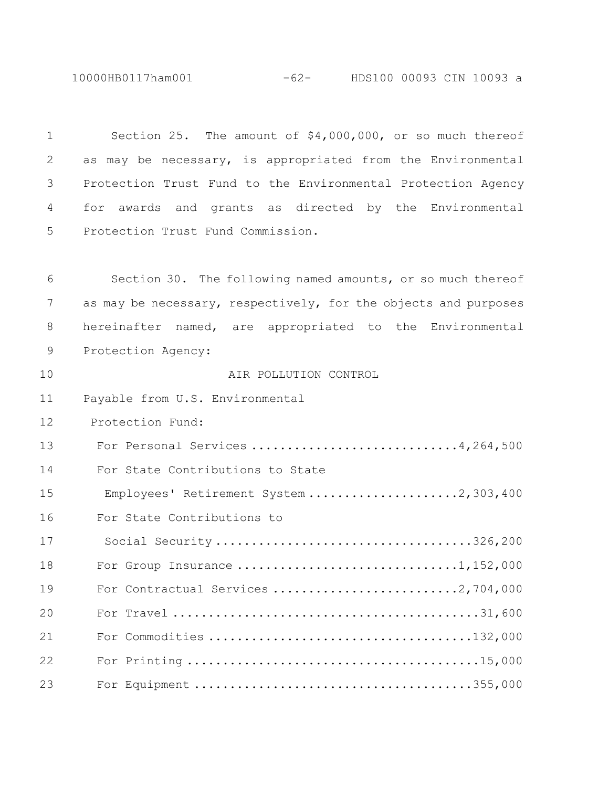10000HB0117ham001 -62- HDS100 00093 CIN 10093 a

 Section 25. The amount of \$4,000,000, or so much thereof as may be necessary, is appropriated from the Environmental Protection Trust Fund to the Environmental Protection Agency for awards and grants as directed by the Environmental Protection Trust Fund Commission.

 Section 30. The following named amounts, or so much thereof as may be necessary, respectively, for the objects and purposes hereinafter named, are appropriated to the Environmental Protection Agency: AIR POLLUTION CONTROL Payable from U.S. Environmental Protection Fund: 13 For Personal Services ..............................4,264,500 For State Contributions to State 15 Employees' Retirement System .....................2,303,400 For State Contributions to 17 Social Security ....................................326,200 18 For Group Insurance ...................................1,152,000 19 For Contractual Services ..............................2,704,000 For Travel ...........................................31,600 For Commodities .....................................132,000 For Printing .........................................15,000 For Equipment .......................................355,000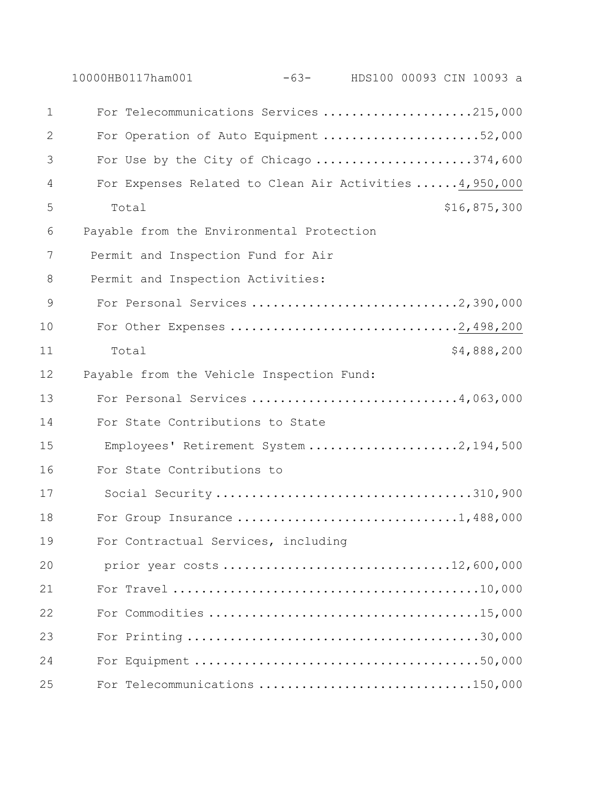|               | 10000HB0117ham001<br>-63- HDS100 00093 CIN 10093 a        |
|---------------|-----------------------------------------------------------|
| $\mathbf 1$   | For Telecommunications Services 215,000                   |
| 2             | For Operation of Auto Equipment 52,000                    |
| 3             | For Use by the City of Chicago 374,600                    |
| 4             | For Expenses Related to Clean Air Activities  4, 950, 000 |
| 5             | \$16,875,300<br>Total                                     |
| 6             | Payable from the Environmental Protection                 |
| 7             | Permit and Inspection Fund for Air                        |
| 8             | Permit and Inspection Activities:                         |
| $\mathcal{G}$ | For Personal Services 2,390,000                           |
| 10            |                                                           |
| 11            | \$4,888,200<br>Total                                      |
| 12            | Payable from the Vehicle Inspection Fund:                 |
| 13            | For Personal Services 4,063,000                           |
| 14            | For State Contributions to State                          |
| 15            | Employees' Retirement System 2,194,500                    |
| 16            | For State Contributions to                                |
| 17            | Social Security 310,900                                   |
| 18            |                                                           |
| 19            | For Contractual Services, including                       |
| 20            | prior year costs 12,600,000                               |
| 21            |                                                           |
| 22            |                                                           |
| 23            |                                                           |
| 24            |                                                           |
| 25            | For Telecommunications 150,000                            |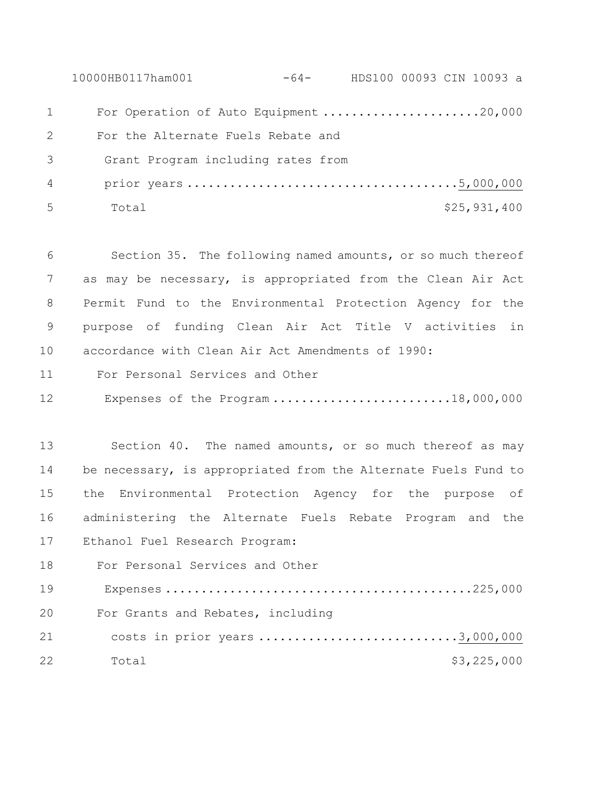10000HB0117ham001 -64- HDS100 00093 CIN 10093 a 1 For Operation of Auto Equipment ........................20,000 For the Alternate Fuels Rebate and 3 Grant Program including rates from 4 prior years ......................................5,000,000 Total \$25,931,400

 Section 35. The following named amounts, or so much thereof as may be necessary, is appropriated from the Clean Air Act Permit Fund to the Environmental Protection Agency for the purpose of funding Clean Air Act Title V activities in accordance with Clean Air Act Amendments of 1990:

- For Personal Services and Other
- 12 Expenses of the Program .........................18,000,000

 Section 40. The named amounts, or so much thereof as may be necessary, is appropriated from the Alternate Fuels Fund to the Environmental Protection Agency for the purpose of administering the Alternate Fuels Rebate Program and the Ethanol Fuel Research Program:

 For Personal Services and Other 19 Expenses ...........................................225,000 For Grants and Rebates, including costs in prior years ............................3,000,000 22 Total \$3,225,000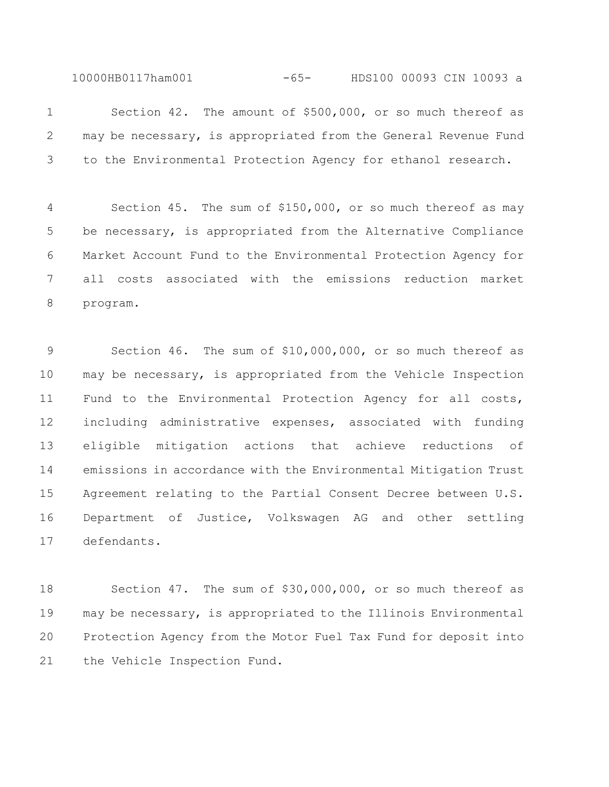10000HB0117ham001 -65- HDS100 00093 CIN 10093 a

 Section 42. The amount of \$500,000, or so much thereof as may be necessary, is appropriated from the General Revenue Fund to the Environmental Protection Agency for ethanol research.

 Section 45. The sum of \$150,000, or so much thereof as may be necessary, is appropriated from the Alternative Compliance Market Account Fund to the Environmental Protection Agency for all costs associated with the emissions reduction market program.

 Section 46. The sum of \$10,000,000, or so much thereof as may be necessary, is appropriated from the Vehicle Inspection Fund to the Environmental Protection Agency for all costs, including administrative expenses, associated with funding eligible mitigation actions that achieve reductions of emissions in accordance with the Environmental Mitigation Trust Agreement relating to the Partial Consent Decree between U.S. Department of Justice, Volkswagen AG and other settling defendants.

 Section 47. The sum of \$30,000,000, or so much thereof as may be necessary, is appropriated to the Illinois Environmental Protection Agency from the Motor Fuel Tax Fund for deposit into the Vehicle Inspection Fund.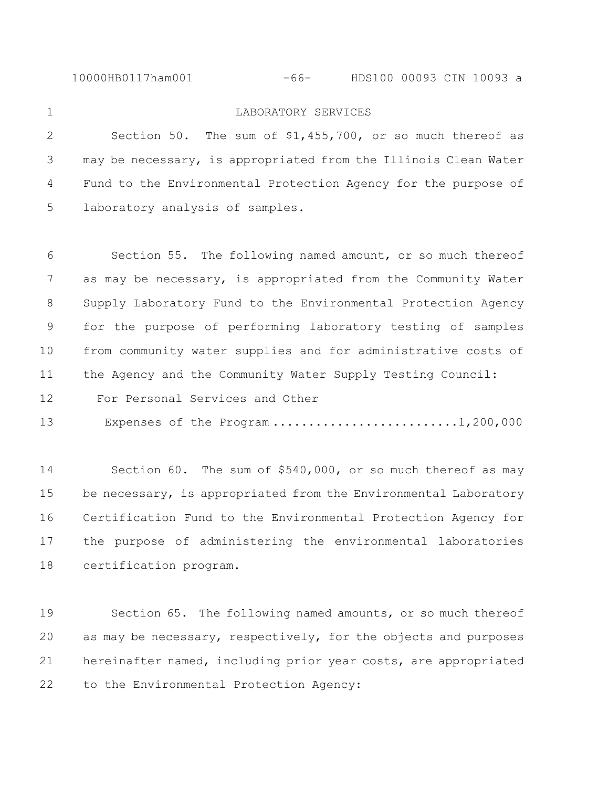10000HB0117ham001 -66- HDS100 00093 CIN 10093 a

## LABORATORY SERVICES

 Section 50. The sum of \$1,455,700, or so much thereof as may be necessary, is appropriated from the Illinois Clean Water Fund to the Environmental Protection Agency for the purpose of laboratory analysis of samples.

 Section 55. The following named amount, or so much thereof as may be necessary, is appropriated from the Community Water Supply Laboratory Fund to the Environmental Protection Agency for the purpose of performing laboratory testing of samples from community water supplies and for administrative costs of the Agency and the Community Water Supply Testing Council: For Personal Services and Other

13 Expenses of the Program ............................1,200,000

 Section 60. The sum of \$540,000, or so much thereof as may 15 be necessary, is appropriated from the Environmental Laboratory Certification Fund to the Environmental Protection Agency for the purpose of administering the environmental laboratories certification program.

 Section 65. The following named amounts, or so much thereof as may be necessary, respectively, for the objects and purposes hereinafter named, including prior year costs, are appropriated to the Environmental Protection Agency: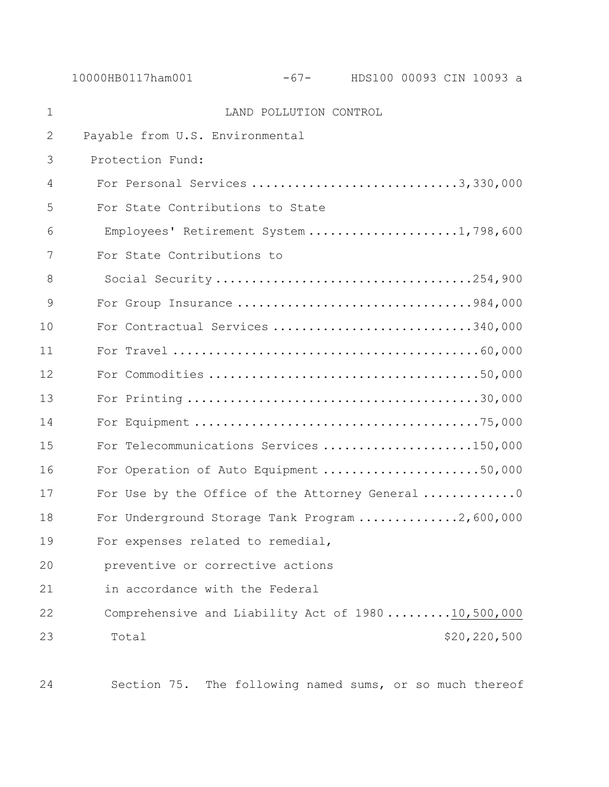10000HB0117ham001 -67- HDS100 00093 CIN 10093 a

| $\mathbf 1$ | LAND POLLUTION CONTROL                            |
|-------------|---------------------------------------------------|
| 2           | Payable from U.S. Environmental                   |
| 3           | Protection Fund:                                  |
| 4           | For Personal Services 3,330,000                   |
| 5           | For State Contributions to State                  |
| 6           | Employees' Retirement System 1,798,600            |
| 7           | For State Contributions to                        |
| 8           | Social Security 254,900                           |
| 9           | For Group Insurance 984,000                       |
| 10          | For Contractual Services 340,000                  |
| 11          |                                                   |
| 12          |                                                   |
| 13          |                                                   |
| 14          |                                                   |
| 15          | For Telecommunications Services 150,000           |
| 16          | For Operation of Auto Equipment 50,000            |
| 17          | For Use by the Office of the Attorney General 0   |
| 18          | For Underground Storage Tank Program 2,600,000    |
| 19          | For expenses related to remedial,                 |
| 20          | preventive or corrective actions                  |
| 21          | in accordance with the Federal                    |
| 22          | Comprehensive and Liability Act of 198010,500,000 |
| 23          | \$20,220,500<br>Total                             |
|             |                                                   |

Section 75. The following named sums, or so much thereof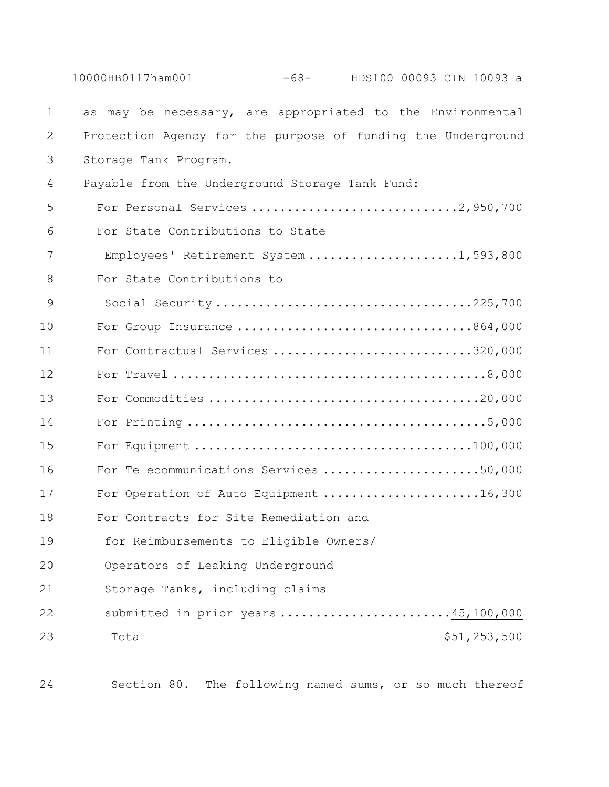|               | $-68-$<br>HDS100 00093 CIN 10093 a<br>10000HB0117ham001      |
|---------------|--------------------------------------------------------------|
| 1             | as may be necessary, are appropriated to the Environmental   |
| 2             | Protection Agency for the purpose of funding the Underground |
| 3             | Storage Tank Program.                                        |
| 4             | Payable from the Underground Storage Tank Fund:              |
| 5             | For Personal Services 2,950,700                              |
| 6             | For State Contributions to State                             |
| 7             | Employees' Retirement System 1,593,800                       |
| 8             | For State Contributions to                                   |
| $\mathcal{G}$ | Social Security225,700                                       |
| 10            | For Group Insurance 864,000                                  |
| 11            | For Contractual Services 320,000                             |
| 12            |                                                              |
| 13            |                                                              |
| 14            |                                                              |
| 15            |                                                              |
| 16            | For Telecommunications Services 50,000                       |
| 17            | For Operation of Auto Equipment 16,300                       |
| 18            | For Contracts for Site Remediation and                       |
| 19            | for Reimbursements to Eligible Owners/                       |
| 20            | Operators of Leaking Underground                             |
| 21            | Storage Tanks, including claims                              |
| 22            | submitted in prior years 45,100,000                          |
| 23            | \$51,253,500<br>Total                                        |

Section 80. The following named sums, or so much thereof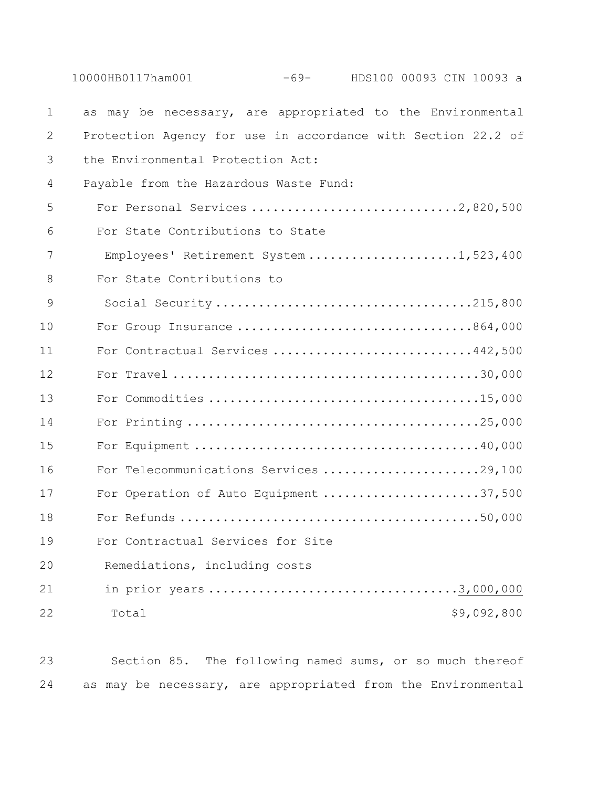|              | $-69-$<br>10000HB0117ham001<br>HDS100 00093 CIN 10093 a      |
|--------------|--------------------------------------------------------------|
| $\mathbf 1$  | as may be necessary, are appropriated to the Environmental   |
| $\mathbf{2}$ | Protection Agency for use in accordance with Section 22.2 of |
| 3            | the Environmental Protection Act:                            |
| 4            | Payable from the Hazardous Waste Fund:                       |
| 5            | For Personal Services 2,820,500                              |
| 6            | For State Contributions to State                             |
| 7            | Employees' Retirement System 1,523,400                       |
| 8            | For State Contributions to                                   |
| 9            | Social Security215,800                                       |
| 10           | For Group Insurance 864,000                                  |
| 11           | For Contractual Services 442,500                             |
| 12           |                                                              |
| 13           |                                                              |
| 14           |                                                              |
| 15           |                                                              |
| 16           | For Telecommunications Services 29,100                       |
| 17           | For Operation of Auto Equipment 37,500                       |
| 18           |                                                              |
| 19           | For Contractual Services for Site                            |
| 20           | Remediations, including costs                                |
| 21           |                                                              |
| 22           | \$9,092,800<br>Total                                         |

 Section 85. The following named sums, or so much thereof as may be necessary, are appropriated from the Environmental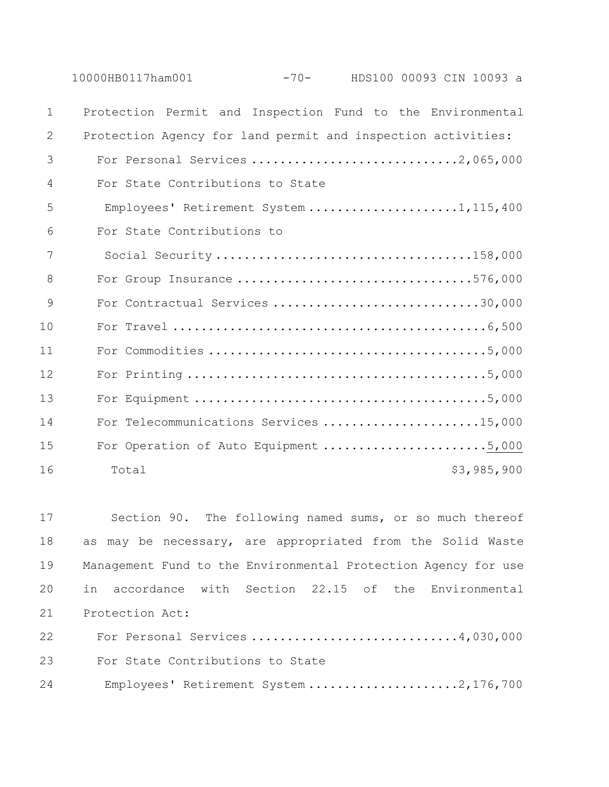| 10000HB0117ham001 | $-70-$ | HDS100 00093 CIN 10093 a |  |  |  |  |
|-------------------|--------|--------------------------|--|--|--|--|
|-------------------|--------|--------------------------|--|--|--|--|

| $\mathbf{1}$ | Protection Permit and Inspection Fund to the Environmental   |
|--------------|--------------------------------------------------------------|
| 2            | Protection Agency for land permit and inspection activities: |
| 3            |                                                              |
| 4            | For State Contributions to State                             |
| 5            | Employees' Retirement System 1,115,400                       |
| 6            | For State Contributions to                                   |
| 7            |                                                              |
| 8            | For Group Insurance 576,000                                  |
| 9            | For Contractual Services 30,000                              |
| 10           |                                                              |
| 11           |                                                              |
| 12           |                                                              |
| 13           |                                                              |
| 14           | For Telecommunications Services 15,000                       |
| 15           | For Operation of Auto Equipment 5,000                        |
| 16           | \$3,985,900<br>Total                                         |

 Section 90. The following named sums, or so much thereof as may be necessary, are appropriated from the Solid Waste Management Fund to the Environmental Protection Agency for use in accordance with Section 22.15 of the Environmental Protection Act: For Personal Services .............................4,030,000 For State Contributions to State

24 Employees' Retirement System .....................2,176,700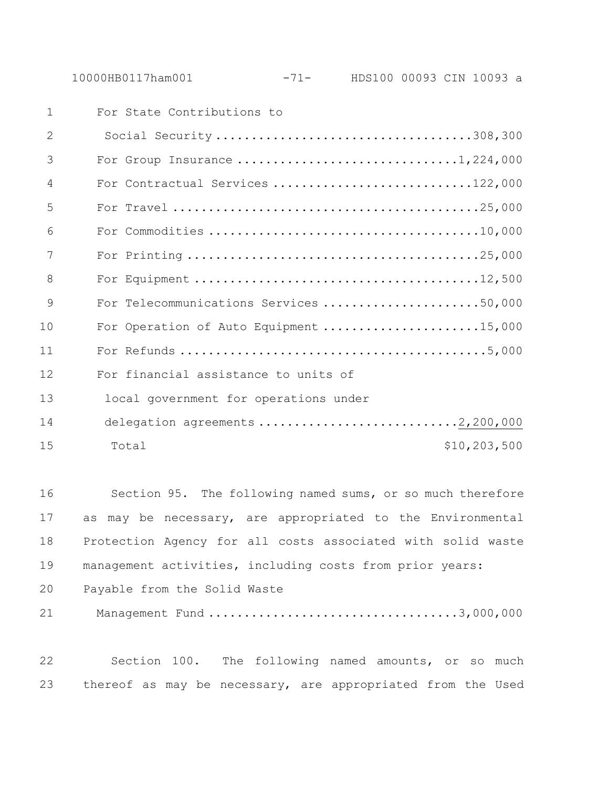| $\mathbf 1$    | For State Contributions to             |              |
|----------------|----------------------------------------|--------------|
| $\overline{2}$ | Social Security308,300                 |              |
| 3              |                                        |              |
| $\overline{4}$ | For Contractual Services 122,000       |              |
| 5              |                                        |              |
| 6              |                                        |              |
| 7              |                                        |              |
| 8              |                                        |              |
| 9              | For Telecommunications Services 50,000 |              |
| 10             | For Operation of Auto Equipment 15,000 |              |
| 11             |                                        |              |
| 12             | For financial assistance to units of   |              |
| 13             | local government for operations under  |              |
| 14             | delegation agreements 2,200,000        |              |
| 15             | Total                                  | \$10,203,500 |
|                |                                        |              |

 Section 95. The following named sums, or so much therefore as may be necessary, are appropriated to the Environmental Protection Agency for all costs associated with solid waste management activities, including costs from prior years:

Payable from the Solid Waste

Management Fund ...................................3,000,000

 Section 100. The following named amounts, or so much thereof as may be necessary, are appropriated from the Used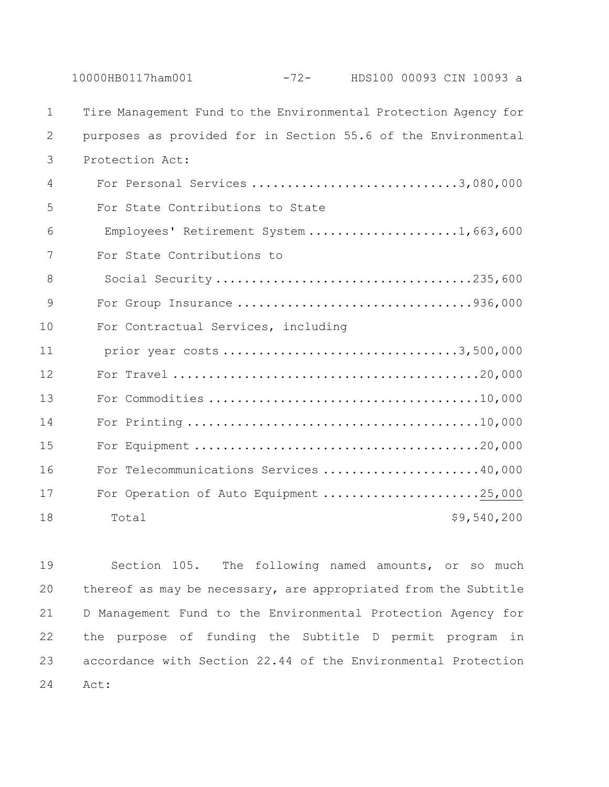|             | 10000HB0117ham001<br>$-72-$<br>HDS100 00093 CIN 10093 a         |
|-------------|-----------------------------------------------------------------|
| $\mathbf 1$ | Tire Management Fund to the Environmental Protection Agency for |
| 2           | purposes as provided for in Section 55.6 of the Environmental   |
| 3           | Protection Act:                                                 |
| 4           | For Personal Services 3,080,000                                 |
| 5           | For State Contributions to State                                |
| 6           | Employees' Retirement System 1,663,600                          |
| 7           | For State Contributions to                                      |
| 8           | Social Security235,600                                          |
| 9           | For Group Insurance 936,000                                     |
| 10          | For Contractual Services, including                             |
| 11          | prior year costs 3,500,000                                      |
| 12          |                                                                 |
| 13          |                                                                 |
| 14          |                                                                 |
| 15          |                                                                 |
| 16          | For Telecommunications Services 40,000                          |
| 17          | For Operation of Auto Equipment 25,000                          |
| 18          | \$9,540,200<br>Total                                            |

 Section 105. The following named amounts, or so much thereof as may be necessary, are appropriated from the Subtitle D Management Fund to the Environmental Protection Agency for the purpose of funding the Subtitle D permit program in accordance with Section 22.44 of the Environmental Protection Act: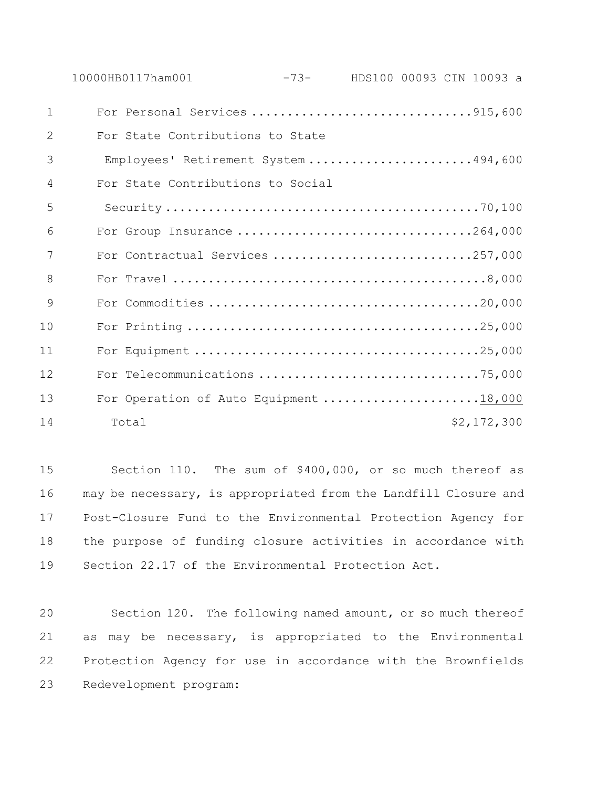|              | 10000HB0117ham001                      |                                      | $-73-$ | HDS100 00093 CIN 10093 a |  |             |  |
|--------------|----------------------------------------|--------------------------------------|--------|--------------------------|--|-------------|--|
| $\mathbf{1}$ | For Personal Services 915,600          |                                      |        |                          |  |             |  |
| 2            | For State Contributions to State       |                                      |        |                          |  |             |  |
| 3            |                                        | Employees' Retirement System 494,600 |        |                          |  |             |  |
| 4            | For State Contributions to Social      |                                      |        |                          |  |             |  |
| 5            |                                        |                                      |        |                          |  |             |  |
| 6            | For Group Insurance 264,000            |                                      |        |                          |  |             |  |
| 7            | For Contractual Services 257,000       |                                      |        |                          |  |             |  |
| 8            |                                        |                                      |        |                          |  |             |  |
| 9            |                                        |                                      |        |                          |  |             |  |
| 10           |                                        |                                      |        |                          |  |             |  |
| 11           |                                        |                                      |        |                          |  |             |  |
| 12           |                                        |                                      |        |                          |  |             |  |
| 13           | For Operation of Auto Equipment 18,000 |                                      |        |                          |  |             |  |
| 14           | Total                                  |                                      |        |                          |  | \$2,172,300 |  |

 Section 110. The sum of \$400,000, or so much thereof as may be necessary, is appropriated from the Landfill Closure and Post-Closure Fund to the Environmental Protection Agency for the purpose of funding closure activities in accordance with Section 22.17 of the Environmental Protection Act.

 Section 120. The following named amount, or so much thereof as may be necessary, is appropriated to the Environmental Protection Agency for use in accordance with the Brownfields Redevelopment program: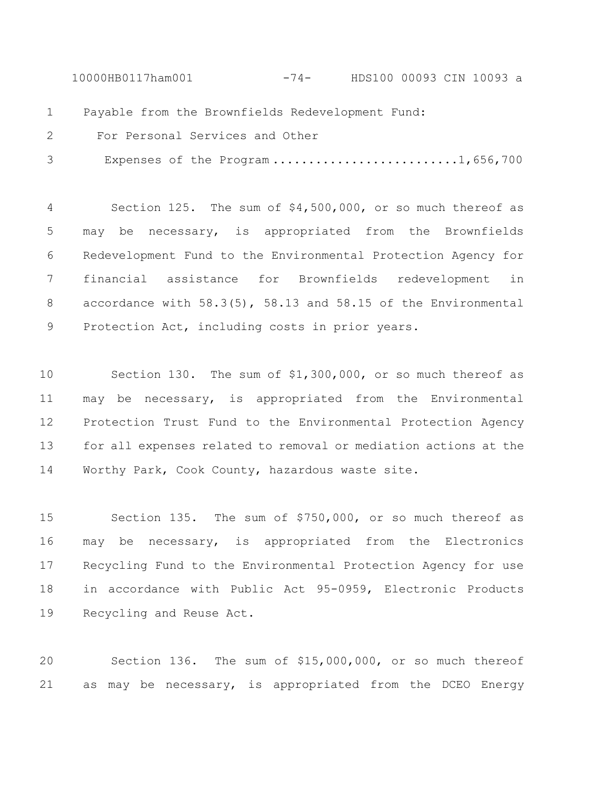10000HB0117ham001 -74- HDS100 00093 CIN 10093 a

Payable from the Brownfields Redevelopment Fund:

 For Personal Services and Other 3 Expenses of the Program ..........................1,656,700

 Section 125. The sum of \$4,500,000, or so much thereof as may be necessary, is appropriated from the Brownfields Redevelopment Fund to the Environmental Protection Agency for financial assistance for Brownfields redevelopment in accordance with 58.3(5), 58.13 and 58.15 of the Environmental Protection Act, including costs in prior years.

 Section 130. The sum of \$1,300,000, or so much thereof as may be necessary, is appropriated from the Environmental Protection Trust Fund to the Environmental Protection Agency for all expenses related to removal or mediation actions at the Worthy Park, Cook County, hazardous waste site.

 Section 135. The sum of \$750,000, or so much thereof as may be necessary, is appropriated from the Electronics Recycling Fund to the Environmental Protection Agency for use in accordance with Public Act 95-0959, Electronic Products Recycling and Reuse Act.

 Section 136. The sum of \$15,000,000, or so much thereof as may be necessary, is appropriated from the DCEO Energy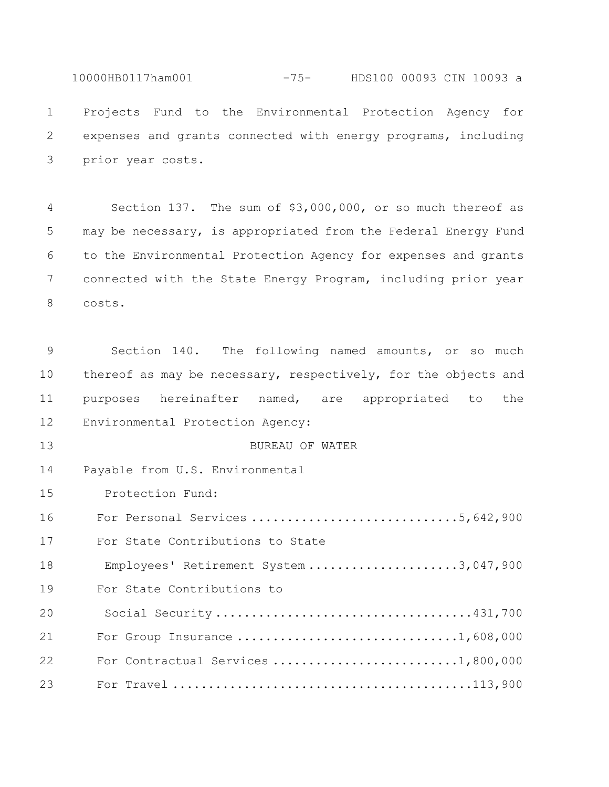10000HB0117ham001 -75- HDS100 00093 CIN 10093 a Projects Fund to the Environmental Protection Agency for expenses and grants connected with energy programs, including prior year costs.

 Section 137. The sum of \$3,000,000, or so much thereof as may be necessary, is appropriated from the Federal Energy Fund to the Environmental Protection Agency for expenses and grants connected with the State Energy Program, including prior year costs.

 Section 140. The following named amounts, or so much thereof as may be necessary, respectively, for the objects and purposes hereinafter named, are appropriated to the Environmental Protection Agency: BUREAU OF WATER Payable from U.S. Environmental 15 Protection Fund: For Personal Services .............................5,642,900 For State Contributions to State 18 Employees' Retirement System .......................3,047,900 For State Contributions to 20 Social Security ....................................431,700 For Group Insurance ...............................1,608,000 For Contractual Services ..........................1,800,000 For Travel ..........................................113,900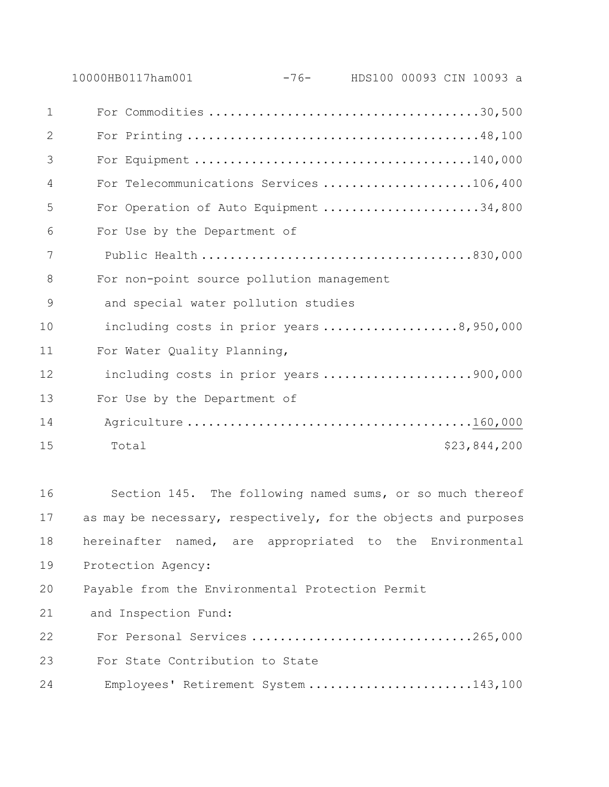|              | -76- HDS100 00093 CIN 10093 a<br>10000HB0117ham001              |  |
|--------------|-----------------------------------------------------------------|--|
| $\mathbf{1}$ |                                                                 |  |
| 2            |                                                                 |  |
| 3            |                                                                 |  |
| 4            | For Telecommunications Services 106,400                         |  |
| 5            | For Operation of Auto Equipment 34,800                          |  |
| 6            | For Use by the Department of                                    |  |
| 7            |                                                                 |  |
| 8            | For non-point source pollution management                       |  |
| 9            | and special water pollution studies                             |  |
| 10           | including costs in prior years 8,950,000                        |  |
| 11           | For Water Quality Planning,                                     |  |
| 12           | including costs in prior years 900,000                          |  |
| 13           | For Use by the Department of                                    |  |
| 14           |                                                                 |  |
| 15           | \$23,844,200<br>Total                                           |  |
|              |                                                                 |  |
| 16           | Section 145. The following named sums, or so much thereof       |  |
| 17           | as may be necessary, respectively, for the objects and purposes |  |
| 18           | hereinafter named, are appropriated to the Environmental        |  |
| 19           | Protection Agency:                                              |  |
| 20           | Payable from the Environmental Protection Permit                |  |
| 21           | and Inspection Fund:                                            |  |
| 22           | For Personal Services 265,000                                   |  |

For State Contribution to State

24 Employees' Retirement System .......................143,100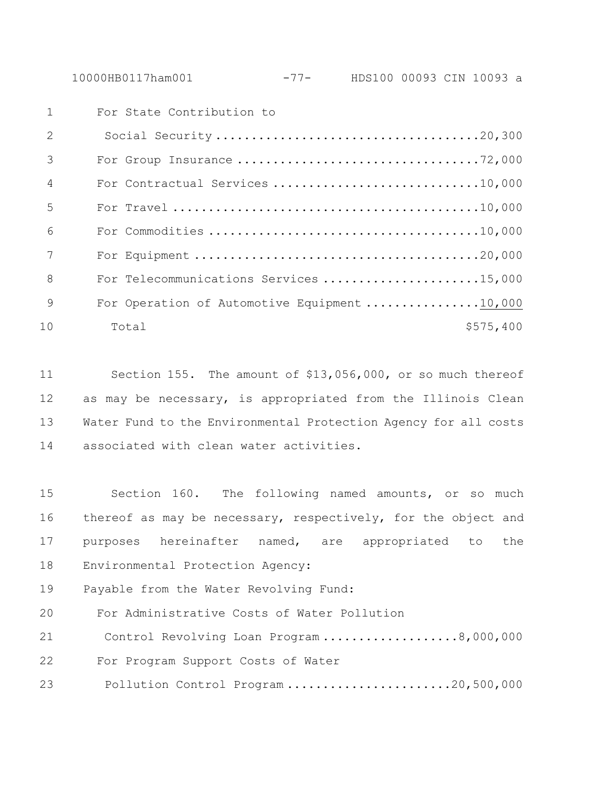10000HB0117ham001 -77- HDS100 00093 CIN 10093 a

|                | For State Contribution to                    |
|----------------|----------------------------------------------|
| $\mathcal{L}$  |                                              |
| 3              |                                              |
| $\overline{4}$ | For Contractual Services 10,000              |
| .5             |                                              |
| 6              |                                              |
| 7              |                                              |
| 8              | For Telecommunications Services 15,000       |
| 9              | For Operation of Automotive Equipment 10,000 |
| 10             | \$575,400<br>Total                           |

 Section 155. The amount of \$13,056,000, or so much thereof 12 as may be necessary, is appropriated from the Illinois Clean Water Fund to the Environmental Protection Agency for all costs associated with clean water activities.

 Section 160. The following named amounts, or so much thereof as may be necessary, respectively, for the object and purposes hereinafter named, are appropriated to the Environmental Protection Agency:

Payable from the Water Revolving Fund:

For Administrative Costs of Water Pollution

21 Control Revolving Loan Program ...................8,000,000 For Program Support Costs of Water 23 Pollution Control Program .......................20,500,000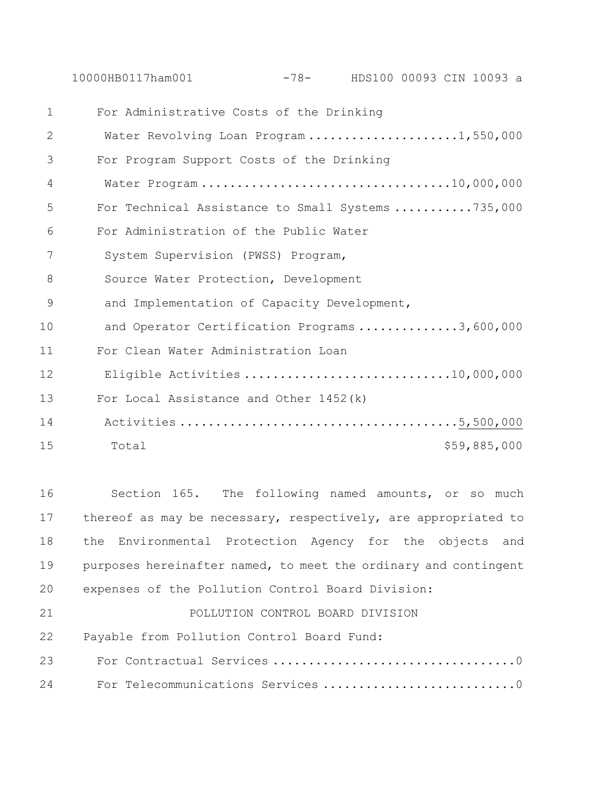10000HB0117ham001 -78- HDS100 00093 CIN 10093 a

 For Administrative Costs of the Drinking 2 Water Revolving Loan Program .....................1,550,000 For Program Support Costs of the Drinking 4 Water Program ...................................10,000,000 For Technical Assistance to Small Systems ...........735,000 For Administration of the Public Water 7 System Supervision (PWSS) Program, 8 Source Water Protection, Development 9 and Implementation of Capacity Development, 10 and Operator Certification Programs ..............3,600,000 For Clean Water Administration Loan 12 Eligible Activities .............................10,000,000 For Local Assistance and Other 1452(k) 14 Activities .......................................5,500,000 Total \$59,885,000

 Section 165. The following named amounts, or so much thereof as may be necessary, respectively, are appropriated to the Environmental Protection Agency for the objects and purposes hereinafter named, to meet the ordinary and contingent expenses of the Pollution Control Board Division: POLLUTION CONTROL BOARD DIVISION

Payable from Pollution Control Board Fund:

 For Contractual Services ..................................0 For Telecommunications Services ...........................0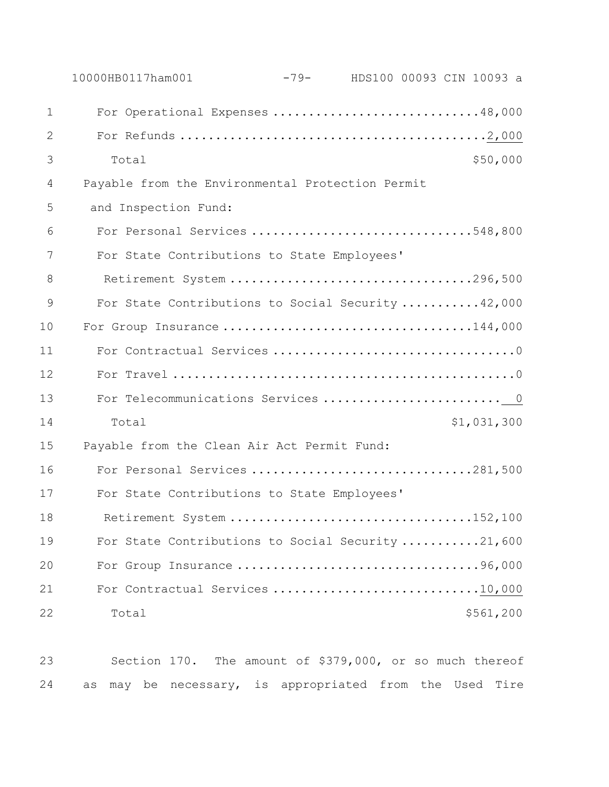|              | 10000HB0117ham001                                 | $-79-$ |  | HDS100 00093 CIN 10093 a |
|--------------|---------------------------------------------------|--------|--|--------------------------|
| $\mathbf{1}$ | For Operational Expenses 48,000                   |        |  |                          |
| $\mathbf{2}$ |                                                   |        |  |                          |
| 3            | Total                                             |        |  | \$50,000                 |
| 4            | Payable from the Environmental Protection Permit  |        |  |                          |
| 5            | and Inspection Fund:                              |        |  |                          |
| 6            | For Personal Services 548,800                     |        |  |                          |
| 7            | For State Contributions to State Employees'       |        |  |                          |
| 8            | Retirement System 296,500                         |        |  |                          |
| 9            | For State Contributions to Social Security 42,000 |        |  |                          |
| 10           | For Group Insurance 144,000                       |        |  |                          |
| 11           |                                                   |        |  |                          |
| 12           |                                                   |        |  |                          |
| 13           | For Telecommunications Services  0                |        |  |                          |
| 14           | Total                                             |        |  | \$1,031,300              |
| 15           | Payable from the Clean Air Act Permit Fund:       |        |  |                          |
| 16           | For Personal Services 281,500                     |        |  |                          |
| 17           | For State Contributions to State Employees'       |        |  |                          |
| 18           | Retirement System                                 |        |  | . 152, 100               |
| 19           | For State Contributions to Social Security 21,600 |        |  |                          |
| 20           |                                                   |        |  |                          |
| 21           | For Contractual Services 10,000                   |        |  |                          |
| 22           | Total                                             |        |  | \$561,200                |

 Section 170. The amount of \$379,000, or so much thereof as may be necessary, is appropriated from the Used Tire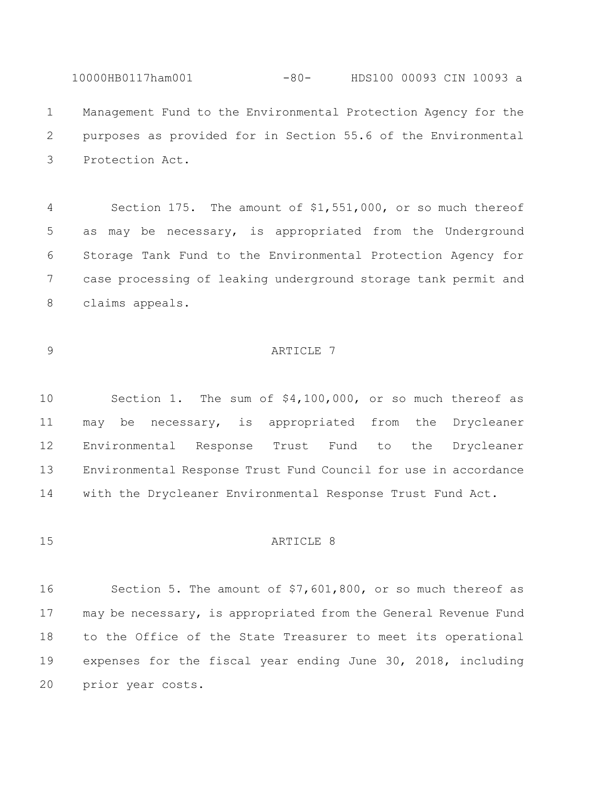10000HB0117ham001 -80- HDS100 00093 CIN 10093 a Management Fund to the Environmental Protection Agency for the purposes as provided for in Section 55.6 of the Environmental Protection Act.

 Section 175. The amount of \$1,551,000, or so much thereof as may be necessary, is appropriated from the Underground Storage Tank Fund to the Environmental Protection Agency for case processing of leaking underground storage tank permit and claims appeals.

# 9 ARTICLE 7

 Section 1. The sum of \$4,100,000, or so much thereof as may be necessary, is appropriated from the Drycleaner Environmental Response Trust Fund to the Drycleaner Environmental Response Trust Fund Council for use in accordance with the Drycleaner Environmental Response Trust Fund Act.

#### 15 ARTICLE 8

 Section 5. The amount of \$7,601,800, or so much thereof as may be necessary, is appropriated from the General Revenue Fund to the Office of the State Treasurer to meet its operational expenses for the fiscal year ending June 30, 2018, including prior year costs.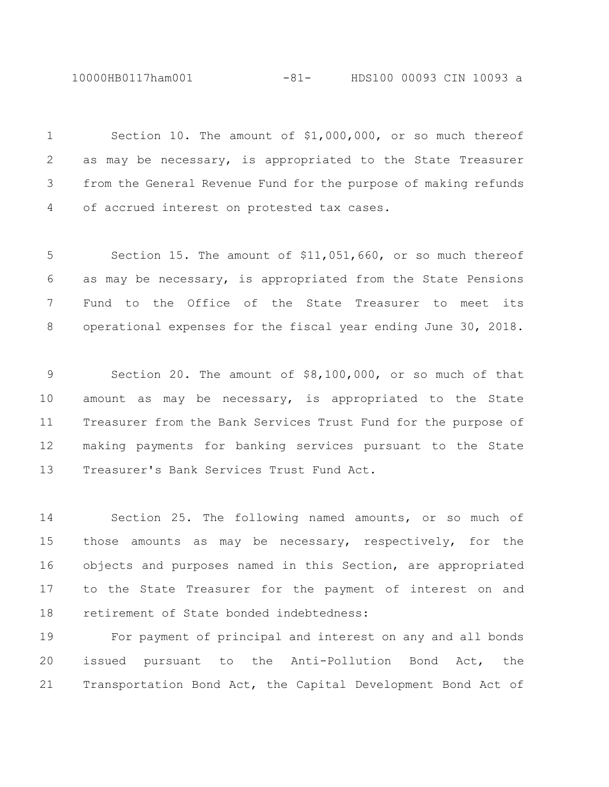10000HB0117ham001 -81- HDS100 00093 CIN 10093 a

 Section 10. The amount of \$1,000,000, or so much thereof as may be necessary, is appropriated to the State Treasurer from the General Revenue Fund for the purpose of making refunds of accrued interest on protested tax cases.

 Section 15. The amount of \$11,051,660, or so much thereof as may be necessary, is appropriated from the State Pensions Fund to the Office of the State Treasurer to meet its operational expenses for the fiscal year ending June 30, 2018.

 Section 20. The amount of \$8,100,000, or so much of that amount as may be necessary, is appropriated to the State Treasurer from the Bank Services Trust Fund for the purpose of making payments for banking services pursuant to the State Treasurer's Bank Services Trust Fund Act.

 Section 25. The following named amounts, or so much of those amounts as may be necessary, respectively, for the objects and purposes named in this Section, are appropriated to the State Treasurer for the payment of interest on and retirement of State bonded indebtedness:

 For payment of principal and interest on any and all bonds issued pursuant to the Anti-Pollution Bond Act, the Transportation Bond Act, the Capital Development Bond Act of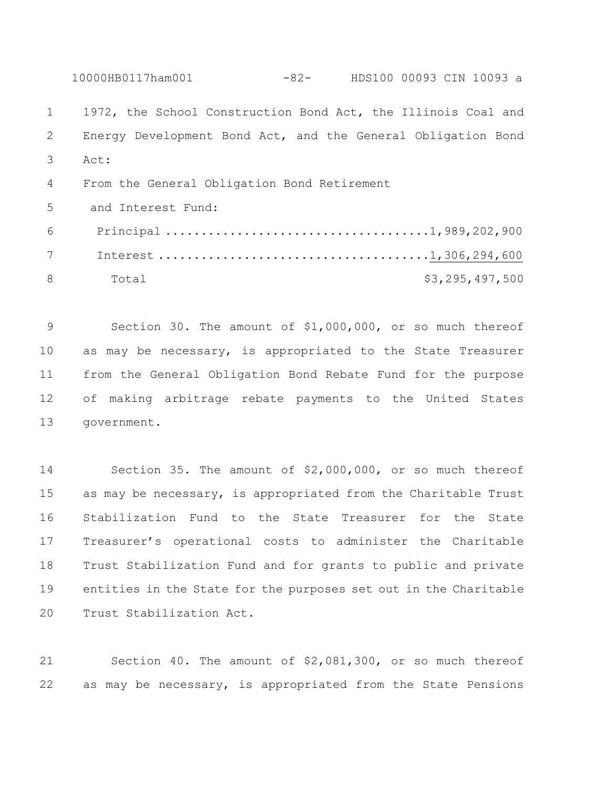10000HB0117ham001 -82- HDS100 00093 CIN 10093 a 1972, the School Construction Bond Act, the Illinois Coal and Energy Development Bond Act, and the General Obligation Bond Act: From the General Obligation Bond Retirement and Interest Fund: Principal .....................................1,989,202,900 Interest ......................................1,306,294,600 8 Total \$3,295,497,500

 Section 30. The amount of \$1,000,000, or so much thereof as may be necessary, is appropriated to the State Treasurer from the General Obligation Bond Rebate Fund for the purpose of making arbitrage rebate payments to the United States government.

 Section 35. The amount of \$2,000,000, or so much thereof as may be necessary, is appropriated from the Charitable Trust Stabilization Fund to the State Treasurer for the State Treasurer's operational costs to administer the Charitable Trust Stabilization Fund and for grants to public and private entities in the State for the purposes set out in the Charitable Trust Stabilization Act.

 Section 40. The amount of \$2,081,300, or so much thereof as may be necessary, is appropriated from the State Pensions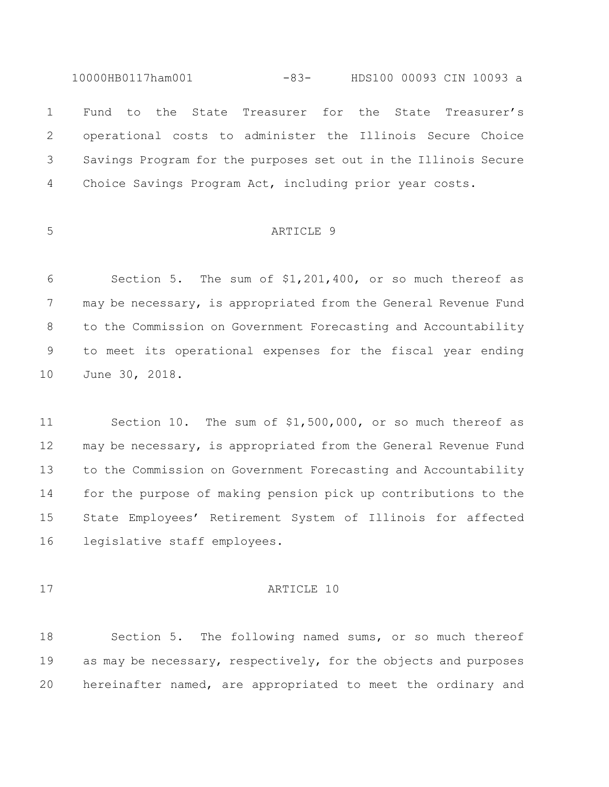10000HB0117ham001 -83- HDS100 00093 CIN 10093 a Fund to the State Treasurer for the State Treasurer's operational costs to administer the Illinois Secure Choice Savings Program for the purposes set out in the Illinois Secure Choice Savings Program Act, including prior year costs.

# ARTICLE 9

 Section 5. The sum of \$1,201,400, or so much thereof as 7 may be necessary, is appropriated from the General Revenue Fund to the Commission on Government Forecasting and Accountability to meet its operational expenses for the fiscal year ending June 30, 2018.

 Section 10. The sum of \$1,500,000, or so much thereof as may be necessary, is appropriated from the General Revenue Fund to the Commission on Government Forecasting and Accountability for the purpose of making pension pick up contributions to the State Employees' Retirement System of Illinois for affected legislative staff employees.

#### 17 ARTICLE 10

 Section 5. The following named sums, or so much thereof as may be necessary, respectively, for the objects and purposes hereinafter named, are appropriated to meet the ordinary and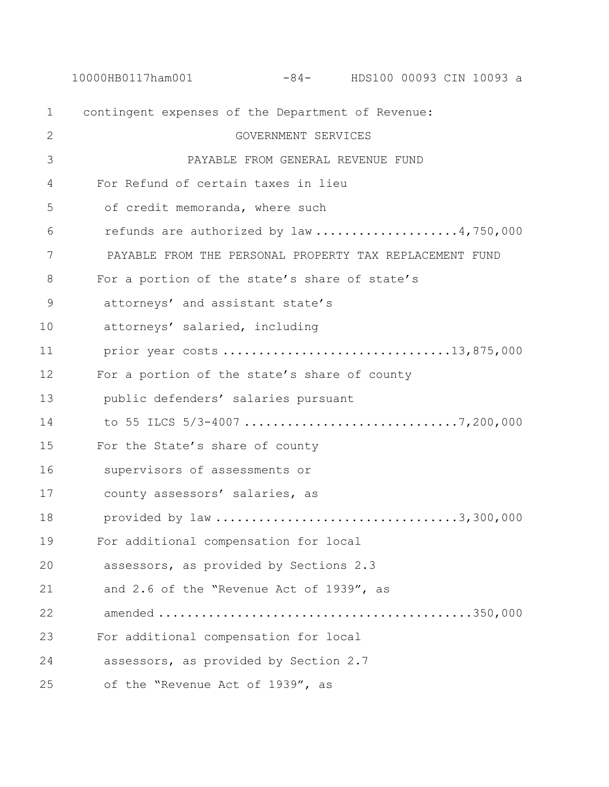10000HB0117ham001 -84- HDS100 00093 CIN 10093 a contingent expenses of the Department of Revenue: GOVERNMENT SERVICES PAYABLE FROM GENERAL REVENUE FUND For Refund of certain taxes in lieu 5 of credit memoranda, where such 6 refunds are authorized by law ....................4,750,000 PAYABLE FROM THE PERSONAL PROPERTY TAX REPLACEMENT FUND For a portion of the state's share of state's attorneys' and assistant state's attorneys' salaried, including prior year costs ................................13,875,000 For a portion of the state's share of county public defenders' salaries pursuant to 55 ILCS 5/3-4007 ..............................7,200,000 For the State's share of county supervisors of assessments or county assessors' salaries, as provided by law ..................................3,300,000 For additional compensation for local assessors, as provided by Sections 2.3 and 2.6 of the "Revenue Act of 1939", as amended ............................................350,000 For additional compensation for local assessors, as provided by Section 2.7 of the "Revenue Act of 1939", as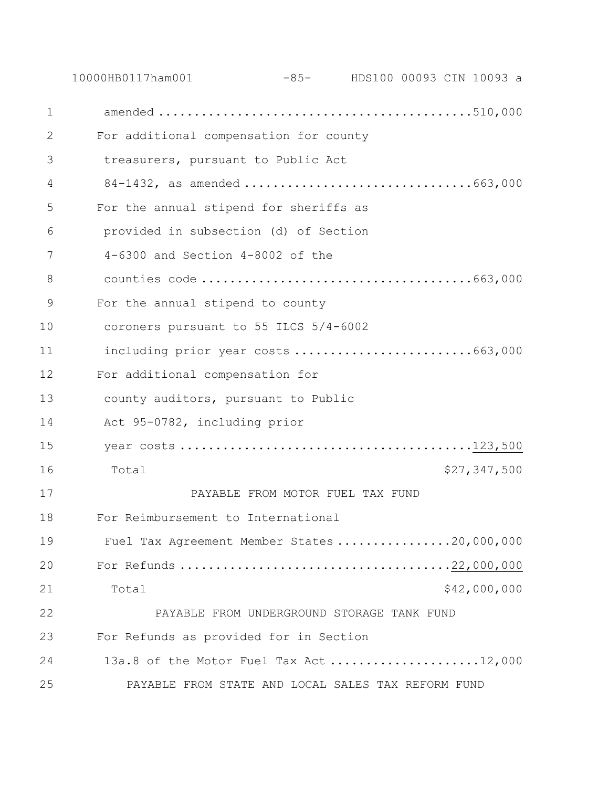10000HB0117ham001 -85- HDS100 00093 CIN 10093 a amended ............................................510,000 For additional compensation for county treasurers, pursuant to Public Act 84-1432, as amended ................................663,000 For the annual stipend for sheriffs as provided in subsection (d) of Section 4-6300 and Section 4-8002 of the counties code ......................................663,000 For the annual stipend to county coroners pursuant to 55 ILCS 5/4-6002 11 including prior year costs .................................663,000 For additional compensation for county auditors, pursuant to Public Act 95-0782, including prior year costs .........................................123,500 16 Total \$27,347,500 PAYABLE FROM MOTOR FUEL TAX FUND For Reimbursement to International 19 Fuel Tax Agreement Member States ................20,000,000 For Refunds ......................................22,000,000 21 Total 542,000,000 PAYABLE FROM UNDERGROUND STORAGE TANK FUND For Refunds as provided for in Section 13a.8 of the Motor Fuel Tax Act .....................12,000 PAYABLE FROM STATE AND LOCAL SALES TAX REFORM FUND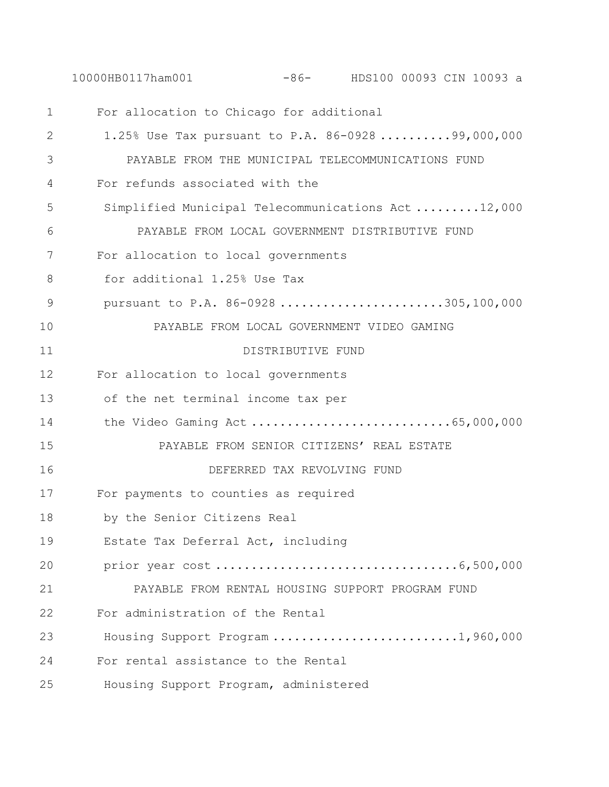10000HB0117ham001 -86- HDS100 00093 CIN 10093 a

| $\mathbf 1$   | For allocation to Chicago for additional           |
|---------------|----------------------------------------------------|
| 2             | 1.25% Use Tax pursuant to P.A. 86-0928 99,000,000  |
| 3             | PAYABLE FROM THE MUNICIPAL TELECOMMUNICATIONS FUND |
| 4             | For refunds associated with the                    |
| 5             | Simplified Municipal Telecommunications Act12,000  |
| 6             | PAYABLE FROM LOCAL GOVERNMENT DISTRIBUTIVE FUND    |
| 7             | For allocation to local governments                |
| 8             | for additional 1.25% Use Tax                       |
| $\mathcal{G}$ | pursuant to P.A. 86-0928305,100,000                |
| 10            | PAYABLE FROM LOCAL GOVERNMENT VIDEO GAMING         |
| 11            | DISTRIBUTIVE FUND                                  |
| 12            | For allocation to local governments                |
| 13            | of the net terminal income tax per                 |
| 14            | the Video Gaming Act 65,000,000                    |
| 15            | PAYABLE FROM SENIOR CITIZENS' REAL ESTATE          |
| 16            | DEFERRED TAX REVOLVING FUND                        |
| 17            | For payments to counties as required               |
| 18            | by the Senior Citizens Real                        |
| 19            | Estate Tax Deferral Act, including                 |
| 20            |                                                    |
| 21            | PAYABLE FROM RENTAL HOUSING SUPPORT PROGRAM FUND   |
| 22            | For administration of the Rental                   |
| 23            | Housing Support Program 1,960,000                  |
| 24            | For rental assistance to the Rental                |
| 25            | Housing Support Program, administered              |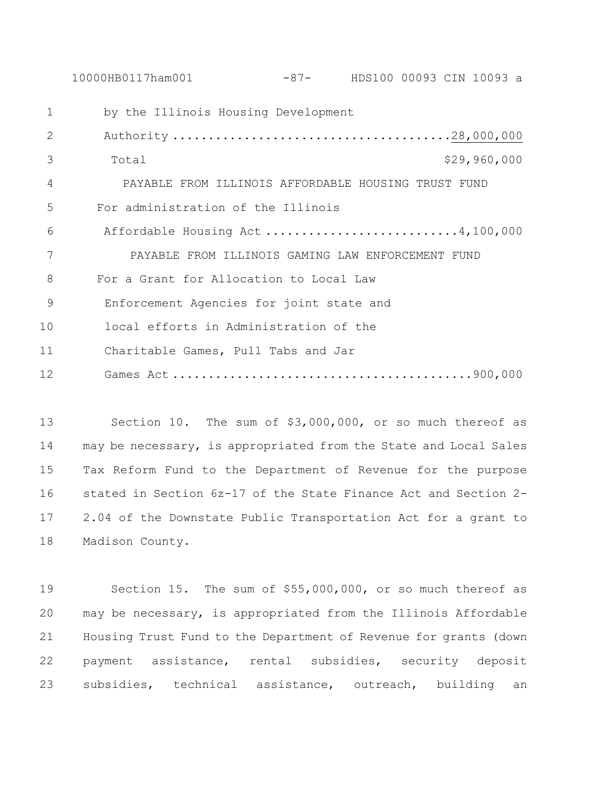by the Illinois Housing Development Authority .......................................28,000,000 Total \$29,960,000 PAYABLE FROM ILLINOIS AFFORDABLE HOUSING TRUST FUND For administration of the Illinois Affordable Housing Act ...........................4,100,000 PAYABLE FROM ILLINOIS GAMING LAW ENFORCEMENT FUND For a Grant for Allocation to Local Law 9 Enforcement Agencies for joint state and 10 local efforts in Administration of the 11 Charitable Games, Pull Tabs and Jar 12 Games Act ..........................................900,000

10000HB0117ham001 -87- HDS100 00093 CIN 10093 a

 Section 10. The sum of \$3,000,000, or so much thereof as may be necessary, is appropriated from the State and Local Sales Tax Reform Fund to the Department of Revenue for the purpose stated in Section 6z-17 of the State Finance Act and Section 2- 2.04 of the Downstate Public Transportation Act for a grant to Madison County.

 Section 15. The sum of \$55,000,000, or so much thereof as may be necessary, is appropriated from the Illinois Affordable Housing Trust Fund to the Department of Revenue for grants (down payment assistance, rental subsidies, security deposit subsidies, technical assistance, outreach, building an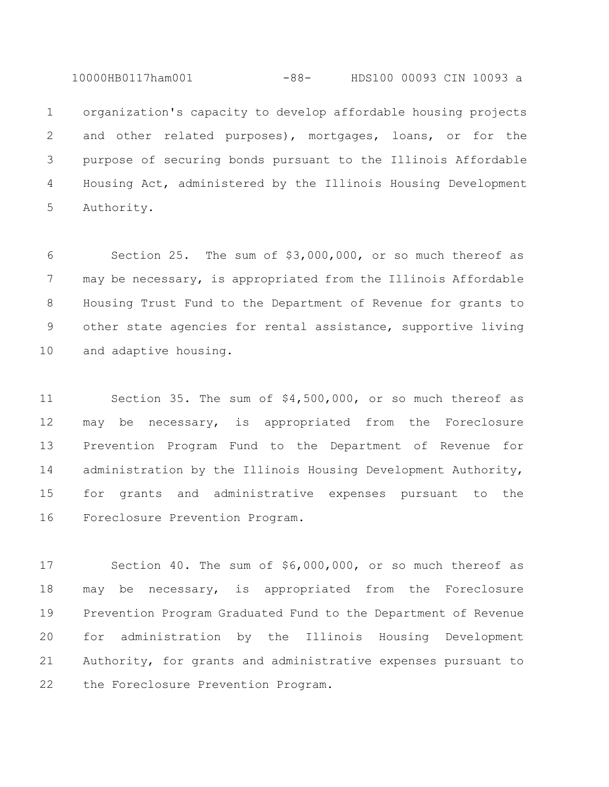10000HB0117ham001 -88- HDS100 00093 CIN 10093 a

 organization's capacity to develop affordable housing projects and other related purposes), mortgages, loans, or for the purpose of securing bonds pursuant to the Illinois Affordable Housing Act, administered by the Illinois Housing Development Authority.

 Section 25. The sum of \$3,000,000, or so much thereof as may be necessary, is appropriated from the Illinois Affordable Housing Trust Fund to the Department of Revenue for grants to other state agencies for rental assistance, supportive living and adaptive housing.

 Section 35. The sum of \$4,500,000, or so much thereof as may be necessary, is appropriated from the Foreclosure Prevention Program Fund to the Department of Revenue for 14 administration by the Illinois Housing Development Authority, for grants and administrative expenses pursuant to the Foreclosure Prevention Program.

 Section 40. The sum of \$6,000,000, or so much thereof as may be necessary, is appropriated from the Foreclosure Prevention Program Graduated Fund to the Department of Revenue for administration by the Illinois Housing Development Authority, for grants and administrative expenses pursuant to 22 the Foreclosure Prevention Program.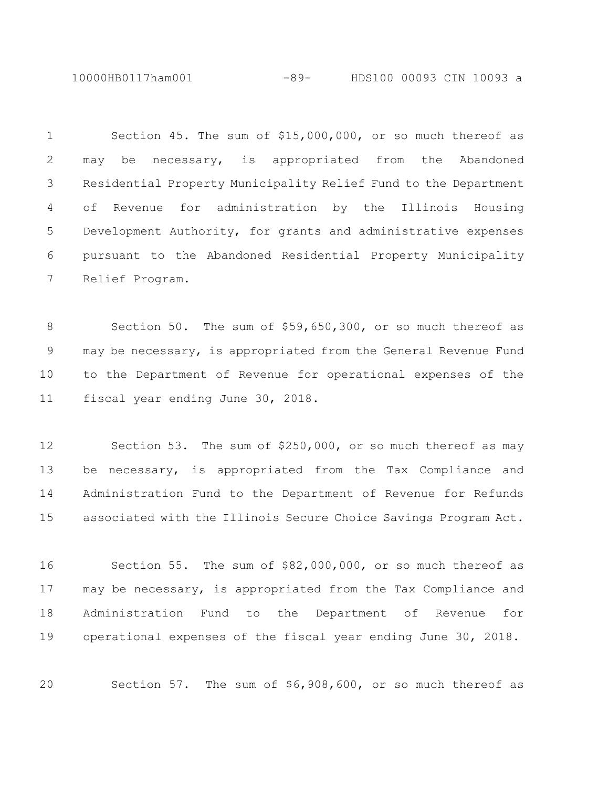10000HB0117ham001 -89- HDS100 00093 CIN 10093 a

 Section 45. The sum of \$15,000,000, or so much thereof as may be necessary, is appropriated from the Abandoned Residential Property Municipality Relief Fund to the Department of Revenue for administration by the Illinois Housing Development Authority, for grants and administrative expenses pursuant to the Abandoned Residential Property Municipality Relief Program.

 Section 50. The sum of \$59,650,300, or so much thereof as may be necessary, is appropriated from the General Revenue Fund to the Department of Revenue for operational expenses of the fiscal year ending June 30, 2018.

 Section 53. The sum of \$250,000, or so much thereof as may be necessary, is appropriated from the Tax Compliance and Administration Fund to the Department of Revenue for Refunds associated with the Illinois Secure Choice Savings Program Act.

 Section 55. The sum of \$82,000,000, or so much thereof as may be necessary, is appropriated from the Tax Compliance and Administration Fund to the Department of Revenue for operational expenses of the fiscal year ending June 30, 2018.

Section 57. The sum of \$6,908,600, or so much thereof as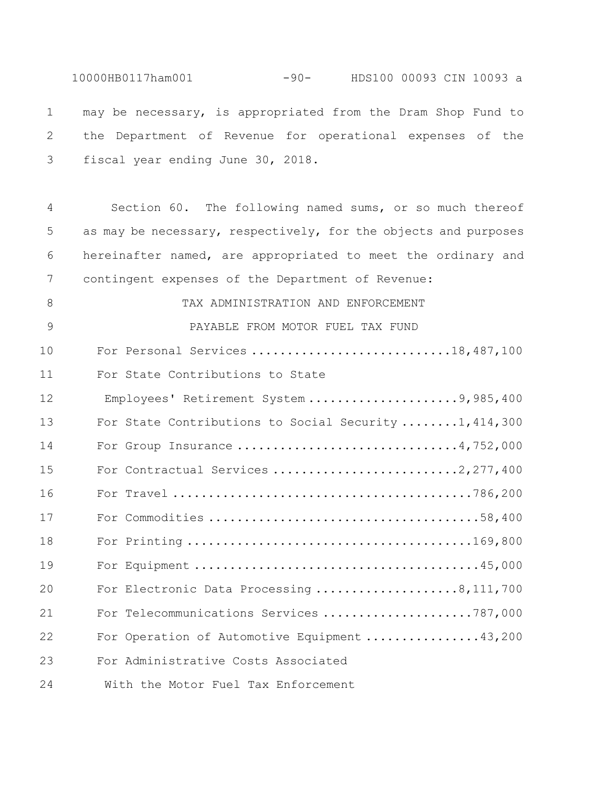10000HB0117ham001 -90- HDS100 00093 CIN 10093 a may be necessary, is appropriated from the Dram Shop Fund to the Department of Revenue for operational expenses of the fiscal year ending June 30, 2018. Section 60. The following named sums, or so much thereof as may be necessary, respectively, for the objects and purposes hereinafter named, are appropriated to meet the ordinary and contingent expenses of the Department of Revenue: 8 TAX ADMINISTRATION AND ENFORCEMENT PAYABLE FROM MOTOR FUEL TAX FUND For Personal Services ............................18,487,100 For State Contributions to State 12 Employees' Retirement System .....................9,985,400 For State Contributions to Social Security ........1,414,300 14 For Group Insurance .................................4,752,000 15 For Contractual Services .............................2,277,400 For Travel ..........................................786,200 For Commodities ......................................58,400 For Printing ........................................169,800 For Equipment ........................................45,000 For Electronic Data Processing ....................8,111,700 For Telecommunications Services .....................787,000 For Operation of Automotive Equipment ................43,200 For Administrative Costs Associated

24 With the Motor Fuel Tax Enforcement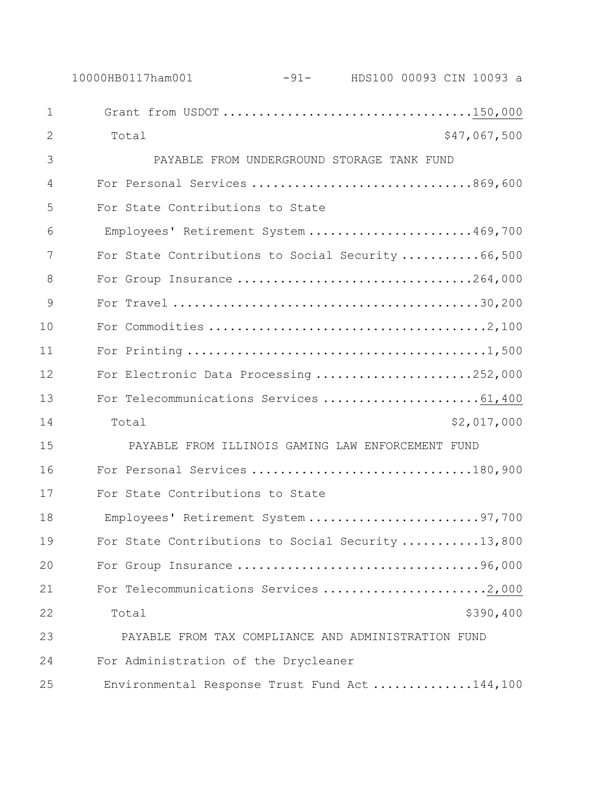|              | 10000HB0117ham001                                   | -91- HDS100 00093 CIN 10093 a              |              |
|--------------|-----------------------------------------------------|--------------------------------------------|--------------|
| $\mathbf{1}$ | Grant from USDOT 150,000                            |                                            |              |
| 2            | Total                                               |                                            | \$47,067,500 |
| 3            |                                                     | PAYABLE FROM UNDERGROUND STORAGE TANK FUND |              |
| 4            | For Personal Services 869,600                       |                                            |              |
| 5            | For State Contributions to State                    |                                            |              |
| 6            | Employees' Retirement System 469,700                |                                            |              |
| 7            | For State Contributions to Social Security  66,500  |                                            |              |
| 8            | For Group Insurance 264,000                         |                                            |              |
| 9            |                                                     |                                            |              |
| 10           |                                                     |                                            |              |
| 11           |                                                     |                                            |              |
| 12           | For Electronic Data Processing 252,000              |                                            |              |
| 13           | For Telecommunications Services 61,400              |                                            |              |
| 14           | Total                                               |                                            | \$2,017,000  |
| 15           | PAYABLE FROM ILLINOIS GAMING LAW ENFORCEMENT FUND   |                                            |              |
| 16           | For Personal Services 180,900                       |                                            |              |
| 17           | For State Contributions to State                    |                                            |              |
| 18           | Employees' Retirement System 97,700                 |                                            |              |
| 19           | For State Contributions to Social Security 13,800   |                                            |              |
| 20           | For Group Insurance 96,000                          |                                            |              |
| 21           | For Telecommunications Services 2,000               |                                            |              |
| 22           | Total                                               |                                            | \$390,400    |
| 23           | PAYABLE FROM TAX COMPLIANCE AND ADMINISTRATION FUND |                                            |              |
| 24           | For Administration of the Drycleaner                |                                            |              |
| 25           | Environmental Response Trust Fund Act144,100        |                                            |              |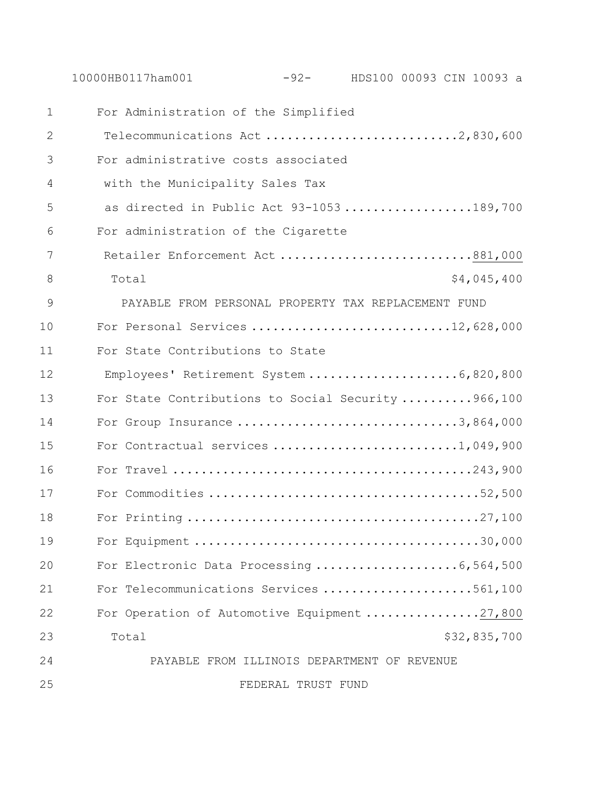10000HB0117ham001 -92- HDS100 00093 CIN 10093 a For Administration of the Simplified Telecommunications Act ...........................2,830,600

 For administrative costs associated with the Municipality Sales Tax 5 as directed in Public Act 93-1053 ..................189,700 For administration of the Cigarette 7 Retailer Enforcement Act..............................881,000 8 Total \$4,045,400 PAYABLE FROM PERSONAL PROPERTY TAX REPLACEMENT FUND 10 For Personal Services ...............................12,628,000 For State Contributions to State 12 Employees' Retirement System .....................6,820,800 13 For State Contributions to Social Security ..........966,100 For Group Insurance ...............................3,864,000 For Contractual services ..........................1,049,900 For Travel ..........................................243,900 For Commodities ......................................52,500 For Printing .........................................27,100 For Equipment ........................................30,000 20 For Electronic Data Processing .......................6,564,500 For Telecommunications Services .....................561,100 22 For Operation of Automotive Equipment ................27,800 Total \$32,835,700 PAYABLE FROM ILLINOIS DEPARTMENT OF REVENUE

FEDERAL TRUST FUND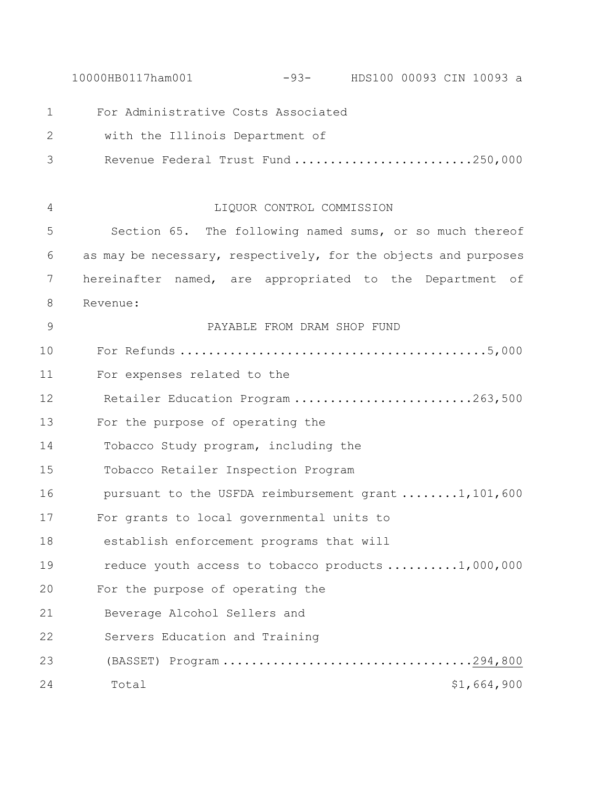10000HB0117ham001 -93- HDS100 00093 CIN 10093 a For Administrative Costs Associated 2 with the Illinois Department of 3 Revenue Federal Trust Fund .........................250,000 LIQUOR CONTROL COMMISSION Section 65. The following named sums, or so much thereof as may be necessary, respectively, for the objects and purposes hereinafter named, are appropriated to the Department of Revenue: PAYABLE FROM DRAM SHOP FUND For Refunds ...........................................5,000 For expenses related to the Retailer Education Program .........................263,500 For the purpose of operating the Tobacco Study program, including the Tobacco Retailer Inspection Program 16 pursuant to the USFDA reimbursement grant .......1,101,600 For grants to local governmental units to establish enforcement programs that will 19 reduce youth access to tobacco products .........1,000,000 For the purpose of operating the 21 Beverage Alcohol Sellers and 22 Servers Education and Training 23 (BASSET) Program ...................................294,800 24 Total \$1,664,900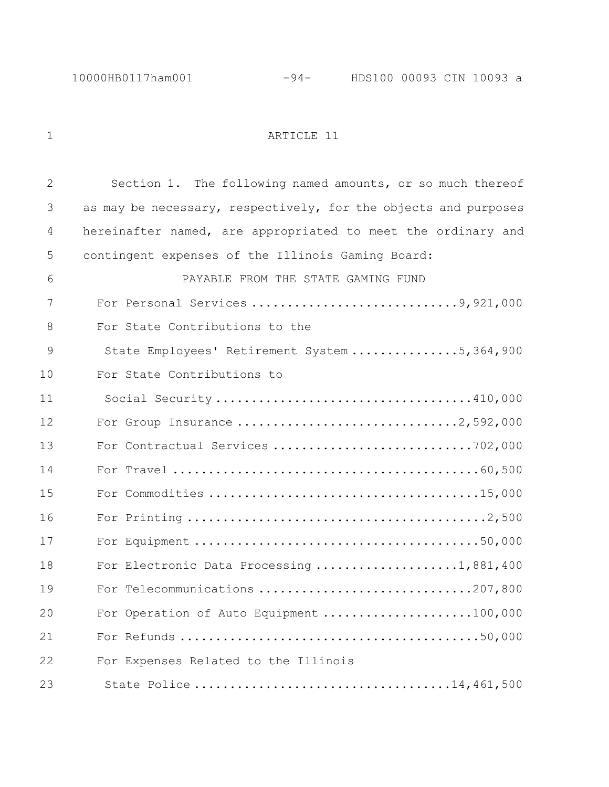1 ARTICLE 11

 Section 1. The following named amounts, or so much thereof as may be necessary, respectively, for the objects and purposes hereinafter named, are appropriated to meet the ordinary and contingent expenses of the Illinois Gaming Board: PAYABLE FROM THE STATE GAMING FUND 7 For Personal Services ................................9,921,000 For State Contributions to the 9 State Employees' Retirement System ................5,364,900 For State Contributions to 11 Social Security ....................................410,000 For Group Insurance ...............................2,592,000 13 For Contractual Services ..................................702,000 For Travel ...........................................60,500 For Commodities ......................................15,000 For Printing ..........................................2,500 For Equipment ........................................50,000 18 For Electronic Data Processing .....................1,881,400 For Telecommunications ..............................207,800 For Operation of Auto Equipment .....................100,000 For Refunds ..........................................50,000 For Expenses Related to the Illinois 23 State Police ....................................14,461,500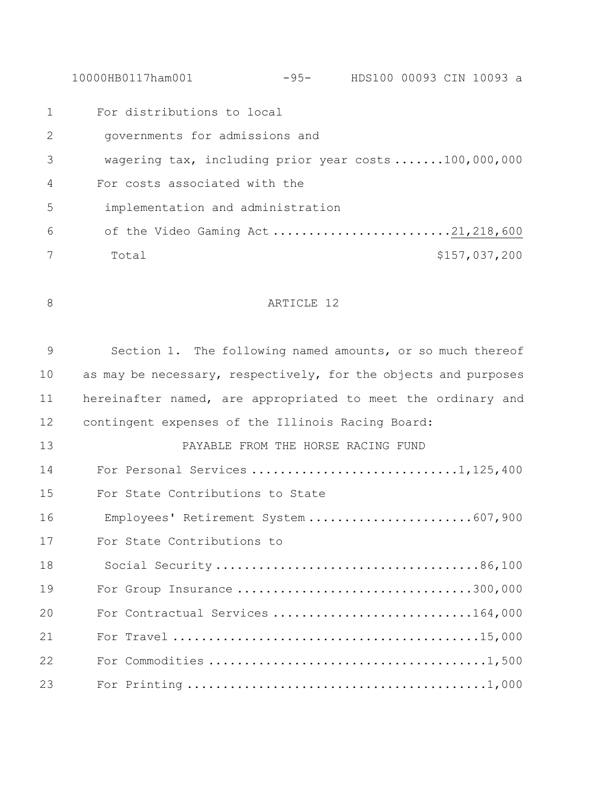10000HB0117ham001 -95- HDS100 00093 CIN 10093 a

 For distributions to local 2 governments for admissions and 3 wagering tax, including prior year costs .......100,000,000 For costs associated with the 5 implementation and administration 6 of the Video Gaming Act .........................21,218,600 Total \$157,037,200

8 ARTICLE 12

 Section 1. The following named amounts, or so much thereof 10 as may be necessary, respectively, for the objects and purposes hereinafter named, are appropriated to meet the ordinary and contingent expenses of the Illinois Racing Board: PAYABLE FROM THE HORSE RACING FUND For Personal Services .............................1,125,400 For State Contributions to State 16 Employees' Retirement System .......................607,900 For State Contributions to 18 Social Security .....................................86,100 For Group Insurance .................................300,000 For Contractual Services ............................164,000 For Travel ...........................................15,000 For Commodities .......................................1,500

For Printing ..........................................1,000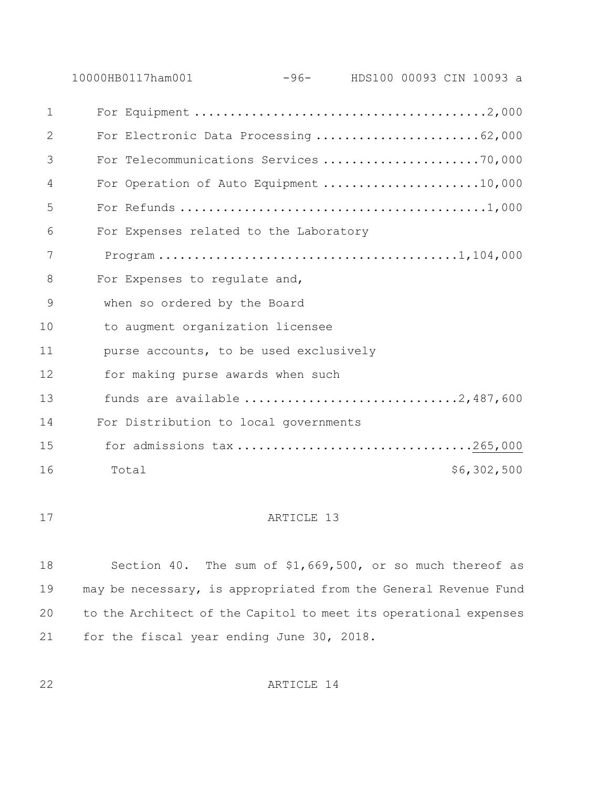10000HB0117ham001 -96- HDS100 00093 CIN 10093 a For Equipment .........................................2,000 2 For Electronic Data Processing ............................62,000 For Telecommunications Services ......................70,000 4 For Operation of Auto Equipment .......................10,000 For Refunds ...........................................1,000 For Expenses related to the Laboratory 7 Program ..........................................1,104,000 8 For Expenses to requlate and, when so ordered by the Board to augment organization licensee purse accounts, to be used exclusively for making purse awards when such funds are available ..............................2,487,600 For Distribution to local governments 15 for admissions tax .................................265,000 16 Total 56,302,500

### 17 ARTICLE 13

 Section 40. The sum of \$1,669,500, or so much thereof as may be necessary, is appropriated from the General Revenue Fund to the Architect of the Capitol to meet its operational expenses for the fiscal year ending June 30, 2018.

ARTICLE 14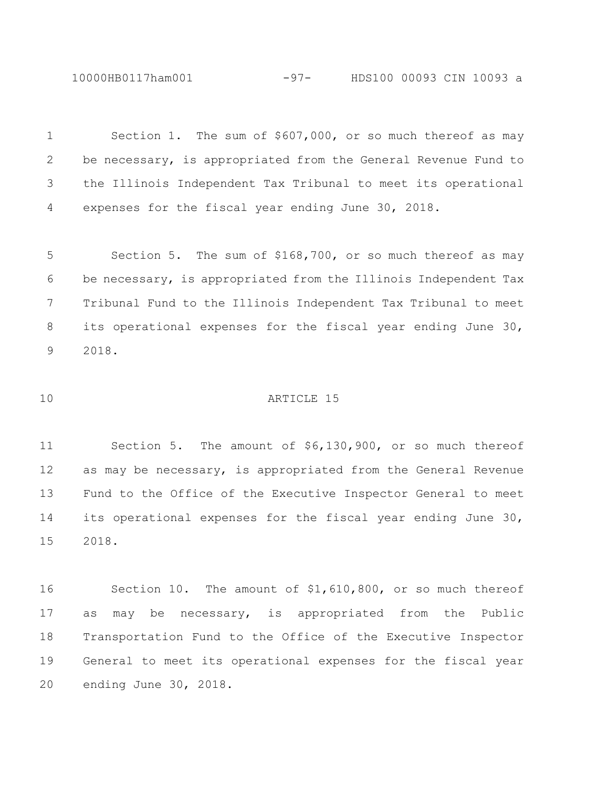10000HB0117ham001 -97- HDS100 00093 CIN 10093 a

 Section 1. The sum of \$607,000, or so much thereof as may be necessary, is appropriated from the General Revenue Fund to the Illinois Independent Tax Tribunal to meet its operational expenses for the fiscal year ending June 30, 2018. Section 5. The sum of \$168,700, or so much thereof as may be necessary, is appropriated from the Illinois Independent Tax Tribunal Fund to the Illinois Independent Tax Tribunal to meet its operational expenses for the fiscal year ending June 30,

2018.

## ARTICLE 15

 Section 5. The amount of \$6,130,900, or so much thereof as may be necessary, is appropriated from the General Revenue Fund to the Office of the Executive Inspector General to meet its operational expenses for the fiscal year ending June 30, 2018.

 Section 10. The amount of \$1,610,800, or so much thereof as may be necessary, is appropriated from the Public Transportation Fund to the Office of the Executive Inspector General to meet its operational expenses for the fiscal year ending June 30, 2018.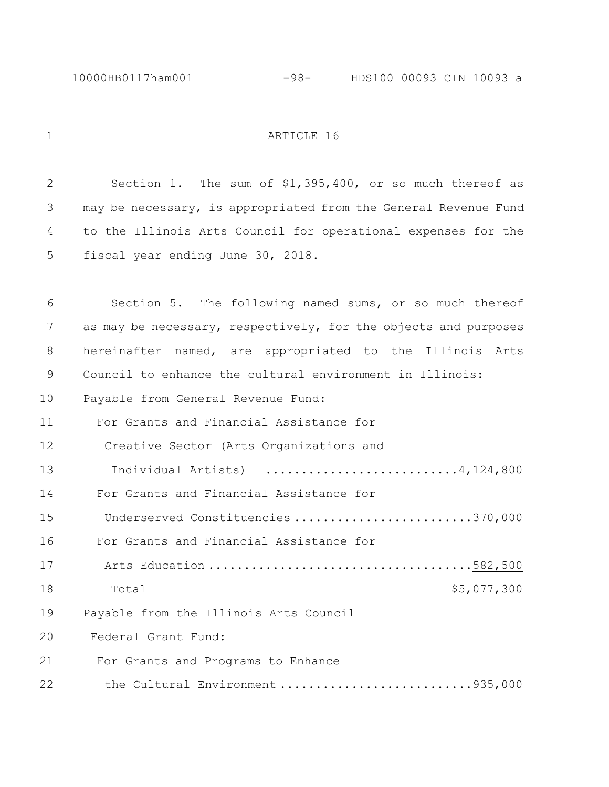#### 1 ARTICLE 16

 Section 1. The sum of \$1,395,400, or so much thereof as may be necessary, is appropriated from the General Revenue Fund to the Illinois Arts Council for operational expenses for the fiscal year ending June 30, 2018. Section 5. The following named sums, or so much thereof as may be necessary, respectively, for the objects and purposes hereinafter named, are appropriated to the Illinois Arts Council to enhance the cultural environment in Illinois: Payable from General Revenue Fund: For Grants and Financial Assistance for 12 Creative Sector (Arts Organizations and Individual Artists) ...........................4,124,800 For Grants and Financial Assistance for 15 Underserved Constituencies .........................370,000 For Grants and Financial Assistance for 17 Arts Education .....................................582,500 18 Total  $18$  Total  $5,077,300$  Payable from the Illinois Arts Council Federal Grant Fund: For Grants and Programs to Enhance 22 the Cultural Environment ...........................935,000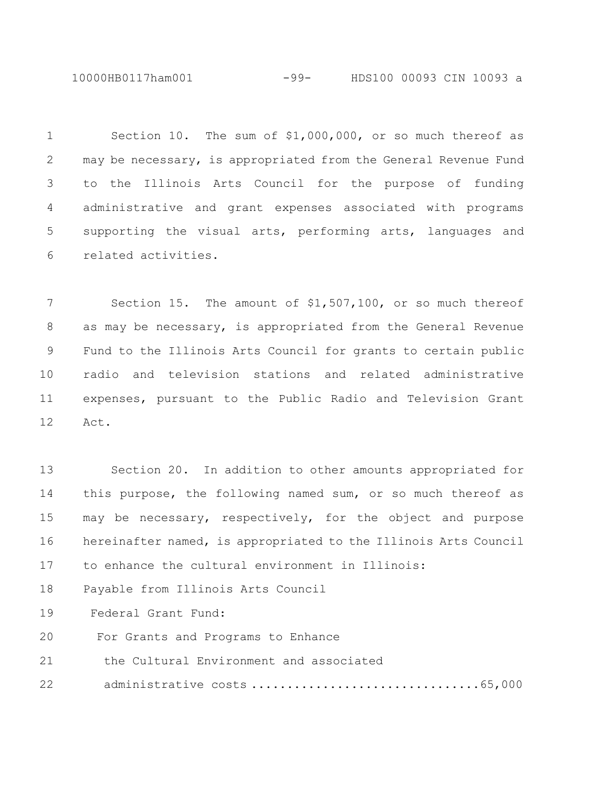10000HB0117ham001 -99- HDS100 00093 CIN 10093 a

 Section 10. The sum of \$1,000,000, or so much thereof as may be necessary, is appropriated from the General Revenue Fund to the Illinois Arts Council for the purpose of funding administrative and grant expenses associated with programs supporting the visual arts, performing arts, languages and related activities.

 Section 15. The amount of \$1,507,100, or so much thereof as may be necessary, is appropriated from the General Revenue Fund to the Illinois Arts Council for grants to certain public radio and television stations and related administrative expenses, pursuant to the Public Radio and Television Grant Act.

 Section 20. In addition to other amounts appropriated for this purpose, the following named sum, or so much thereof as may be necessary, respectively, for the object and purpose hereinafter named, is appropriated to the Illinois Arts Council to enhance the cultural environment in Illinois:

Payable from Illinois Arts Council

Federal Grant Fund:

For Grants and Programs to Enhance

the Cultural Environment and associated

administrative costs ................................65,000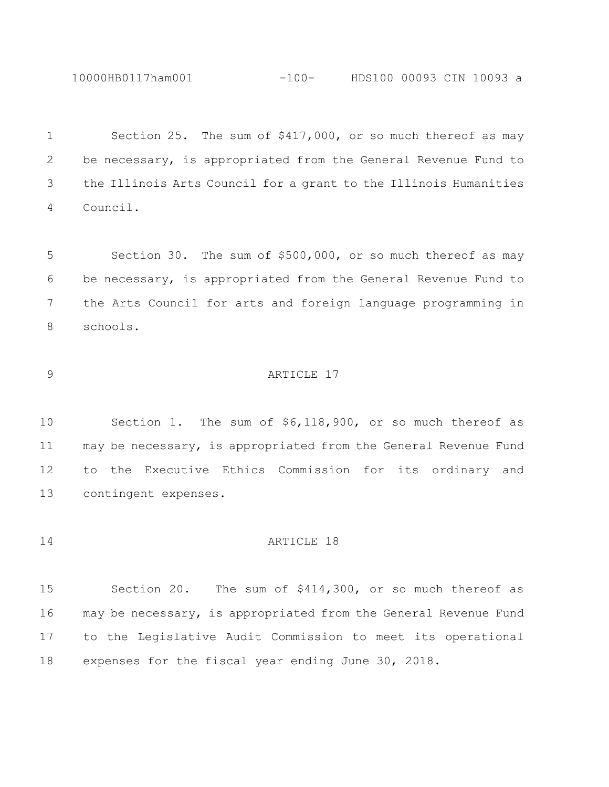10000HB0117ham001 -100- HDS100 00093 CIN 10093 a

 Section 25. The sum of \$417,000, or so much thereof as may be necessary, is appropriated from the General Revenue Fund to the Illinois Arts Council for a grant to the Illinois Humanities Council.

 Section 30. The sum of \$500,000, or so much thereof as may be necessary, is appropriated from the General Revenue Fund to the Arts Council for arts and foreign language programming in schools.

# ARTICLE 17

 Section 1. The sum of \$6,118,900, or so much thereof as may be necessary, is appropriated from the General Revenue Fund to the Executive Ethics Commission for its ordinary and contingent expenses.

# **ARTICLE** 18

 Section 20. The sum of \$414,300, or so much thereof as may be necessary, is appropriated from the General Revenue Fund to the Legislative Audit Commission to meet its operational expenses for the fiscal year ending June 30, 2018.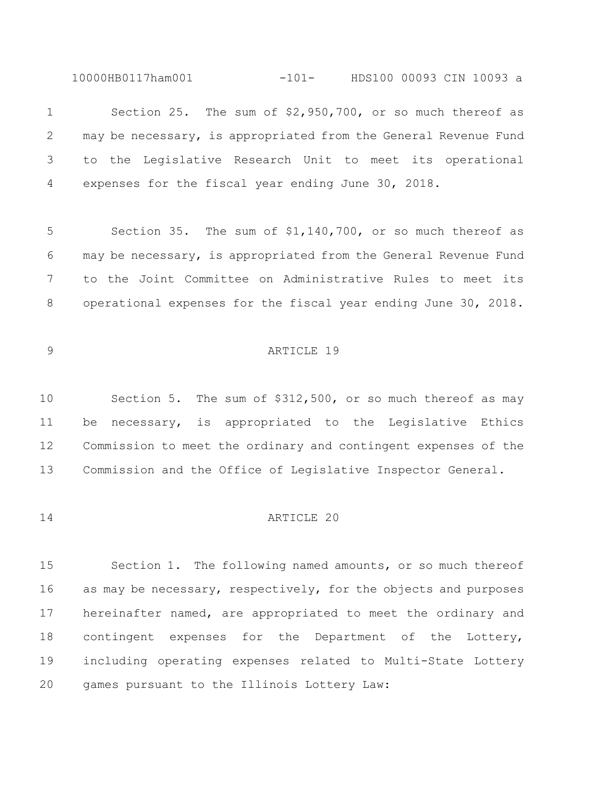10000HB0117ham001 -101- HDS100 00093 CIN 10093 a

 Section 25. The sum of \$2,950,700, or so much thereof as may be necessary, is appropriated from the General Revenue Fund to the Legislative Research Unit to meet its operational expenses for the fiscal year ending June 30, 2018.

 Section 35. The sum of \$1,140,700, or so much thereof as may be necessary, is appropriated from the General Revenue Fund to the Joint Committee on Administrative Rules to meet its operational expenses for the fiscal year ending June 30, 2018.

# 9 ARTICLE 19

 Section 5. The sum of \$312,500, or so much thereof as may be necessary, is appropriated to the Legislative Ethics Commission to meet the ordinary and contingent expenses of the Commission and the Office of Legislative Inspector General.

#### ARTICLE 20

 Section 1. The following named amounts, or so much thereof as may be necessary, respectively, for the objects and purposes hereinafter named, are appropriated to meet the ordinary and contingent expenses for the Department of the Lottery, including operating expenses related to Multi-State Lottery games pursuant to the Illinois Lottery Law: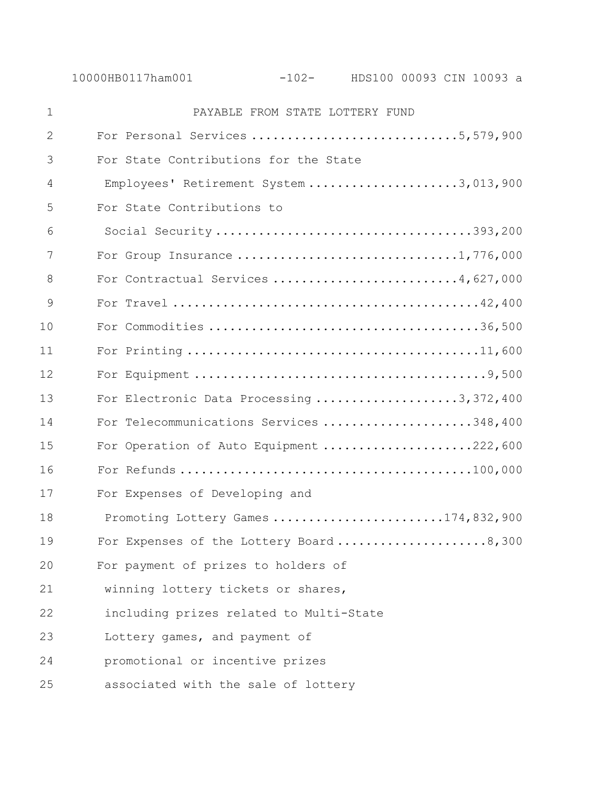| $\mathbf 1$ | PAYABLE FROM STATE LOTTERY FUND          |
|-------------|------------------------------------------|
| 2           | For Personal Services 5,579,900          |
| 3           | For State Contributions for the State    |
| 4           | Employees' Retirement System 3,013,900   |
| 5           | For State Contributions to               |
| 6           | Social Security393,200                   |
| 7           |                                          |
| 8           | For Contractual Services 4,627,000       |
| 9           |                                          |
| 10          |                                          |
| 11          |                                          |
| 12          |                                          |
| 13          | For Electronic Data Processing 3,372,400 |
| 14          | For Telecommunications Services 348,400  |
| 15          | For Operation of Auto Equipment 222,600  |
| 16          |                                          |
| 17          | For Expenses of Developing and           |
| 18          | Promoting Lottery Games 174,832,900      |
| 19          | For Expenses of the Lottery Board8,300   |
| 20          | For payment of prizes to holders of      |
| 21          | winning lottery tickets or shares,       |
| 22          | including prizes related to Multi-State  |
| 23          | Lottery games, and payment of            |
| 24          | promotional or incentive prizes          |
| 25          | associated with the sale of lottery      |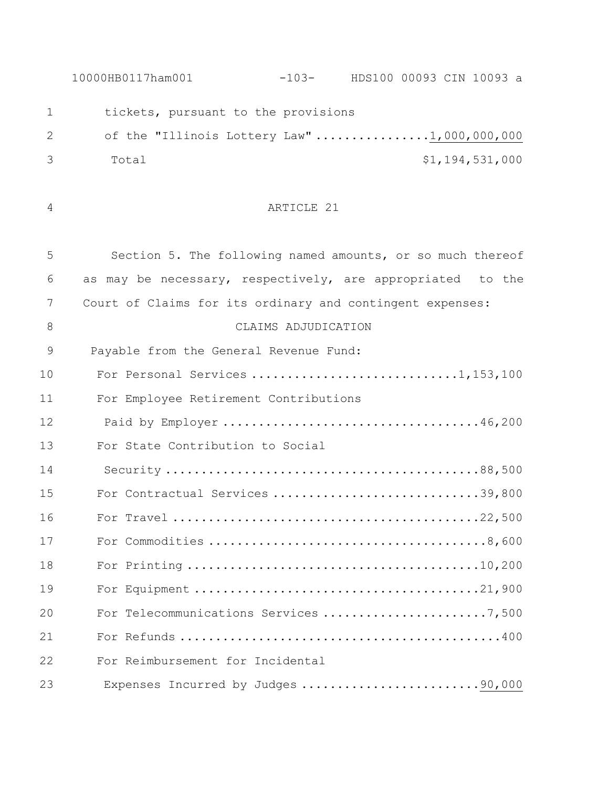10000HB0117ham001 -103- HDS100 00093 CIN 10093 a 1 tickets, pursuant to the provisions 2 of the "Illinois Lottery Law" .................1,000,000,000 Total \$1,194,531,000 ARTICLE 21 Section 5. The following named amounts, or so much thereof as may be necessary, respectively, are appropriated to the Court of Claims for its ordinary and contingent expenses: CLAIMS ADJUDICATION Payable from the General Revenue Fund: For Personal Services .............................1,153,100 For Employee Retirement Contributions Paid by Employer ....................................46,200 For State Contribution to Social Security ............................................88,500 For Contractual Services .............................39,800 For Travel ...........................................22,500 For Commodities .......................................8,600 For Printing .........................................10,200 For Equipment ........................................21,900 For Telecommunications Services .......................7,500 For Refunds .............................................400

Expenses Incurred by Judges .........................90,000

For Reimbursement for Incidental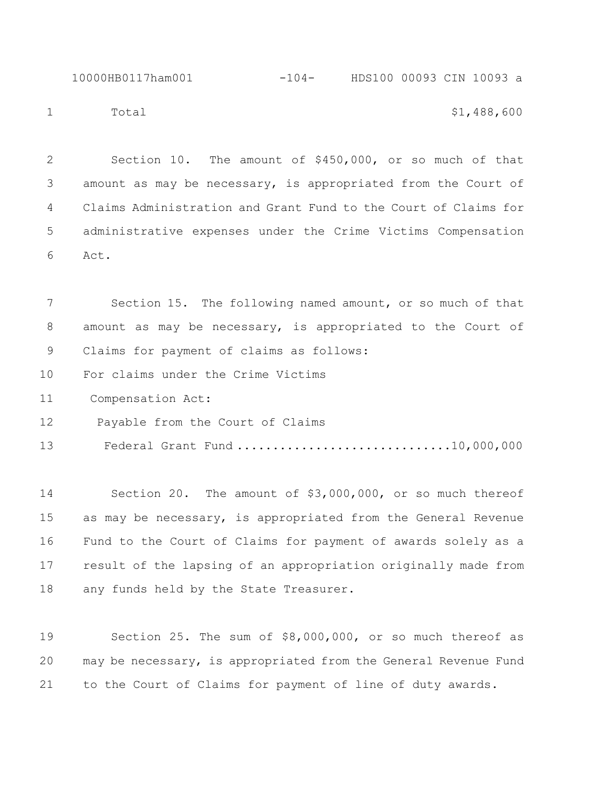10000HB0117ham001 -104- HDS100 00093 CIN 10093 a 1 Total \$1,488,600

 Section 10. The amount of \$450,000, or so much of that amount as may be necessary, is appropriated from the Court of Claims Administration and Grant Fund to the Court of Claims for administrative expenses under the Crime Victims Compensation Act.

 Section 15. The following named amount, or so much of that amount as may be necessary, is appropriated to the Court of Claims for payment of claims as follows:

For claims under the Crime Victims

Compensation Act:

Payable from the Court of Claims

Federal Grant Fund ..............................10,000,000

 Section 20. The amount of \$3,000,000, or so much thereof as may be necessary, is appropriated from the General Revenue Fund to the Court of Claims for payment of awards solely as a result of the lapsing of an appropriation originally made from any funds held by the State Treasurer.

 Section 25. The sum of \$8,000,000, or so much thereof as may be necessary, is appropriated from the General Revenue Fund to the Court of Claims for payment of line of duty awards.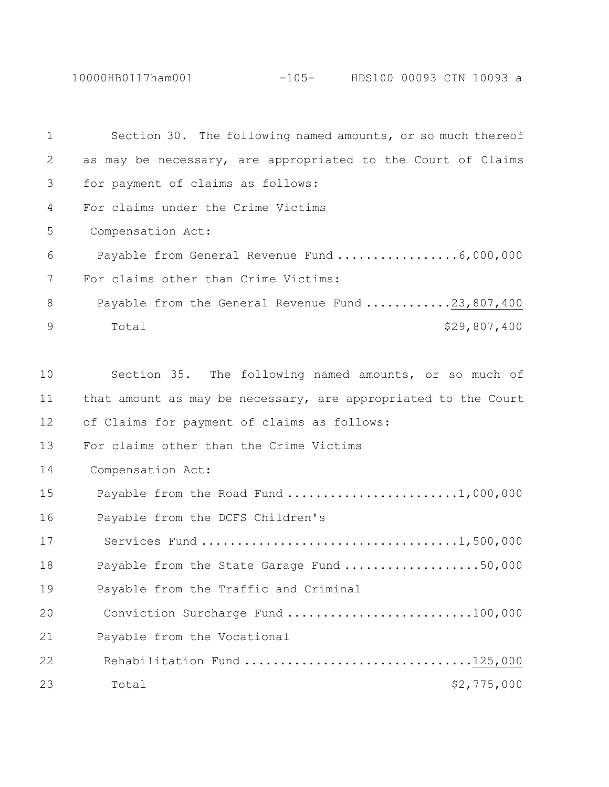10000HB0117ham001 -105- HDS100 00093 CIN 10093 a

| 1             | Section 30. The following named amounts, or so much thereof    |
|---------------|----------------------------------------------------------------|
| 2             | as may be necessary, are appropriated to the Court of Claims   |
| 3             | for payment of claims as follows:                              |
| 4             | For claims under the Crime Victims                             |
| 5             | Compensation Act:                                              |
| 6             |                                                                |
| 7             | For claims other than Crime Victims:                           |
| 8             | Payable from the General Revenue Fund 23,807,400               |
| $\mathcal{G}$ | \$29,807,400<br>Total                                          |
|               |                                                                |
| 10            | Section 35. The following named amounts, or so much of         |
| 11            | that amount as may be necessary, are appropriated to the Court |
| 12            | of Claims for payment of claims as follows:                    |
| 13            | For claims other than the Crime Victims                        |
| 14            | Compensation Act:                                              |
| 15            | Payable from the Road Fund 1,000,000                           |
| 16            | Payable from the DCFS Children's                               |
| 17            |                                                                |
| 18            | Payable from the State Garage Fund 50,000                      |
| 19            | Payable from the Traffic and Criminal                          |
| 20            | Conviction Surcharge Fund 100,000                              |
| 21            | Payable from the Vocational                                    |
| 22            | Rehabilitation Fund 125,000                                    |
| 23            | Total<br>\$2,775,000                                           |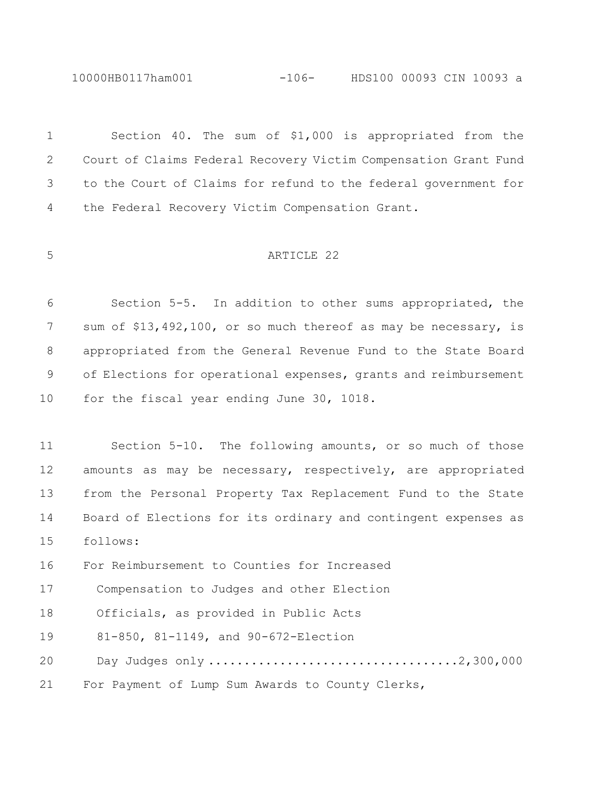10000HB0117ham001 -106- HDS100 00093 CIN 10093 a

 Section 40. The sum of \$1,000 is appropriated from the Court of Claims Federal Recovery Victim Compensation Grant Fund to the Court of Claims for refund to the federal government for the Federal Recovery Victim Compensation Grant. ARTICLE 22 Section 5-5. In addition to other sums appropriated, the sum of \$13,492,100, or so much thereof as may be necessary, is appropriated from the General Revenue Fund to the State Board of Elections for operational expenses, grants and reimbursement for the fiscal year ending June 30, 1018. Section 5-10. The following amounts, or so much of those 12 amounts as may be necessary, respectively, are appropriated from the Personal Property Tax Replacement Fund to the State Board of Elections for its ordinary and contingent expenses as follows: For Reimbursement to Counties for Increased Compensation to Judges and other Election Officials, as provided in Public Acts 81-850, 81-1149, and 90-672-Election Day Judges only ...................................2,300,000 For Payment of Lump Sum Awards to County Clerks,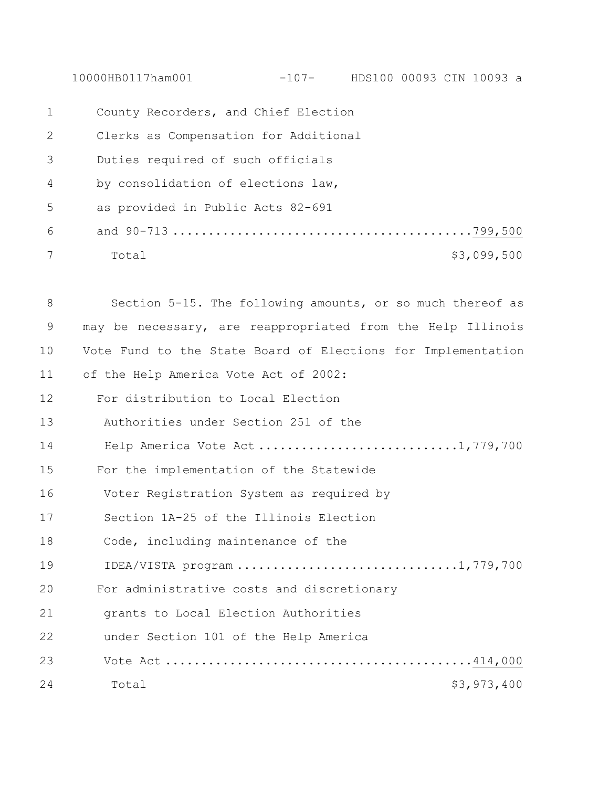10000HB0117ham001 -107- HDS100 00093 CIN 10093 a

| $\mathbf{1}$ | County Recorders, and Chief Election  |             |
|--------------|---------------------------------------|-------------|
| 2            | Clerks as Compensation for Additional |             |
| 3            | Duties required of such officials     |             |
| 4            | by consolidation of elections law,    |             |
| 5            | as provided in Public Acts 82-691     |             |
| 6            |                                       |             |
| 7            | Total                                 | \$3,099,500 |

 Section 5-15. The following amounts, or so much thereof as may be necessary, are reappropriated from the Help Illinois Vote Fund to the State Board of Elections for Implementation of the Help America Vote Act of 2002: For distribution to Local Election Authorities under Section 251 of the 14 Help America Vote Act ..............................1,779,700 For the implementation of the Statewide Voter Registration System as required by Section 1A-25 of the Illinois Election Code, including maintenance of the IDEA/VISTA program ...............................1,779,700 For administrative costs and discretionary grants to Local Election Authorities under Section 101 of the Help America Vote Act ...........................................414,000 24 Total 53,973,400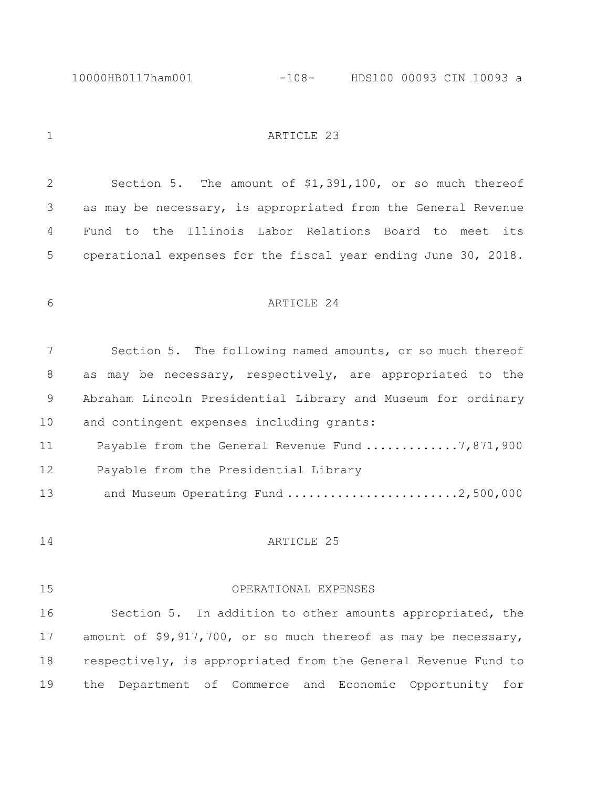10000HB0117ham001 -108- HDS100 00093 CIN 10093 a

1 ARTICLE 23

 Section 5. The amount of \$1,391,100, or so much thereof as may be necessary, is appropriated from the General Revenue Fund to the Illinois Labor Relations Board to meet its operational expenses for the fiscal year ending June 30, 2018.

ARTICLE 24

 Section 5. The following named amounts, or so much thereof as may be necessary, respectively, are appropriated to the Abraham Lincoln Presidential Library and Museum for ordinary and contingent expenses including grants:

11 Payable from the General Revenue Fund .............7,871,900 Payable from the Presidential Library

13 and Museum Operating Fund ............................2,500,000

## ARTICLE 25

### OPERATIONAL EXPENSES

 Section 5. In addition to other amounts appropriated, the amount of \$9,917,700, or so much thereof as may be necessary, respectively, is appropriated from the General Revenue Fund to the Department of Commerce and Economic Opportunity for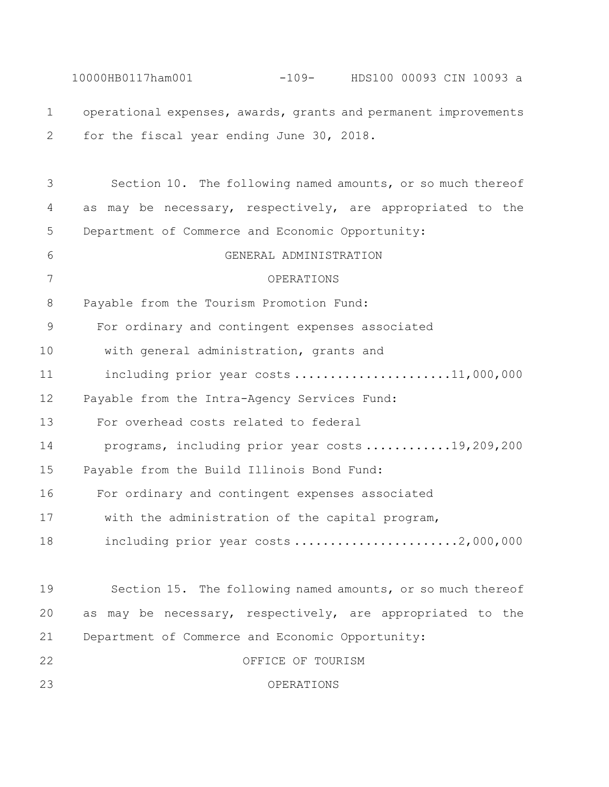10000HB0117ham001 -109- HDS100 00093 CIN 10093 a operational expenses, awards, grants and permanent improvements for the fiscal year ending June 30, 2018. Section 10. The following named amounts, or so much thereof as may be necessary, respectively, are appropriated to the Department of Commerce and Economic Opportunity: GENERAL ADMINISTRATION OPERATIONS Payable from the Tourism Promotion Fund: For ordinary and contingent expenses associated 10 with general administration, grants and 11 including prior year costs .......................11,000,000 Payable from the Intra-Agency Services Fund: For overhead costs related to federal 14 programs, including prior year costs ............19,209,200 Payable from the Build Illinois Bond Fund: For ordinary and contingent expenses associated 17 with the administration of the capital program, 18 including prior year costs ............................2,000,000 Section 15. The following named amounts, or so much thereof as may be necessary, respectively, are appropriated to the Department of Commerce and Economic Opportunity: OFFICE OF TOURISM OPERATIONS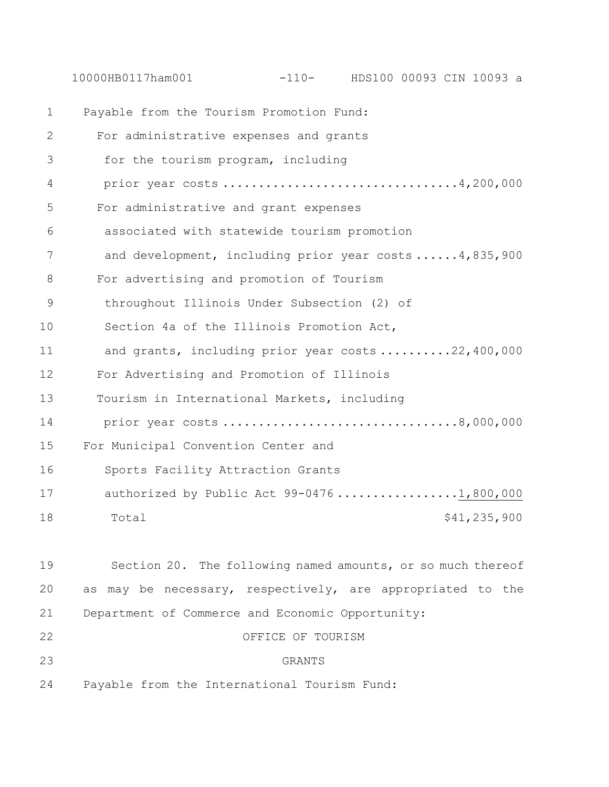10000HB0117ham001 -110- HDS100 00093 CIN 10093 a

| $\mathbf 1$   | Payable from the Tourism Promotion Fund:             |
|---------------|------------------------------------------------------|
| 2             | For administrative expenses and grants               |
| 3             | for the tourism program, including                   |
| 4             | prior year costs 4,200,000                           |
| 5             | For administrative and grant expenses                |
| 6             | associated with statewide tourism promotion          |
| 7             | and development, including prior year costs4,835,900 |
| 8             | For advertising and promotion of Tourism             |
| $\mathcal{G}$ | throughout Illinois Under Subsection (2) of          |
| 10            | Section 4a of the Illinois Promotion Act,            |
| 11            | and grants, including prior year costs 22,400,000    |
| 12            | For Advertising and Promotion of Illinois            |
| 13            | Tourism in International Markets, including          |
| 14            |                                                      |
| 15            | For Municipal Convention Center and                  |
| 16            | Sports Facility Attraction Grants                    |
| 17            | authorized by Public Act 99-04761,800,000            |
| 18            | \$41,235,900<br>Total                                |
|               |                                                      |

| 19 | Section 20. The following named amounts, or so much thereof |
|----|-------------------------------------------------------------|
| 20 | as may be necessary, respectively, are appropriated to the  |
| 21 | Department of Commerce and Economic Opportunity:            |
| 22 | OFFICE OF TOURISM                                           |
| 23 | GRANTS                                                      |
| 24 | Payable from the International Tourism Fund:                |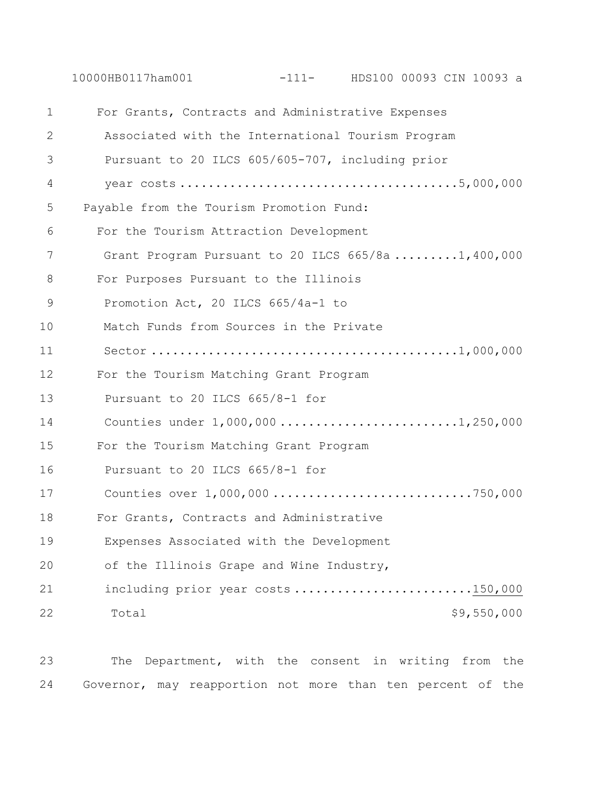10000HB0117ham001 -111- HDS100 00093 CIN 10093 a

| 1  | For Grants, Contracts and Administrative Expenses  |
|----|----------------------------------------------------|
| 2  | Associated with the International Tourism Program  |
| 3  | Pursuant to 20 ILCS 605/605-707, including prior   |
| 4  |                                                    |
| 5  | Payable from the Tourism Promotion Fund:           |
| 6  | For the Tourism Attraction Development             |
| 7  | Grant Program Pursuant to 20 ILCS 665/8a 1,400,000 |
| 8  | For Purposes Pursuant to the Illinois              |
| 9  | Promotion Act, 20 ILCS 665/4a-1 to                 |
| 10 | Match Funds from Sources in the Private            |
| 11 |                                                    |
| 12 | For the Tourism Matching Grant Program             |
| 13 | Pursuant to 20 ILCS 665/8-1 for                    |
| 14 | Counties under 1,000,000 1,250,000                 |
| 15 | For the Tourism Matching Grant Program             |
| 16 | Pursuant to 20 ILCS 665/8-1 for                    |
| 17 |                                                    |
| 18 | For Grants, Contracts and Administrative           |
| 19 | Expenses Associated with the Development           |
| 20 | of the Illinois Grape and Wine Industry,           |
| 21 | including prior year costs 150,000                 |
| 22 | \$9,550,000<br>Total                               |

23 The Department, with the consent in writing from the 24 Governor, may reapportion not more than ten percent of the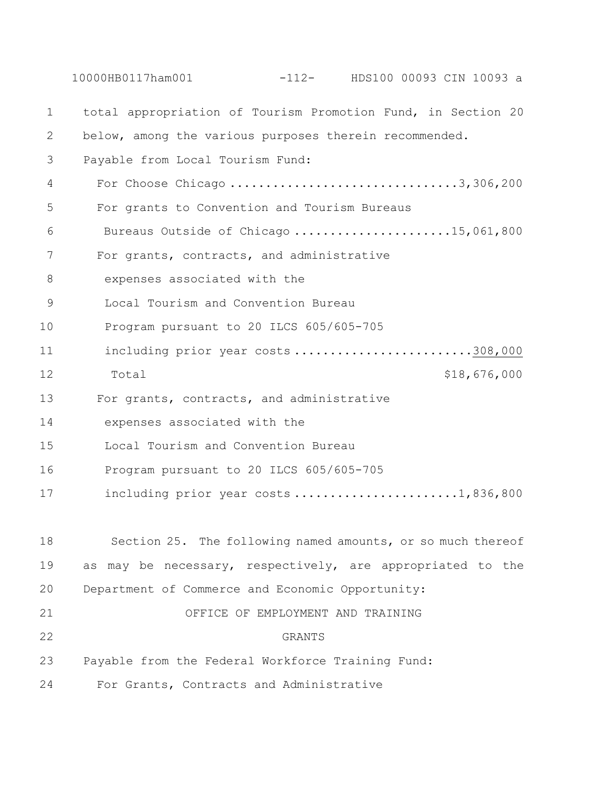10000HB0117ham001 -112- HDS100 00093 CIN 10093 a 1 total appropriation of Tourism Promotion Fund, in Section 20 2 below, among the various purposes therein recommended. 3 Payable from Local Tourism Fund: 4 For Choose Chicago ................................3,306,200 5 For grants to Convention and Tourism Bureaus 6 Bureaus Outside of Chicago ......................15,061,800 7 For grants, contracts, and administrative 8 expenses associated with the 9 Local Tourism and Convention Bureau 10 Program pursuant to 20 ILCS 605/605-705 11 including prior year costs ............................308,000 12 Total 518,676,000 13 For grants, contracts, and administrative 14 expenses associated with the 15 Local Tourism and Convention Bureau 16 Program pursuant to 20 ILCS 605/605-705 17 including prior year costs ........................1,836,800 18 Section 25. The following named amounts, or so much thereof 19 as may be necessary, respectively, are appropriated to the 20 Department of Commerce and Economic Opportunity: 21 OFFICE OF EMPLOYMENT AND TRAINING 22 GRANTS 23 Payable from the Federal Workforce Training Fund: 24 For Grants, Contracts and Administrative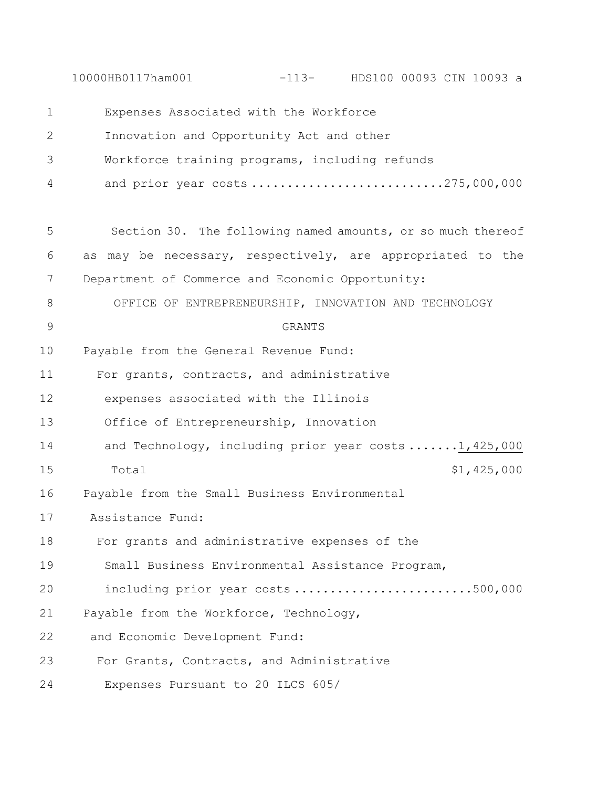10000HB0117ham001 -113- HDS100 00093 CIN 10093 a 1 Expenses Associated with the Workforce 2 Innovation and Opportunity Act and other 3 Workforce training programs, including refunds 4 and prior year costs ...........................275,000,000 5 Section 30. The following named amounts, or so much thereof 6 as may be necessary, respectively, are appropriated to the 7 Department of Commerce and Economic Opportunity: 8 OFFICE OF ENTREPRENEURSHIP, INNOVATION AND TECHNOLOGY 9 GRANTS 10 Payable from the General Revenue Fund: 11 For grants, contracts, and administrative 12 expenses associated with the Illinois 13 Office of Entrepreneurship, Innovation 14 and Technology, including prior year costs ......1,425,000 15 Total  $15$  Total  $1,425,000$ 16 Payable from the Small Business Environmental 17 Assistance Fund: 18 For grants and administrative expenses of the 19 Small Business Environmental Assistance Program, 20 including prior year costs .........................500,000 21 Payable from the Workforce, Technology, 22 and Economic Development Fund: 23 For Grants, Contracts, and Administrative 24 Expenses Pursuant to 20 ILCS 605/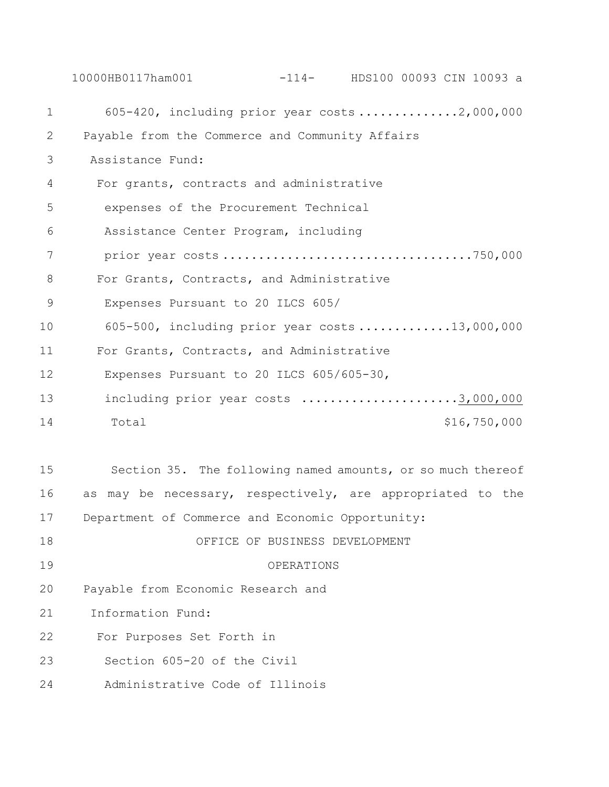10000HB0117ham001 -114- HDS100 00093 CIN 10093 a 1 605-420, including prior year costs ..............2,000,000 2 Payable from the Commerce and Community Affairs 3 Assistance Fund: 4 For grants, contracts and administrative 5 expenses of the Procurement Technical 6 Assistance Center Program, including 7 prior year costs ...................................750,000 8 For Grants, Contracts, and Administrative 9 Expenses Pursuant to 20 ILCS 605/ 10 605-500, including prior year costs .............13,000,000 11 For Grants, Contracts, and Administrative 12 Expenses Pursuant to 20 ILCS 605/605-30, 13 including prior year costs ........................3,000,000 14 Total \$16,750,000 15 Section 35. The following named amounts, or so much thereof 16 as may be necessary, respectively, are appropriated to the

17 Department of Commerce and Economic Opportunity:

- 18 OFFICE OF BUSINESS DEVELOPMENT
- 19 OPERATIONS
- 20 Payable from Economic Research and
- 21 Information Fund:
- 22 For Purposes Set Forth in
- 23 Section 605-20 of the Civil
- 24 Administrative Code of Illinois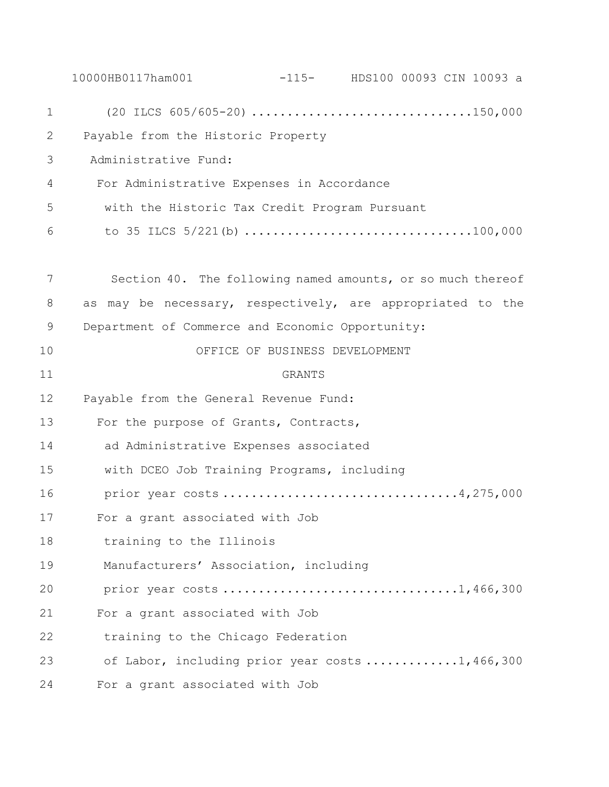|             | 10000HB0117ham001                                |                                | $-115$ - HDS100 00093 CIN 10093 a                                                                                    |
|-------------|--------------------------------------------------|--------------------------------|----------------------------------------------------------------------------------------------------------------------|
| $\mathbf 1$ |                                                  |                                | $(20 \text{ ILCS } 605/605-20) \ldots \ldots \ldots \ldots \ldots \ldots \ldots \ldots \ldots \ldots \ldots 150,000$ |
| 2           | Payable from the Historic Property               |                                |                                                                                                                      |
| 3           | Administrative Fund:                             |                                |                                                                                                                      |
| 4           | For Administrative Expenses in Accordance        |                                |                                                                                                                      |
| 5           | with the Historic Tax Credit Program Pursuant    |                                |                                                                                                                      |
| 6           |                                                  |                                | to 35 ILCS $5/221$ (b) 100,000                                                                                       |
| 7           |                                                  |                                | Section 40. The following named amounts, or so much thereof                                                          |
| 8           | as                                               |                                | may be necessary, respectively, are appropriated to the                                                              |
| 9           | Department of Commerce and Economic Opportunity: |                                |                                                                                                                      |
| 10          |                                                  | OFFICE OF BUSINESS DEVELOPMENT |                                                                                                                      |
| 11          |                                                  | <b>GRANTS</b>                  |                                                                                                                      |
| 12          | Payable from the General Revenue Fund:           |                                |                                                                                                                      |
| 13          | For the purpose of Grants, Contracts,            |                                |                                                                                                                      |
| 14          | ad Administrative Expenses associated            |                                |                                                                                                                      |
| 15          | with DCEO Job Training Programs, including       |                                |                                                                                                                      |
| 16          |                                                  |                                | prior year costs 4,275,000                                                                                           |
| 17          | For a grant associated with Job                  |                                |                                                                                                                      |
| 18          | training to the Illinois                         |                                |                                                                                                                      |
| 19          | Manufacturers' Association, including            |                                |                                                                                                                      |
| 20          |                                                  |                                |                                                                                                                      |
| 21          | For a grant associated with Job                  |                                |                                                                                                                      |
| 22          | training to the Chicago Federation               |                                |                                                                                                                      |
| 23          |                                                  |                                | of Labor, including prior year costs 1,466,300                                                                       |
| 24          | For a grant associated with Job                  |                                |                                                                                                                      |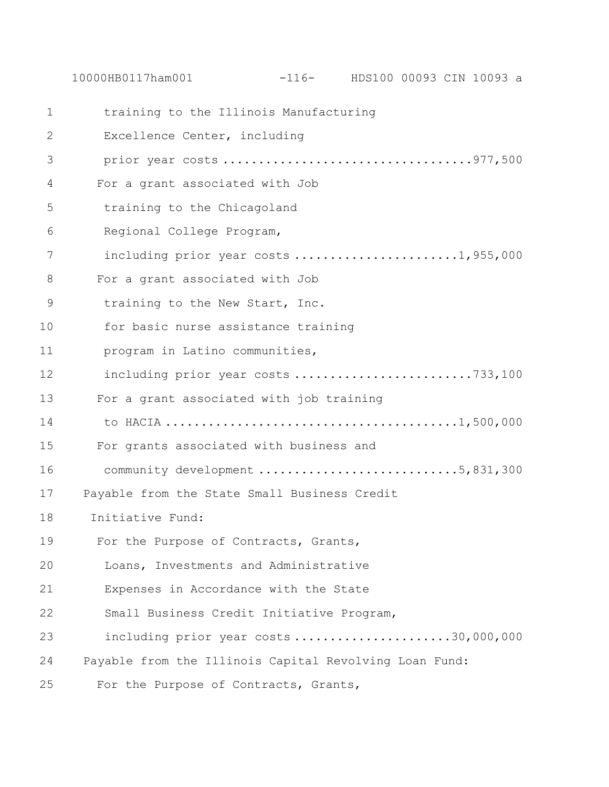10000HB0117ham001 -116- HDS100 00093 CIN 10093 a

 training to the Illinois Manufacturing Excellence Center, including prior year costs ...................................977,500 For a grant associated with Job training to the Chicagoland Regional College Program, 7 including prior year costs ........................1,955,000 For a grant associated with Job training to the New Start, Inc. for basic nurse assistance training program in Latino communities, 12 including prior year costs ...............................733,100 For a grant associated with job training to HACIA .........................................1,500,000 For grants associated with business and 16 community development ...................................5,831,300 Payable from the State Small Business Credit Initiative Fund: For the Purpose of Contracts, Grants, 20 Loans, Investments and Administrative 21 Expenses in Accordance with the State 22 Small Business Credit Initiative Program, 23 including prior year costs ........................30,000,000 Payable from the Illinois Capital Revolving Loan Fund: For the Purpose of Contracts, Grants,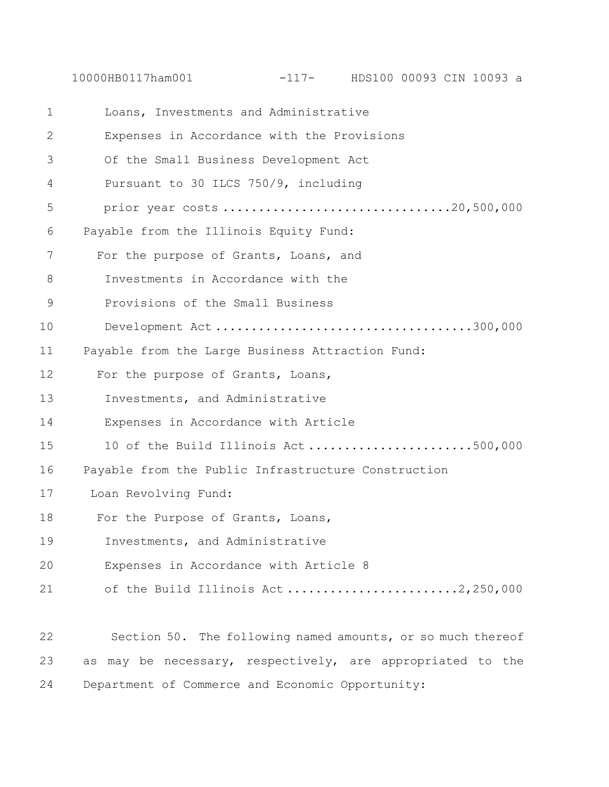| $\mathbf 1$  | Loans, Investments and Administrative                       |
|--------------|-------------------------------------------------------------|
| $\mathbf{2}$ | Expenses in Accordance with the Provisions                  |
| 3            | Of the Small Business Development Act                       |
| 4            | Pursuant to 30 ILCS 750/9, including                        |
| 5            | prior year costs 20,500,000                                 |
| 6            | Payable from the Illinois Equity Fund:                      |
| 7            | For the purpose of Grants, Loans, and                       |
| 8            | Investments in Accordance with the                          |
| $\mathsf 9$  | Provisions of the Small Business                            |
| 10           | Development Act300,000                                      |
| 11           | Payable from the Large Business Attraction Fund:            |
| 12           | For the purpose of Grants, Loans,                           |
| 13           | Investments, and Administrative                             |
| 14           | Expenses in Accordance with Article                         |
| 15           | 10 of the Build Illinois Act500,000                         |
| 16           | Payable from the Public Infrastructure Construction         |
| 17           | Loan Revolving Fund:                                        |
| 18           | For the Purpose of Grants, Loans,                           |
| 19           | Investments, and Administrative                             |
| 20           | Expenses in Accordance with Article 8                       |
| 21           | of the Build Illinois Act2,250,000                          |
|              |                                                             |
| 22           | Section 50. The following named amounts, or so much thereof |
| 23           | as may be necessary, respectively, are appropriated to the  |
| 24           | Department of Commerce and Economic Opportunity:            |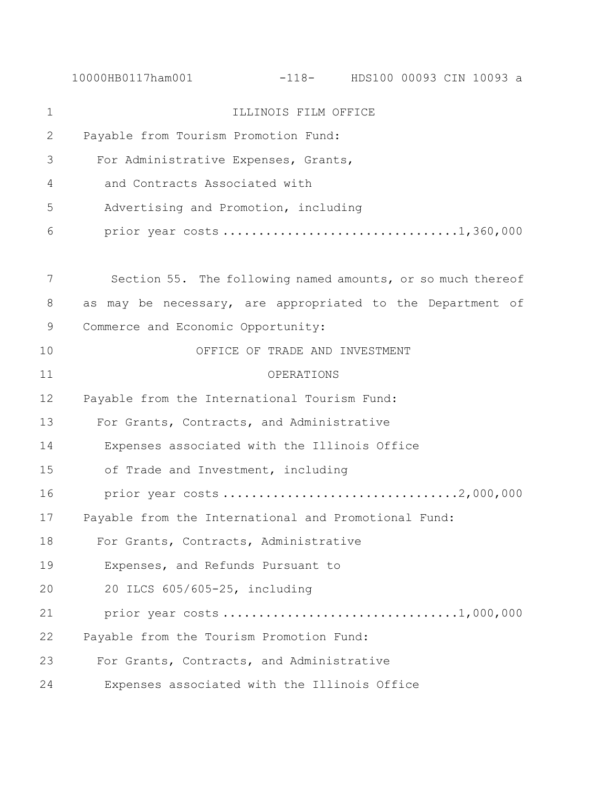10000HB0117ham001 -118- HDS100 00093 CIN 10093 a 1 ILLINOIS FILM OFFICE 2 Payable from Tourism Promotion Fund: 3 For Administrative Expenses, Grants, 4 and Contracts Associated with 5 Advertising and Promotion, including 6 prior year costs .................................1,360,000 7 Section 55. The following named amounts, or so much thereof 8 as may be necessary, are appropriated to the Department of 9 Commerce and Economic Opportunity: 10 OFFICE OF TRADE AND INVESTMENT 11 OPERATIONS 12 Payable from the International Tourism Fund: 13 For Grants, Contracts, and Administrative 14 Expenses associated with the Illinois Office 15 of Trade and Investment, including 16 prior year costs .................................2,000,000 17 Payable from the International and Promotional Fund: 18 For Grants, Contracts, Administrative 19 Expenses, and Refunds Pursuant to 20 20 ILCS 605/605-25, including 21 prior year costs .................................1,000,000 22 Payable from the Tourism Promotion Fund: 23 For Grants, Contracts, and Administrative 24 Expenses associated with the Illinois Office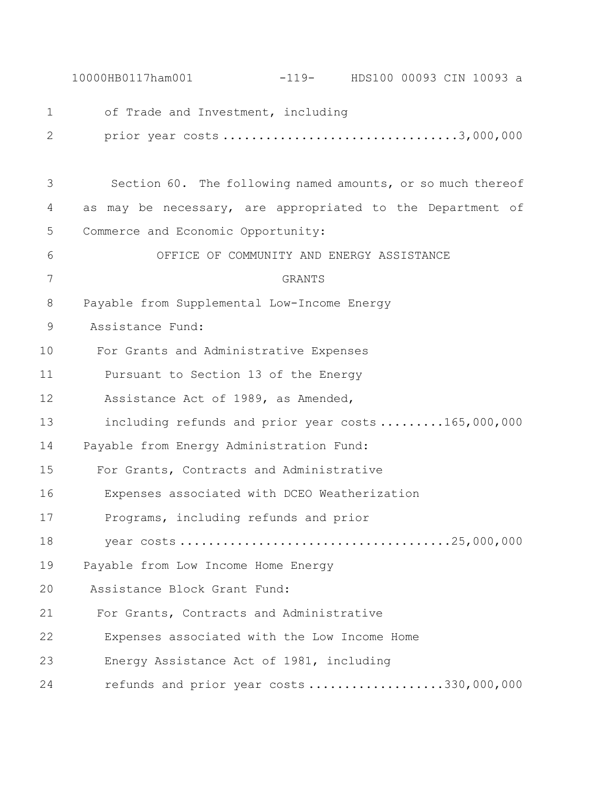|    | $-119-$ HDS100 00093 CIN 10093 a<br>10000HB0117ham001       |
|----|-------------------------------------------------------------|
| 1  | of Trade and Investment, including                          |
| 2  |                                                             |
| 3  | Section 60. The following named amounts, or so much thereof |
| 4  | as may be necessary, are appropriated to the Department of  |
| 5  | Commerce and Economic Opportunity:                          |
| 6  | OFFICE OF COMMUNITY AND ENERGY ASSISTANCE                   |
| 7  | GRANTS                                                      |
| 8  | Payable from Supplemental Low-Income Energy                 |
| 9  | Assistance Fund:                                            |
| 10 | For Grants and Administrative Expenses                      |
| 11 | Pursuant to Section 13 of the Energy                        |
| 12 | Assistance Act of 1989, as Amended,                         |
| 13 | including refunds and prior year costs165,000,000           |
| 14 | Payable from Energy Administration Fund:                    |
| 15 | For Grants, Contracts and Administrative                    |
| 16 | Expenses associated with DCEO Weatherization                |
| 17 | Programs, including refunds and prior                       |
| 18 |                                                             |
| 19 | Payable from Low Income Home Energy                         |
| 20 | Assistance Block Grant Fund:                                |
| 21 | For Grants, Contracts and Administrative                    |
| 22 | Expenses associated with the Low Income Home                |
| 23 | Energy Assistance Act of 1981, including                    |
| 24 | refunds and prior year costs 330,000,000                    |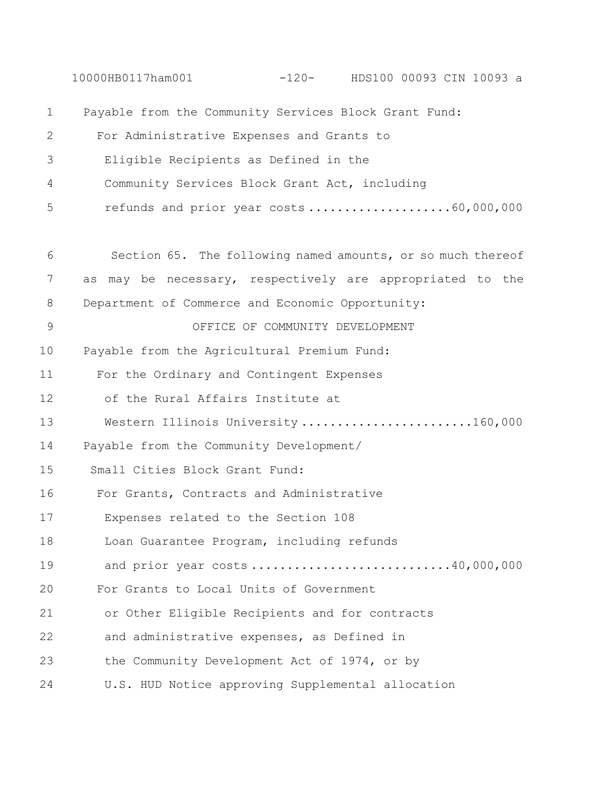10000HB0117ham001 -120- HDS100 00093 CIN 10093 a 1 Payable from the Community Services Block Grant Fund: 2 For Administrative Expenses and Grants to 3 Eligible Recipients as Defined in the 4 Community Services Block Grant Act, including 5 refunds and prior year costs ...........................60,000,000 6 Section 65. The following named amounts, or so much thereof 7 as may be necessary, respectively are appropriated to the 8 Department of Commerce and Economic Opportunity: 9 OFFICE OF COMMUNITY DEVELOPMENT 10 Payable from the Agricultural Premium Fund: 11 For the Ordinary and Contingent Expenses 12 of the Rural Affairs Institute at 13 Western Illinois University ........................160,000 14 Payable from the Community Development/ 15 Small Cities Block Grant Fund: 16 For Grants, Contracts and Administrative 17 Expenses related to the Section 108 18 Loan Guarantee Program, including refunds 19 and prior year costs ............................40,000,000 20 For Grants to Local Units of Government 21 or Other Eligible Recipients and for contracts 22 and administrative expenses, as Defined in 23 the Community Development Act of 1974, or by 24 U.S. HUD Notice approving Supplemental allocation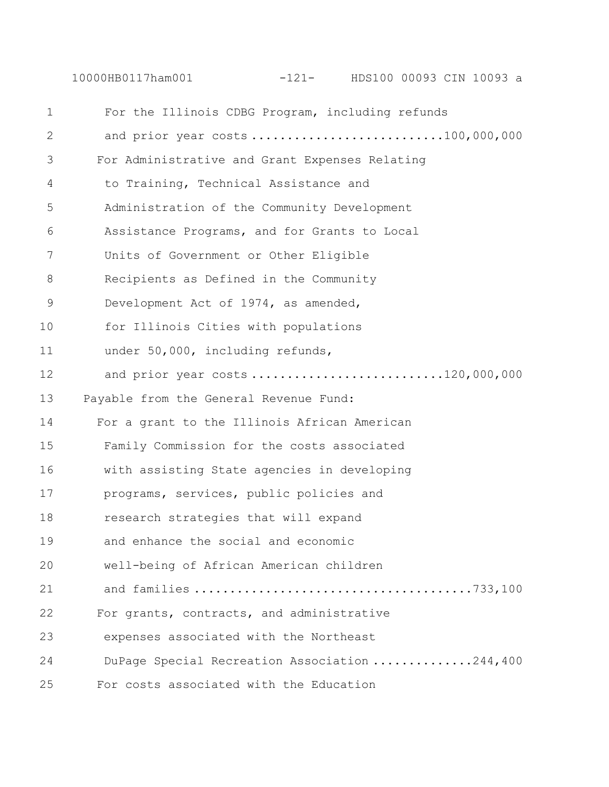10000HB0117ham001 -121- HDS100 00093 CIN 10093 a

| 1  | For the Illinois CDBG Program, including refunds |
|----|--------------------------------------------------|
| 2  | and prior year costs 100,000,000                 |
| 3  | For Administrative and Grant Expenses Relating   |
| 4  | to Training, Technical Assistance and            |
| 5  | Administration of the Community Development      |
| 6  | Assistance Programs, and for Grants to Local     |
| 7  | Units of Government or Other Eligible            |
| 8  | Recipients as Defined in the Community           |
| 9  | Development Act of 1974, as amended,             |
| 10 | for Illinois Cities with populations             |
| 11 | under 50,000, including refunds,                 |
| 12 | and prior year costs120,000,000                  |
| 13 | Payable from the General Revenue Fund:           |
| 14 | For a grant to the Illinois African American     |
| 15 | Family Commission for the costs associated       |
| 16 | with assisting State agencies in developing      |
| 17 | programs, services, public policies and          |
| 18 | research strategies that will expand             |
| 19 | and enhance the social and economic              |
| 20 | well-being of African American children          |
| 21 |                                                  |
| 22 | For grants, contracts, and administrative        |
| 23 | expenses associated with the Northeast           |
| 24 | DuPage Special Recreation Association 244,400    |
| 25 | For costs associated with the Education          |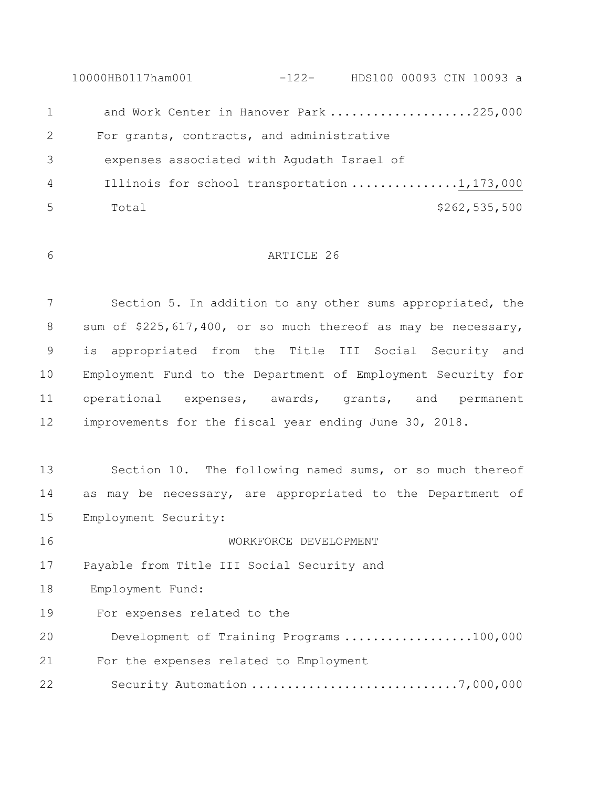10000HB0117ham001 -122- HDS100 00093 CIN 10093 a 1 and Work Center in Hanover Park ....................225,000 For grants, contracts, and administrative 3 expenses associated with Agudath Israel of Illinois for school transportation ...............1,173,000 Total \$262,535,500

### ARTICLE 26

 Section 5. In addition to any other sums appropriated, the 8 sum of \$225,617,400, or so much thereof as may be necessary, is appropriated from the Title III Social Security and Employment Fund to the Department of Employment Security for operational expenses, awards, grants, and permanent improvements for the fiscal year ending June 30, 2018.

 Section 10. The following named sums, or so much thereof as may be necessary, are appropriated to the Department of Employment Security:

 WORKFORCE DEVELOPMENT Payable from Title III Social Security and Employment Fund: For expenses related to the Development of Training Programs ..................100,000 For the expenses related to Employment Security Automation .............................7,000,000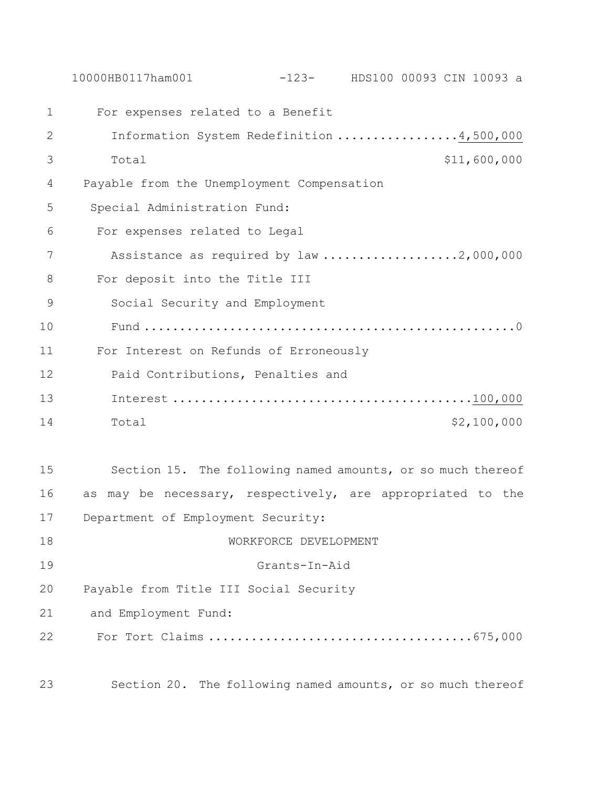|    | $-123$ - HDS100 00093 CIN 10093 a<br>10000HB0117ham001      |  |
|----|-------------------------------------------------------------|--|
| 1  | For expenses related to a Benefit                           |  |
| 2  | Information System Redefinition 4,500,000                   |  |
| 3  | \$11,600,000<br>Total                                       |  |
| 4  | Payable from the Unemployment Compensation                  |  |
| 5  | Special Administration Fund:                                |  |
| 6  | For expenses related to Legal                               |  |
| 7  | Assistance as required by law 2,000,000                     |  |
| 8  | For deposit into the Title III                              |  |
| 9  | Social Security and Employment                              |  |
| 10 |                                                             |  |
| 11 | For Interest on Refunds of Erroneously                      |  |
| 12 | Paid Contributions, Penalties and                           |  |
| 13 |                                                             |  |
| 14 | \$2,100,000<br>Total                                        |  |
|    |                                                             |  |
| 15 | Section 15. The following named amounts, or so much thereof |  |
| 16 | as may be necessary, respectively, are appropriated to the  |  |
| 17 | Department of Employment Security:                          |  |
| 18 | WORKFORCE DEVELOPMENT                                       |  |
| 19 | Grants-In-Aid                                               |  |
| 20 | Payable from Title III Social Security                      |  |
| 21 | and Employment Fund:                                        |  |
| 22 |                                                             |  |
| 23 | Section 20. The following named amounts, or so much thereof |  |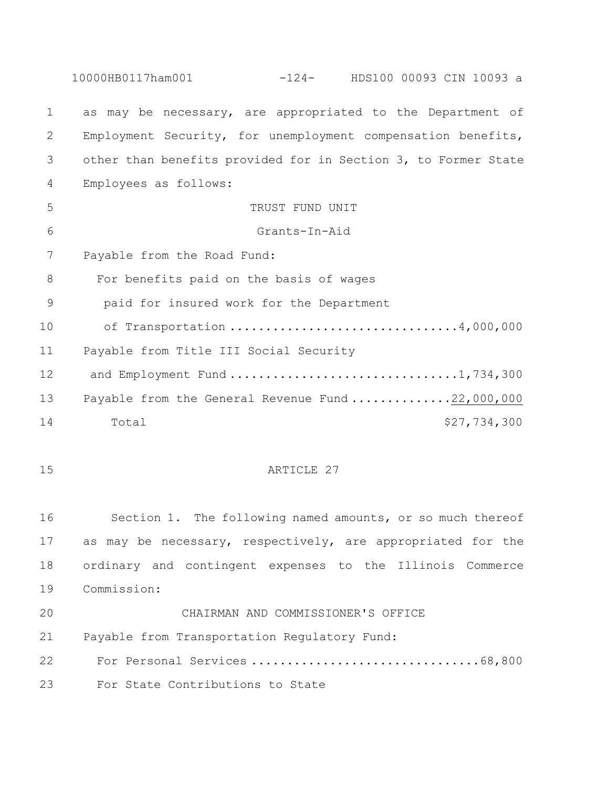10000HB0117ham001 -124- HDS100 00093 CIN 10093 a as may be necessary, are appropriated to the Department of Employment Security, for unemployment compensation benefits, other than benefits provided for in Section 3, to Former State Employees as follows: 5 TRUST FUND UNIT Grants-In-Aid Payable from the Road Fund: For benefits paid on the basis of wages paid for insured work for the Department of Transportation ................................4,000,000 Payable from Title III Social Security 12 and Employment Fund ..................................1,734,300 Payable from the General Revenue Fund ..............22,000,000 14 Total  $\sim$  Total  $\sim$  14  $\sim$  527,734,300 15 ARTICLE 27 Section 1. The following named amounts, or so much thereof as may be necessary, respectively, are appropriated for the ordinary and contingent expenses to the Illinois Commerce Commission: CHAIRMAN AND COMMISSIONER'S OFFICE Payable from Transportation Regulatory Fund: For Personal Services ................................68,800 For State Contributions to State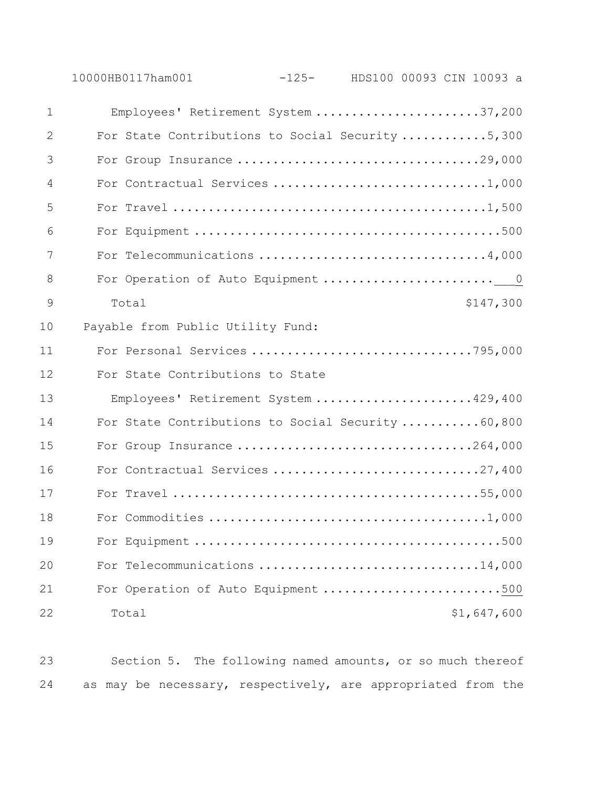| 1  | Employees' Retirement System 37,200                |  |
|----|----------------------------------------------------|--|
| 2  | For State Contributions to Social Security 5,300   |  |
| 3  | For Group Insurance 29,000                         |  |
| 4  |                                                    |  |
| 5  |                                                    |  |
| 6  |                                                    |  |
| 7  | For Telecommunications 4,000                       |  |
| 8  |                                                    |  |
| 9  | Total<br>\$147,300                                 |  |
| 10 | Payable from Public Utility Fund:                  |  |
| 11 | For Personal Services 795,000                      |  |
| 12 | For State Contributions to State                   |  |
| 13 | Employees' Retirement System 429,400               |  |
| 14 | For State Contributions to Social Security  60,800 |  |
| 15 | For Group Insurance 264,000                        |  |
| 16 |                                                    |  |
| 17 |                                                    |  |
| 18 |                                                    |  |
| 19 |                                                    |  |
| 20 | For Telecommunications 14,000                      |  |
| 21 | For Operation of Auto Equipment 500                |  |
| 22 | \$1,647,600<br>Total                               |  |

 Section 5. The following named amounts, or so much thereof as may be necessary, respectively, are appropriated from the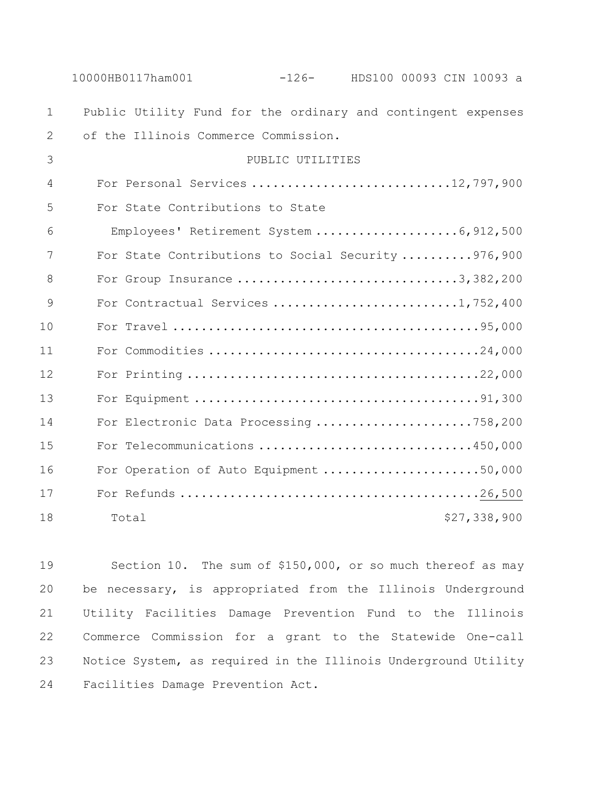|              | 10000HB0117ham001<br>$-126$ - HDS100 00093 CIN 10093 a       |  |
|--------------|--------------------------------------------------------------|--|
| $\mathbf{1}$ | Public Utility Fund for the ordinary and contingent expenses |  |
| 2            | of the Illinois Commerce Commission.                         |  |
| 3            | PUBLIC UTILITIES                                             |  |
| 4            | For Personal Services 12,797,900                             |  |
| 5            | For State Contributions to State                             |  |
| 6            |                                                              |  |
| 7            | For State Contributions to Social Security 976,900           |  |
| 8            | For Group Insurance 3, 382, 200                              |  |
| 9            |                                                              |  |
| 10           |                                                              |  |
| 11           |                                                              |  |
| 12           |                                                              |  |
| 13           |                                                              |  |
| 14           | For Electronic Data Processing 758,200                       |  |
| 15           | For Telecommunications 450,000                               |  |
| 16           | For Operation of Auto Equipment 50,000                       |  |
| 17           |                                                              |  |
| 18           | \$27,338,900<br>Total                                        |  |

 Section 10. The sum of \$150,000, or so much thereof as may be necessary, is appropriated from the Illinois Underground Utility Facilities Damage Prevention Fund to the Illinois Commerce Commission for a grant to the Statewide One-call Notice System, as required in the Illinois Underground Utility Facilities Damage Prevention Act.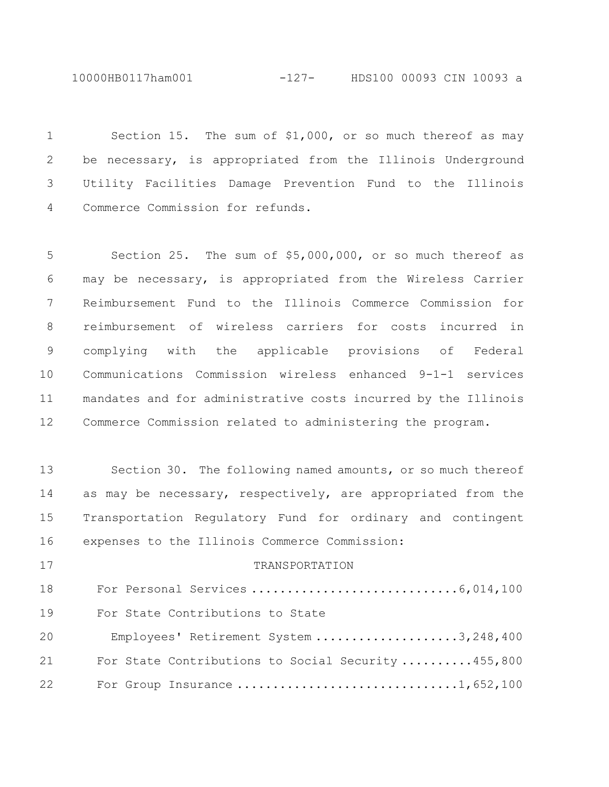10000HB0117ham001 -127- HDS100 00093 CIN 10093 a

 Section 15. The sum of \$1,000, or so much thereof as may be necessary, is appropriated from the Illinois Underground Utility Facilities Damage Prevention Fund to the Illinois Commerce Commission for refunds.

 Section 25. The sum of \$5,000,000, or so much thereof as may be necessary, is appropriated from the Wireless Carrier Reimbursement Fund to the Illinois Commerce Commission for reimbursement of wireless carriers for costs incurred in complying with the applicable provisions of Federal Communications Commission wireless enhanced 9-1-1 services mandates and for administrative costs incurred by the Illinois Commerce Commission related to administering the program.

 Section 30. The following named amounts, or so much thereof 14 as may be necessary, respectively, are appropriated from the Transportation Regulatory Fund for ordinary and contingent expenses to the Illinois Commerce Commission: 17 TRANSPORTATION

 For Personal Services .............................6,014,100 For State Contributions to State Employees' Retirement System ....................3,248,400 For State Contributions to Social Security ..........455,800 22 For Group Insurance .................................1,652,100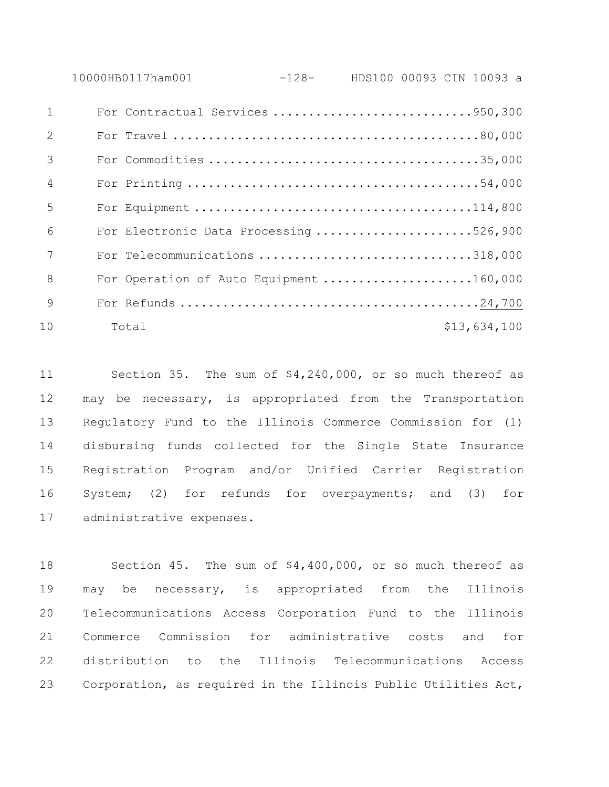10000HB0117ham001 -128- HDS100 00093 CIN 10093 a For Contractual Services ............................950,300 For Travel ...........................................80,000 For Commodities ......................................35,000 For Printing .........................................54,000 For Equipment .......................................114,800 For Electronic Data Processing ......................526,900 For Telecommunications ..............................318,000

8 For Operation of Auto Equipment .....................160,000 For Refunds ..........................................24,700 10 Total \$13,634,100

 Section 35. The sum of \$4,240,000, or so much thereof as may be necessary, is appropriated from the Transportation Regulatory Fund to the Illinois Commerce Commission for (1) disbursing funds collected for the Single State Insurance Registration Program and/or Unified Carrier Registration System; (2) for refunds for overpayments; and (3) for administrative expenses.

 Section 45. The sum of \$4,400,000, or so much thereof as may be necessary, is appropriated from the Illinois Telecommunications Access Corporation Fund to the Illinois Commerce Commission for administrative costs and for distribution to the Illinois Telecommunications Access Corporation, as required in the Illinois Public Utilities Act,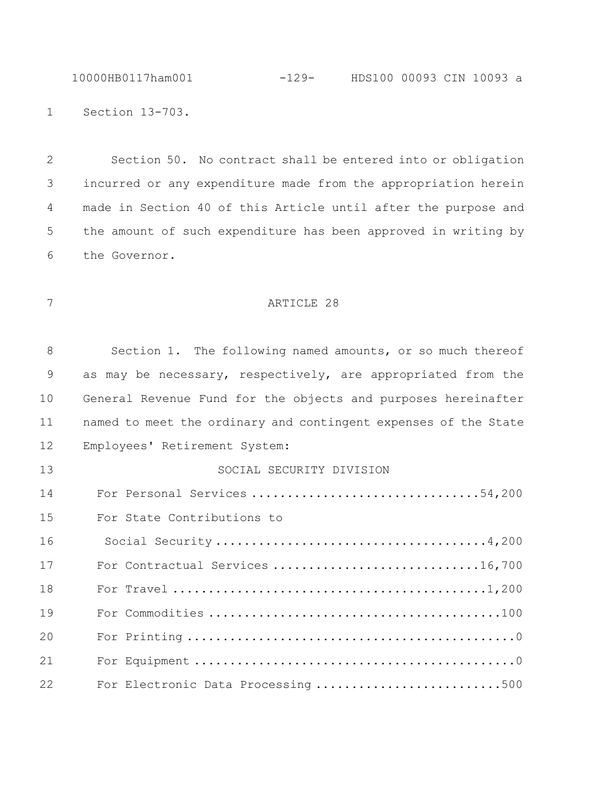10000HB0117ham001 -129- HDS100 00093 CIN 10093 a

Section 13-703.

 Section 50. No contract shall be entered into or obligation incurred or any expenditure made from the appropriation herein made in Section 40 of this Article until after the purpose and the amount of such expenditure has been approved in writing by the Governor.

## 7 ARTICLE 28

| 8  | Section 1. The following named amounts, or so much thereof      |
|----|-----------------------------------------------------------------|
| 9  | as may be necessary, respectively, are appropriated from the    |
| 10 | General Revenue Fund for the objects and purposes hereinafter   |
| 11 | named to meet the ordinary and contingent expenses of the State |
| 12 | Employees' Retirement System:                                   |
| 13 | SOCIAL SECURITY DIVISION                                        |
| 14 | For Personal Services 54,200                                    |
| 15 | For State Contributions to                                      |
| 16 |                                                                 |
| 17 | For Contractual Services 16,700                                 |
| 18 |                                                                 |
| 19 |                                                                 |
| 20 |                                                                 |
| 21 |                                                                 |
| 22 | For Electronic Data Processing 500                              |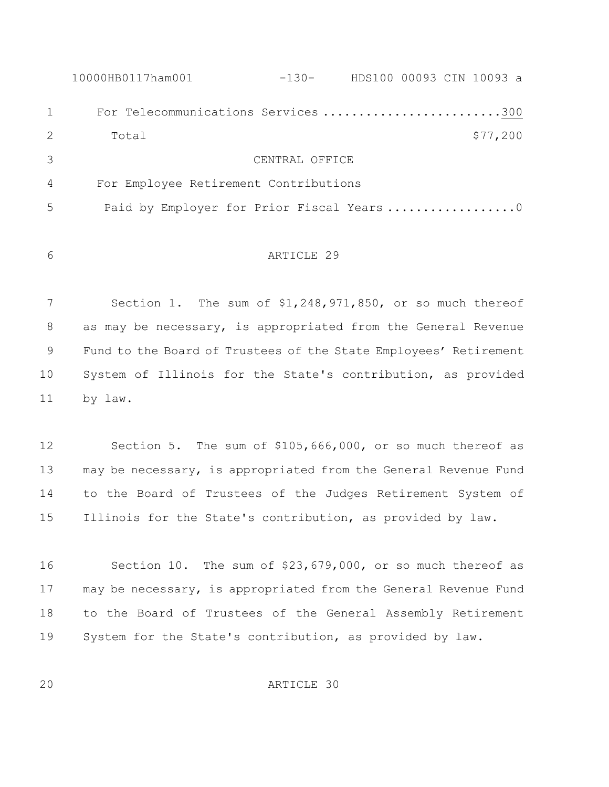|              | 10000HB0117ham001                         | $-130-$        | HDS100 00093 CIN 10093 a |  |          |  |
|--------------|-------------------------------------------|----------------|--------------------------|--|----------|--|
| $\mathbf{1}$ | For Telecommunications Services 300       |                |                          |  |          |  |
| 2            | Total                                     |                |                          |  | \$77,200 |  |
| 3            |                                           | CENTRAL OFFICE |                          |  |          |  |
| 4            | For Employee Retirement Contributions     |                |                          |  |          |  |
| .5           | Paid by Employer for Prior Fiscal Years 0 |                |                          |  |          |  |
|              |                                           |                |                          |  |          |  |

```
6 ARTICLE 29
```
 Section 1. The sum of \$1,248,971,850, or so much thereof 8 as may be necessary, is appropriated from the General Revenue Fund to the Board of Trustees of the State Employees' Retirement System of Illinois for the State's contribution, as provided by law.

 Section 5. The sum of \$105,666,000, or so much thereof as may be necessary, is appropriated from the General Revenue Fund to the Board of Trustees of the Judges Retirement System of Illinois for the State's contribution, as provided by law.

 Section 10. The sum of \$23,679,000, or so much thereof as may be necessary, is appropriated from the General Revenue Fund to the Board of Trustees of the General Assembly Retirement System for the State's contribution, as provided by law.

ARTICLE 30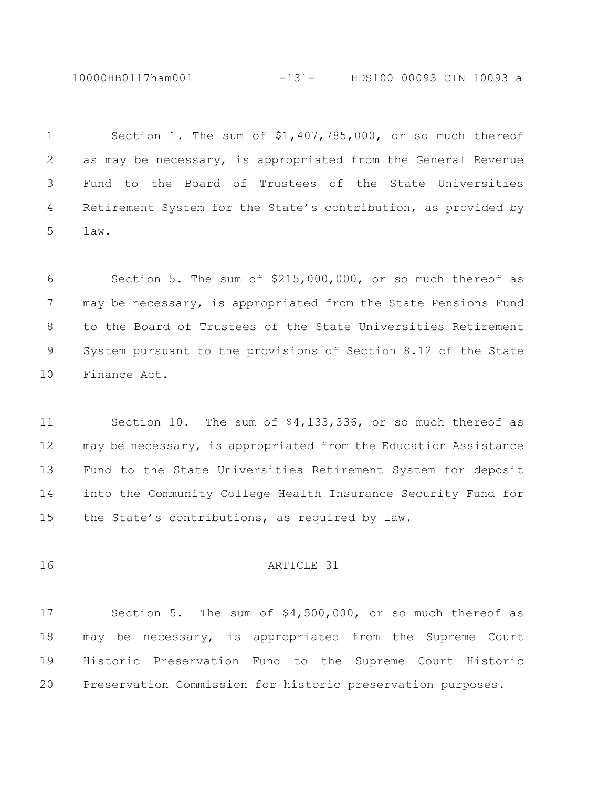10000HB0117ham001 -131- HDS100 00093 CIN 10093 a

 Section 1. The sum of \$1,407,785,000, or so much thereof as may be necessary, is appropriated from the General Revenue Fund to the Board of Trustees of the State Universities Retirement System for the State's contribution, as provided by law.

 Section 5. The sum of \$215,000,000, or so much thereof as 7 may be necessary, is appropriated from the State Pensions Fund to the Board of Trustees of the State Universities Retirement System pursuant to the provisions of Section 8.12 of the State Finance Act.

 Section 10. The sum of \$4,133,336, or so much thereof as may be necessary, is appropriated from the Education Assistance Fund to the State Universities Retirement System for deposit into the Community College Health Insurance Security Fund for 15 the State's contributions, as required by law.

16 ARTICLE 31

 Section 5. The sum of \$4,500,000, or so much thereof as may be necessary, is appropriated from the Supreme Court Historic Preservation Fund to the Supreme Court Historic Preservation Commission for historic preservation purposes.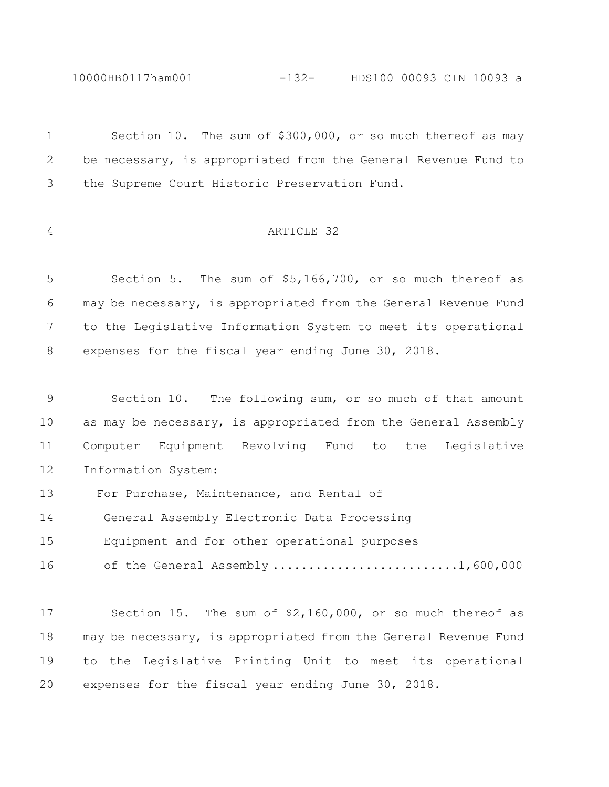```
10000HB0117ham001 -132- HDS100 00093 CIN 10093 a
```

| $\mathbf 1$     | Section 10. The sum of \$300,000, or so much thereof as may     |
|-----------------|-----------------------------------------------------------------|
| 2               | be necessary, is appropriated from the General Revenue Fund to  |
| 3               | the Supreme Court Historic Preservation Fund.                   |
| 4               | ARTICLE 32                                                      |
| 5               | Section 5. The sum of \$5,166,700, or so much thereof as        |
| 6               | may be necessary, is appropriated from the General Revenue Fund |
| $7\phantom{.0}$ | to the Legislative Information System to meet its operational   |
| 8               | expenses for the fiscal year ending June 30, 2018.              |
| 9               | Section 10. The following sum, or so much of that amount        |
| 10              | as may be necessary, is appropriated from the General Assembly  |
| 11              | Computer Equipment Revolving Fund to the<br>Legislative         |
| 12              | Information System:                                             |
| 13              | For Purchase, Maintenance, and Rental of                        |
| 14              | General Assembly Electronic Data Processing                     |
| 15              | Equipment and for other operational purposes                    |
| 16              | of the General Assembly 1,600,000                               |
| 17              | Section 15. The sum of $$2,160,000$ , or so much thereof as     |
| 18              | may be necessary, is appropriated from the General Revenue Fund |
| 19              | to the Legislative Printing Unit to meet its operational        |
| 20              | expenses for the fiscal year ending June 30, 2018.              |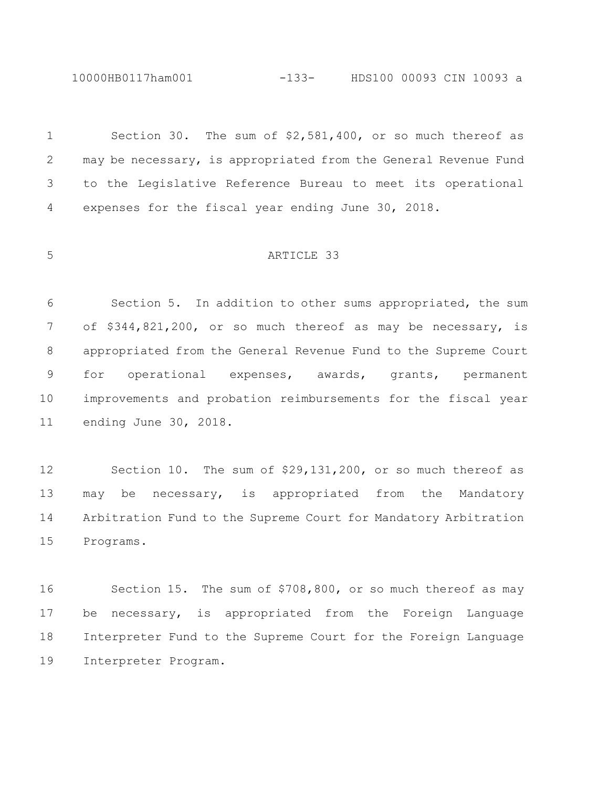10000HB0117ham001 -133- HDS100 00093 CIN 10093 a

 Section 30. The sum of \$2,581,400, or so much thereof as may be necessary, is appropriated from the General Revenue Fund to the Legislative Reference Bureau to meet its operational expenses for the fiscal year ending June 30, 2018.

#### ARTICLE 33

 Section 5. In addition to other sums appropriated, the sum of \$344,821,200, or so much thereof as may be necessary, is appropriated from the General Revenue Fund to the Supreme Court for operational expenses, awards, grants, permanent improvements and probation reimbursements for the fiscal year ending June 30, 2018.

 Section 10. The sum of \$29,131,200, or so much thereof as may be necessary, is appropriated from the Mandatory Arbitration Fund to the Supreme Court for Mandatory Arbitration Programs.

 Section 15. The sum of \$708,800, or so much thereof as may be necessary, is appropriated from the Foreign Language Interpreter Fund to the Supreme Court for the Foreign Language Interpreter Program.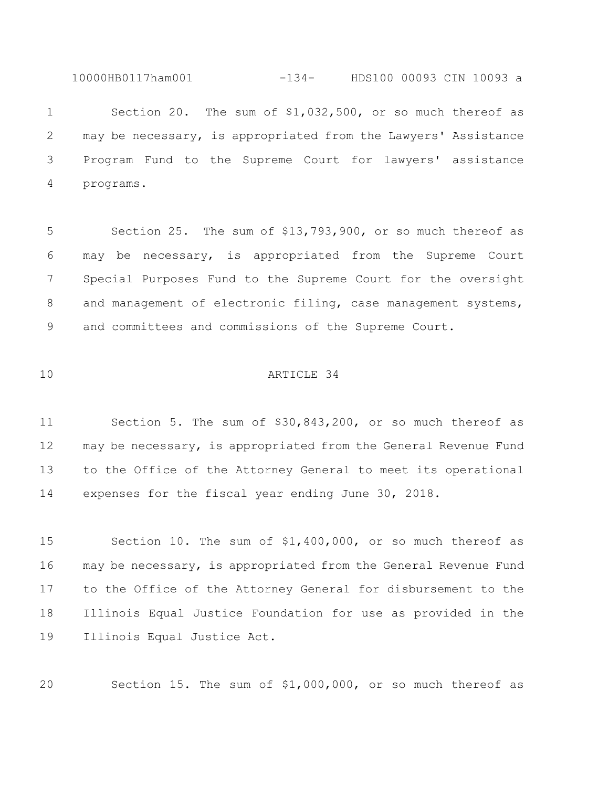10000HB0117ham001 -134- HDS100 00093 CIN 10093 a

 Section 20. The sum of \$1,032,500, or so much thereof as may be necessary, is appropriated from the Lawyers' Assistance Program Fund to the Supreme Court for lawyers' assistance programs.

 Section 25. The sum of \$13,793,900, or so much thereof as may be necessary, is appropriated from the Supreme Court Special Purposes Fund to the Supreme Court for the oversight 8 and management of electronic filing, case management systems, and committees and commissions of the Supreme Court.

### ARTICLE 34

 Section 5. The sum of \$30,843,200, or so much thereof as may be necessary, is appropriated from the General Revenue Fund to the Office of the Attorney General to meet its operational expenses for the fiscal year ending June 30, 2018.

 Section 10. The sum of \$1,400,000, or so much thereof as may be necessary, is appropriated from the General Revenue Fund to the Office of the Attorney General for disbursement to the Illinois Equal Justice Foundation for use as provided in the Illinois Equal Justice Act.

Section 15. The sum of \$1,000,000, or so much thereof as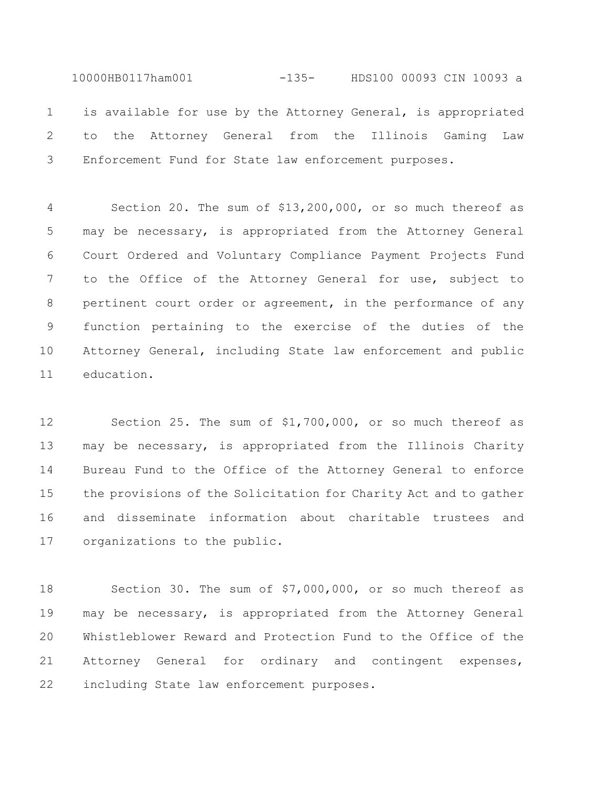10000HB0117ham001 -135- HDS100 00093 CIN 10093 a is available for use by the Attorney General, is appropriated to the Attorney General from the Illinois Gaming Law Enforcement Fund for State law enforcement purposes.

 Section 20. The sum of \$13,200,000, or so much thereof as may be necessary, is appropriated from the Attorney General Court Ordered and Voluntary Compliance Payment Projects Fund to the Office of the Attorney General for use, subject to pertinent court order or agreement, in the performance of any function pertaining to the exercise of the duties of the Attorney General, including State law enforcement and public education.

 Section 25. The sum of \$1,700,000, or so much thereof as may be necessary, is appropriated from the Illinois Charity Bureau Fund to the Office of the Attorney General to enforce the provisions of the Solicitation for Charity Act and to gather and disseminate information about charitable trustees and organizations to the public.

 Section 30. The sum of \$7,000,000, or so much thereof as may be necessary, is appropriated from the Attorney General Whistleblower Reward and Protection Fund to the Office of the Attorney General for ordinary and contingent expenses, including State law enforcement purposes.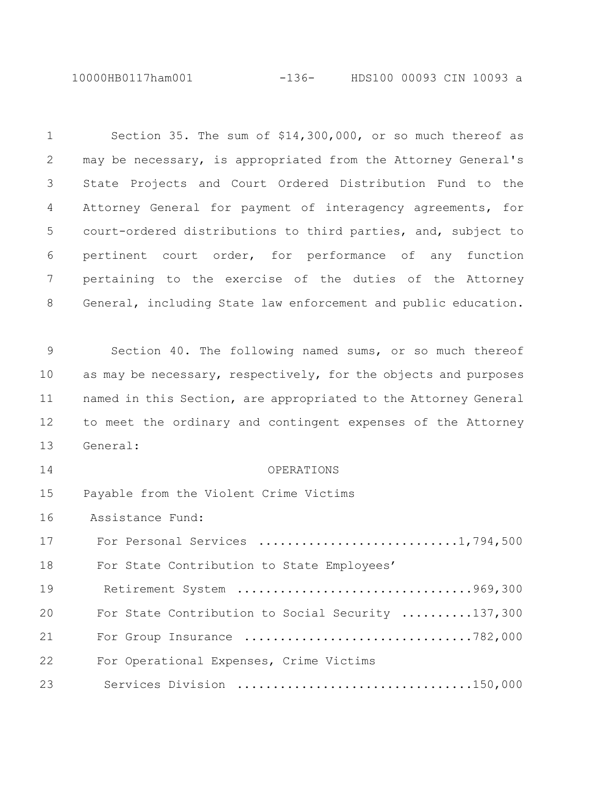10000HB0117ham001 -136- HDS100 00093 CIN 10093 a

| 1  | Section 35. The sum of \$14,300,000, or so much thereof as      |
|----|-----------------------------------------------------------------|
| 2  | may be necessary, is appropriated from the Attorney General's   |
| 3  | State Projects and Court Ordered Distribution Fund to the       |
| 4  | Attorney General for payment of interagency agreements, for     |
| 5  | court-ordered distributions to third parties, and, subject to   |
| 6  | pertinent court order, for performance of any function          |
| 7  | pertaining to the exercise of the duties of the Attorney        |
| 8  | General, including State law enforcement and public education.  |
|    |                                                                 |
| 9  | Section 40. The following named sums, or so much thereof        |
| 10 | as may be necessary, respectively, for the objects and purposes |
| 11 | named in this Section, are appropriated to the Attorney General |
| 12 | to meet the ordinary and contingent expenses of the Attorney    |
| 13 | General:                                                        |
| 14 | OPERATIONS                                                      |
| 15 | Payable from the Violent Crime Victims                          |
| 16 | Assistance Fund:                                                |
| 17 |                                                                 |
| 18 | For State Contribution to State Employees'                      |
| 19 |                                                                 |
| 20 | For State Contribution to Social Security 137,300               |
| 21 | For Group Insurance 782,000                                     |
| 22 | For Operational Expenses, Crime Victims                         |
| 23 | Services Division 150,000                                       |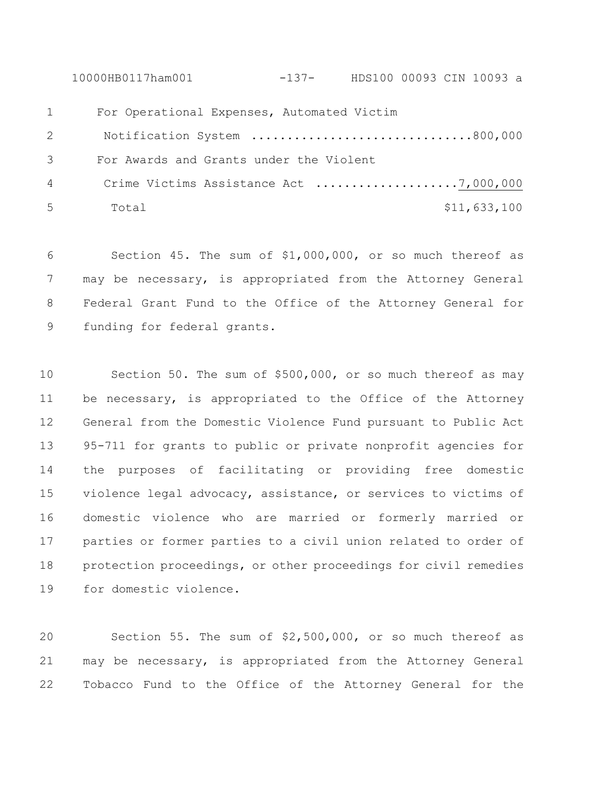10000HB0117ham001 -137- HDS100 00093 CIN 10093 a For Operational Expenses, Automated Victim Notification System ...............................800,000 For Awards and Grants under the Violent Crime Victims Assistance Act ....................7,000,000 Total \$11,633,100

 Section 45. The sum of \$1,000,000, or so much thereof as may be necessary, is appropriated from the Attorney General Federal Grant Fund to the Office of the Attorney General for funding for federal grants.

 Section 50. The sum of \$500,000, or so much thereof as may be necessary, is appropriated to the Office of the Attorney General from the Domestic Violence Fund pursuant to Public Act 95-711 for grants to public or private nonprofit agencies for the purposes of facilitating or providing free domestic violence legal advocacy, assistance, or services to victims of domestic violence who are married or formerly married or parties or former parties to a civil union related to order of protection proceedings, or other proceedings for civil remedies for domestic violence.

 Section 55. The sum of \$2,500,000, or so much thereof as may be necessary, is appropriated from the Attorney General Tobacco Fund to the Office of the Attorney General for the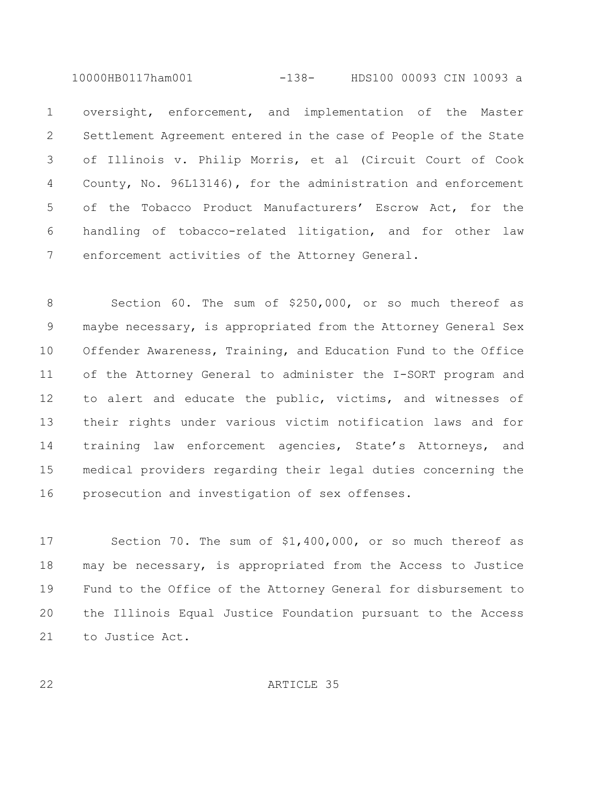10000HB0117ham001 -138- HDS100 00093 CIN 10093 a

 oversight, enforcement, and implementation of the Master Settlement Agreement entered in the case of People of the State of Illinois v. Philip Morris, et al (Circuit Court of Cook County, No. 96L13146), for the administration and enforcement of the Tobacco Product Manufacturers' Escrow Act, for the handling of tobacco-related litigation, and for other law enforcement activities of the Attorney General.

 Section 60. The sum of \$250,000, or so much thereof as maybe necessary, is appropriated from the Attorney General Sex Offender Awareness, Training, and Education Fund to the Office of the Attorney General to administer the I-SORT program and 12 to alert and educate the public, victims, and witnesses of their rights under various victim notification laws and for training law enforcement agencies, State's Attorneys, and medical providers regarding their legal duties concerning the prosecution and investigation of sex offenses.

 Section 70. The sum of \$1,400,000, or so much thereof as may be necessary, is appropriated from the Access to Justice Fund to the Office of the Attorney General for disbursement to the Illinois Equal Justice Foundation pursuant to the Access to Justice Act.

ARTICLE 35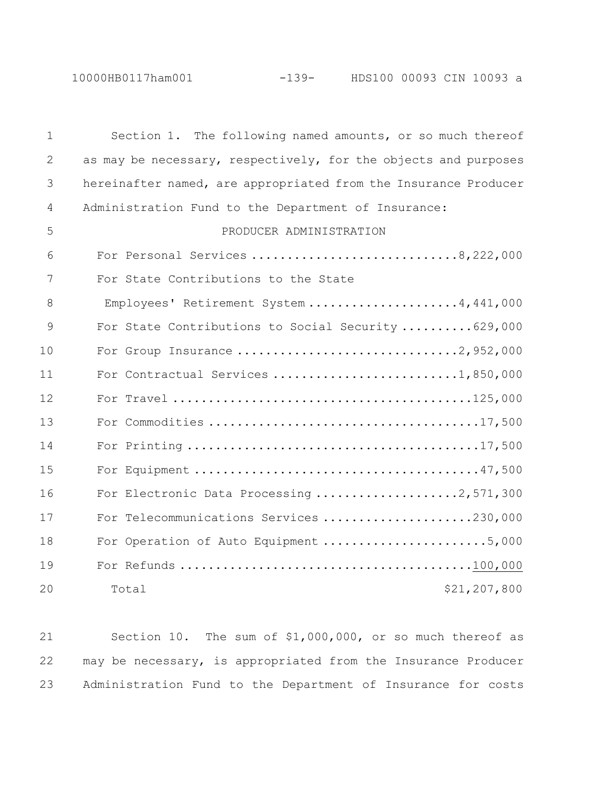10000HB0117ham001 -139- HDS100 00093 CIN 10093 a

| $\mathbf 1$ | Section 1. The following named amounts, or so much thereof      |
|-------------|-----------------------------------------------------------------|
| 2           | as may be necessary, respectively, for the objects and purposes |
| 3           | hereinafter named, are appropriated from the Insurance Producer |
| 4           | Administration Fund to the Department of Insurance:             |
| 5           | PRODUCER ADMINISTRATION                                         |
| 6           | For Personal Services 8, 222, 000                               |
| 7           | For State Contributions to the State                            |
| 8           | Employees' Retirement System 4,441,000                          |
| 9           | For State Contributions to Social Security  629,000             |
| 10          | For Group Insurance 2,952,000                                   |
| 11          |                                                                 |
| 12          |                                                                 |
| 13          |                                                                 |
| 14          |                                                                 |
| 15          |                                                                 |
| 16          | For Electronic Data Processing 2,571,300                        |
| 17          | For Telecommunications Services 230,000                         |
| 18          | For Operation of Auto Equipment 5,000                           |
| 19          |                                                                 |
| 20          | \$21,207,800<br>Total                                           |

 Section 10. The sum of \$1,000,000, or so much thereof as may be necessary, is appropriated from the Insurance Producer Administration Fund to the Department of Insurance for costs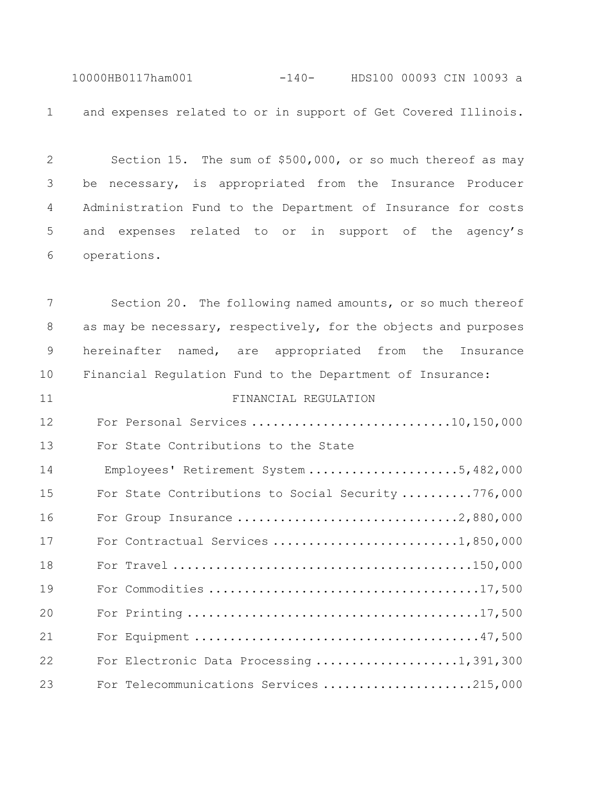10000HB0117ham001 -140- HDS100 00093 CIN 10093 a and expenses related to or in support of Get Covered Illinois.

 Section 15. The sum of \$500,000, or so much thereof as may be necessary, is appropriated from the Insurance Producer Administration Fund to the Department of Insurance for costs and expenses related to or in support of the agency's operations.

 Section 20. The following named amounts, or so much thereof as may be necessary, respectively, for the objects and purposes hereinafter named, are appropriated from the Insurance Financial Regulation Fund to the Department of Insurance: FINANCIAL REGULATION For Personal Services ............................10,150,000 For State Contributions to the State 14 Employees' Retirement System .....................5,482,000 For State Contributions to Social Security ..........776,000 For Group Insurance ...............................2,880,000 17 For Contractual Services ............................1,850,000 For Travel ..........................................150,000 For Commodities ......................................17,500 For Printing .........................................17,500 For Equipment ........................................47,500 For Electronic Data Processing ....................1,391,300 For Telecommunications Services .....................215,000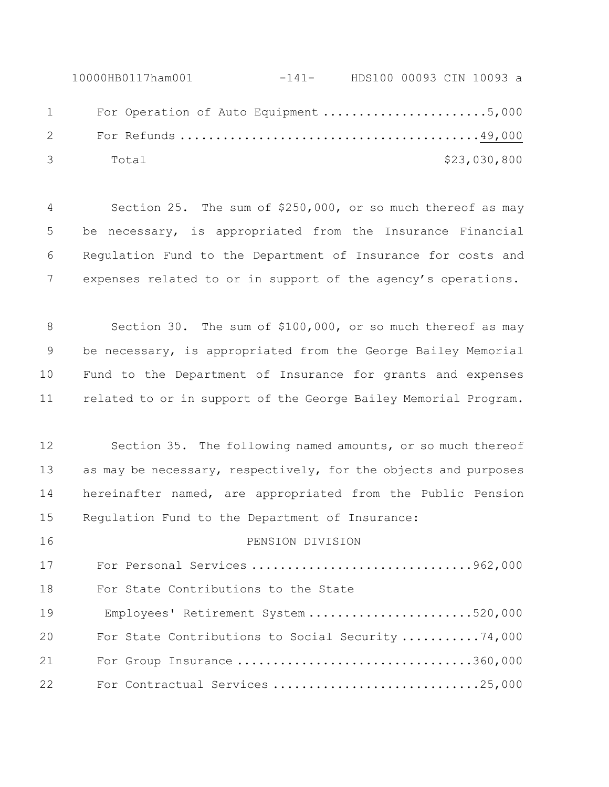10000HB0117ham001 -141- HDS100 00093 CIN 10093 a 1 For Operation of Auto Equipment ............................5,000 For Refunds ..........................................49,000 Total \$23,030,800

 Section 25. The sum of \$250,000, or so much thereof as may be necessary, is appropriated from the Insurance Financial Regulation Fund to the Department of Insurance for costs and expenses related to or in support of the agency's operations.

 Section 30. The sum of \$100,000, or so much thereof as may be necessary, is appropriated from the George Bailey Memorial Fund to the Department of Insurance for grants and expenses related to or in support of the George Bailey Memorial Program.

 Section 35. The following named amounts, or so much thereof 13 as may be necessary, respectively, for the objects and purposes hereinafter named, are appropriated from the Public Pension Regulation Fund to the Department of Insurance:

PENSION DIVISION

 For Personal Services ...............................962,000 For State Contributions to the State 19 Employees' Retirement System .......................520,000 For State Contributions to Social Security ...........74,000 For Group Insurance .................................360,000 For Contractual Services .............................25,000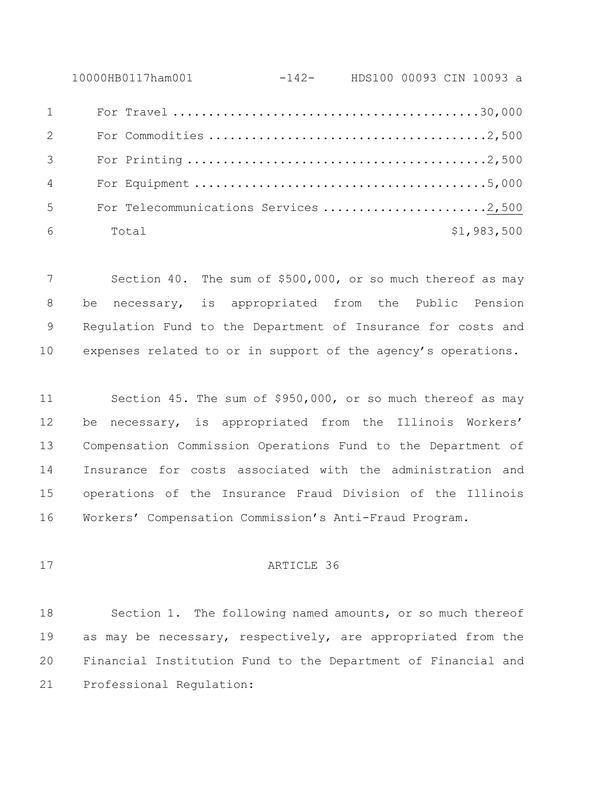10000HB0117ham001 -142- HDS100 00093 CIN 10093 a For Travel ...........................................30,000 For Commodities .......................................2,500 For Printing ..........................................2,500 For Equipment .........................................5,000 5 For Telecommunications Services .........................2,500 Total \$1,983,500

 Section 40. The sum of \$500,000, or so much thereof as may be necessary, is appropriated from the Public Pension Regulation Fund to the Department of Insurance for costs and expenses related to or in support of the agency's operations.

 Section 45. The sum of \$950,000, or so much thereof as may be necessary, is appropriated from the Illinois Workers' Compensation Commission Operations Fund to the Department of Insurance for costs associated with the administration and operations of the Insurance Fraud Division of the Illinois Workers' Compensation Commission's Anti-Fraud Program.

# ARTICLE 36

 Section 1. The following named amounts, or so much thereof as may be necessary, respectively, are appropriated from the Financial Institution Fund to the Department of Financial and Professional Regulation: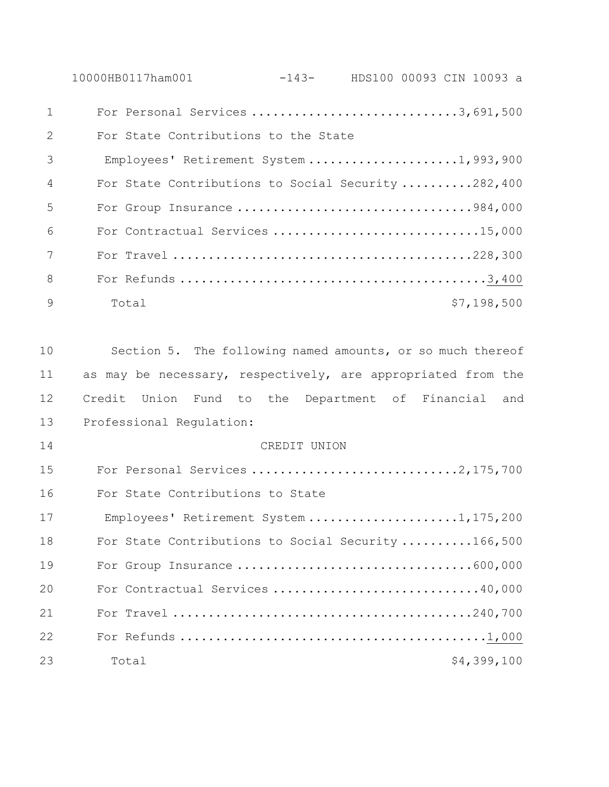10000HB0117ham001 -143- HDS100 00093 CIN 10093 a

| $\mathbf{1}$     | For Personal Services 3,691,500                    |             |
|------------------|----------------------------------------------------|-------------|
| 2                | For State Contributions to the State               |             |
| 3                | Employees' Retirement System 1,993,900             |             |
| $\overline{4}$   | For State Contributions to Social Security 282,400 |             |
| -5               | For Group Insurance 984,000                        |             |
| $6 \overline{6}$ | For Contractual Services 15,000                    |             |
| $7\phantom{.0}$  |                                                    |             |
| 8                |                                                    |             |
| $\mathcal{Q}$    | Total                                              | \$7,198,500 |

 Section 5. The following named amounts, or so much thereof 11 as may be necessary, respectively, are appropriated from the Credit Union Fund to the Department of Financial and Professional Regulation:

 CREDIT UNION For Personal Services .............................2,175,700 For State Contributions to State 17 Employees' Retirement System .....................1,175,200 18 For State Contributions to Social Security ..........166,500 For Group Insurance .................................600,000 For Contractual Services .............................40,000 For Travel ..........................................240,700 For Refunds ...........................................1,000 23 Total \$4,399,100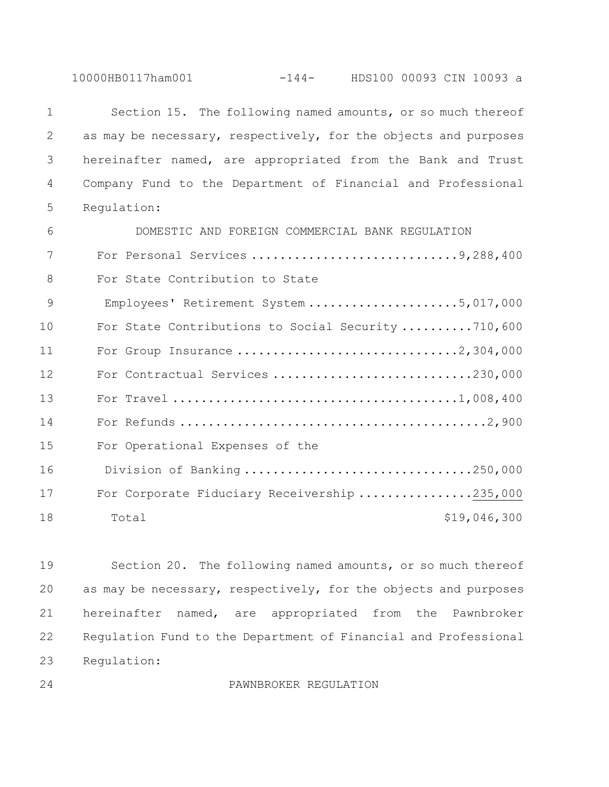10000HB0117ham001 -144- HDS100 00093 CIN 10093 a

| $\mathbf{1}$ | Section 15. The following named amounts, or so much thereof     |
|--------------|-----------------------------------------------------------------|
| 2            | as may be necessary, respectively, for the objects and purposes |
| 3            | hereinafter named, are appropriated from the Bank and Trust     |
| 4            | Company Fund to the Department of Financial and Professional    |
| 5            | Requlation:                                                     |
| 6            | DOMESTIC AND FOREIGN COMMERCIAL BANK REGULATION                 |
| 7            |                                                                 |
| 8            | For State Contribution to State                                 |
| 9            | Employees' Retirement System 5,017,000                          |
| 10           | For State Contributions to Social Security 710,600              |
| 11           | For Group Insurance 2,304,000                                   |
| 12           | For Contractual Services 230,000                                |
| 13           |                                                                 |
| 14           |                                                                 |
| 15           | For Operational Expenses of the                                 |
| 16           | Division of Banking250,000                                      |
| 17           | For Corporate Fiduciary Receivership 235,000                    |
| 18           | \$19,046,300<br>Total                                           |

 Section 20. The following named amounts, or so much thereof as may be necessary, respectively, for the objects and purposes hereinafter named, are appropriated from the Pawnbroker Regulation Fund to the Department of Financial and Professional Regulation:

PAWNBROKER REGULATION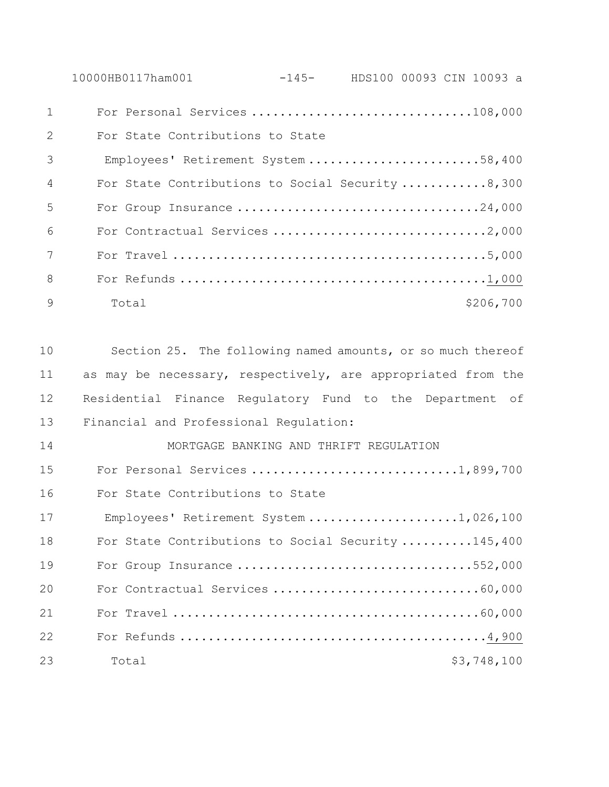10000HB0117ham001 -145- HDS100 00093 CIN 10093 a For Personal Services ...............................108,000 For State Contributions to State 3 Employees' Retirement System ........................58,400 For State Contributions to Social Security ............8,300 For Group Insurance ..................................24,000 For Contractual Services ..............................2,000 For Travel ............................................5,000 For Refunds ...........................................1,000 9 Total \$206,700

 Section 25. The following named amounts, or so much thereof 11 as may be necessary, respectively, are appropriated from the Residential Finance Regulatory Fund to the Department of Financial and Professional Regulation:

 MORTGAGE BANKING AND THRIFT REGULATION For Personal Services .............................1,899,700 For State Contributions to State 17 Employees' Retirement System .....................1,026,100 18 For State Contributions to Social Security .........145,400 For Group Insurance .................................552,000 For Contractual Services .............................60,000 For Travel ...........................................60,000 For Refunds ...........................................4,900 23 Total \$3,748,100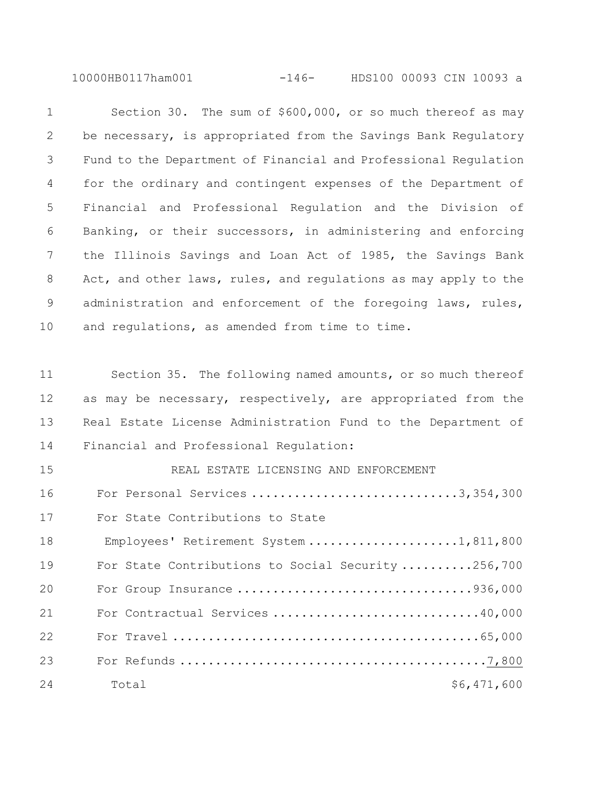10000HB0117ham001 -146- HDS100 00093 CIN 10093 a

 Section 30. The sum of \$600,000, or so much thereof as may be necessary, is appropriated from the Savings Bank Regulatory Fund to the Department of Financial and Professional Regulation for the ordinary and contingent expenses of the Department of Financial and Professional Regulation and the Division of Banking, or their successors, in administering and enforcing the Illinois Savings and Loan Act of 1985, the Savings Bank 8 Act, and other laws, rules, and regulations as may apply to the 9 administration and enforcement of the foregoing laws, rules, and regulations, as amended from time to time. Section 35. The following named amounts, or so much thereof 12 as may be necessary, respectively, are appropriated from the Real Estate License Administration Fund to the Department of Financial and Professional Regulation: REAL ESTATE LICENSING AND ENFORCEMENT For Personal Services .............................3,354,300 For State Contributions to State 18 Employees' Retirement System .......................1,811,800 For State Contributions to Social Security ..........256,700 For Group Insurance .................................936,000 For Contractual Services .............................40,000 For Travel ...........................................65,000 For Refunds ...........................................7,800 24 Total \$6,471,600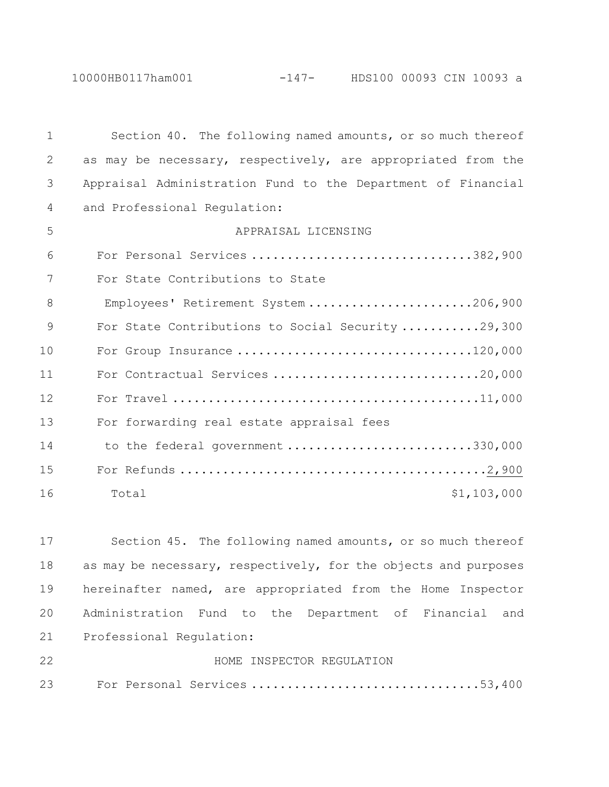10000HB0117ham001 -147- HDS100 00093 CIN 10093 a

| $\mathbf{1}$ | Section 40. The following named amounts, or so much thereof  |
|--------------|--------------------------------------------------------------|
| $\mathbf{2}$ | as may be necessary, respectively, are appropriated from the |
| 3            | Appraisal Administration Fund to the Department of Financial |
| 4            | and Professional Regulation:                                 |
| 5            | APPRAISAL LICENSING                                          |
| 6            | For Personal Services 382,900                                |
| 7            | For State Contributions to State                             |
| 8            | Employees' Retirement System 206,900                         |
| 9            | For State Contributions to Social Security 29,300            |
| 10           | For Group Insurance 120,000                                  |
| 11           | For Contractual Services 20,000                              |
| 12           |                                                              |
| 13           | For forwarding real estate appraisal fees                    |
| 14           | to the federal government 330,000                            |
| 15           |                                                              |
| 16           | \$1,103,000<br>Total                                         |
|              |                                                              |

 Section 45. The following named amounts, or so much thereof as may be necessary, respectively, for the objects and purposes hereinafter named, are appropriated from the Home Inspector Administration Fund to the Department of Financial and Professional Regulation:

| 22 |  | HOME INSPECTOR REGULATION |                              |  |
|----|--|---------------------------|------------------------------|--|
| 23 |  |                           | For Personal Services 53,400 |  |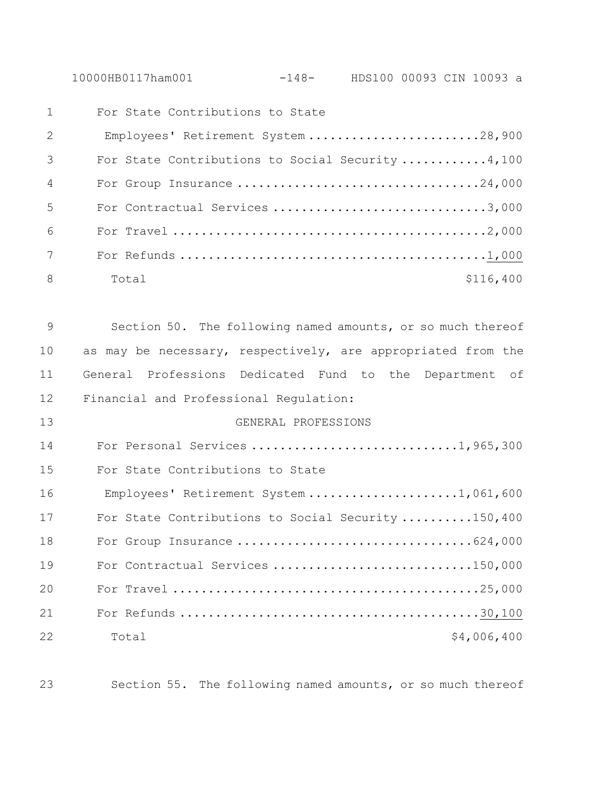10000HB0117ham001 -148- HDS100 00093 CIN 10093 a

| 1               | For State Contributions to State                 |           |
|-----------------|--------------------------------------------------|-----------|
| 2               | Employees' Retirement System 28,900              |           |
| 3               | For State Contributions to Social Security 4,100 |           |
| $\overline{4}$  | For Group Insurance 24,000                       |           |
| 5               | For Contractual Services 3,000                   |           |
| 6               |                                                  |           |
| $7\overline{ }$ |                                                  |           |
| 8               | Total                                            | \$116,400 |

 Section 50. The following named amounts, or so much thereof 10 as may be necessary, respectively, are appropriated from the General Professions Dedicated Fund to the Department of Financial and Professional Regulation:

13 GENERAL PROFESSIONS 14 For Personal Services ...............................1,965,300 15 For State Contributions to State 16 Employees' Retirement System ......................1,061,600 17 For State Contributions to Social Security ..........150,400 18 For Group Insurance .................................624,000 19 For Contractual Services .............................150,000 20 For Travel ...........................................25,000 21 For Refunds ..........................................30,100 22 Total \$4,006,400

23 Section 55. The following named amounts, or so much thereof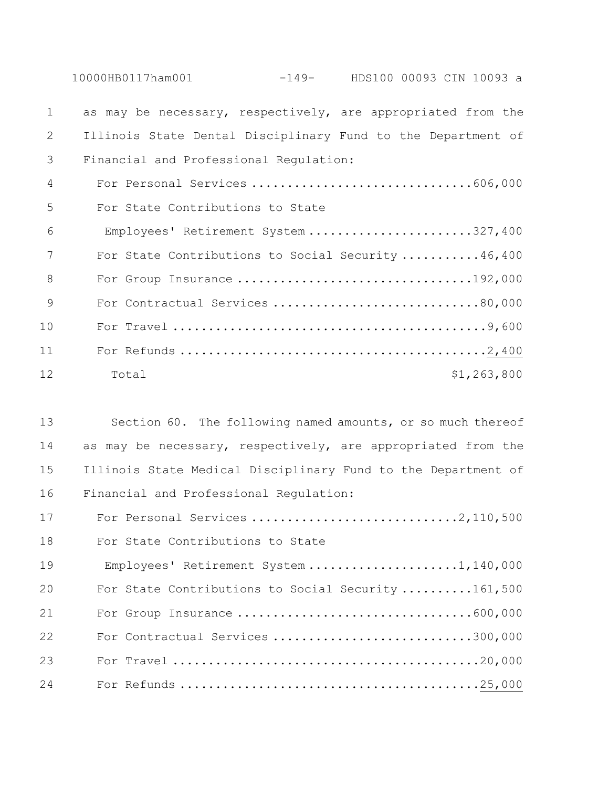10000HB0117ham001 -149- HDS100 00093 CIN 10093 a as may be necessary, respectively, are appropriated from the Illinois State Dental Disciplinary Fund to the Department of Financial and Professional Regulation: For Personal Services ...............................606,000 For State Contributions to State 6 Employees' Retirement System .......................327,400 For State Contributions to Social Security ...........46,400 For Group Insurance .................................192,000 For Contractual Services .............................80,000 For Travel ............................................9,600 For Refunds ...........................................2,400 12 Total \$1,263,800

 Section 60. The following named amounts, or so much thereof 14 as may be necessary, respectively, are appropriated from the Illinois State Medical Disciplinary Fund to the Department of Financial and Professional Regulation:

17 For Personal Services ..................................2,110,500 For State Contributions to State 19 Employees' Retirement System .....................1,140,000 For State Contributions to Social Security ..........161,500 For Group Insurance .................................600,000 For Contractual Services ............................300,000 For Travel ...........................................20,000 For Refunds ..........................................25,000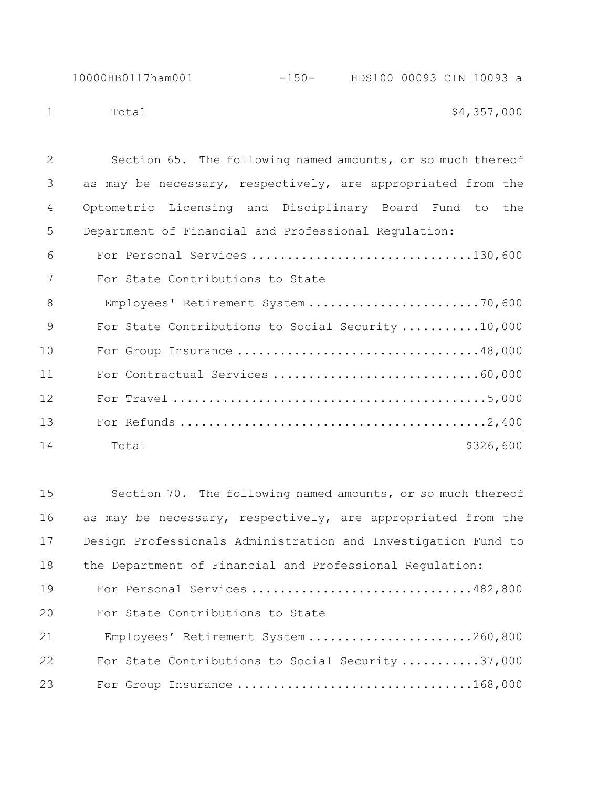1 Total \$4,357,000

 Section 65. The following named amounts, or so much thereof as may be necessary, respectively, are appropriated from the Optometric Licensing and Disciplinary Board Fund to the Department of Financial and Professional Regulation: For Personal Services ...............................130,600 For State Contributions to State 8 Employees' Retirement System ..............................70,600 For State Contributions to Social Security ...........10,000 For Group Insurance ..................................48,000 For Contractual Services .............................60,000 For Travel ............................................5,000 For Refunds ...........................................2,400 14 Total \$326,600

 Section 70. The following named amounts, or so much thereof as may be necessary, respectively, are appropriated from the Design Professionals Administration and Investigation Fund to the Department of Financial and Professional Regulation: For Personal Services ...............................482,800 For State Contributions to State 21 Employees' Retirement System ........................260,800 For State Contributions to Social Security ...........37,000 For Group Insurance .................................168,000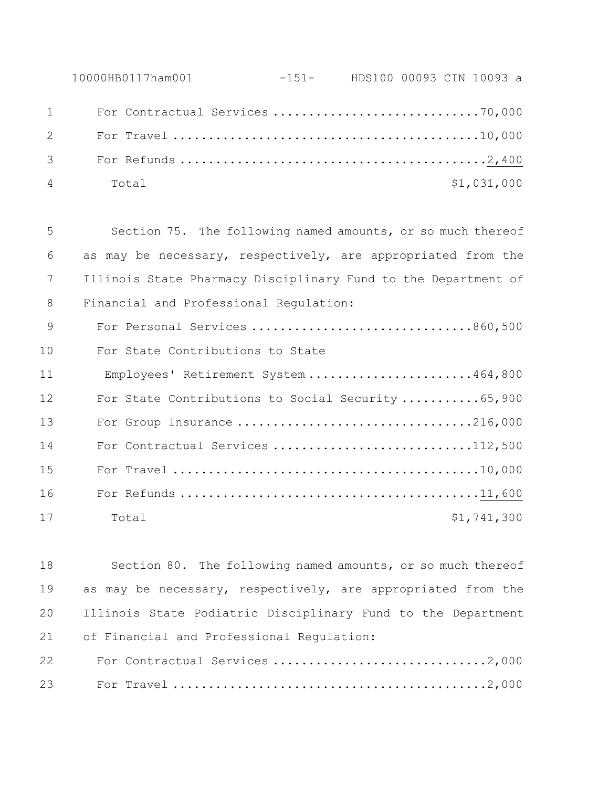| 10000HB0117ham001 |  |  |             |  |
|-------------------|--|--|-------------|--|
|                   |  |  |             |  |
|                   |  |  |             |  |
| $3 \sim$          |  |  |             |  |
| 4 Total           |  |  | \$1,031,000 |  |

 Section 75. The following named amounts, or so much thereof as may be necessary, respectively, are appropriated from the Illinois State Pharmacy Disciplinary Fund to the Department of Financial and Professional Regulation: For Personal Services ...............................860,500 For State Contributions to State 11 Employees' Retirement System .......................464,800 12 For State Contributions to Social Security ............65,900 For Group Insurance .................................216,000 14 For Contractual Services ..............................112,500 For Travel ...........................................10,000 For Refunds ..........................................11,600

 Section 80. The following named amounts, or so much thereof as may be necessary, respectively, are appropriated from the Illinois State Podiatric Disciplinary Fund to the Department of Financial and Professional Regulation: For Contractual Services ..............................2,000 For Travel ............................................2,000

17 Total 51,741,300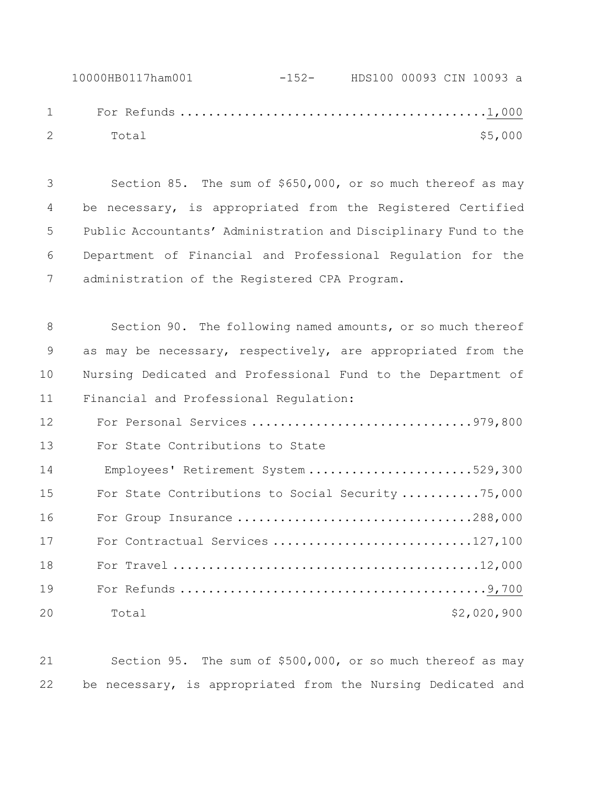10000HB0117ham001 -152- HDS100 00093 CIN 10093 a For Refunds ...........................................1,000 2 Total \$5,000

 Section 85. The sum of \$650,000, or so much thereof as may be necessary, is appropriated from the Registered Certified Public Accountants' Administration and Disciplinary Fund to the Department of Financial and Professional Regulation for the administration of the Registered CPA Program.

 Section 90. The following named amounts, or so much thereof as may be necessary, respectively, are appropriated from the Nursing Dedicated and Professional Fund to the Department of Financial and Professional Regulation: For Personal Services ...............................979,800 For State Contributions to State 14 Employees' Retirement System .......................529,300 For State Contributions to Social Security ...........75,000 For Group Insurance .................................288,000 17 For Contractual Services ..............................127,100 For Travel ...........................................12,000 For Refunds ...........................................9,700 20 Total \$2,020,900

 Section 95. The sum of \$500,000, or so much thereof as may be necessary, is appropriated from the Nursing Dedicated and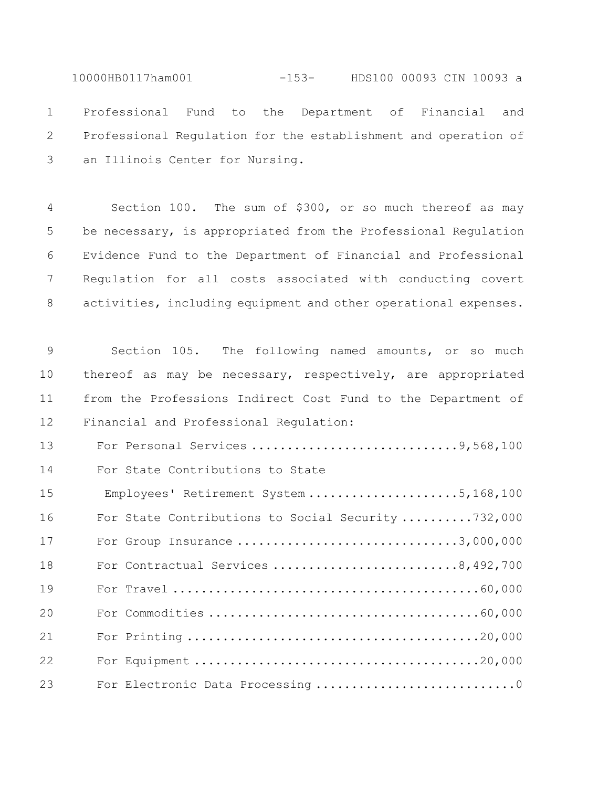10000HB0117ham001 -153- HDS100 00093 CIN 10093 a Professional Fund to the Department of Financial and Professional Regulation for the establishment and operation of an Illinois Center for Nursing.

 Section 100. The sum of \$300, or so much thereof as may be necessary, is appropriated from the Professional Regulation Evidence Fund to the Department of Financial and Professional Regulation for all costs associated with conducting covert activities, including equipment and other operational expenses.

 Section 105. The following named amounts, or so much thereof as may be necessary, respectively, are appropriated from the Professions Indirect Cost Fund to the Department of Financial and Professional Regulation:

13 For Personal Services ..................................9,568,100 For State Contributions to State 15 Employees' Retirement System .....................5,168,100 For State Contributions to Social Security ..........732,000 For Group Insurance ...............................3,000,000 For Contractual Services ..........................8,492,700 For Travel ...........................................60,000 For Commodities ......................................60,000 For Printing .........................................20,000 For Equipment ........................................20,000 23 For Electronic Data Processing ..................................0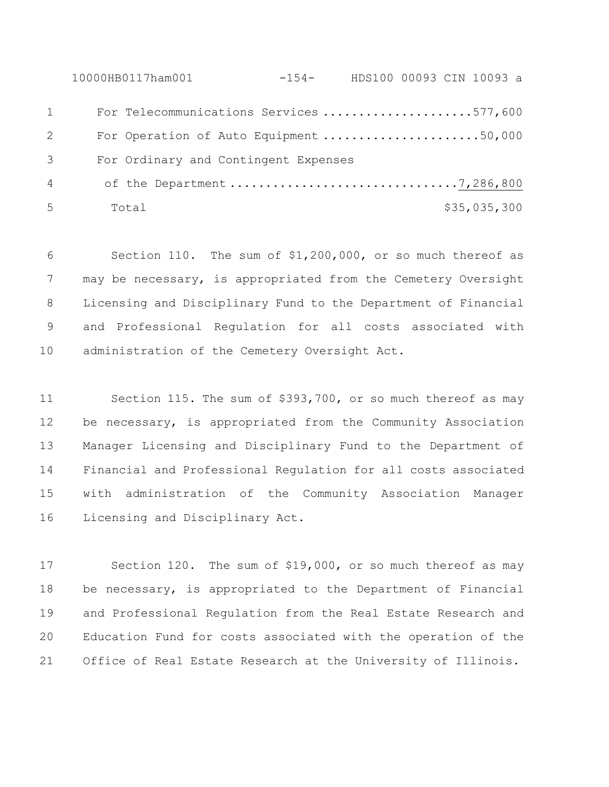10000HB0117ham001 -154- HDS100 00093 CIN 10093 a For Telecommunications Services .....................577,600 For Operation of Auto Equipment ......................50,000 For Ordinary and Contingent Expenses 4 of the Department ................................7,286,800 Total \$35,035,300

 Section 110. The sum of \$1,200,000, or so much thereof as 7 may be necessary, is appropriated from the Cemetery Oversight Licensing and Disciplinary Fund to the Department of Financial and Professional Regulation for all costs associated with 10 administration of the Cemetery Oversight Act.

 Section 115. The sum of \$393,700, or so much thereof as may be necessary, is appropriated from the Community Association Manager Licensing and Disciplinary Fund to the Department of Financial and Professional Regulation for all costs associated with administration of the Community Association Manager Licensing and Disciplinary Act.

 Section 120. The sum of \$19,000, or so much thereof as may be necessary, is appropriated to the Department of Financial and Professional Regulation from the Real Estate Research and Education Fund for costs associated with the operation of the Office of Real Estate Research at the University of Illinois.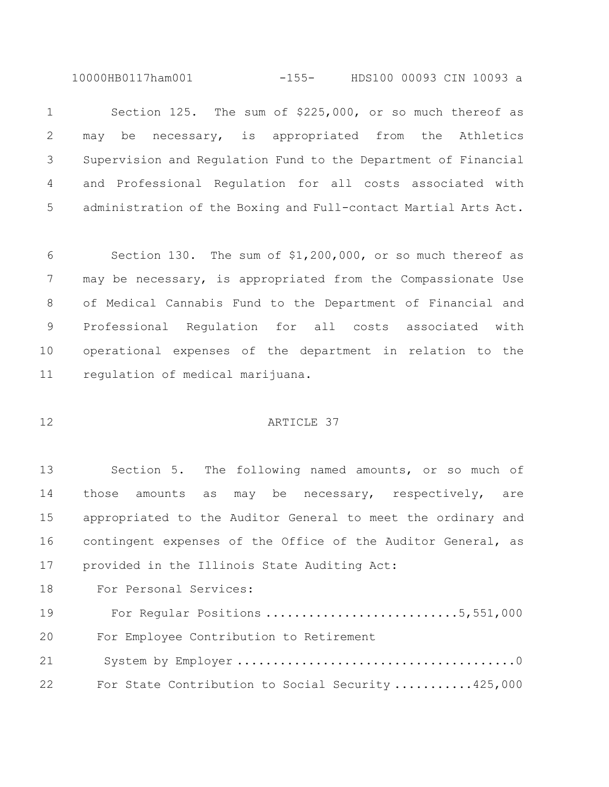10000HB0117ham001 -155- HDS100 00093 CIN 10093 a

 Section 125. The sum of \$225,000, or so much thereof as may be necessary, is appropriated from the Athletics Supervision and Regulation Fund to the Department of Financial and Professional Regulation for all costs associated with administration of the Boxing and Full-contact Martial Arts Act.

 Section 130. The sum of \$1,200,000, or so much thereof as may be necessary, is appropriated from the Compassionate Use of Medical Cannabis Fund to the Department of Financial and Professional Regulation for all costs associated with operational expenses of the department in relation to the regulation of medical marijuana.

#### ARTICLE 37

 Section 5. The following named amounts, or so much of those amounts as may be necessary, respectively, are appropriated to the Auditor General to meet the ordinary and contingent expenses of the Office of the Auditor General, as provided in the Illinois State Auditing Act:

For Personal Services:

 For Regular Positions ...........................5,551,000 For Employee Contribution to Retirement System by Employer .......................................0 For State Contribution to Social Security ...........425,000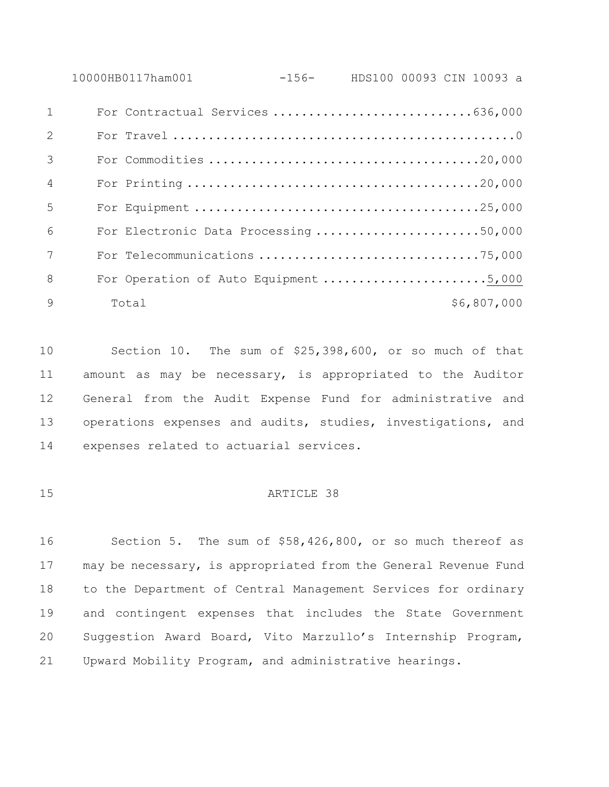10000HB0117ham001 -156- HDS100 00093 CIN 10093 a For Contractual Services ............................636,000

| 2              |                                       |  |
|----------------|---------------------------------------|--|
| 3              |                                       |  |
| $\overline{4}$ |                                       |  |
| $\overline{5}$ |                                       |  |
| 6              | For Electronic Data Processing 50,000 |  |
| 7              |                                       |  |
| 8              |                                       |  |
| $\mathsf{Q}$   | \$6,807,000<br>Total                  |  |

 Section 10. The sum of \$25,398,600, or so much of that amount as may be necessary, is appropriated to the Auditor General from the Audit Expense Fund for administrative and operations expenses and audits, studies, investigations, and expenses related to actuarial services.

## 15 ARTICLE 38

 Section 5. The sum of \$58,426,800, or so much thereof as may be necessary, is appropriated from the General Revenue Fund to the Department of Central Management Services for ordinary and contingent expenses that includes the State Government Suggestion Award Board, Vito Marzullo's Internship Program, Upward Mobility Program, and administrative hearings.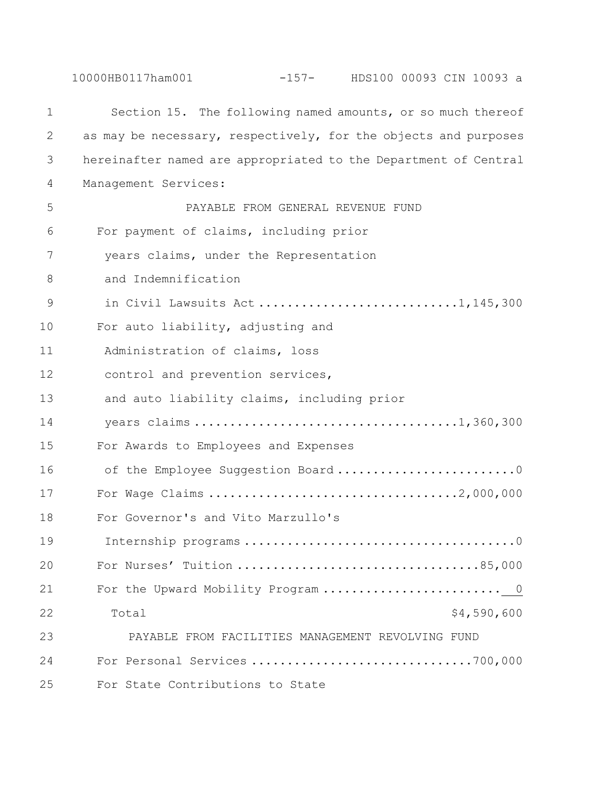10000HB0117ham001 -157- HDS100 00093 CIN 10093 a

| $\mathbf 1$ | Section 15. The following named amounts, or so much thereof     |
|-------------|-----------------------------------------------------------------|
| 2           | as may be necessary, respectively, for the objects and purposes |
| 3           | hereinafter named are appropriated to the Department of Central |
| 4           | Management Services:                                            |
| 5           | PAYABLE FROM GENERAL REVENUE FUND                               |
| 6           | For payment of claims, including prior                          |
| 7           | years claims, under the Representation                          |
| 8           | and Indemnification                                             |
| 9           |                                                                 |
| 10          | For auto liability, adjusting and                               |
| 11          | Administration of claims, loss                                  |
| 12          | control and prevention services,                                |
| 13          | and auto liability claims, including prior                      |
| 14          |                                                                 |
| 15          | For Awards to Employees and Expenses                            |
| 16          | of the Employee Suggestion Board0                               |
| 17          |                                                                 |
| 18          | For Governor's and Vito Marzullo's                              |
| 19          |                                                                 |
| 20          |                                                                 |
| 21          |                                                                 |
| 22          | \$4,590,600<br>Total                                            |
| 23          | PAYABLE FROM FACILITIES MANAGEMENT REVOLVING FUND               |
| 24          |                                                                 |
| 25          | For State Contributions to State                                |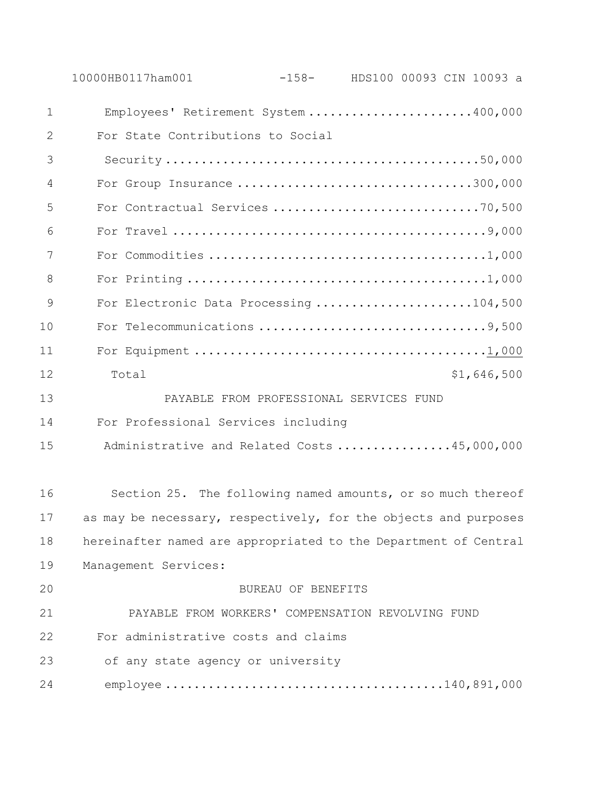|               | 10000HB0117ham001<br>$-158-$ HDS100 00093 CIN 10093 a           |  |
|---------------|-----------------------------------------------------------------|--|
| $\mathbf 1$   | Employees' Retirement System 400,000                            |  |
| 2             | For State Contributions to Social                               |  |
| 3             |                                                                 |  |
| 4             | For Group Insurance 300,000                                     |  |
| 5             | For Contractual Services 70,500                                 |  |
| 6             |                                                                 |  |
| 7             |                                                                 |  |
| 8             |                                                                 |  |
| $\mathcal{G}$ | For Electronic Data Processing 104,500                          |  |
| 10            |                                                                 |  |
| 11            |                                                                 |  |
| 12            | \$1,646,500<br>Total                                            |  |
| 13            | PAYABLE FROM PROFESSIONAL SERVICES FUND                         |  |
| 14            | For Professional Services including                             |  |
| 15            | Administrative and Related Costs 45,000,000                     |  |
| 16            | Section 25. The following named amounts, or so much thereof     |  |
| 17            | as may be necessary, respectively, for the objects and purposes |  |
| 18            | hereinafter named are appropriated to the Department of Central |  |
| 19            | Management Services:                                            |  |
| 20            | BUREAU OF BENEFITS                                              |  |
| 21            | PAYABLE FROM WORKERS' COMPENSATION REVOLVING FUND               |  |
| 22            | For administrative costs and claims                             |  |
| 23            | of any state agency or university                               |  |
| 24            |                                                                 |  |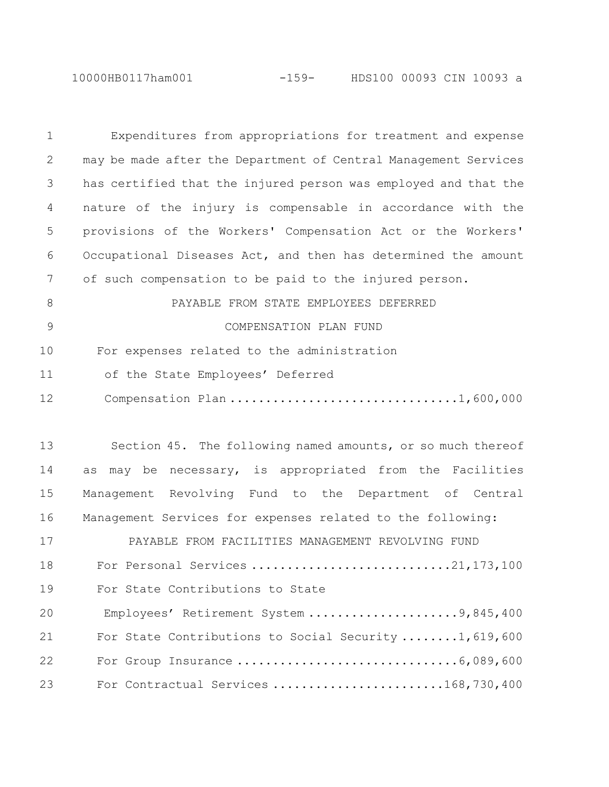10000HB0117ham001 -159- HDS100 00093 CIN 10093 a

| $\mathbf 1$ | Expenditures from appropriations for treatment and expense      |
|-------------|-----------------------------------------------------------------|
| 2           | may be made after the Department of Central Management Services |
| 3           | has certified that the injured person was employed and that the |
| 4           | nature of the injury is compensable in accordance with the      |
| 5           | provisions of the Workers' Compensation Act or the Workers'     |
| 6           | Occupational Diseases Act, and then has determined the amount   |
| 7           | of such compensation to be paid to the injured person.          |
| 8           | PAYABLE FROM STATE EMPLOYEES DEFERRED                           |
| 9           | COMPENSATION PLAN FUND                                          |
| 10          | For expenses related to the administration                      |
| 11          | of the State Employees' Deferred                                |
| 12          | Compensation Plan 1,600,000                                     |
|             |                                                                 |
| 13          | Section 45. The following named amounts, or so much thereof     |
| 14          | may be necessary, is appropriated from the Facilities<br>as     |
| 15          | Management Revolving Fund to the Department of Central          |
| 16          | Management Services for expenses related to the following:      |
| 17          | PAYABLE FROM FACILITIES MANAGEMENT REVOLVING FUND               |
| 18          | For Personal Services 21,173,100                                |
| 19          | For State Contributions to State                                |
| 20          | Employees' Retirement System 9,845,400                          |
| 21          | For State Contributions to Social Security 1, 619, 600          |
| 22          |                                                                 |
| 23          | For Contractual Services 168,730,400                            |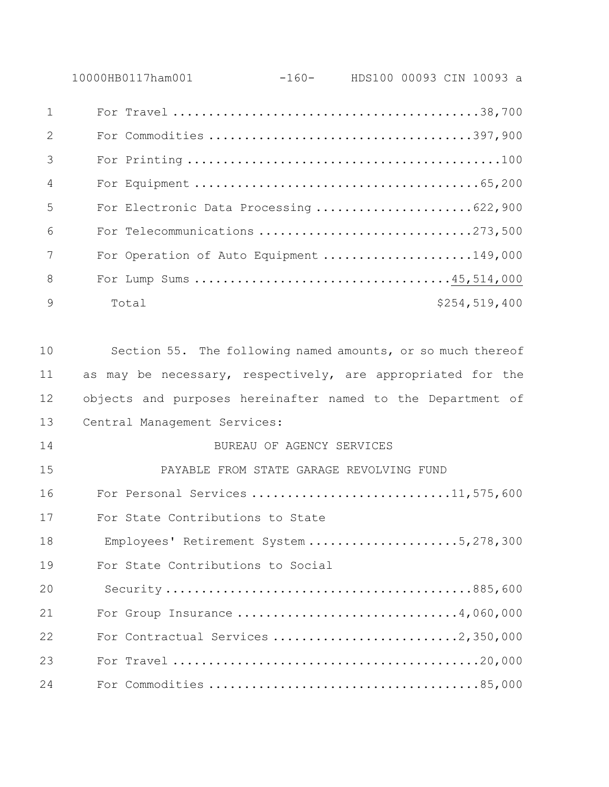| 10000HB0117ham001 | $-160-$ | HDS100 00093 CIN 10093 a |  |  |
|-------------------|---------|--------------------------|--|--|
|                   |         |                          |  |  |

| 2              |       |                                         |
|----------------|-------|-----------------------------------------|
| 3              |       |                                         |
| $\overline{4}$ |       |                                         |
| 5              |       | For Electronic Data Processing 622,900  |
| 6              |       | For Telecommunications 273,500          |
| 7              |       | For Operation of Auto Equipment 149,000 |
| 8              |       |                                         |
| $\mathsf{Q}$   | Total | \$254,519,400                           |

 Section 55. The following named amounts, or so much thereof 11 as may be necessary, respectively, are appropriated for the objects and purposes hereinafter named to the Department of Central Management Services:

 BUREAU OF AGENCY SERVICES PAYABLE FROM STATE GARAGE REVOLVING FUND 16 For Personal Services ...............................11,575,600 For State Contributions to State

18 Employees' Retirement System .....................5,278,300

19 For State Contributions to Social

| 20 |                               |
|----|-------------------------------|
| 21 | For Group Insurance 4,060,000 |
| 22 |                               |
| 23 |                               |
| 24 |                               |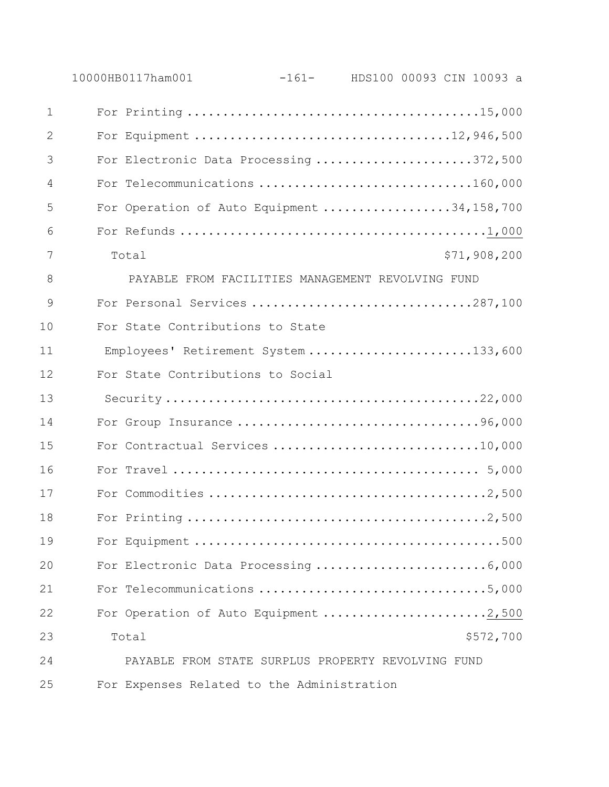|              | 10000HB0117ham001                                  | $-161-$ |  | HDS100 00093 CIN 10093 a |
|--------------|----------------------------------------------------|---------|--|--------------------------|
| $\mathbf{1}$ |                                                    |         |  |                          |
| 2            | For Equipment 12,946,500                           |         |  |                          |
| 3            | For Electronic Data Processing 372,500             |         |  |                          |
| 4            | For Telecommunications 160,000                     |         |  |                          |
| 5            | For Operation of Auto Equipment 34,158,700         |         |  |                          |
| 6            |                                                    |         |  |                          |
| 7            | Total                                              |         |  | \$71,908,200             |
| 8            | PAYABLE FROM FACILITIES MANAGEMENT REVOLVING FUND  |         |  |                          |
| 9            | For Personal Services 287,100                      |         |  |                          |
| 10           | For State Contributions to State                   |         |  |                          |
| 11           | Employees' Retirement System 133,600               |         |  |                          |
| 12           | For State Contributions to Social                  |         |  |                          |
| 13           |                                                    |         |  |                          |
| 14           |                                                    |         |  |                          |
| 15           | For Contractual Services 10,000                    |         |  |                          |
| 16           |                                                    |         |  |                          |
| 17           |                                                    |         |  |                          |
| 18           |                                                    |         |  |                          |
| 19           |                                                    |         |  |                          |
| 20           |                                                    |         |  |                          |
| 21           | For Telecommunications 5,000                       |         |  |                          |
| 22           | For Operation of Auto Equipment 2,500              |         |  |                          |
| 23           | Total                                              |         |  | \$572,700                |
| 24           | PAYABLE FROM STATE SURPLUS PROPERTY REVOLVING FUND |         |  |                          |
| 25           | For Expenses Related to the Administration         |         |  |                          |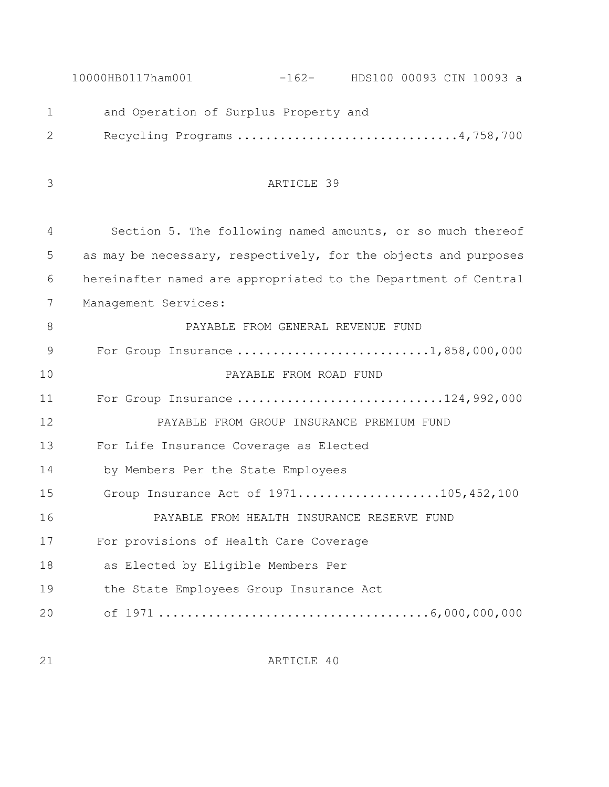|               | 10000HB0117ham001<br>$-162$ - HDS100 00093 CIN 10093 a          |
|---------------|-----------------------------------------------------------------|
| $\mathbf 1$   | and Operation of Surplus Property and                           |
| 2             | Recycling Programs 4,758,700                                    |
|               |                                                                 |
| 3             | ARTICLE 39                                                      |
|               |                                                                 |
| 4             | Section 5. The following named amounts, or so much thereof      |
| 5             | as may be necessary, respectively, for the objects and purposes |
| 6             | hereinafter named are appropriated to the Department of Central |
| 7             | Management Services:                                            |
| 8             | PAYABLE FROM GENERAL REVENUE FUND                               |
| $\mathcal{G}$ | For Group Insurance 1,858,000,000                               |
| 10            | PAYABLE FROM ROAD FUND                                          |
| 11            | For Group Insurance 124,992,000                                 |
| 12            | PAYABLE FROM GROUP INSURANCE PREMIUM FUND                       |
| 13            | For Life Insurance Coverage as Elected                          |
| 14            | by Members Per the State Employees                              |
| 15            | Group Insurance Act of 1971105,452,100                          |
| 16            | PAYABLE FROM HEALTH INSURANCE RESERVE FUND                      |
| 17            | For provisions of Health Care Coverage                          |
| 18            | as Elected by Eligible Members Per                              |
| 19            | the State Employees Group Insurance Act                         |
| 20            |                                                                 |
|               |                                                                 |

ARTICLE 40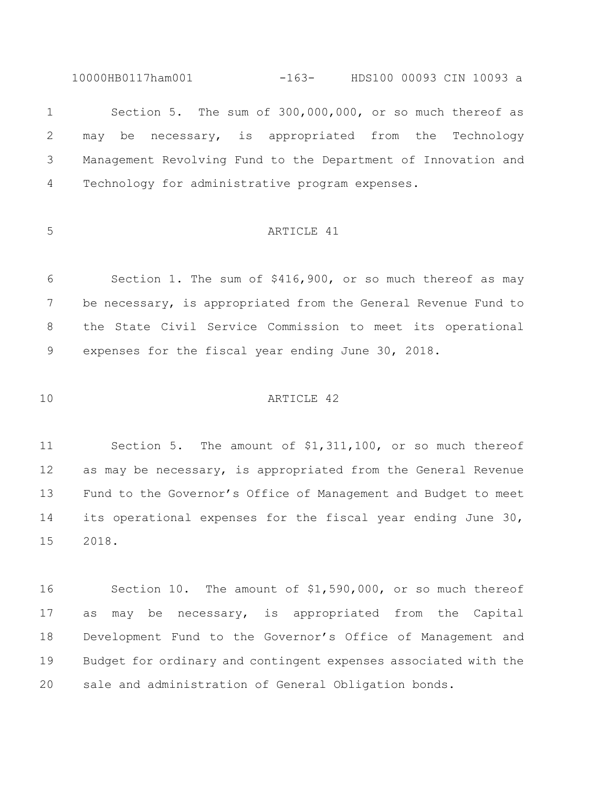10000HB0117ham001 -163- HDS100 00093 CIN 10093 a

 Section 5. The sum of 300,000,000, or so much thereof as may be necessary, is appropriated from the Technology Management Revolving Fund to the Department of Innovation and Technology for administrative program expenses.

# 5 ARTICLE 41

 Section 1. The sum of \$416,900, or so much thereof as may be necessary, is appropriated from the General Revenue Fund to the State Civil Service Commission to meet its operational expenses for the fiscal year ending June 30, 2018.

## ARTICLE 42

 Section 5. The amount of \$1,311,100, or so much thereof as may be necessary, is appropriated from the General Revenue Fund to the Governor's Office of Management and Budget to meet its operational expenses for the fiscal year ending June 30, 2018.

 Section 10. The amount of \$1,590,000, or so much thereof as may be necessary, is appropriated from the Capital Development Fund to the Governor's Office of Management and Budget for ordinary and contingent expenses associated with the sale and administration of General Obligation bonds.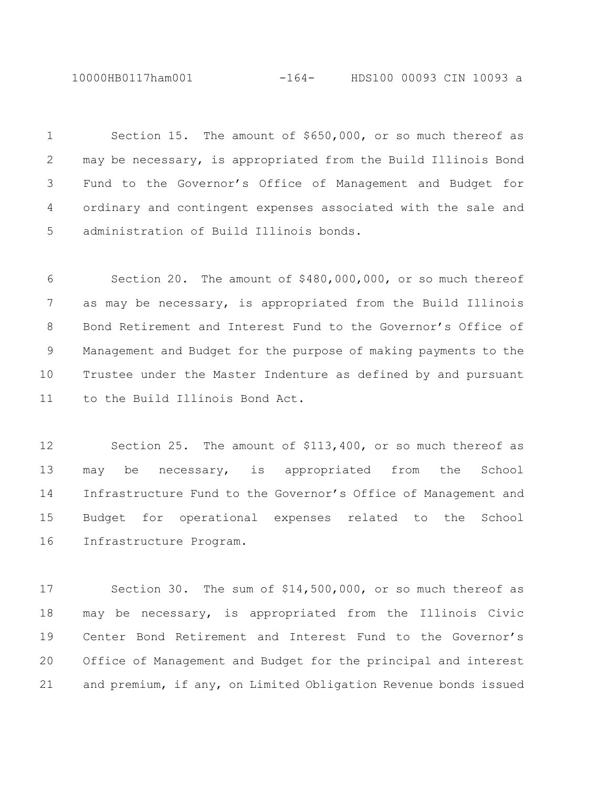10000HB0117ham001 -164- HDS100 00093 CIN 10093 a

 Section 15. The amount of \$650,000, or so much thereof as may be necessary, is appropriated from the Build Illinois Bond Fund to the Governor's Office of Management and Budget for ordinary and contingent expenses associated with the sale and administration of Build Illinois bonds.

 Section 20. The amount of \$480,000,000, or so much thereof as may be necessary, is appropriated from the Build Illinois Bond Retirement and Interest Fund to the Governor's Office of Management and Budget for the purpose of making payments to the Trustee under the Master Indenture as defined by and pursuant to the Build Illinois Bond Act.

 Section 25. The amount of \$113,400, or so much thereof as may be necessary, is appropriated from the School Infrastructure Fund to the Governor's Office of Management and Budget for operational expenses related to the School Infrastructure Program.

 Section 30. The sum of \$14,500,000, or so much thereof as may be necessary, is appropriated from the Illinois Civic Center Bond Retirement and Interest Fund to the Governor's Office of Management and Budget for the principal and interest and premium, if any, on Limited Obligation Revenue bonds issued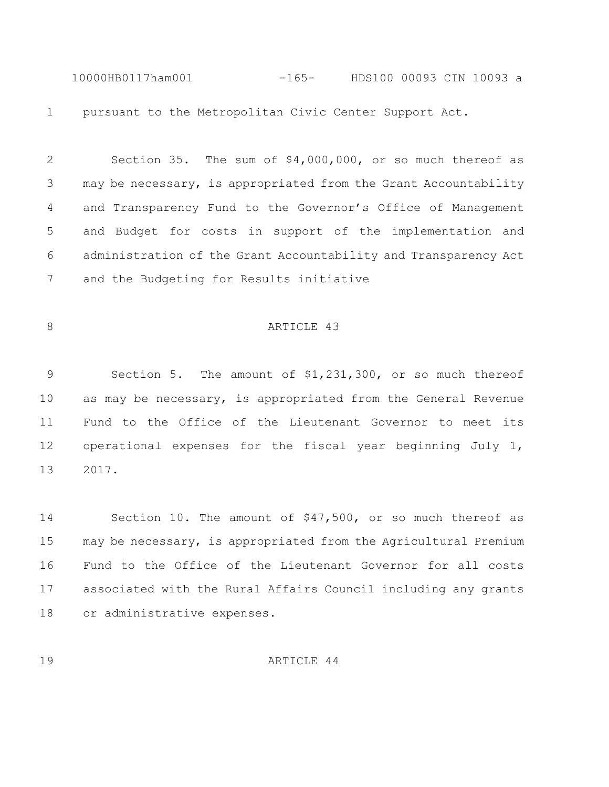10000HB0117ham001 -165- HDS100 00093 CIN 10093 a pursuant to the Metropolitan Civic Center Support Act.

 Section 35. The sum of \$4,000,000, or so much thereof as may be necessary, is appropriated from the Grant Accountability and Transparency Fund to the Governor's Office of Management and Budget for costs in support of the implementation and administration of the Grant Accountability and Transparency Act and the Budgeting for Results initiative

## 8 ARTICLE 43

 Section 5. The amount of \$1,231,300, or so much thereof as may be necessary, is appropriated from the General Revenue Fund to the Office of the Lieutenant Governor to meet its operational expenses for the fiscal year beginning July 1, 2017.

 Section 10. The amount of \$47,500, or so much thereof as may be necessary, is appropriated from the Agricultural Premium Fund to the Office of the Lieutenant Governor for all costs associated with the Rural Affairs Council including any grants or administrative expenses.

ARTICLE 44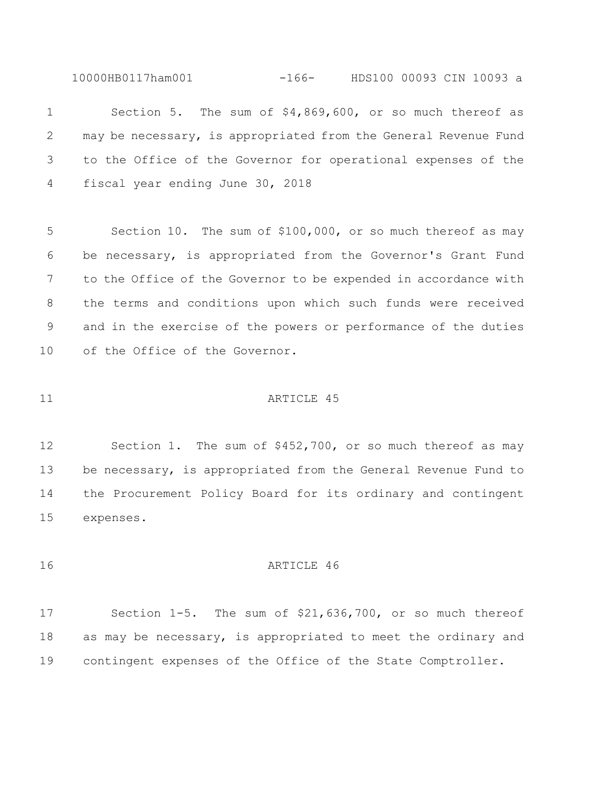10000HB0117ham001 -166- HDS100 00093 CIN 10093 a

 Section 5. The sum of \$4,869,600, or so much thereof as may be necessary, is appropriated from the General Revenue Fund to the Office of the Governor for operational expenses of the fiscal year ending June 30, 2018

 Section 10. The sum of \$100,000, or so much thereof as may be necessary, is appropriated from the Governor's Grant Fund to the Office of the Governor to be expended in accordance with the terms and conditions upon which such funds were received and in the exercise of the powers or performance of the duties of the Office of the Governor.

#### 11 ARTICLE 45

 Section 1. The sum of \$452,700, or so much thereof as may 13 be necessary, is appropriated from the General Revenue Fund to the Procurement Policy Board for its ordinary and contingent expenses.

# ARTICLE 46

 Section 1-5. The sum of \$21,636,700, or so much thereof as may be necessary, is appropriated to meet the ordinary and contingent expenses of the Office of the State Comptroller.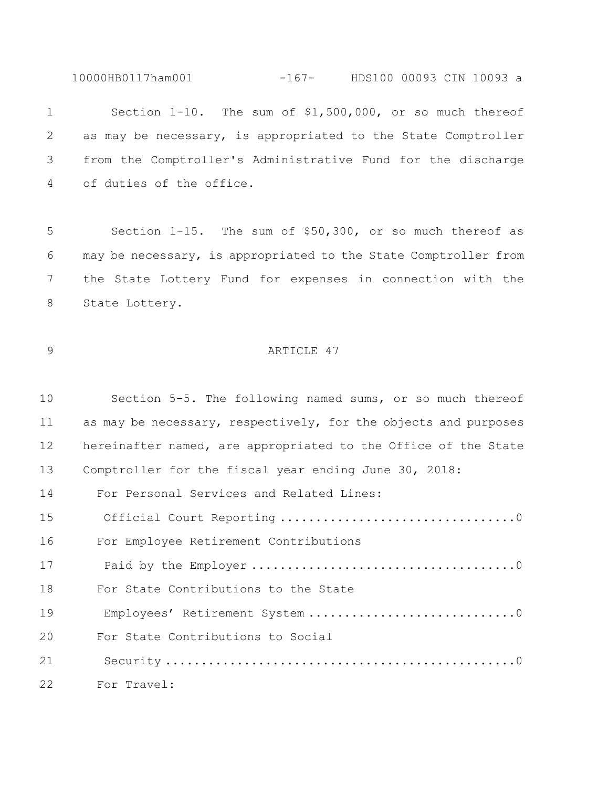10000HB0117ham001 -167- HDS100 00093 CIN 10093 a

 Section 1-10. The sum of \$1,500,000, or so much thereof as may be necessary, is appropriated to the State Comptroller from the Comptroller's Administrative Fund for the discharge of duties of the office.

 Section 1-15. The sum of \$50,300, or so much thereof as may be necessary, is appropriated to the State Comptroller from the State Lottery Fund for expenses in connection with the State Lottery.

# 9 ARTICLE 47

| 10 | Section 5-5. The following named sums, or so much thereof       |
|----|-----------------------------------------------------------------|
| 11 | as may be necessary, respectively, for the objects and purposes |
| 12 | hereinafter named, are appropriated to the Office of the State  |
| 13 | Comptroller for the fiscal year ending June 30, 2018:           |
| 14 | For Personal Services and Related Lines:                        |
| 15 |                                                                 |
| 16 | For Employee Retirement Contributions                           |
| 17 |                                                                 |
| 18 | For State Contributions to the State                            |
| 19 |                                                                 |
| 20 | For State Contributions to Social                               |
| 21 |                                                                 |
| 22 | For Travel:                                                     |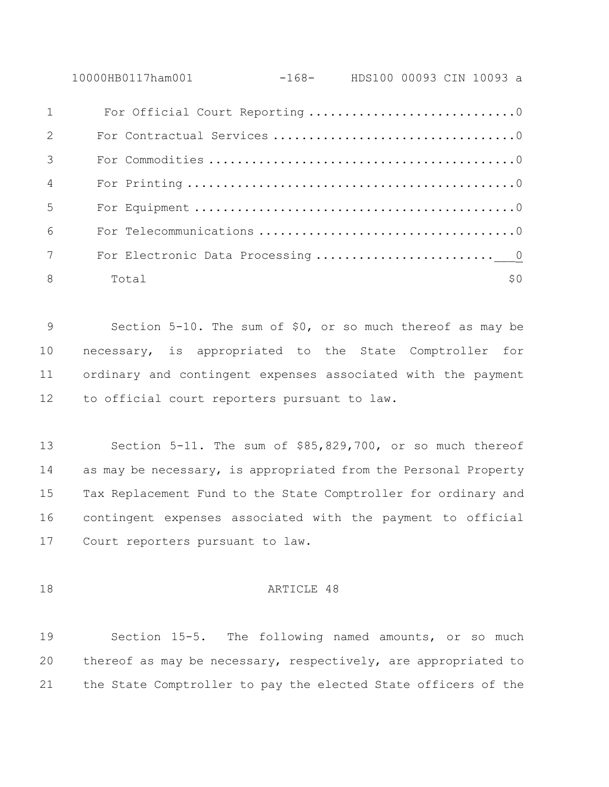10000HB0117ham001 -168- HDS100 00093 CIN 10093 a

| 1              | For Official Court Reporting 0    |  |
|----------------|-----------------------------------|--|
| 2              |                                   |  |
| $\mathcal{E}$  |                                   |  |
| $\overline{4}$ |                                   |  |
| $\overline{5}$ |                                   |  |
| 6              |                                   |  |
| 7              | For Electronic Data Processing  0 |  |
| 8              | 50<br>Total                       |  |

 Section 5-10. The sum of \$0, or so much thereof as may be necessary, is appropriated to the State Comptroller for ordinary and contingent expenses associated with the payment to official court reporters pursuant to law.

 Section 5-11. The sum of \$85,829,700, or so much thereof as may be necessary, is appropriated from the Personal Property Tax Replacement Fund to the State Comptroller for ordinary and contingent expenses associated with the payment to official Court reporters pursuant to law.

#### **ARTICLE** 48

 Section 15-5. The following named amounts, or so much thereof as may be necessary, respectively, are appropriated to the State Comptroller to pay the elected State officers of the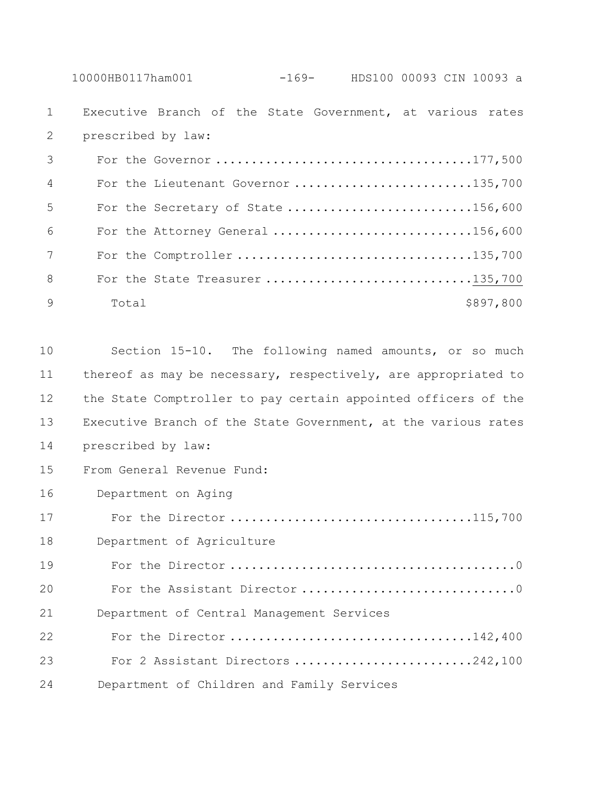10000HB0117ham001 -169- HDS100 00093 CIN 10093 a

 Executive Branch of the State Government, at various rates prescribed by law:

| $\overline{3}$ |       |                                     |
|----------------|-------|-------------------------------------|
| $\overline{4}$ |       | For the Lieutenant Governor 135,700 |
| -5             |       | For the Secretary of State 156,600  |
| 6              |       | For the Attorney General 156,600    |
| 7              |       |                                     |
| -8             |       | For the State Treasurer 135,700     |
| - 9            | Total | \$897,800                           |

 Section 15-10. The following named amounts, or so much thereof as may be necessary, respectively, are appropriated to the State Comptroller to pay certain appointed officers of the Executive Branch of the State Government, at the various rates prescribed by law: From General Revenue Fund: Department on Aging For the Director ..................................115,700 Department of Agriculture For the Director ........................................0 For the Assistant Director ..............................0 Department of Central Management Services For the Director ..................................142,400 For 2 Assistant Directors .........................242,100 24 Department of Children and Family Services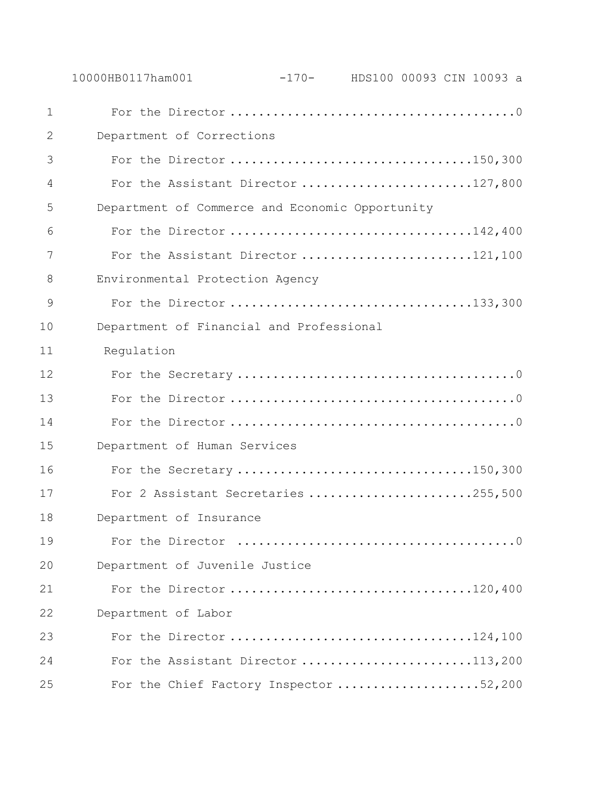|                | 10000HB0117ham001                               | -170- HDS100 00093 CIN 10093 a |  |  |
|----------------|-------------------------------------------------|--------------------------------|--|--|
| $\mathbf 1$    |                                                 |                                |  |  |
| 2              | Department of Corrections                       |                                |  |  |
| 3              | For the Director 150,300                        |                                |  |  |
| $\overline{4}$ | For the Assistant Director 127,800              |                                |  |  |
| 5              | Department of Commerce and Economic Opportunity |                                |  |  |
| 6              | For the Director 142,400                        |                                |  |  |
| 7              | For the Assistant Director 121,100              |                                |  |  |
| 8              | Environmental Protection Agency                 |                                |  |  |
| 9              | For the Director 133,300                        |                                |  |  |
| 10             | Department of Financial and Professional        |                                |  |  |
| 11             | Regulation                                      |                                |  |  |
| 12             |                                                 |                                |  |  |
| 13             |                                                 |                                |  |  |
| 14             |                                                 |                                |  |  |
| 15             | Department of Human Services                    |                                |  |  |
| 16             | For the Secretary 150,300                       |                                |  |  |
| 17             | For 2 Assistant Secretaries 255,500             |                                |  |  |
| 18             | Department of Insurance                         |                                |  |  |
| 19             |                                                 |                                |  |  |
| 20             | Department of Juvenile Justice                  |                                |  |  |
| 21             |                                                 |                                |  |  |
| 22             | Department of Labor                             |                                |  |  |
| 23             |                                                 |                                |  |  |
| 24             | For the Assistant Director 113,200              |                                |  |  |
| 25             | For the Chief Factory Inspector 52,200          |                                |  |  |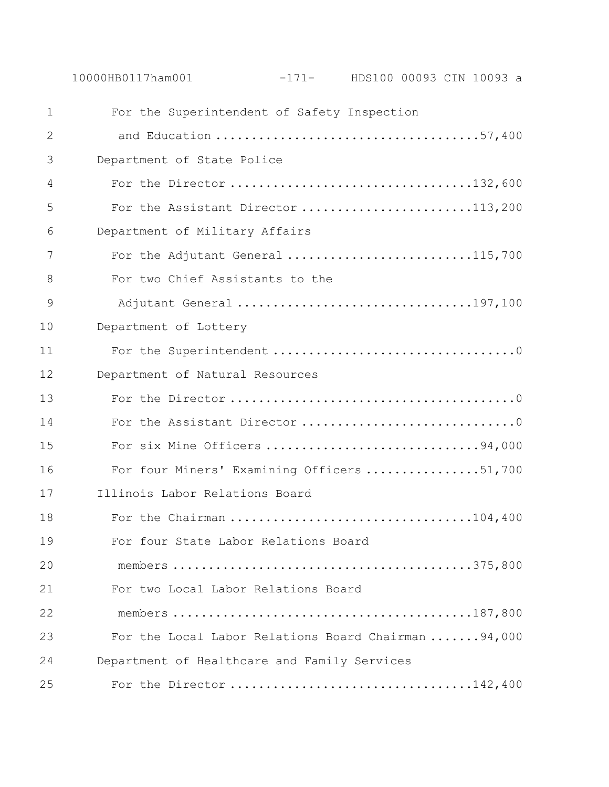For the Superintendent of Safety Inspection and Education .....................................57,400 Department of State Police For the Director ..................................132,600 5 For the Assistant Director ...........................113,200 Department of Military Affairs 7 For the Adjutant General ............................115,700 For two Chief Assistants to the Adjutant General .................................197,100 Department of Lottery For the Superintendent ..................................0 Department of Natural Resources For the Director ........................................0 14 For the Assistant Director ..................................0 For six Mine Officers ..............................94,000 For four Miners' Examining Officers ................51,700 Illinois Labor Relations Board For the Chairman ..................................104,400 For four State Labor Relations Board members ..........................................375,800 For two Local Labor Relations Board members ..........................................187,800 For the Local Labor Relations Board Chairman .......94,000 Department of Healthcare and Family Services For the Director ..................................142,400

10000HB0117ham001 -171- HDS100 00093 CIN 10093 a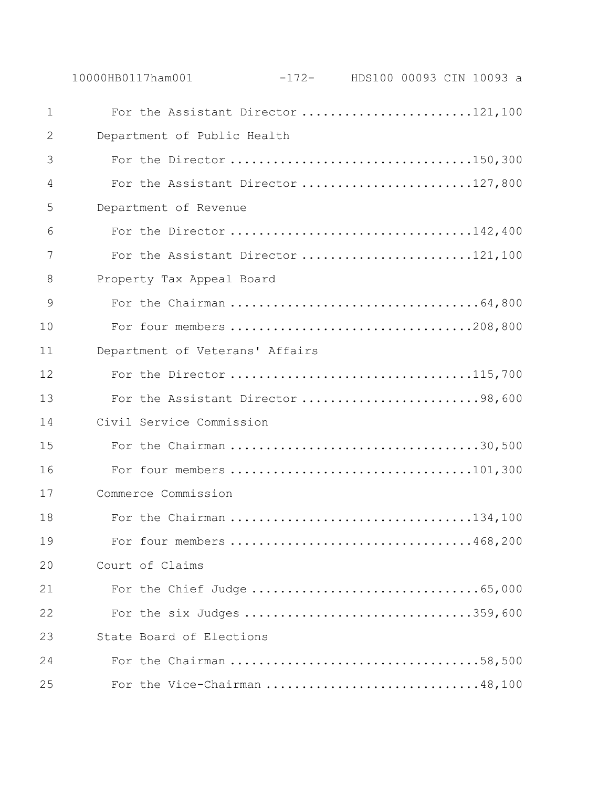|               | 10000HB0117ham001 |                                    | $-172-$ HDS100 00093 CIN 10093 a |  |  |
|---------------|-------------------|------------------------------------|----------------------------------|--|--|
| $\mathbf 1$   |                   | For the Assistant Director 121,100 |                                  |  |  |
| $\mathbf{2}$  |                   | Department of Public Health        |                                  |  |  |
| 3             |                   | For the Director 150,300           |                                  |  |  |
| 4             |                   | For the Assistant Director 127,800 |                                  |  |  |
| 5             |                   | Department of Revenue              |                                  |  |  |
| 6             |                   | For the Director 142,400           |                                  |  |  |
| 7             |                   | For the Assistant Director 121,100 |                                  |  |  |
| 8             |                   | Property Tax Appeal Board          |                                  |  |  |
| $\mathcal{G}$ |                   |                                    |                                  |  |  |
| 10            |                   |                                    |                                  |  |  |
| 11            |                   | Department of Veterans' Affairs    |                                  |  |  |
| 12            |                   | For the Director 115,700           |                                  |  |  |
| 13            |                   | For the Assistant Director 98,600  |                                  |  |  |
| 14            |                   | Civil Service Commission           |                                  |  |  |
| 15            |                   |                                    |                                  |  |  |
| 16            |                   |                                    |                                  |  |  |
| 17            |                   | Commerce Commission                |                                  |  |  |
| 18            |                   |                                    |                                  |  |  |
| 19            |                   | For four members 468,200           |                                  |  |  |
| 20            |                   | Court of Claims                    |                                  |  |  |
| 21            |                   |                                    |                                  |  |  |
| 22            |                   | For the six Judges 359,600         |                                  |  |  |
| 23            |                   | State Board of Elections           |                                  |  |  |
| 24            |                   |                                    |                                  |  |  |
| 25            |                   | For the Vice-Chairman 48,100       |                                  |  |  |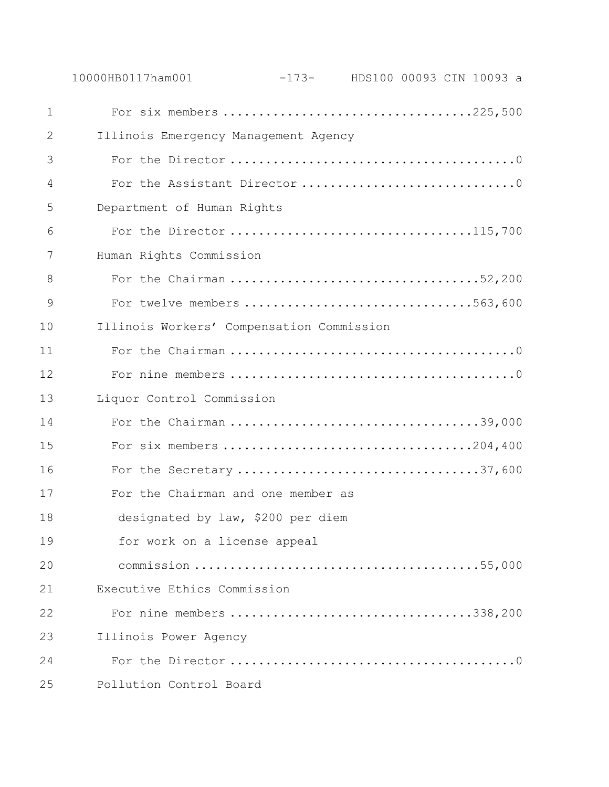|             | 10000HB0117ham001                         | $-173-$ HDS100 00093 CIN 10093 a |  |  |
|-------------|-------------------------------------------|----------------------------------|--|--|
| $\mathbf 1$ | For six members 225,500                   |                                  |  |  |
| 2           | Illinois Emergency Management Agency      |                                  |  |  |
| 3           |                                           |                                  |  |  |
| 4           | For the Assistant Director 0              |                                  |  |  |
| 5           | Department of Human Rights                |                                  |  |  |
| 6           | For the Director 115,700                  |                                  |  |  |
| 7           | Human Rights Commission                   |                                  |  |  |
| 8           | For the Chairman 52,200                   |                                  |  |  |
| 9           | For twelve members 563,600                |                                  |  |  |
| 10          | Illinois Workers' Compensation Commission |                                  |  |  |
| 11          |                                           |                                  |  |  |
| 12          |                                           |                                  |  |  |
| 13          | Liquor Control Commission                 |                                  |  |  |
| 14          | For the Chairman 39,000                   |                                  |  |  |
| 15          |                                           |                                  |  |  |
| 16          | For the Secretary 37,600                  |                                  |  |  |
| 17          | For the Chairman and one member as        |                                  |  |  |
| 18          | designated by law, \$200 per diem         |                                  |  |  |
| 19          | for work on a license appeal              |                                  |  |  |
| 20          |                                           |                                  |  |  |
| 21          | Executive Ethics Commission               |                                  |  |  |
| 22          | For nine members 338,200                  |                                  |  |  |
| 23          | Illinois Power Agency                     |                                  |  |  |
| 24          |                                           |                                  |  |  |
| 25          | Pollution Control Board                   |                                  |  |  |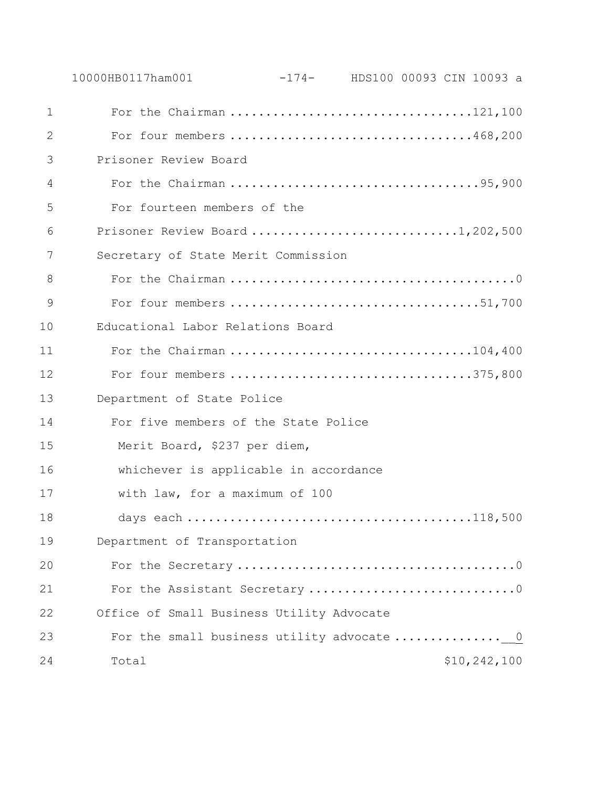|             | 10000HB0117ham001<br>$-174-$ HDS100 00093 CIN 10093 a |
|-------------|-------------------------------------------------------|
| $\mathbf 1$ |                                                       |
| 2           | For four members 468,200                              |
| 3           | Prisoner Review Board                                 |
| 4           |                                                       |
| 5           | For fourteen members of the                           |
| 6           | Prisoner Review Board 1,202,500                       |
| 7           | Secretary of State Merit Commission                   |
| 8           |                                                       |
| 9           |                                                       |
| 10          | Educational Labor Relations Board                     |
| 11          | For the Chairman 104,400                              |
| 12          | For four members 375,800                              |
| 13          | Department of State Police                            |
| 14          | For five members of the State Police                  |
| 15          | Merit Board, \$237 per diem,                          |
| 16          | whichever is applicable in accordance                 |
| 17          | with law, for a maximum of 100                        |
| 18          |                                                       |
| 19          | Department of Transportation                          |
| 20          |                                                       |
| 21          | For the Assistant Secretary 0                         |
| 22          | Office of Small Business Utility Advocate             |
| 23          | For the small business utility advocate  0            |
| 24          | \$10,242,100<br>Total                                 |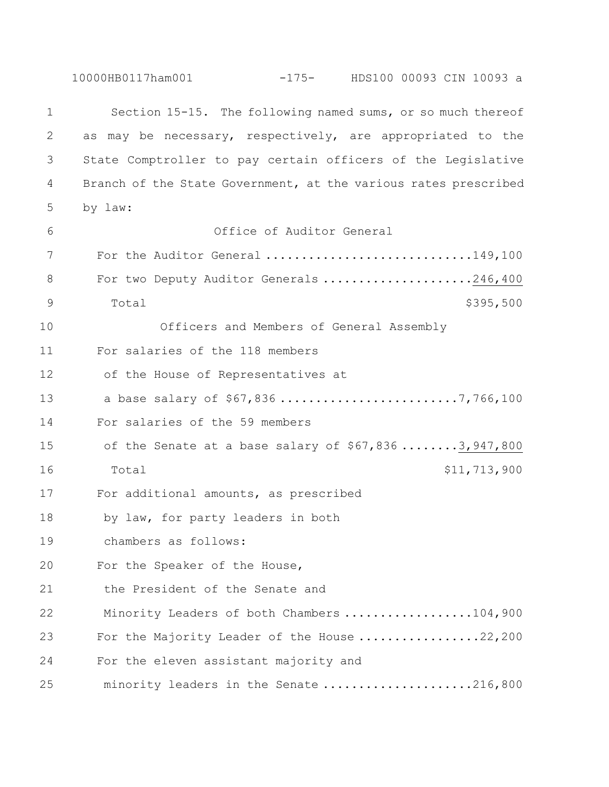10000HB0117ham001 -175- HDS100 00093 CIN 10093 a Section 15-15. The following named sums, or so much thereof as may be necessary, respectively, are appropriated to the State Comptroller to pay certain officers of the Legislative Branch of the State Government, at the various rates prescribed by law: Office of Auditor General For the Auditor General .............................149,100 8 For two Deputy Auditor Generals .....................246,400 9 Total \$395,500 Officers and Members of General Assembly For salaries of the 118 members of the House of Representatives at a base salary of \$67,836 .........................7,766,100 For salaries of the 59 members of the Senate at a base salary of \$67,836 ........3,947,800 16 Total 511,713,900 For additional amounts, as prescribed by law, for party leaders in both chambers as follows: For the Speaker of the House, the President of the Senate and Minority Leaders of both Chambers ..................104,900 23 For the Majority Leader of the House .................22,200 For the eleven assistant majority and minority leaders in the Senate .....................216,800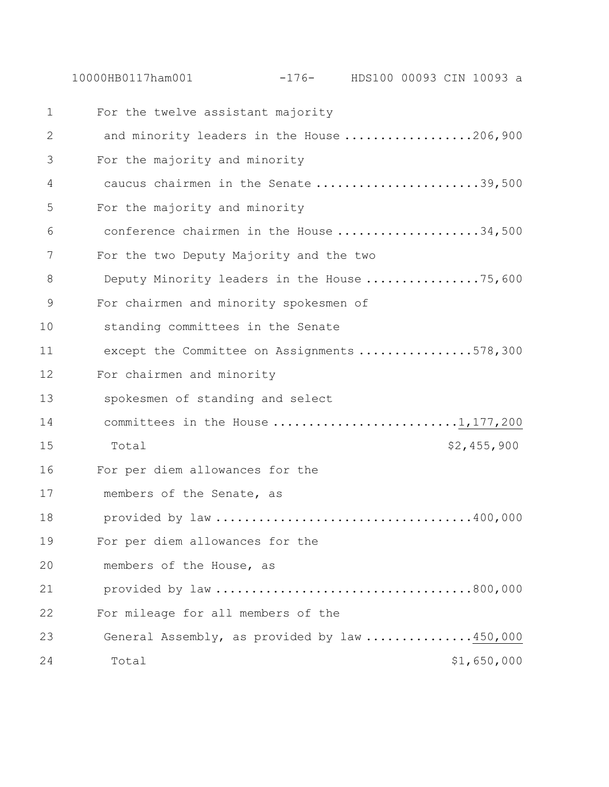For the twelve assistant majority and minority leaders in the House ..................206,900 For the majority and minority caucus chairmen in the Senate .......................39,500 For the majority and minority conference chairmen in the House ....................34,500 For the two Deputy Majority and the two 8 Deputy Minority leaders in the House ..................75,600 For chairmen and minority spokesmen of standing committees in the Senate except the Committee on Assignments ................578,300 For chairmen and minority spokesmen of standing and select 14 committees in the House ............................1,177,200 Total \$2,455,900 For per diem allowances for the members of the Senate, as provided by law ....................................400,000 For per diem allowances for the members of the House, as provided by law ....................................800,000 For mileage for all members of the General Assembly, as provided by law ...............450,000 24 Total 51,650,000

10000HB0117ham001 -176- HDS100 00093 CIN 10093 a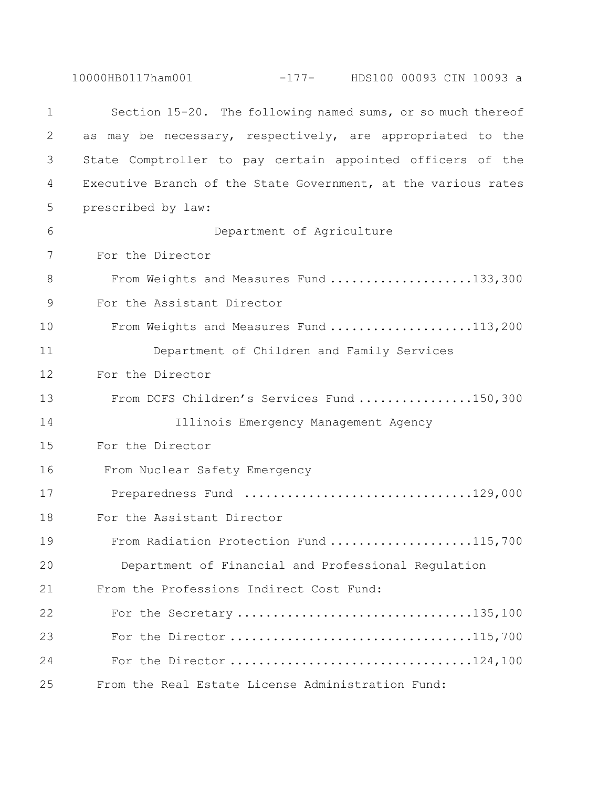|    | 10000HB0117ham001<br>$-177$ - HDS100 00093 CIN 10093 a         |  |
|----|----------------------------------------------------------------|--|
| 1  | Section 15-20. The following named sums, or so much thereof    |  |
| 2  | as may be necessary, respectively, are appropriated to the     |  |
| 3  | State Comptroller to pay certain appointed officers of the     |  |
| 4  | Executive Branch of the State Government, at the various rates |  |
| 5  | prescribed by law:                                             |  |
| 6  | Department of Agriculture                                      |  |
| 7  | For the Director                                               |  |
| 8  | From Weights and Measures Fund 133,300                         |  |
| 9  | For the Assistant Director                                     |  |
| 10 | From Weights and Measures Fund 113,200                         |  |
| 11 | Department of Children and Family Services                     |  |
| 12 | For the Director                                               |  |
| 13 | From DCFS Children's Services Fund 150,300                     |  |
| 14 | Illinois Emergency Management Agency                           |  |
| 15 | For the Director                                               |  |
| 16 | From Nuclear Safety Emergency                                  |  |
| 17 | Preparedness Fund 129,000                                      |  |
| 18 | For the Assistant Director                                     |  |
| 19 | From Radiation Protection Fund 115,700                         |  |
| 20 | Department of Financial and Professional Regulation            |  |
| 21 | From the Professions Indirect Cost Fund:                       |  |
| 22 | For the Secretary 135,100                                      |  |
| 23 |                                                                |  |
| 24 |                                                                |  |
| 25 | From the Real Estate License Administration Fund:              |  |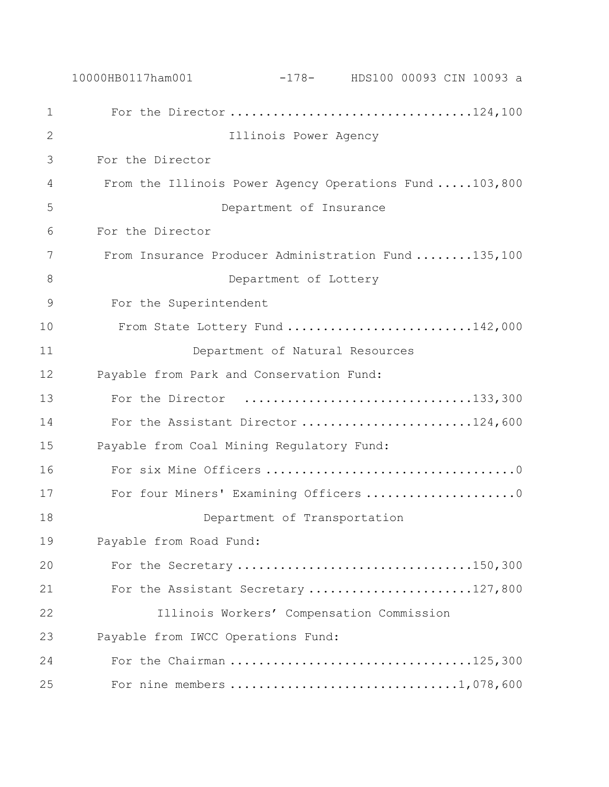|              | 10000HB0117ham001                         |                         | $-178$ - HDS100 00093 CIN 10093 a                      |  |
|--------------|-------------------------------------------|-------------------------|--------------------------------------------------------|--|
| $\mathbf 1$  |                                           |                         |                                                        |  |
| $\mathbf{2}$ |                                           | Illinois Power Agency   |                                                        |  |
| 3            | For the Director                          |                         |                                                        |  |
| 4            |                                           |                         | From the Illinois Power Agency Operations Fund 103,800 |  |
| 5            |                                           | Department of Insurance |                                                        |  |
| 6            | For the Director                          |                         |                                                        |  |
| 7            |                                           |                         | From Insurance Producer Administration Fund 135,100    |  |
| 8            |                                           | Department of Lottery   |                                                        |  |
| 9            | For the Superintendent                    |                         |                                                        |  |
| 10           |                                           |                         | From State Lottery Fund 142,000                        |  |
| 11           |                                           |                         | Department of Natural Resources                        |  |
| 12           | Payable from Park and Conservation Fund:  |                         |                                                        |  |
| 13           |                                           |                         | For the Director 133,300                               |  |
| 14           |                                           |                         | For the Assistant Director 124,600                     |  |
| 15           | Payable from Coal Mining Regulatory Fund: |                         |                                                        |  |
| 16           |                                           |                         |                                                        |  |
| 17           |                                           |                         | For four Miners' Examining Officers 0                  |  |
| 18           |                                           |                         | Department of Transportation                           |  |
| 19           | Payable from Road Fund:                   |                         |                                                        |  |
| 20           |                                           |                         | For the Secretary 150,300                              |  |
| 21           |                                           |                         | For the Assistant Secretary 127,800                    |  |
| 22           |                                           |                         | Illinois Workers' Compensation Commission              |  |
| 23           | Payable from IWCC Operations Fund:        |                         |                                                        |  |
| 24           |                                           |                         |                                                        |  |
| 25           |                                           |                         |                                                        |  |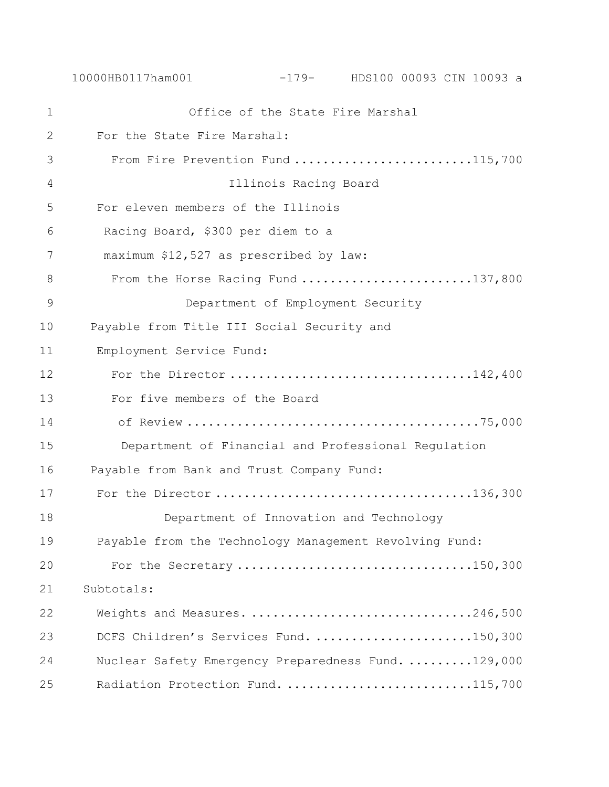| $\mathbf 1$   | Office of the State Fire Marshal                       |
|---------------|--------------------------------------------------------|
| $\mathbf{2}$  | For the State Fire Marshal:                            |
| 3             | From Fire Prevention Fund 115,700                      |
| 4             | Illinois Racing Board                                  |
| 5             | For eleven members of the Illinois                     |
| 6             | Racing Board, \$300 per diem to a                      |
| 7             | maximum \$12,527 as prescribed by law:                 |
| 8             | From the Horse Racing Fund 137,800                     |
| $\mathcal{G}$ | Department of Employment Security                      |
| 10            | Payable from Title III Social Security and             |
| 11            | Employment Service Fund:                               |
| 12            |                                                        |
| 13            | For five members of the Board                          |
| 14            |                                                        |
| 15            | Department of Financial and Professional Regulation    |
| 16            | Payable from Bank and Trust Company Fund:              |
| 17            |                                                        |
| 18            | Department of Innovation and Technology                |
| 19            | Payable from the Technology Management Revolving Fund: |
| 20            | For the Secretary 150,300                              |
| 21            | Subtotals:                                             |
| 22            | Weights and Measures. 246,500                          |
| 23            | DCFS Children's Services Fund. 150,300                 |
| 24            | Nuclear Safety Emergency Preparedness Fund. 129,000    |
| 25            | Radiation Protection Fund. 115,700                     |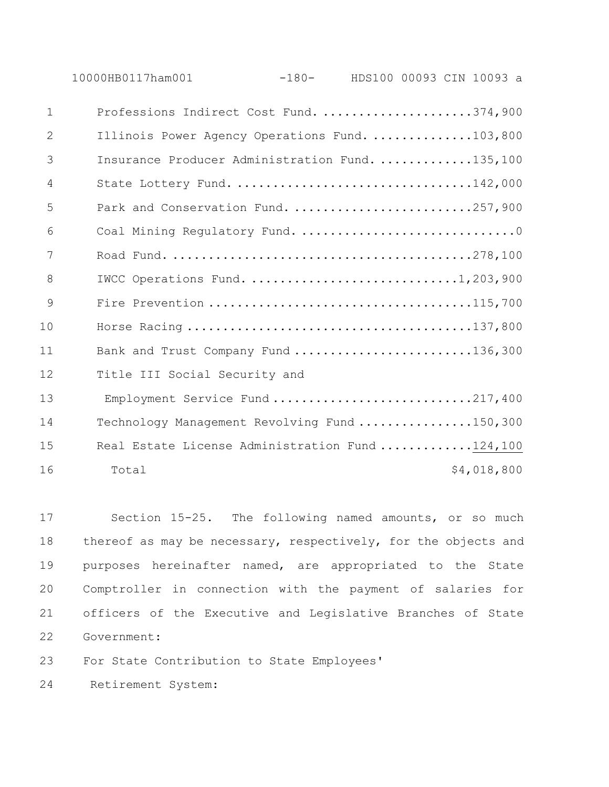10000HB0117ham001 -180- HDS100 00093 CIN 10093 a

| $\mathbf{1}$ | Professions Indirect Cost Fund. 374,900         |             |
|--------------|-------------------------------------------------|-------------|
| 2            | Illinois Power Agency Operations Fund. 103,800  |             |
| 3            | Insurance Producer Administration Fund. 135,100 |             |
| 4            | State Lottery Fund. 142,000                     |             |
| 5            | Park and Conservation Fund. 257,900             |             |
| 6            | Coal Mining Regulatory Fund. 0                  |             |
| 7            |                                                 |             |
| 8            | IWCC Operations Fund. 1,203,900                 |             |
| 9            |                                                 |             |
| 10           |                                                 |             |
| 11           | Bank and Trust Company Fund 136,300             |             |
| 12           | Title III Social Security and                   |             |
| 13           | Employment Service Fund 217,400                 |             |
| 14           | Technology Management Revolving Fund 150,300    |             |
| 15           | Real Estate License Administration Fund 124,100 |             |
| 16           | Total                                           | \$4,018,800 |

 Section 15-25. The following named amounts, or so much thereof as may be necessary, respectively, for the objects and purposes hereinafter named, are appropriated to the State Comptroller in connection with the payment of salaries for officers of the Executive and Legislative Branches of State Government:

For State Contribution to State Employees'

Retirement System: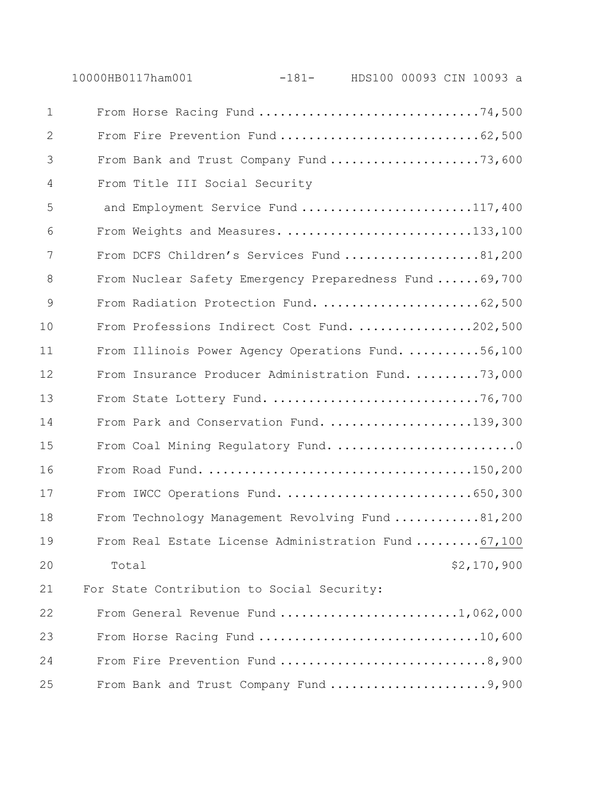|             | 10000HB0117ham001                                       | $-181-$ |  | HDS100 00093 CIN 10093 a |
|-------------|---------------------------------------------------------|---------|--|--------------------------|
| $\mathbf 1$ | From Horse Racing Fund 74,500                           |         |  |                          |
| 2           |                                                         |         |  |                          |
| 3           | From Bank and Trust Company Fund 73,600                 |         |  |                          |
| 4           | From Title III Social Security                          |         |  |                          |
| 5           | and Employment Service Fund 117,400                     |         |  |                          |
| 6           | From Weights and Measures. 133,100                      |         |  |                          |
| 7           | From DCFS Children's Services Fund 81,200               |         |  |                          |
| 8           | From Nuclear Safety Emergency Preparedness Fund  69,700 |         |  |                          |
| 9           | From Radiation Protection Fund. 62,500                  |         |  |                          |
| 10          | From Professions Indirect Cost Fund. 202,500            |         |  |                          |
| 11          | From Illinois Power Agency Operations Fund. 56,100      |         |  |                          |
| 12          | From Insurance Producer Administration Fund. 73,000     |         |  |                          |
| 13          | From State Lottery Fund. 76,700                         |         |  |                          |
| 14          | From Park and Conservation Fund. 139,300                |         |  |                          |
| 15          | From Coal Mining Regulatory Fund. 0                     |         |  |                          |
| 16          |                                                         |         |  |                          |
| 17          | From IWCC Operations Fund. 650,300                      |         |  |                          |
| 18          | From Technology Management Revolving Fund 81,200        |         |  |                          |
| 19          | From Real Estate License Administration Fund  67,100    |         |  |                          |
| 20          | Total                                                   |         |  | \$2,170,900              |
| 21          | For State Contribution to Social Security:              |         |  |                          |
| 22          | From General Revenue Fund 1,062,000                     |         |  |                          |
| 23          |                                                         |         |  |                          |
| 24          | From Fire Prevention Fund 8,900                         |         |  |                          |
| 25          | From Bank and Trust Company Fund 9,900                  |         |  |                          |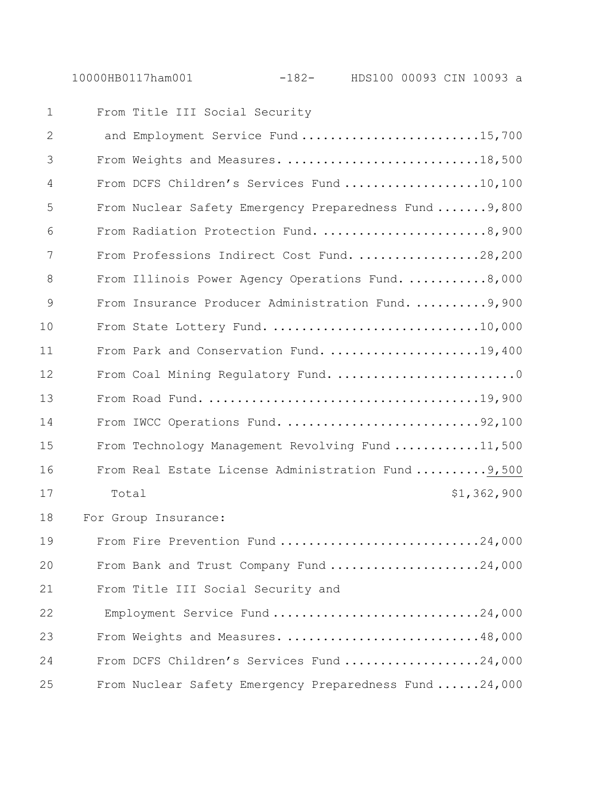| $\mathbf 1$  | From Title III Social Security                         |
|--------------|--------------------------------------------------------|
| $\mathbf{2}$ | and Employment Service Fund 15,700                     |
| 3            | From Weights and Measures. 18,500                      |
| 4            | From DCFS Children's Services Fund 10,100              |
| 5            | From Nuclear Safety Emergency Preparedness Fund  9,800 |
| 6            | From Radiation Protection Fund. 8,900                  |
| 7            | From Professions Indirect Cost Fund. 28,200            |
| 8            | From Illinois Power Agency Operations Fund. 8,000      |
| 9            | From Insurance Producer Administration Fund. 9,900     |
| 10           | From State Lottery Fund. 10,000                        |
| 11           | From Park and Conservation Fund. 19,400                |
| 12           | From Coal Mining Regulatory Fund. 0                    |
| 13           |                                                        |
| 14           | From IWCC Operations Fund. 92,100                      |
| 15           | From Technology Management Revolving Fund 11,500       |
| 16           | From Real Estate License Administration Fund  9,500    |
| 17           | \$1,362,900<br>Total                                   |
| 18           | For Group Insurance:                                   |
| 19           | From Fire Prevention Fund 24,000                       |
| 20           | From Bank and Trust Company Fund 24,000                |
| 21           | From Title III Social Security and                     |
| 22           | Employment Service Fund 24,000                         |
| 23           | From Weights and Measures. 48,000                      |
| 24           | From DCFS Children's Services Fund 24,000              |
| 25           | From Nuclear Safety Emergency Preparedness Fund 24,000 |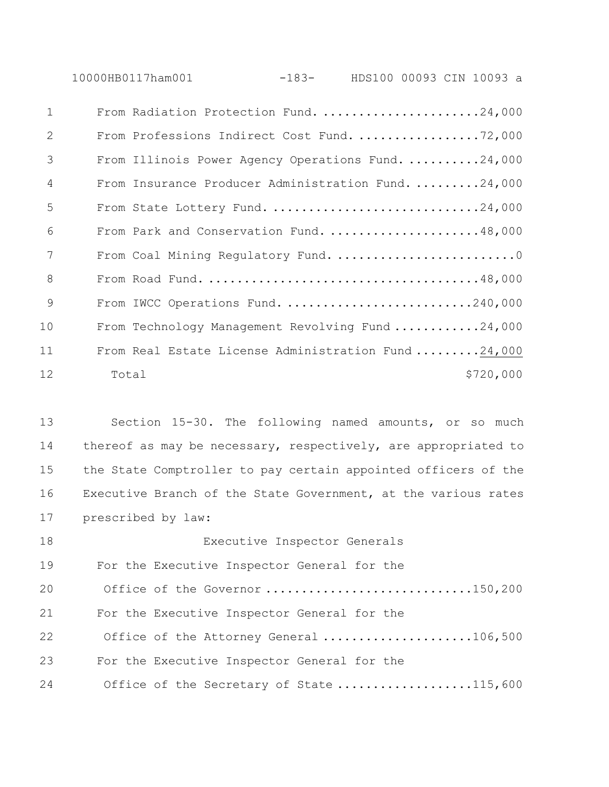10000HB0117ham001 -183- HDS100 00093 CIN 10093 a

| $\mathbf{1}$ | From Radiation Protection Fund. 24,000              |
|--------------|-----------------------------------------------------|
| 2            | From Professions Indirect Cost Fund. 72,000         |
| 3            | From Illinois Power Agency Operations Fund. 24,000  |
| 4            | From Insurance Producer Administration Fund. 24,000 |
| 5            | From State Lottery Fund. 24,000                     |
| 6            | From Park and Conservation Fund. 48,000             |
| 7            | From Coal Mining Regulatory Fund. 0                 |
| 8            |                                                     |
| 9            | From IWCC Operations Fund. 240,000                  |
| 10           | From Technology Management Revolving Fund 24,000    |
| 11           | From Real Estate License Administration Fund 24,000 |
| 12           | \$720,000<br>Total                                  |

 Section 15-30. The following named amounts, or so much thereof as may be necessary, respectively, are appropriated to the State Comptroller to pay certain appointed officers of the Executive Branch of the State Government, at the various rates prescribed by law:

 Executive Inspector Generals For the Executive Inspector General for the 20 Office of the Governor ...............................150,200 For the Executive Inspector General for the 22 Office of the Attorney General ......................106,500 For the Executive Inspector General for the 24 Office of the Secretary of State ...................115,600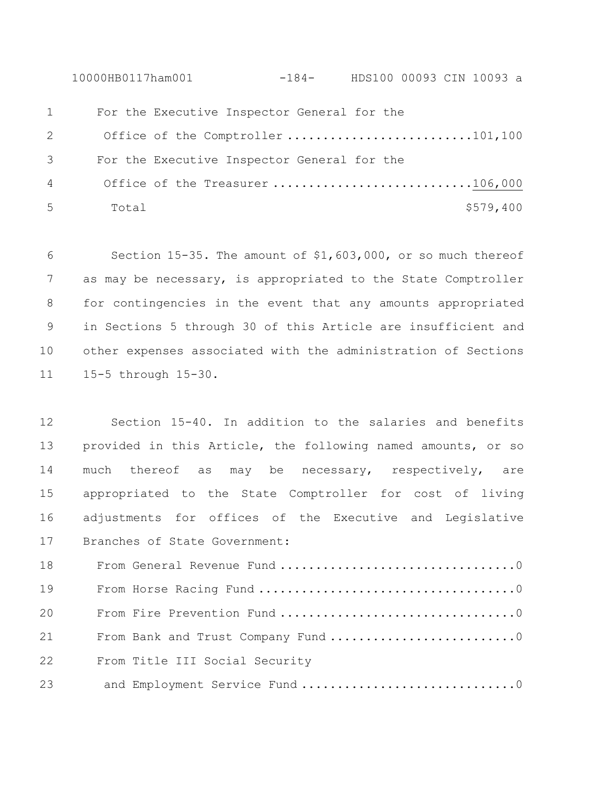10000HB0117ham001 -184- HDS100 00093 CIN 10093 a For the Executive Inspector General for the Office of the Comptroller ..........................101,100 For the Executive Inspector General for the Office of the Treasurer ............................106,000 Total \$579,400

 Section 15-35. The amount of \$1,603,000, or so much thereof as may be necessary, is appropriated to the State Comptroller for contingencies in the event that any amounts appropriated in Sections 5 through 30 of this Article are insufficient and other expenses associated with the administration of Sections 15-5 through 15-30.

 Section 15-40. In addition to the salaries and benefits provided in this Article, the following named amounts, or so 14 much thereof as may be necessary, respectively, are appropriated to the State Comptroller for cost of living adjustments for offices of the Executive and Legislative Branches of State Government:

 From General Revenue Fund .................................0 From Horse Racing Fund ....................................0 From Fire Prevention Fund .................................0 21 From Bank and Trust Company Fund ..............................0 From Title III Social Security 23 and Employment Service Fund ...................................0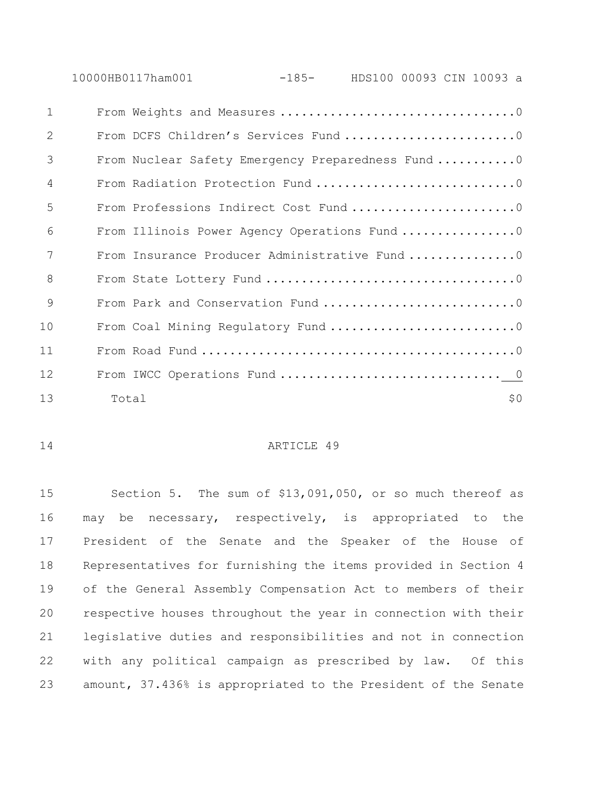10000HB0117ham001 -185- HDS100 00093 CIN 10093 a

| $\mathbf{1}$   |                                                   |
|----------------|---------------------------------------------------|
| 2              | From DCFS Children's Services Fund 0              |
| 3              | From Nuclear Safety Emergency Preparedness Fund 0 |
| $\overline{4}$ | From Radiation Protection Fund 0                  |
| 5              | From Professions Indirect Cost Fund 0             |
| 6              | From Illinois Power Agency Operations Fund 0      |
| 7              | From Insurance Producer Administrative Fund 0     |
| 8              |                                                   |
| 9              | From Park and Conservation Fund 0                 |
| 10             | From Coal Mining Regulatory Fund 0                |
| 11             |                                                   |
| 12             |                                                   |
| 13             | \$0<br>Total                                      |

## ARTICLE 49

 Section 5. The sum of \$13,091,050, or so much thereof as may be necessary, respectively, is appropriated to the President of the Senate and the Speaker of the House of Representatives for furnishing the items provided in Section 4 of the General Assembly Compensation Act to members of their respective houses throughout the year in connection with their legislative duties and responsibilities and not in connection with any political campaign as prescribed by law. Of this amount, 37.436% is appropriated to the President of the Senate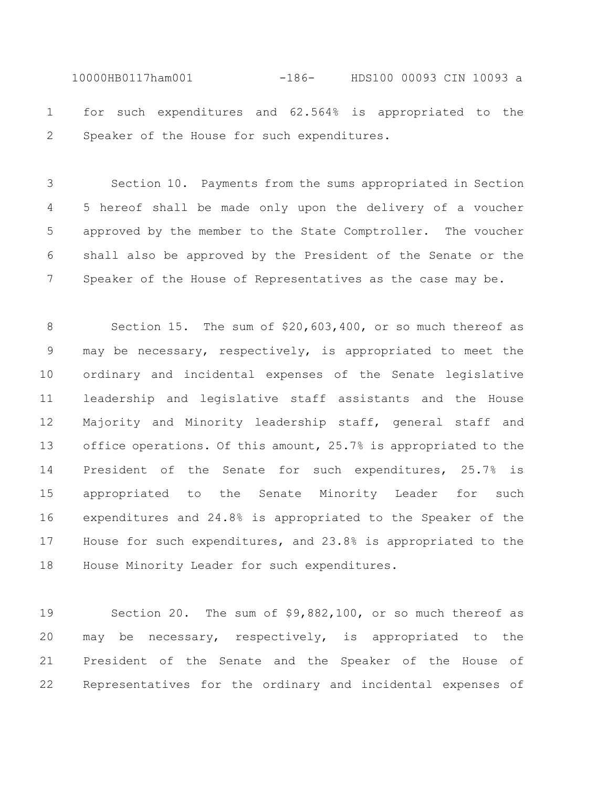10000HB0117ham001 -186- HDS100 00093 CIN 10093 a for such expenditures and 62.564% is appropriated to the Speaker of the House for such expenditures.

 Section 10. Payments from the sums appropriated in Section 5 hereof shall be made only upon the delivery of a voucher approved by the member to the State Comptroller. The voucher shall also be approved by the President of the Senate or the 7 Speaker of the House of Representatives as the case may be.

 Section 15. The sum of \$20,603,400, or so much thereof as may be necessary, respectively, is appropriated to meet the ordinary and incidental expenses of the Senate legislative leadership and legislative staff assistants and the House Majority and Minority leadership staff, general staff and office operations. Of this amount, 25.7% is appropriated to the President of the Senate for such expenditures, 25.7% is appropriated to the Senate Minority Leader for such expenditures and 24.8% is appropriated to the Speaker of the House for such expenditures, and 23.8% is appropriated to the House Minority Leader for such expenditures.

 Section 20. The sum of \$9,882,100, or so much thereof as may be necessary, respectively, is appropriated to the President of the Senate and the Speaker of the House of Representatives for the ordinary and incidental expenses of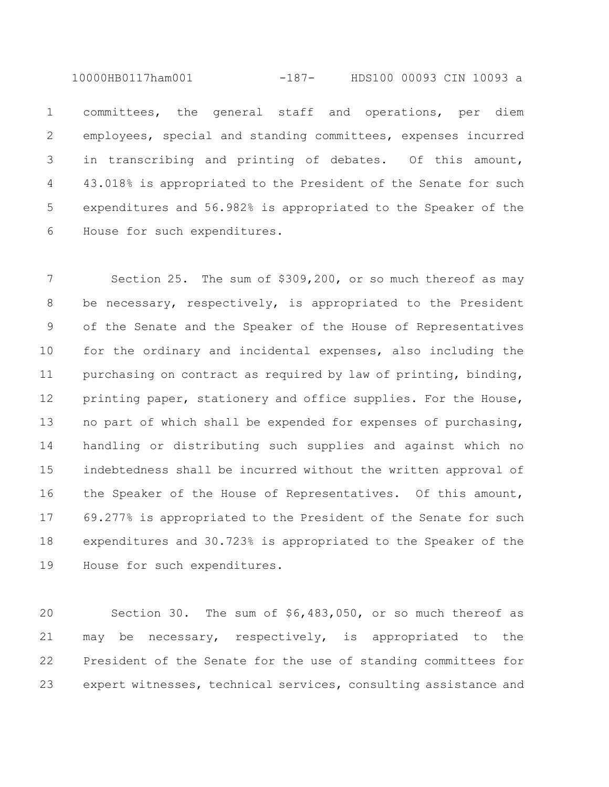10000HB0117ham001 -187- HDS100 00093 CIN 10093 a

 committees, the general staff and operations, per diem employees, special and standing committees, expenses incurred in transcribing and printing of debates. Of this amount, 43.018% is appropriated to the President of the Senate for such expenditures and 56.982% is appropriated to the Speaker of the House for such expenditures.

 Section 25. The sum of \$309,200, or so much thereof as may be necessary, respectively, is appropriated to the President of the Senate and the Speaker of the House of Representatives for the ordinary and incidental expenses, also including the 11 purchasing on contract as required by law of printing, binding, 12 printing paper, stationery and office supplies. For the House, no part of which shall be expended for expenses of purchasing, handling or distributing such supplies and against which no indebtedness shall be incurred without the written approval of the Speaker of the House of Representatives. Of this amount, 69.277% is appropriated to the President of the Senate for such expenditures and 30.723% is appropriated to the Speaker of the House for such expenditures.

 Section 30. The sum of \$6,483,050, or so much thereof as may be necessary, respectively, is appropriated to the President of the Senate for the use of standing committees for expert witnesses, technical services, consulting assistance and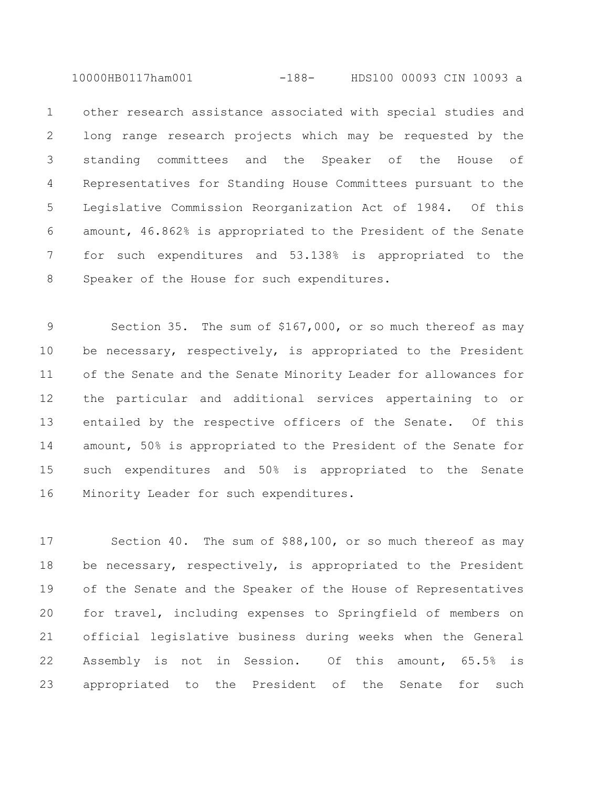10000HB0117ham001 -188- HDS100 00093 CIN 10093 a

 other research assistance associated with special studies and long range research projects which may be requested by the standing committees and the Speaker of the House of Representatives for Standing House Committees pursuant to the Legislative Commission Reorganization Act of 1984. Of this amount, 46.862% is appropriated to the President of the Senate for such expenditures and 53.138% is appropriated to the Speaker of the House for such expenditures.

 Section 35. The sum of \$167,000, or so much thereof as may be necessary, respectively, is appropriated to the President of the Senate and the Senate Minority Leader for allowances for the particular and additional services appertaining to or entailed by the respective officers of the Senate. Of this amount, 50% is appropriated to the President of the Senate for such expenditures and 50% is appropriated to the Senate Minority Leader for such expenditures.

 Section 40. The sum of \$88,100, or so much thereof as may 18 be necessary, respectively, is appropriated to the President of the Senate and the Speaker of the House of Representatives for travel, including expenses to Springfield of members on official legislative business during weeks when the General Assembly is not in Session. Of this amount, 65.5% is appropriated to the President of the Senate for such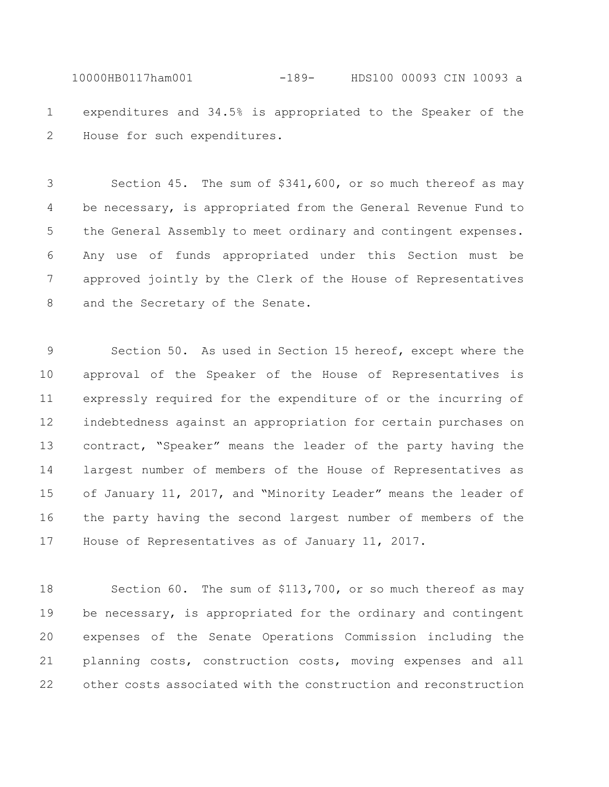10000HB0117ham001 -189- HDS100 00093 CIN 10093 a expenditures and 34.5% is appropriated to the Speaker of the House for such expenditures.

 Section 45. The sum of \$341,600, or so much thereof as may be necessary, is appropriated from the General Revenue Fund to the General Assembly to meet ordinary and contingent expenses. Any use of funds appropriated under this Section must be approved jointly by the Clerk of the House of Representatives and the Secretary of the Senate.

 Section 50. As used in Section 15 hereof, except where the approval of the Speaker of the House of Representatives is expressly required for the expenditure of or the incurring of indebtedness against an appropriation for certain purchases on contract, "Speaker" means the leader of the party having the largest number of members of the House of Representatives as of January 11, 2017, and "Minority Leader" means the leader of the party having the second largest number of members of the House of Representatives as of January 11, 2017.

 Section 60. The sum of \$113,700, or so much thereof as may 19 be necessary, is appropriated for the ordinary and contingent expenses of the Senate Operations Commission including the planning costs, construction costs, moving expenses and all other costs associated with the construction and reconstruction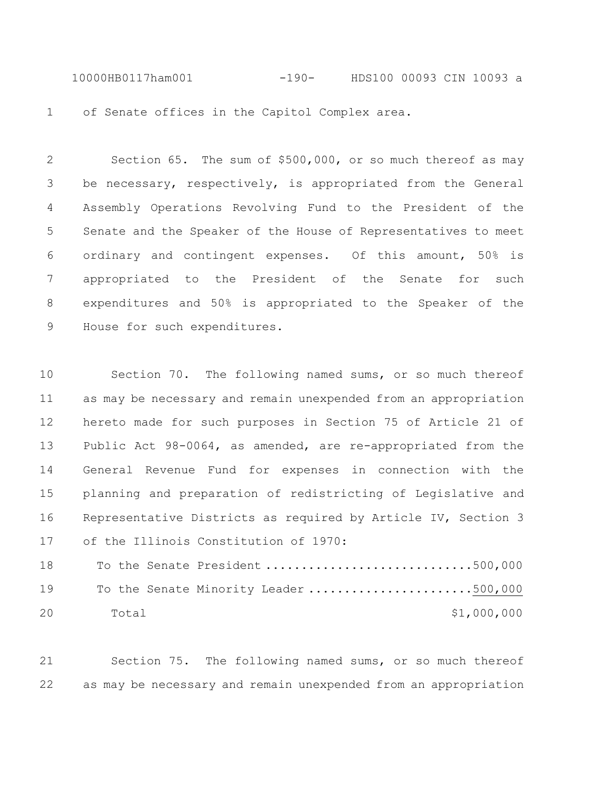10000HB0117ham001 -190- HDS100 00093 CIN 10093 a of Senate offices in the Capitol Complex area.

 Section 65. The sum of \$500,000, or so much thereof as may be necessary, respectively, is appropriated from the General Assembly Operations Revolving Fund to the President of the Senate and the Speaker of the House of Representatives to meet ordinary and contingent expenses. Of this amount, 50% is appropriated to the President of the Senate for such expenditures and 50% is appropriated to the Speaker of the 9 House for such expenditures.

 Section 70. The following named sums, or so much thereof as may be necessary and remain unexpended from an appropriation hereto made for such purposes in Section 75 of Article 21 of Public Act 98-0064, as amended, are re-appropriated from the General Revenue Fund for expenses in connection with the planning and preparation of redistricting of Legislative and Representative Districts as required by Article IV, Section 3 of the Illinois Constitution of 1970:

 To the Senate President .............................500,000 19 To the Senate Minority Leader .........................500,000 20 Total \$1,000,000

 Section 75. The following named sums, or so much thereof as may be necessary and remain unexpended from an appropriation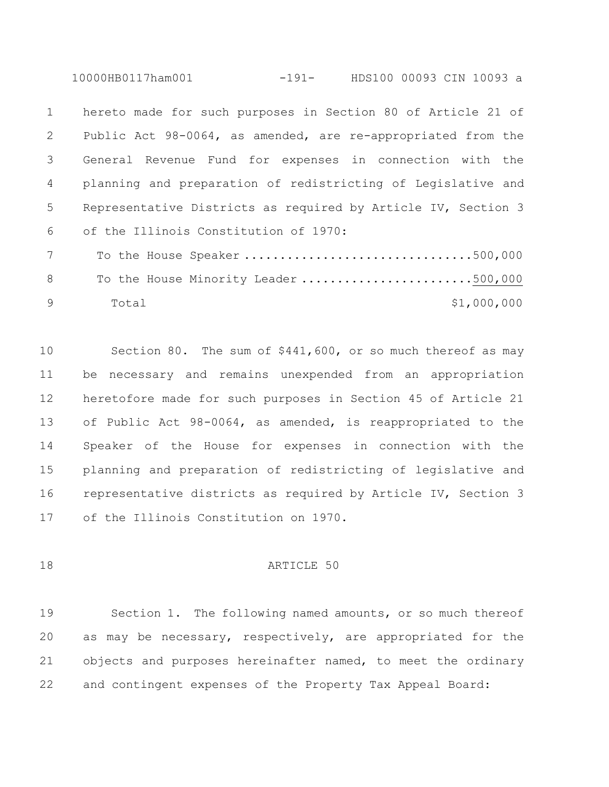10000HB0117ham001 -191- HDS100 00093 CIN 10093 a

 hereto made for such purposes in Section 80 of Article 21 of Public Act 98-0064, as amended, are re-appropriated from the General Revenue Fund for expenses in connection with the planning and preparation of redistricting of Legislative and Representative Districts as required by Article IV, Section 3 of the Illinois Constitution of 1970: To the House Speaker ................................500,000

8 To the House Minority Leader ...........................500,000 9 Total \$1,000,000

 Section 80. The sum of \$441,600, or so much thereof as may be necessary and remains unexpended from an appropriation heretofore made for such purposes in Section 45 of Article 21 of Public Act 98-0064, as amended, is reappropriated to the Speaker of the House for expenses in connection with the planning and preparation of redistricting of legislative and representative districts as required by Article IV, Section 3 of the Illinois Constitution on 1970.

18 ARTICLE 50

 Section 1. The following named amounts, or so much thereof as may be necessary, respectively, are appropriated for the objects and purposes hereinafter named, to meet the ordinary and contingent expenses of the Property Tax Appeal Board: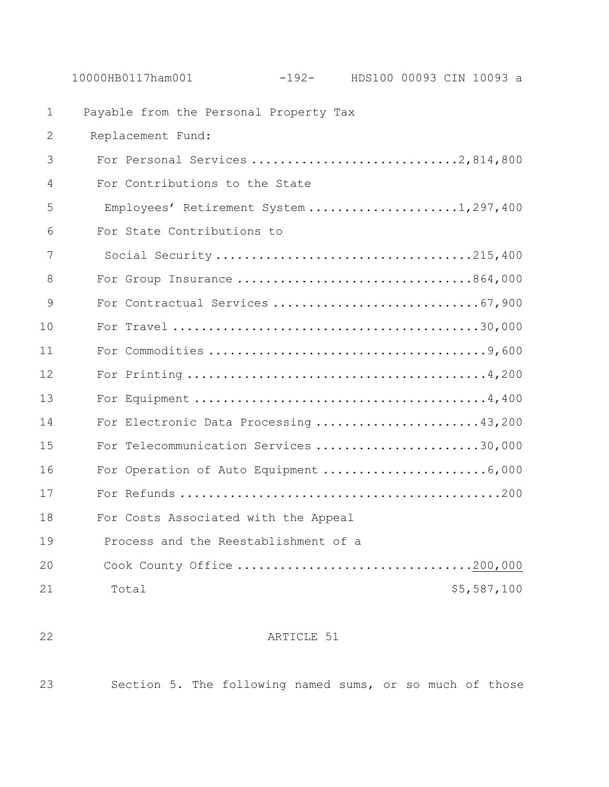Payable from the Personal Property Tax Replacement Fund: For Personal Services .............................2,814,800 For Contributions to the State Employees' Retirement System .....................1,297,400 For State Contributions to 7 Social Security ....................................215,400 For Group Insurance .................................864,000 For Contractual Services .............................67,900 For Travel ...........................................30,000 For Commodities .......................................9,600 For Printing ..........................................4,200 For Equipment .........................................4,400 For Electronic Data Processing .......................43,200 For Telecommunication Services .......................30,000 16 For Operation of Auto Equipment ..............................6,000 For Refunds .............................................200 For Costs Associated with the Appeal Process and the Reestablishment of a Cook County Office .................................200,000 21 Total 55,587,100

## ARTICLE 51

Section 5. The following named sums, or so much of those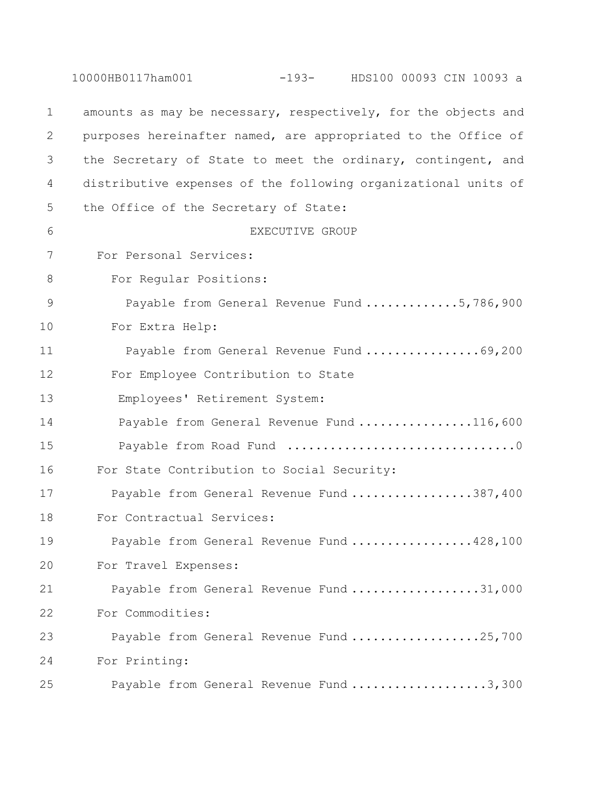|               | -193- HDS100 00093 CIN 10093 a<br>10000HB0117ham001            |
|---------------|----------------------------------------------------------------|
| $\mathbf 1$   | amounts as may be necessary, respectively, for the objects and |
| 2             | purposes hereinafter named, are appropriated to the Office of  |
| 3             | the Secretary of State to meet the ordinary, contingent, and   |
| 4             | distributive expenses of the following organizational units of |
| 5             | the Office of the Secretary of State:                          |
| 6             | EXECUTIVE GROUP                                                |
| 7             | For Personal Services:                                         |
| 8             | For Regular Positions:                                         |
| $\mathcal{G}$ | Payable from General Revenue Fund 5,786,900                    |
| 10            | For Extra Help:                                                |
| 11            | Payable from General Revenue Fund 69,200                       |
| 12            | For Employee Contribution to State                             |
| 13            | Employees' Retirement System:                                  |
| 14            | Payable from General Revenue Fund 116,600                      |
| 15            |                                                                |
| 16            | For State Contribution to Social Security:                     |
| 17            | Payable from General Revenue Fund 387,400                      |
| 18            | For Contractual Services:                                      |
| 19            | Payable from General Revenue Fund 428,100                      |
| 20            | For Travel Expenses:                                           |
| 21            | Payable from General Revenue Fund 31,000                       |
| 22            | For Commodities:                                               |
| 23            | Payable from General Revenue Fund 25,700                       |
| 24            | For Printing:                                                  |
| 25            | Payable from General Revenue Fund 3,300                        |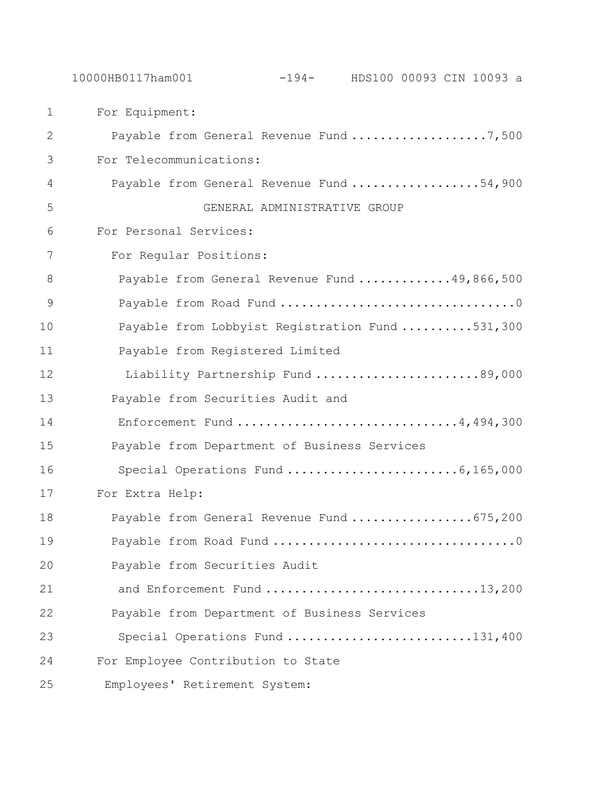| $\mathbf{1}$ | For Equipment:                                  |
|--------------|-------------------------------------------------|
| 2            | Payable from General Revenue Fund 7,500         |
| 3            | For Telecommunications:                         |
| 4            | Payable from General Revenue Fund 54,900        |
| 5            | GENERAL ADMINISTRATIVE GROUP                    |
| 6            | For Personal Services:                          |
| 7            | For Regular Positions:                          |
| 8            | Payable from General Revenue Fund 49,866,500    |
| 9            |                                                 |
| 10           | Payable from Lobbyist Registration Fund 531,300 |
| 11           | Payable from Registered Limited                 |
| 12           | Liability Partnership Fund 89,000               |
| 13           | Payable from Securities Audit and               |
| 14           | Enforcement Fund 4,494,300                      |
| 15           | Payable from Department of Business Services    |
| 16           | Special Operations Fund 6,165,000               |
| 17           | For Extra Help:                                 |
| 18           | Payable from General Revenue Fund 675,200       |
| 19           |                                                 |
| 20           | Payable from Securities Audit                   |
| 21           | and Enforcement Fund 13,200                     |
| 22           | Payable from Department of Business Services    |
| 23           | Special Operations Fund 131,400                 |
| 24           | For Employee Contribution to State              |
| 25           | Employees' Retirement System:                   |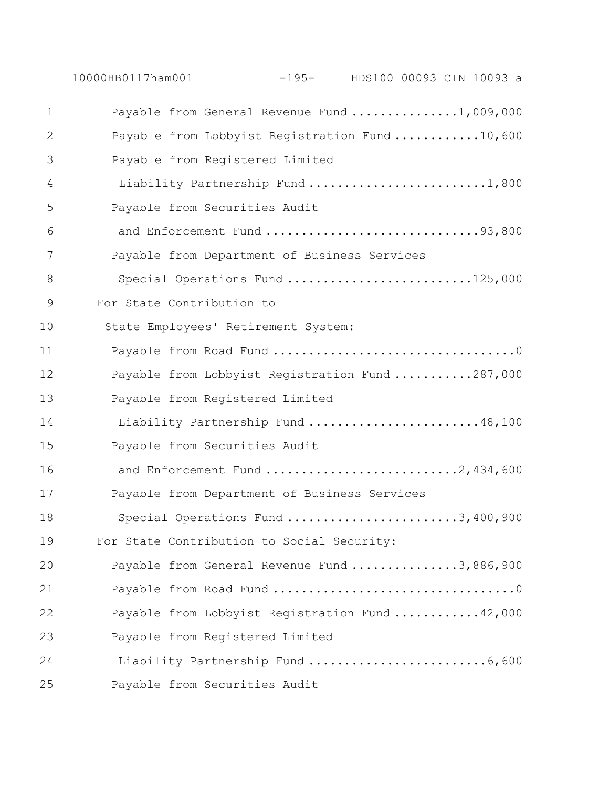10000HB0117ham001 -195- HDS100 00093 CIN 10093 a Payable from General Revenue Fund ...............1,009,000 2 Payable from Lobbyist Registration Fund ............10,600 3 Payable from Registered Limited 4 Liability Partnership Fund .........................1,800 Payable from Securities Audit and Enforcement Fund ..............................93,800 Payable from Department of Business Services 8 Special Operations Fund ............................125,000 For State Contribution to 10 State Employees' Retirement System: Payable from Road Fund ..................................0 Payable from Lobbyist Registration Fund ...........287,000 Payable from Registered Limited Liability Partnership Fund ........................48,100 Payable from Securities Audit and Enforcement Fund ...........................2,434,600 Payable from Department of Business Services 18 Special Operations Fund ..........................3,400,900 For State Contribution to Social Security: Payable from General Revenue Fund ...............3,886,900 Payable from Road Fund ..................................0 Payable from Lobbyist Registration Fund ............42,000 Payable from Registered Limited Liability Partnership Fund .........................6,600 Payable from Securities Audit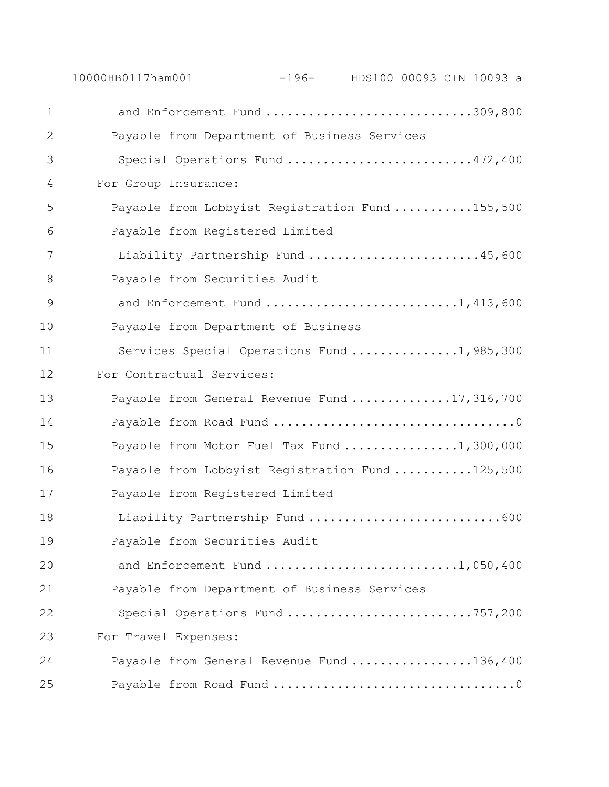10000HB0117ham001 -196- HDS100 00093 CIN 10093 a 1 and Enforcement Fund ...............................309,800 Payable from Department of Business Services Special Operations Fund ..........................472,400 For Group Insurance: Payable from Lobbyist Registration Fund ...........155,500 Payable from Registered Limited Liability Partnership Fund ........................45,600 Payable from Securities Audit 9 and Enforcement Fund ............................1,413,600 Payable from Department of Business 11 Services Special Operations Fund ...............1,985,300 For Contractual Services: 13 Payable from General Revenue Fund ..............17,316,700 Payable from Road Fund ..................................0 15 Payable from Motor Fuel Tax Fund .................1,300,000 16 Payable from Lobbyist Registration Fund ...........125,500 Payable from Registered Limited 18 Liability Partnership Fund ..................................600 Payable from Securities Audit and Enforcement Fund ...........................1,050,400 Payable from Department of Business Services Special Operations Fund ..........................757,200 For Travel Expenses: Payable from General Revenue Fund .................136,400 Payable from Road Fund ..................................0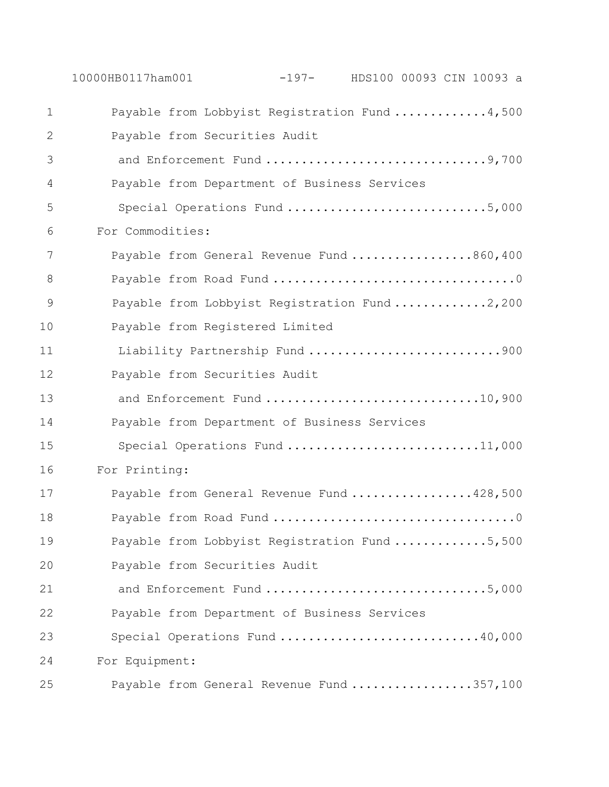10000HB0117ham001 -197- HDS100 00093 CIN 10093 a Payable from Lobbyist Registration Fund .............4,500 Payable from Securities Audit and Enforcement Fund ...............................9,700 Payable from Department of Business Services 5 Special Operations Fund ..................................5,000 For Commodities: Payable from General Revenue Fund .................860,400 Payable from Road Fund ..................................0 9 Payable from Lobbyist Registration Fund .............2,200 Payable from Registered Limited Liability Partnership Fund ...........................900 Payable from Securities Audit 13 and Enforcement Fund .................................10,900 Payable from Department of Business Services 15 Special Operations Fund ...............................11,000 For Printing: 17 Payable from General Revenue Fund .................428,500 Payable from Road Fund ..................................0 19 Payable from Lobbyist Registration Fund ..............5,500 Payable from Securities Audit and Enforcement Fund ...............................5,000 Payable from Department of Business Services Special Operations Fund ............................40,000 For Equipment: Payable from General Revenue Fund .................357,100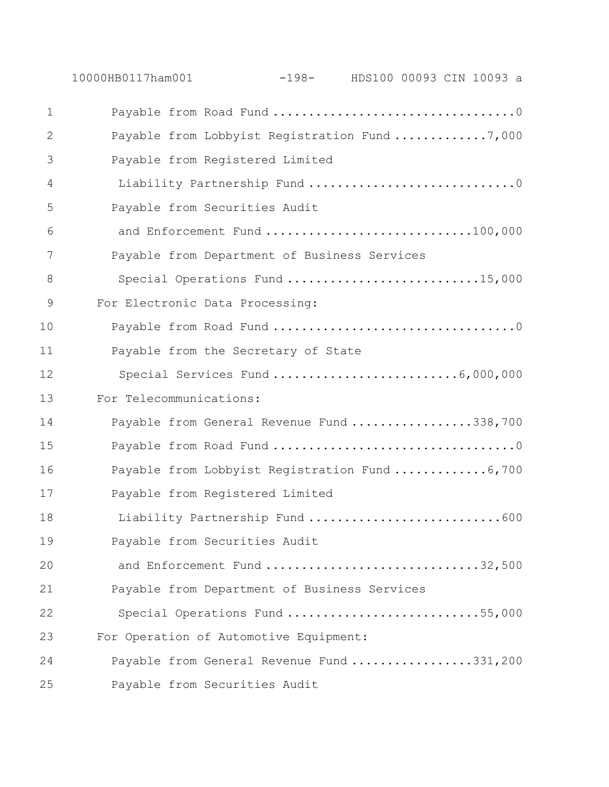10000HB0117ham001 -198- HDS100 00093 CIN 10093 a Payable from Road Fund ..................................0 Payable from Lobbyist Registration Fund .............7,000 Payable from Registered Limited 4 Liability Partnership Fund .................................0 Payable from Securities Audit and Enforcement Fund .............................100,000 Payable from Department of Business Services 8 Special Operations Fund .............................15,000 For Electronic Data Processing: Payable from Road Fund ..................................0 Payable from the Secretary of State 12 Special Services Fund ..........................6,000,000 For Telecommunications: Payable from General Revenue Fund .................338,700 Payable from Road Fund ..................................0 Payable from Lobbyist Registration Fund .............6,700 Payable from Registered Limited 18 Liability Partnership Fund ..................................600 Payable from Securities Audit 20 and Enforcement Fund ................................32,500 Payable from Department of Business Services Special Operations Fund ...........................55,000 For Operation of Automotive Equipment: Payable from General Revenue Fund .................331,200 Payable from Securities Audit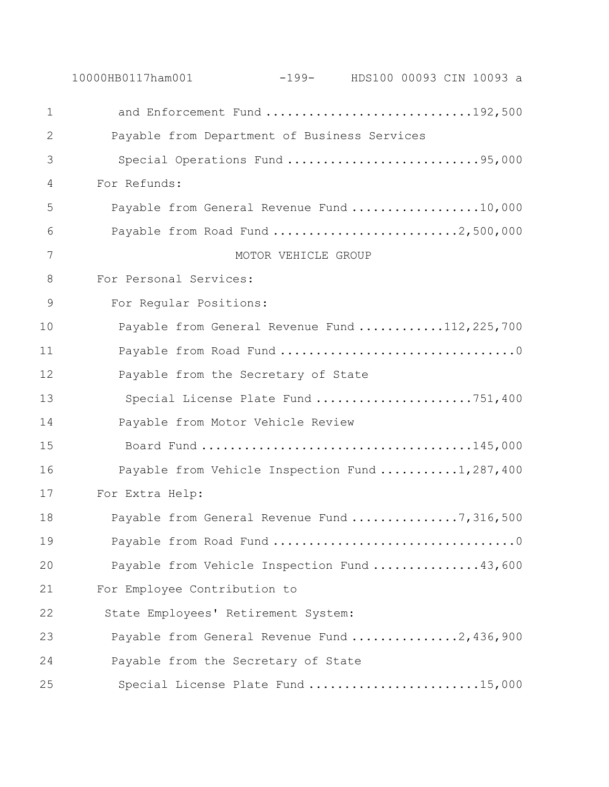10000HB0117ham001 -199- HDS100 00093 CIN 10093 a 1 and Enforcement Fund .............................192,500 Payable from Department of Business Services Special Operations Fund ...........................95,000 For Refunds: Payable from General Revenue Fund ..................10,000 Payable from Road Fund ..........................2,500,000 7 MOTOR VEHICLE GROUP For Personal Services: For Regular Positions: Payable from General Revenue Fund ............112,225,700 Payable from Road Fund .................................0 Payable from the Secretary of State 13 Special License Plate Fund ......................751,400 Payable from Motor Vehicle Review 15 Board Fund ......................................145,000 16 Payable from Vehicle Inspection Fund ..........1,287,400 For Extra Help: 18 Payable from General Revenue Fund ................7,316,500 Payable from Road Fund ..................................0 Payable from Vehicle Inspection Fund ...............43,600 For Employee Contribution to 22 State Employees' Retirement System: 23 Payable from General Revenue Fund ...............2,436,900 Payable from the Secretary of State Special License Plate Fund ........................15,000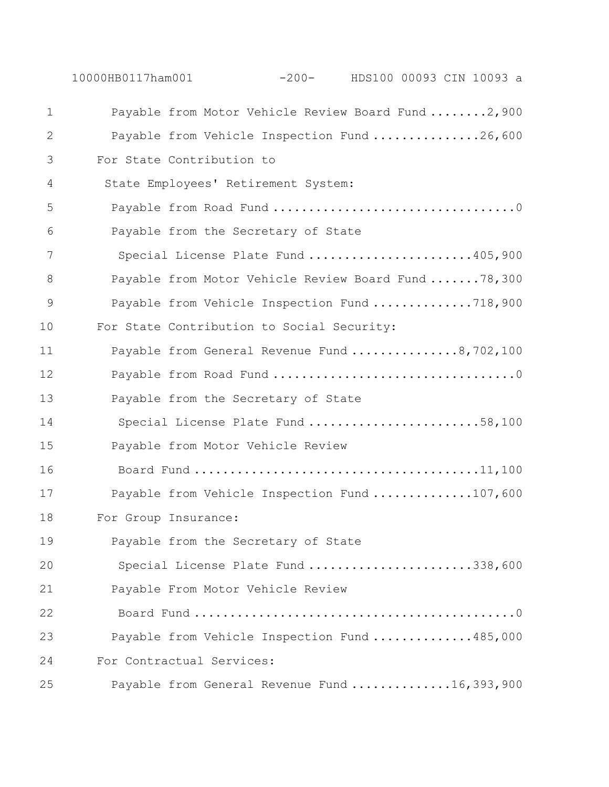10000HB0117ham001 -200- HDS100 00093 CIN 10093 a

| $\mathbf 1$ | Payable from Motor Vehicle Review Board Fund 2,900   |
|-------------|------------------------------------------------------|
| 2           | Payable from Vehicle Inspection Fund 26,600          |
| 3           | For State Contribution to                            |
| 4           | State Employees' Retirement System:                  |
| 5           |                                                      |
| 6           | Payable from the Secretary of State                  |
| 7           | Special License Plate Fund 405,900                   |
| 8           | Payable from Motor Vehicle Review Board Fund  78,300 |
| 9           | Payable from Vehicle Inspection Fund 718,900         |
| 10          | For State Contribution to Social Security:           |
| 11          | Payable from General Revenue Fund 8,702,100          |
| 12          |                                                      |
| 13          | Payable from the Secretary of State                  |
| 14          | Special License Plate Fund 58,100                    |
| 15          | Payable from Motor Vehicle Review                    |
| 16          |                                                      |
| 17          | Payable from Vehicle Inspection Fund 107,600         |
| 18          | For Group Insurance:                                 |
| 19          | Payable from the Secretary of State                  |
| 20          | Special License Plate Fund 338,600                   |
| 21          | Payable From Motor Vehicle Review                    |
| 22          |                                                      |
| 23          | Payable from Vehicle Inspection Fund 485,000         |
| 24          | For Contractual Services:                            |
| 25          | Payable from General Revenue Fund 16,393,900         |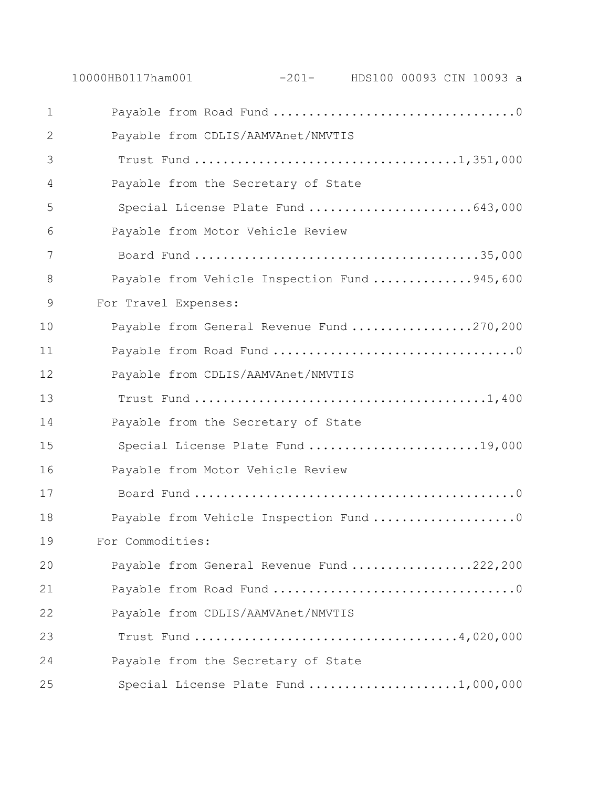| $\mathbf 1$   |                                              |
|---------------|----------------------------------------------|
| $\mathbf{2}$  | Payable from CDLIS/AAMVAnet/NMVTIS           |
| 3             |                                              |
| 4             | Payable from the Secretary of State          |
| 5             | Special License Plate Fund 643,000           |
| 6             | Payable from Motor Vehicle Review            |
| 7             |                                              |
| 8             | Payable from Vehicle Inspection Fund 945,600 |
| $\mathcal{G}$ | For Travel Expenses:                         |
| 10            | Payable from General Revenue Fund 270,200    |
| 11            |                                              |
| 12            | Payable from CDLIS/AAMVAnet/NMVTIS           |
| 13            |                                              |
| 14            | Payable from the Secretary of State          |
| 15            | Special License Plate Fund 19,000            |
| 16            | Payable from Motor Vehicle Review            |
| 17            |                                              |
| 18            | Payable from Vehicle Inspection Fund 0       |
| 19            | For Commodities:                             |
| 20            | Payable from General Revenue Fund 222,200    |
| 21            |                                              |
| 22            | Payable from CDLIS/AAMVAnet/NMVTIS           |
| 23            |                                              |
| 24            | Payable from the Secretary of State          |
| 25            | Special License Plate Fund 1,000,000         |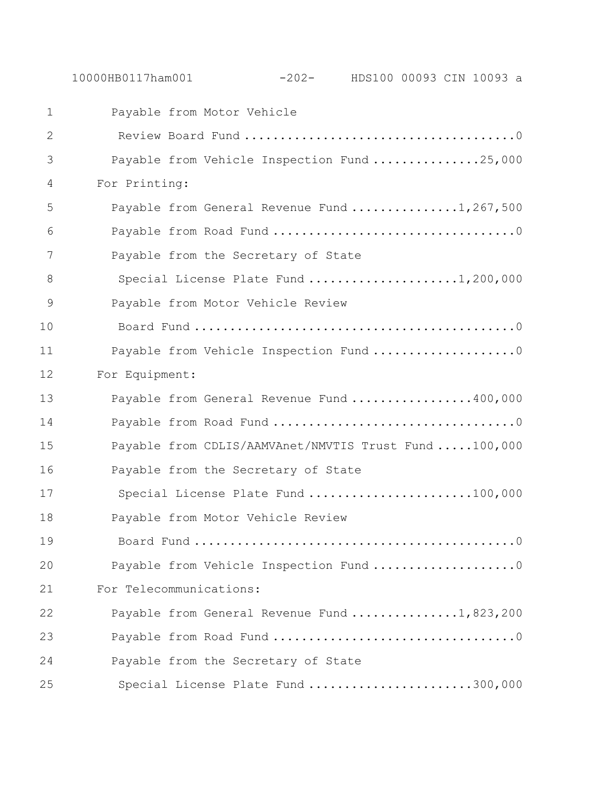Payable from Motor Vehicle Review Board Fund ......................................0 Payable from Vehicle Inspection Fund ...............25,000 For Printing: Payable from General Revenue Fund ...............1,267,500 Payable from Road Fund ..................................0 Payable from the Secretary of State 8 Special License Plate Fund ......................1,200,000 Payable from Motor Vehicle Review Board Fund .............................................0 Payable from Vehicle Inspection Fund ....................0 For Equipment: 13 Payable from General Revenue Fund .................400,000 Payable from Road Fund ..................................0 Payable from CDLIS/AAMVAnet/NMVTIS Trust Fund .....100,000 Payable from the Secretary of State 17 Special License Plate Fund ........................100,000 Payable from Motor Vehicle Review Board Fund .............................................0 20 Payable from Vehicle Inspection Fund ........................0 For Telecommunications: Payable from General Revenue Fund ...............1,823,200 Payable from Road Fund ..................................0 Payable from the Secretary of State

Special License Plate Fund .......................300,000

10000HB0117ham001 -202- HDS100 00093 CIN 10093 a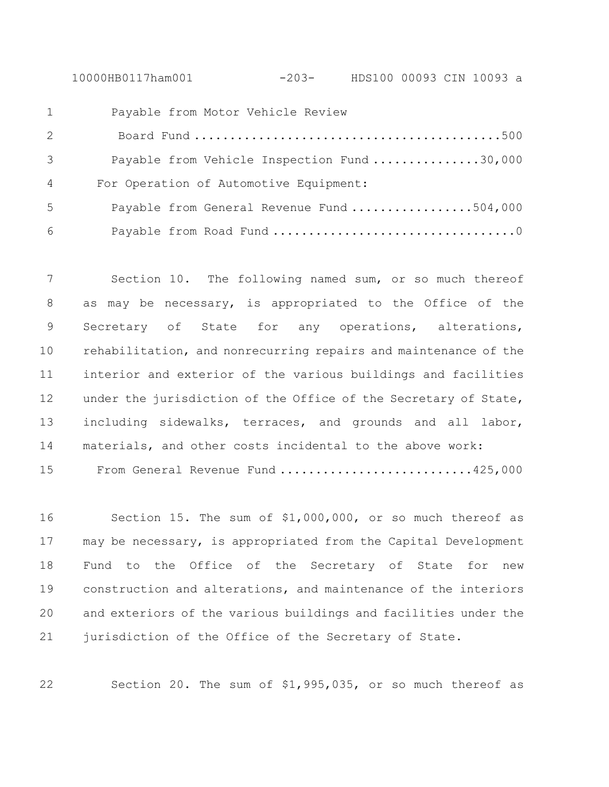10000HB0117ham001 -203- HDS100 00093 CIN 10093 a

| $\mathbf{1}$ | Payable from Motor Vehicle Review           |
|--------------|---------------------------------------------|
| 2            |                                             |
| 3            | Payable from Vehicle Inspection Fund 30,000 |
| 4            | For Operation of Automotive Equipment:      |
| 5            | Payable from General Revenue Fund 504,000   |
| 6            |                                             |

 Section 10. The following named sum, or so much thereof as may be necessary, is appropriated to the Office of the Secretary of State for any operations, alterations, rehabilitation, and nonrecurring repairs and maintenance of the interior and exterior of the various buildings and facilities 12 under the jurisdiction of the Office of the Secretary of State, including sidewalks, terraces, and grounds and all labor, materials, and other costs incidental to the above work: From General Revenue Fund ...........................425,000

 Section 15. The sum of \$1,000,000, or so much thereof as may be necessary, is appropriated from the Capital Development Fund to the Office of the Secretary of State for new construction and alterations, and maintenance of the interiors and exteriors of the various buildings and facilities under the 21 jurisdiction of the Office of the Secretary of State.

Section 20. The sum of \$1,995,035, or so much thereof as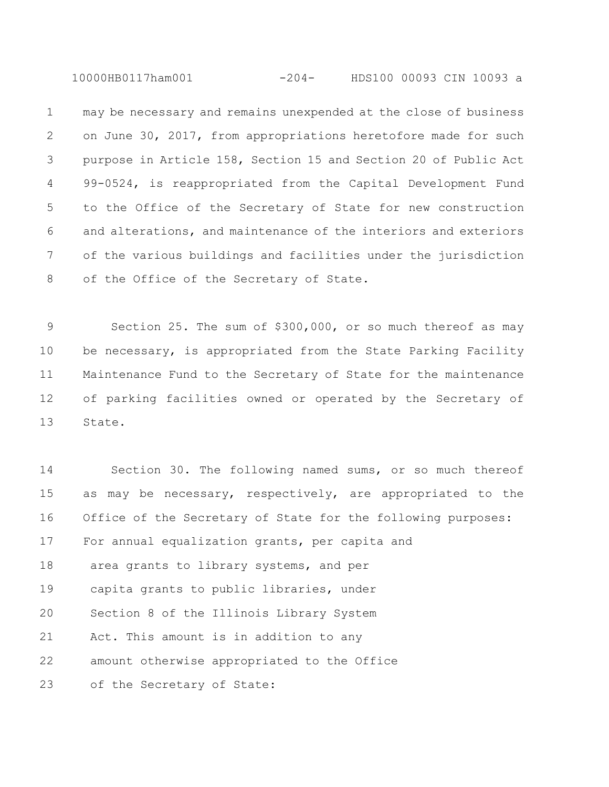10000HB0117ham001 -204- HDS100 00093 CIN 10093 a

 may be necessary and remains unexpended at the close of business on June 30, 2017, from appropriations heretofore made for such purpose in Article 158, Section 15 and Section 20 of Public Act 99-0524, is reappropriated from the Capital Development Fund to the Office of the Secretary of State for new construction and alterations, and maintenance of the interiors and exteriors of the various buildings and facilities under the jurisdiction 8 of the Office of the Secretary of State.

 Section 25. The sum of \$300,000, or so much thereof as may be necessary, is appropriated from the State Parking Facility Maintenance Fund to the Secretary of State for the maintenance of parking facilities owned or operated by the Secretary of State.

 Section 30. The following named sums, or so much thereof as may be necessary, respectively, are appropriated to the Office of the Secretary of State for the following purposes: For annual equalization grants, per capita and 18 area grants to library systems, and per capita grants to public libraries, under Section 8 of the Illinois Library System Act. This amount is in addition to any amount otherwise appropriated to the Office of the Secretary of State: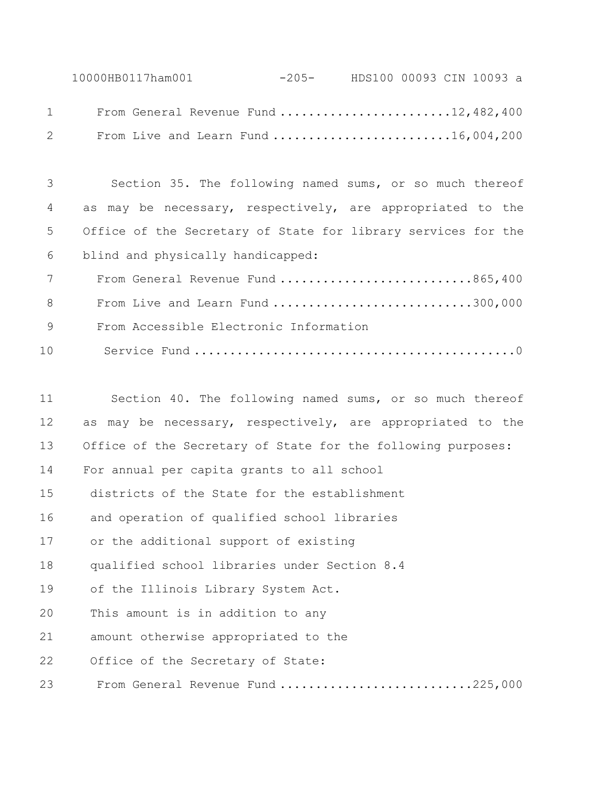10000HB0117ham001 -205- HDS100 00093 CIN 10093 a From General Revenue Fund ........................12,482,400 From Live and Learn Fund .........................16,004,200

 Section 35. The following named sums, or so much thereof as may be necessary, respectively, are appropriated to the Office of the Secretary of State for library services for the blind and physically handicapped:

7 From General Revenue Fund .............................865,400 From Live and Learn Fund ............................300,000 From Accessible Electronic Information Service Fund .............................................0

 Section 40. The following named sums, or so much thereof as may be necessary, respectively, are appropriated to the Office of the Secretary of State for the following purposes: For annual per capita grants to all school districts of the State for the establishment and operation of qualified school libraries or the additional support of existing qualified school libraries under Section 8.4 of the Illinois Library System Act. This amount is in addition to any amount otherwise appropriated to the 22 Office of the Secretary of State: 23 From General Revenue Fund ............................225,000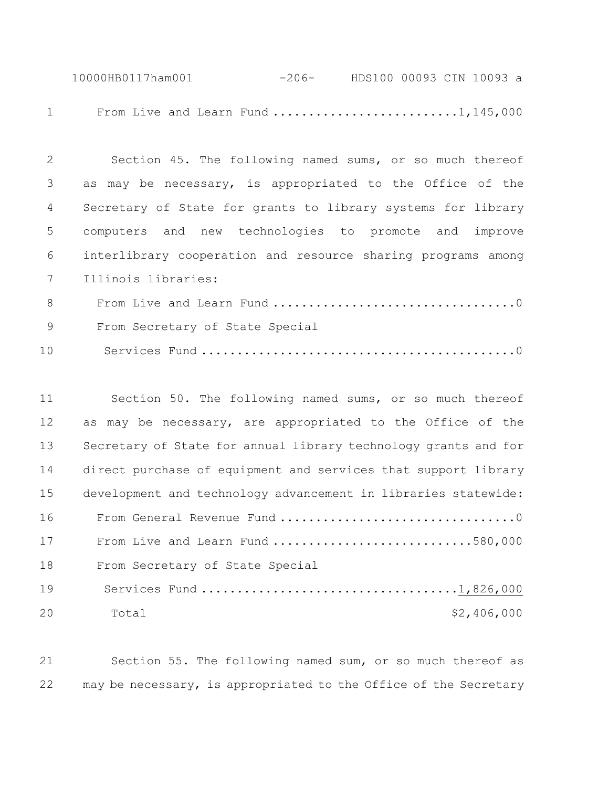10000HB0117ham001 -206- HDS100 00093 CIN 10093 a 1 From Live and Learn Fund ............................1,145,000

| 2 | Section 45. The following named sums, or so much thereof     |
|---|--------------------------------------------------------------|
| 3 | as may be necessary, is appropriated to the Office of the    |
| 4 | Secretary of State for grants to library systems for library |
| 5 | computers and new technologies to promote and improve        |
| 6 | interlibrary cooperation and resource sharing programs among |
| 7 | Illinois libraries:                                          |
| 8 |                                                              |
| 9 | From Secretary of State Special                              |

Services Fund ............................................0

| 11 | Section 50. The following named sums, or so much thereof        |
|----|-----------------------------------------------------------------|
| 12 | as may be necessary, are appropriated to the Office of the      |
| 13 | Secretary of State for annual library technology grants and for |
| 14 | direct purchase of equipment and services that support library  |
| 15 | development and technology advancement in libraries statewide:  |
| 16 |                                                                 |
| 17 | From Live and Learn Fund 580,000                                |
| 18 | From Secretary of State Special                                 |
| 19 |                                                                 |
| 20 | \$2,406,000<br>Total                                            |

 Section 55. The following named sum, or so much thereof as may be necessary, is appropriated to the Office of the Secretary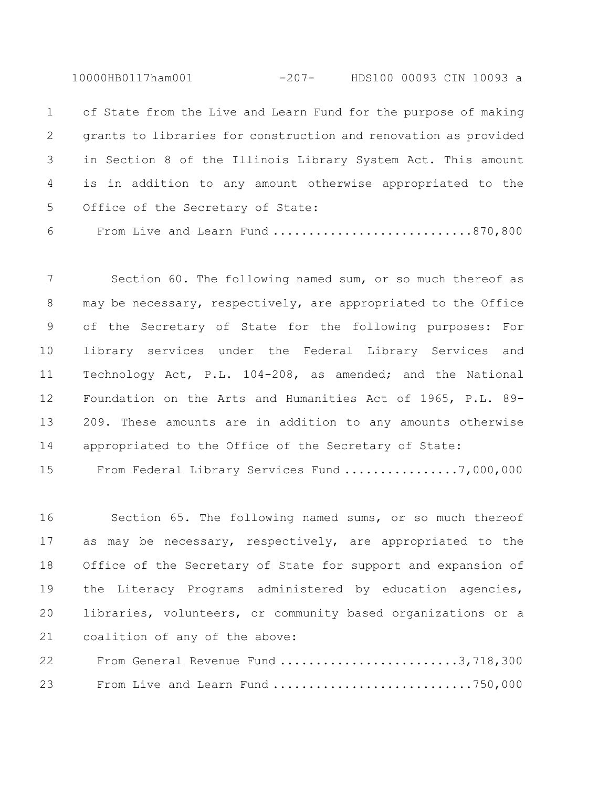10000HB0117ham001 -207- HDS100 00093 CIN 10093 a

 of State from the Live and Learn Fund for the purpose of making grants to libraries for construction and renovation as provided in Section 8 of the Illinois Library System Act. This amount is in addition to any amount otherwise appropriated to the Office of the Secretary of State:

From Live and Learn Fund ............................870,800

 Section 60. The following named sum, or so much thereof as may be necessary, respectively, are appropriated to the Office of the Secretary of State for the following purposes: For library services under the Federal Library Services and Technology Act, P.L. 104-208, as amended; and the National Foundation on the Arts and Humanities Act of 1965, P.L. 89- 209. These amounts are in addition to any amounts otherwise appropriated to the Office of the Secretary of State:

From Federal Library Services Fund ................7,000,000

 Section 65. The following named sums, or so much thereof as may be necessary, respectively, are appropriated to the Office of the Secretary of State for support and expansion of the Literacy Programs administered by education agencies, libraries, volunteers, or community based organizations or a coalition of any of the above:

 From General Revenue Fund .........................3,718,300 23 From Live and Learn Fund ................................750,000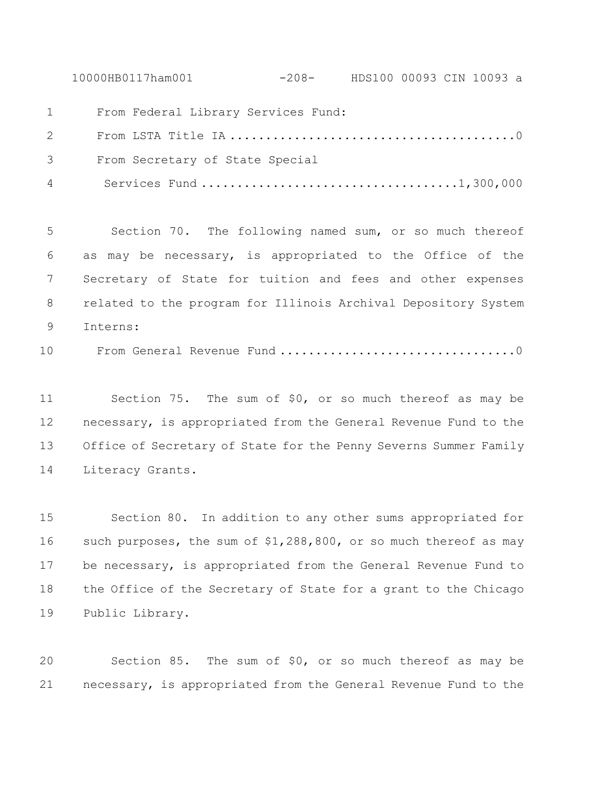10000HB0117ham001 -208- HDS100 00093 CIN 10093 a

From Federal Library Services Fund:

 From LSTA Title IA ........................................0 From Secretary of State Special Services Fund ....................................1,300,000

 Section 70. The following named sum, or so much thereof as may be necessary, is appropriated to the Office of the Secretary of State for tuition and fees and other expenses related to the program for Illinois Archival Depository System Interns:

From General Revenue Fund .................................0

 Section 75. The sum of \$0, or so much thereof as may be necessary, is appropriated from the General Revenue Fund to the Office of Secretary of State for the Penny Severns Summer Family Literacy Grants.

 Section 80. In addition to any other sums appropriated for such purposes, the sum of \$1,288,800, or so much thereof as may be necessary, is appropriated from the General Revenue Fund to the Office of the Secretary of State for a grant to the Chicago Public Library.

 Section 85. The sum of \$0, or so much thereof as may be necessary, is appropriated from the General Revenue Fund to the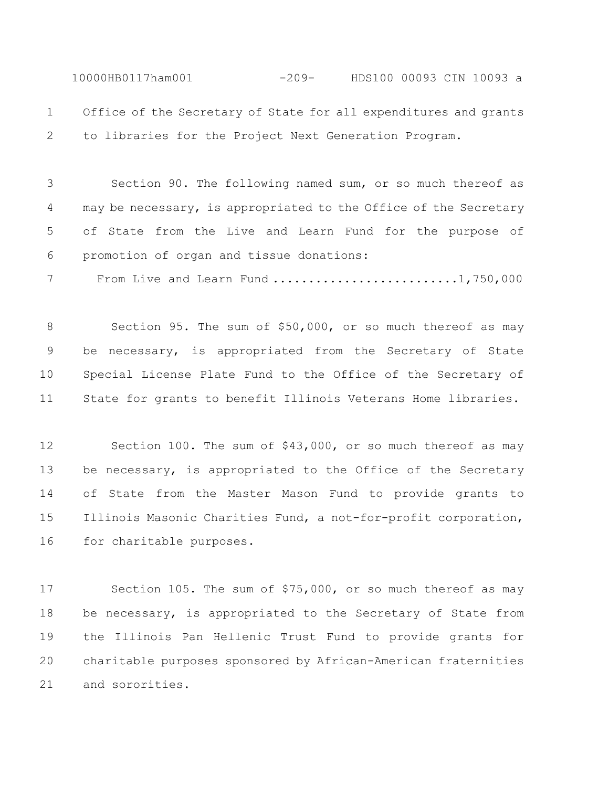10000HB0117ham001 -209- HDS100 00093 CIN 10093 a Office of the Secretary of State for all expenditures and grants

to libraries for the Project Next Generation Program.

 Section 90. The following named sum, or so much thereof as 4 may be necessary, is appropriated to the Office of the Secretary of State from the Live and Learn Fund for the purpose of promotion of organ and tissue donations:

7 From Live and Learn Fund ...........................1,750,000

 Section 95. The sum of \$50,000, or so much thereof as may be necessary, is appropriated from the Secretary of State Special License Plate Fund to the Office of the Secretary of State for grants to benefit Illinois Veterans Home libraries.

 Section 100. The sum of \$43,000, or so much thereof as may 13 be necessary, is appropriated to the Office of the Secretary of State from the Master Mason Fund to provide grants to Illinois Masonic Charities Fund, a not-for-profit corporation, for charitable purposes.

 Section 105. The sum of \$75,000, or so much thereof as may 18 be necessary, is appropriated to the Secretary of State from the Illinois Pan Hellenic Trust Fund to provide grants for charitable purposes sponsored by African-American fraternities and sororities.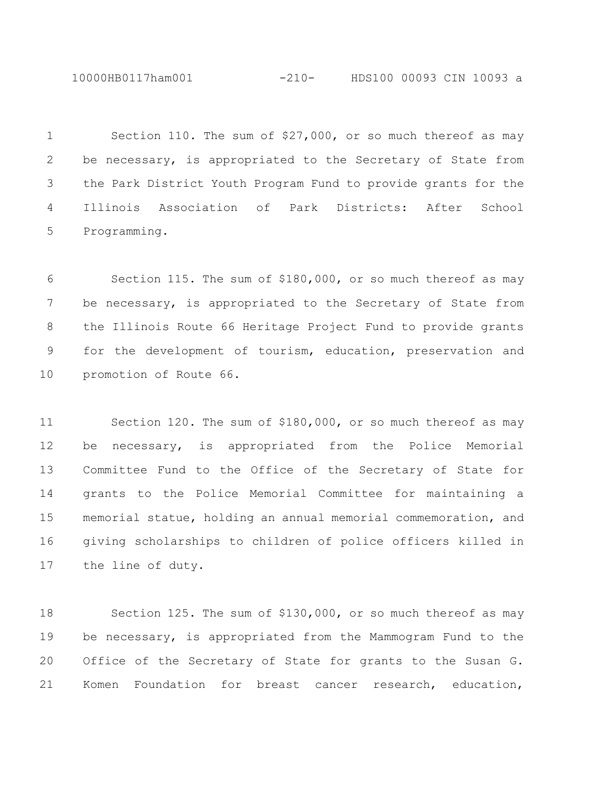10000HB0117ham001 -210- HDS100 00093 CIN 10093 a

 Section 110. The sum of \$27,000, or so much thereof as may be necessary, is appropriated to the Secretary of State from the Park District Youth Program Fund to provide grants for the Illinois Association of Park Districts: After School Programming.

 Section 115. The sum of \$180,000, or so much thereof as may 7 be necessary, is appropriated to the Secretary of State from the Illinois Route 66 Heritage Project Fund to provide grants for the development of tourism, education, preservation and promotion of Route 66.

 Section 120. The sum of \$180,000, or so much thereof as may be necessary, is appropriated from the Police Memorial Committee Fund to the Office of the Secretary of State for grants to the Police Memorial Committee for maintaining a memorial statue, holding an annual memorial commemoration, and giving scholarships to children of police officers killed in the line of duty.

 Section 125. The sum of \$130,000, or so much thereof as may be necessary, is appropriated from the Mammogram Fund to the Office of the Secretary of State for grants to the Susan G. Komen Foundation for breast cancer research, education,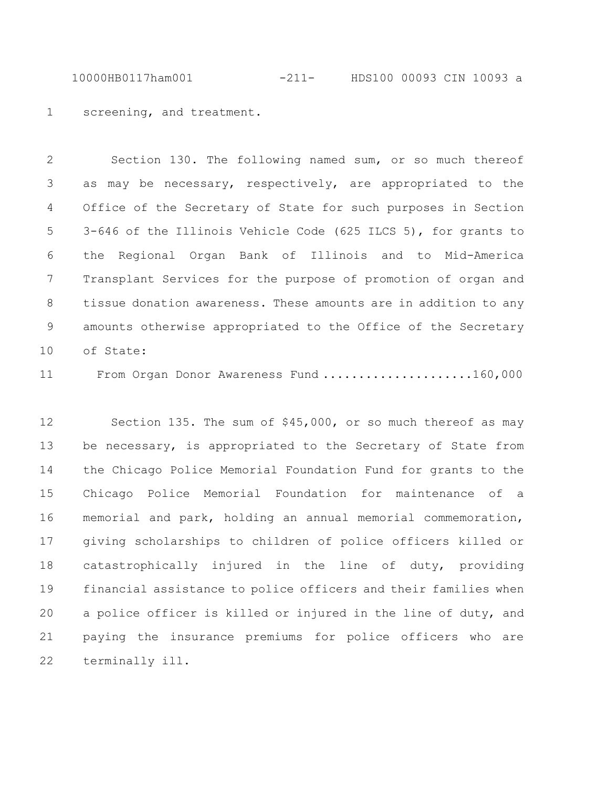10000HB0117ham001 -211- HDS100 00093 CIN 10093 a

screening, and treatment.

 Section 130. The following named sum, or so much thereof as may be necessary, respectively, are appropriated to the Office of the Secretary of State for such purposes in Section 3-646 of the Illinois Vehicle Code (625 ILCS 5), for grants to the Regional Organ Bank of Illinois and to Mid-America Transplant Services for the purpose of promotion of organ and tissue donation awareness. These amounts are in addition to any amounts otherwise appropriated to the Office of the Secretary of State:

From Organ Donor Awareness Fund .....................160,000

 Section 135. The sum of \$45,000, or so much thereof as may 13 be necessary, is appropriated to the Secretary of State from the Chicago Police Memorial Foundation Fund for grants to the Chicago Police Memorial Foundation for maintenance of a memorial and park, holding an annual memorial commemoration, giving scholarships to children of police officers killed or catastrophically injured in the line of duty, providing financial assistance to police officers and their families when a police officer is killed or injured in the line of duty, and paying the insurance premiums for police officers who are terminally ill.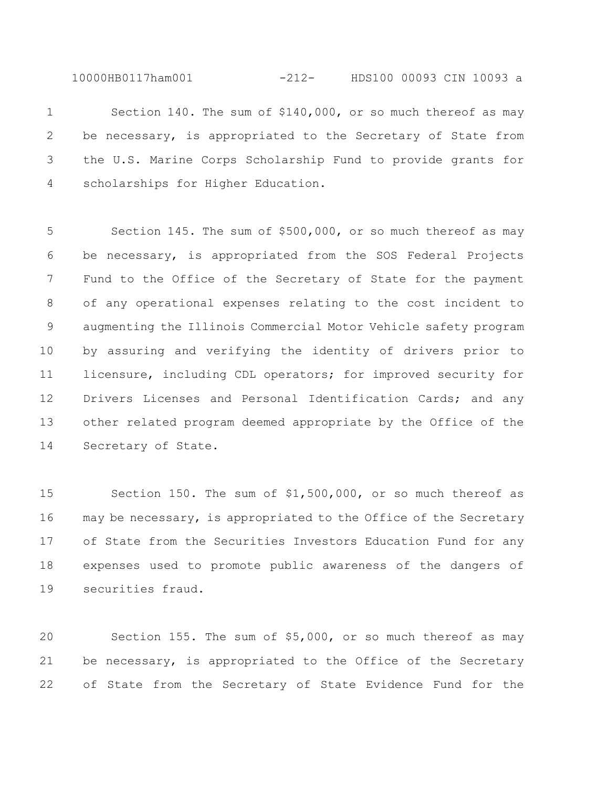10000HB0117ham001 -212- HDS100 00093 CIN 10093 a

 Section 140. The sum of \$140,000, or so much thereof as may 2 be necessary, is appropriated to the Secretary of State from the U.S. Marine Corps Scholarship Fund to provide grants for scholarships for Higher Education.

 Section 145. The sum of \$500,000, or so much thereof as may be necessary, is appropriated from the SOS Federal Projects Fund to the Office of the Secretary of State for the payment of any operational expenses relating to the cost incident to augmenting the Illinois Commercial Motor Vehicle safety program by assuring and verifying the identity of drivers prior to licensure, including CDL operators; for improved security for Drivers Licenses and Personal Identification Cards; and any other related program deemed appropriate by the Office of the Secretary of State.

 Section 150. The sum of \$1,500,000, or so much thereof as may be necessary, is appropriated to the Office of the Secretary of State from the Securities Investors Education Fund for any expenses used to promote public awareness of the dangers of securities fraud.

 Section 155. The sum of \$5,000, or so much thereof as may be necessary, is appropriated to the Office of the Secretary of State from the Secretary of State Evidence Fund for the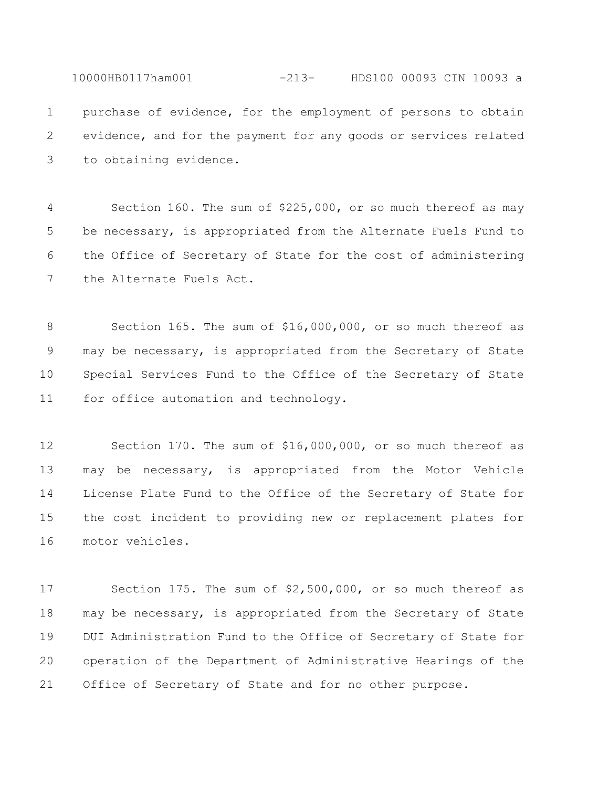10000HB0117ham001 -213- HDS100 00093 CIN 10093 a purchase of evidence, for the employment of persons to obtain evidence, and for the payment for any goods or services related to obtaining evidence.

 Section 160. The sum of \$225,000, or so much thereof as may be necessary, is appropriated from the Alternate Fuels Fund to the Office of Secretary of State for the cost of administering the Alternate Fuels Act.

 Section 165. The sum of \$16,000,000, or so much thereof as may be necessary, is appropriated from the Secretary of State Special Services Fund to the Office of the Secretary of State for office automation and technology.

 Section 170. The sum of \$16,000,000, or so much thereof as may be necessary, is appropriated from the Motor Vehicle License Plate Fund to the Office of the Secretary of State for the cost incident to providing new or replacement plates for motor vehicles.

 Section 175. The sum of \$2,500,000, or so much thereof as may be necessary, is appropriated from the Secretary of State DUI Administration Fund to the Office of Secretary of State for operation of the Department of Administrative Hearings of the Office of Secretary of State and for no other purpose.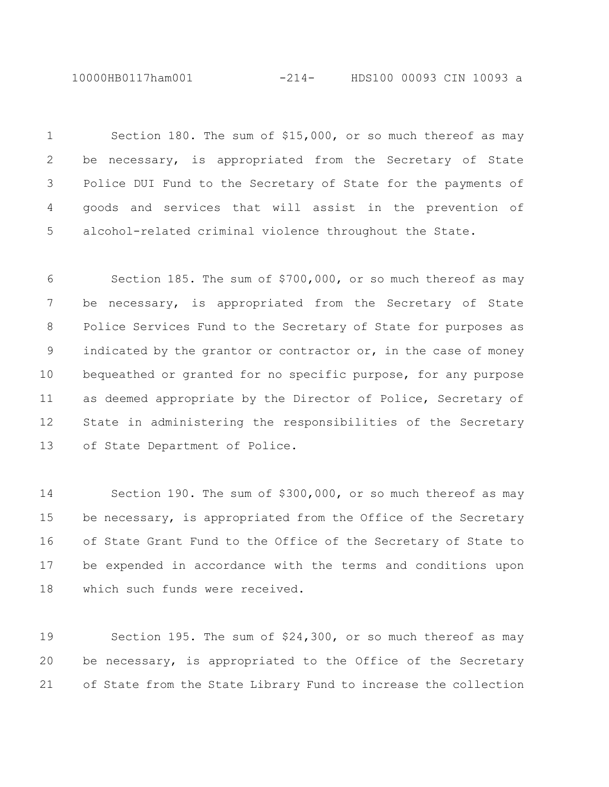10000HB0117ham001 -214- HDS100 00093 CIN 10093 a

 Section 180. The sum of \$15,000, or so much thereof as may be necessary, is appropriated from the Secretary of State Police DUI Fund to the Secretary of State for the payments of goods and services that will assist in the prevention of alcohol-related criminal violence throughout the State.

 Section 185. The sum of \$700,000, or so much thereof as may be necessary, is appropriated from the Secretary of State Police Services Fund to the Secretary of State for purposes as indicated by the grantor or contractor or, in the case of money bequeathed or granted for no specific purpose, for any purpose as deemed appropriate by the Director of Police, Secretary of State in administering the responsibilities of the Secretary of State Department of Police.

 Section 190. The sum of \$300,000, or so much thereof as may 15 be necessary, is appropriated from the Office of the Secretary of State Grant Fund to the Office of the Secretary of State to be expended in accordance with the terms and conditions upon which such funds were received.

 Section 195. The sum of \$24,300, or so much thereof as may be necessary, is appropriated to the Office of the Secretary of State from the State Library Fund to increase the collection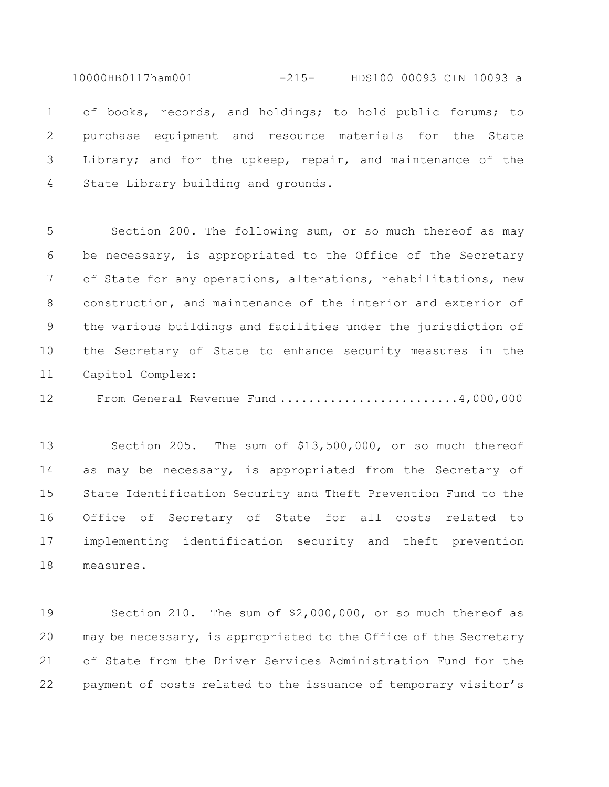10000HB0117ham001 -215- HDS100 00093 CIN 10093 a

 of books, records, and holdings; to hold public forums; to purchase equipment and resource materials for the State Library; and for the upkeep, repair, and maintenance of the State Library building and grounds.

 Section 200. The following sum, or so much thereof as may be necessary, is appropriated to the Office of the Secretary of State for any operations, alterations, rehabilitations, new construction, and maintenance of the interior and exterior of the various buildings and facilities under the jurisdiction of the Secretary of State to enhance security measures in the Capitol Complex:

From General Revenue Fund .........................4,000,000

 Section 205. The sum of \$13,500,000, or so much thereof 14 as may be necessary, is appropriated from the Secretary of State Identification Security and Theft Prevention Fund to the Office of Secretary of State for all costs related to implementing identification security and theft prevention measures.

 Section 210. The sum of \$2,000,000, or so much thereof as may be necessary, is appropriated to the Office of the Secretary of State from the Driver Services Administration Fund for the payment of costs related to the issuance of temporary visitor's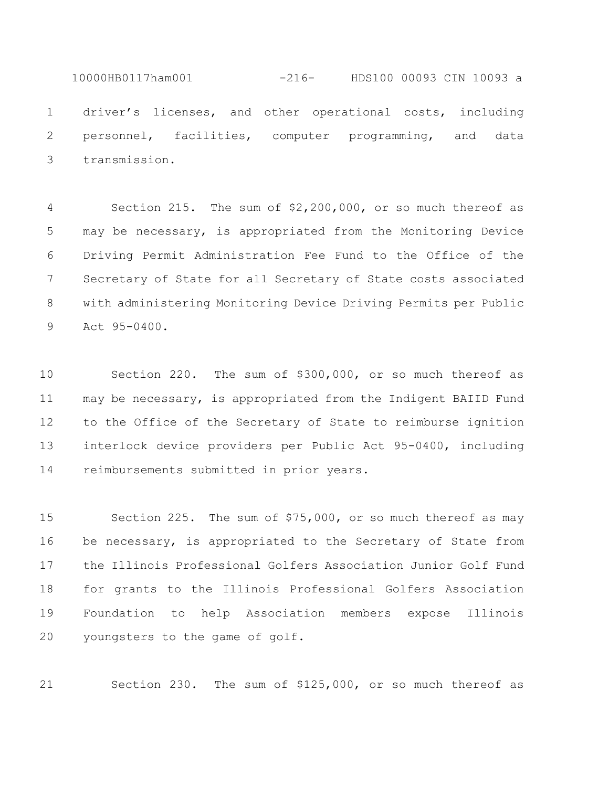10000HB0117ham001 -216- HDS100 00093 CIN 10093 a driver's licenses, and other operational costs, including personnel, facilities, computer programming, and data transmission.

 Section 215. The sum of \$2,200,000, or so much thereof as may be necessary, is appropriated from the Monitoring Device Driving Permit Administration Fee Fund to the Office of the Secretary of State for all Secretary of State costs associated with administering Monitoring Device Driving Permits per Public Act 95-0400.

 Section 220. The sum of \$300,000, or so much thereof as may be necessary, is appropriated from the Indigent BAIID Fund to the Office of the Secretary of State to reimburse ignition interlock device providers per Public Act 95-0400, including reimbursements submitted in prior years.

 Section 225. The sum of \$75,000, or so much thereof as may 16 be necessary, is appropriated to the Secretary of State from the Illinois Professional Golfers Association Junior Golf Fund for grants to the Illinois Professional Golfers Association Foundation to help Association members expose Illinois youngsters to the game of golf.

Section 230. The sum of \$125,000, or so much thereof as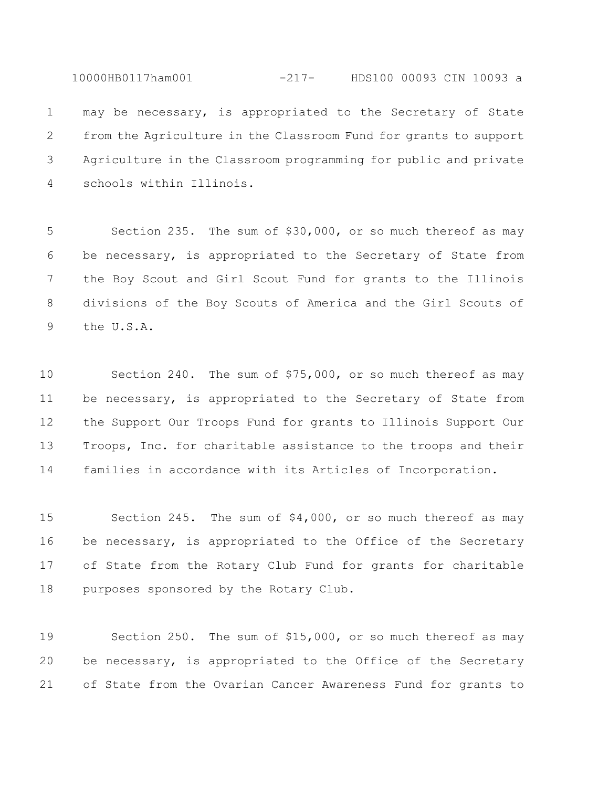may be necessary, is appropriated to the Secretary of State from the Agriculture in the Classroom Fund for grants to support Agriculture in the Classroom programming for public and private schools within Illinois.

10000HB0117ham001 -217- HDS100 00093 CIN 10093 a

 Section 235. The sum of \$30,000, or so much thereof as may be necessary, is appropriated to the Secretary of State from the Boy Scout and Girl Scout Fund for grants to the Illinois divisions of the Boy Scouts of America and the Girl Scouts of the U.S.A.

 Section 240. The sum of \$75,000, or so much thereof as may 11 be necessary, is appropriated to the Secretary of State from the Support Our Troops Fund for grants to Illinois Support Our Troops, Inc. for charitable assistance to the troops and their families in accordance with its Articles of Incorporation.

 Section 245. The sum of \$4,000, or so much thereof as may 16 be necessary, is appropriated to the Office of the Secretary of State from the Rotary Club Fund for grants for charitable purposes sponsored by the Rotary Club.

 Section 250. The sum of \$15,000, or so much thereof as may be necessary, is appropriated to the Office of the Secretary of State from the Ovarian Cancer Awareness Fund for grants to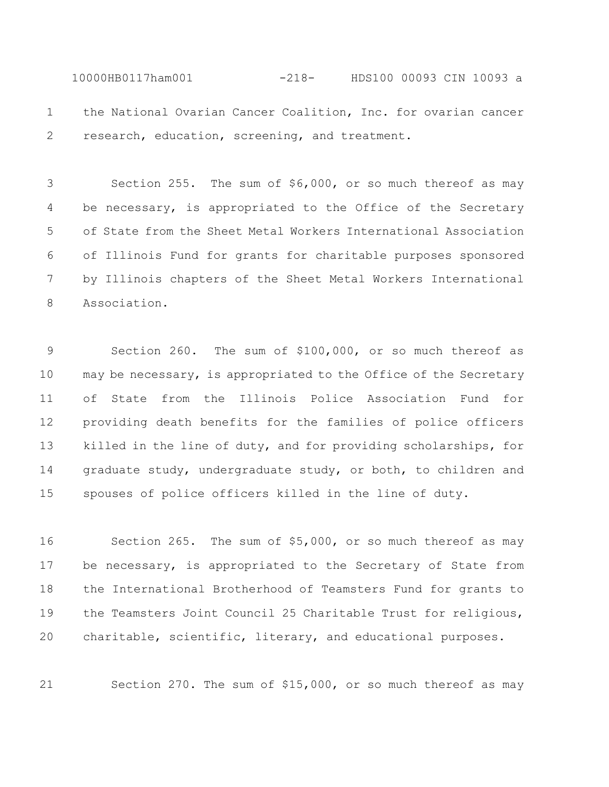10000HB0117ham001 -218- HDS100 00093 CIN 10093 a the National Ovarian Cancer Coalition, Inc. for ovarian cancer 2 research, education, screening, and treatment.

 Section 255. The sum of \$6,000, or so much thereof as may 4 be necessary, is appropriated to the Office of the Secretary of State from the Sheet Metal Workers International Association of Illinois Fund for grants for charitable purposes sponsored by Illinois chapters of the Sheet Metal Workers International Association.

 Section 260. The sum of \$100,000, or so much thereof as may be necessary, is appropriated to the Office of the Secretary of State from the Illinois Police Association Fund for providing death benefits for the families of police officers killed in the line of duty, and for providing scholarships, for graduate study, undergraduate study, or both, to children and spouses of police officers killed in the line of duty.

 Section 265. The sum of \$5,000, or so much thereof as may 17 be necessary, is appropriated to the Secretary of State from the International Brotherhood of Teamsters Fund for grants to the Teamsters Joint Council 25 Charitable Trust for religious, charitable, scientific, literary, and educational purposes.

Section 270. The sum of \$15,000, or so much thereof as may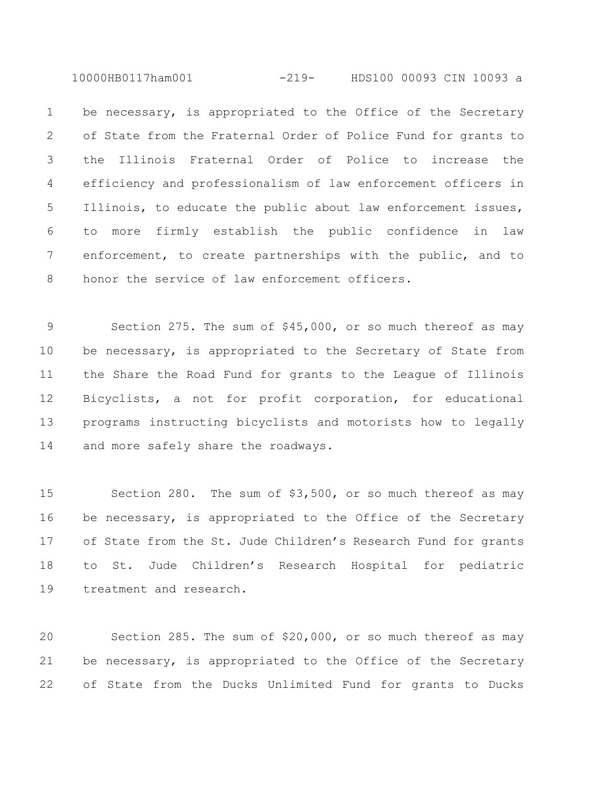10000HB0117ham001 -219- HDS100 00093 CIN 10093 a

1 be necessary, is appropriated to the Office of the Secretary of State from the Fraternal Order of Police Fund for grants to the Illinois Fraternal Order of Police to increase the efficiency and professionalism of law enforcement officers in Illinois, to educate the public about law enforcement issues, to more firmly establish the public confidence in law enforcement, to create partnerships with the public, and to honor the service of law enforcement officers.

 Section 275. The sum of \$45,000, or so much thereof as may 10 be necessary, is appropriated to the Secretary of State from the Share the Road Fund for grants to the League of Illinois Bicyclists, a not for profit corporation, for educational programs instructing bicyclists and motorists how to legally and more safely share the roadways.

 Section 280. The sum of \$3,500, or so much thereof as may 16 be necessary, is appropriated to the Office of the Secretary of State from the St. Jude Children's Research Fund for grants to St. Jude Children's Research Hospital for pediatric treatment and research.

 Section 285. The sum of \$20,000, or so much thereof as may be necessary, is appropriated to the Office of the Secretary of State from the Ducks Unlimited Fund for grants to Ducks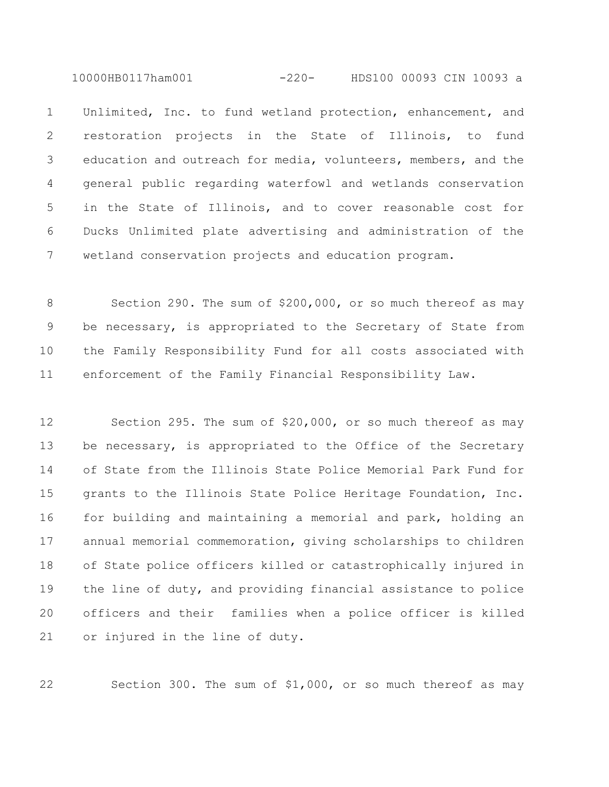10000HB0117ham001 -220- HDS100 00093 CIN 10093 a

 Unlimited, Inc. to fund wetland protection, enhancement, and restoration projects in the State of Illinois, to fund education and outreach for media, volunteers, members, and the general public regarding waterfowl and wetlands conservation in the State of Illinois, and to cover reasonable cost for Ducks Unlimited plate advertising and administration of the wetland conservation projects and education program.

8 Section 290. The sum of \$200,000, or so much thereof as may be necessary, is appropriated to the Secretary of State from the Family Responsibility Fund for all costs associated with enforcement of the Family Financial Responsibility Law.

 Section 295. The sum of \$20,000, or so much thereof as may 13 be necessary, is appropriated to the Office of the Secretary of State from the Illinois State Police Memorial Park Fund for grants to the Illinois State Police Heritage Foundation, Inc. for building and maintaining a memorial and park, holding an annual memorial commemoration, giving scholarships to children of State police officers killed or catastrophically injured in the line of duty, and providing financial assistance to police officers and their families when a police officer is killed or injured in the line of duty.

Section 300. The sum of \$1,000, or so much thereof as may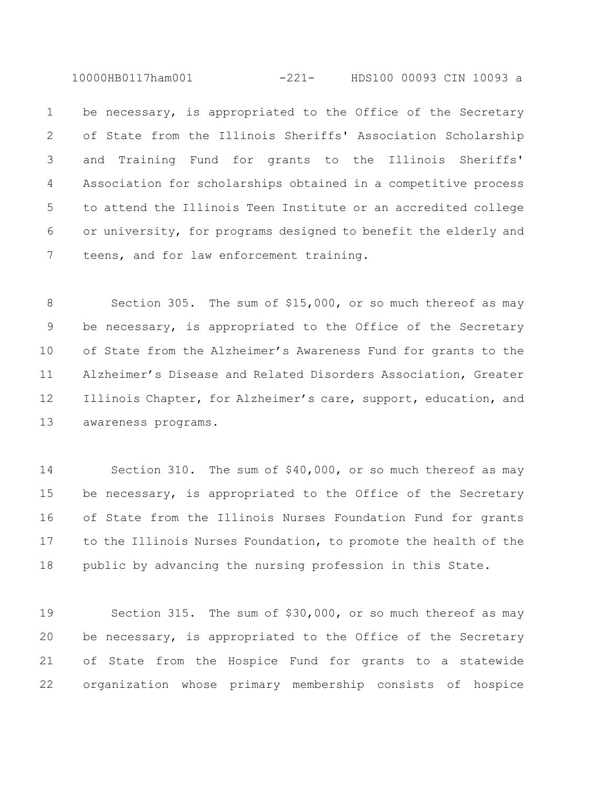10000HB0117ham001 -221- HDS100 00093 CIN 10093 a

1 be necessary, is appropriated to the Office of the Secretary of State from the Illinois Sheriffs' Association Scholarship and Training Fund for grants to the Illinois Sheriffs' Association for scholarships obtained in a competitive process to attend the Illinois Teen Institute or an accredited college or university, for programs designed to benefit the elderly and teens, and for law enforcement training.

8 Section 305. The sum of \$15,000, or so much thereof as may be necessary, is appropriated to the Office of the Secretary of State from the Alzheimer's Awareness Fund for grants to the Alzheimer's Disease and Related Disorders Association, Greater 12 Illinois Chapter, for Alzheimer's care, support, education, and awareness programs.

 Section 310. The sum of \$40,000, or so much thereof as may 15 be necessary, is appropriated to the Office of the Secretary of State from the Illinois Nurses Foundation Fund for grants to the Illinois Nurses Foundation, to promote the health of the public by advancing the nursing profession in this State.

 Section 315. The sum of \$30,000, or so much thereof as may 20 be necessary, is appropriated to the Office of the Secretary of State from the Hospice Fund for grants to a statewide organization whose primary membership consists of hospice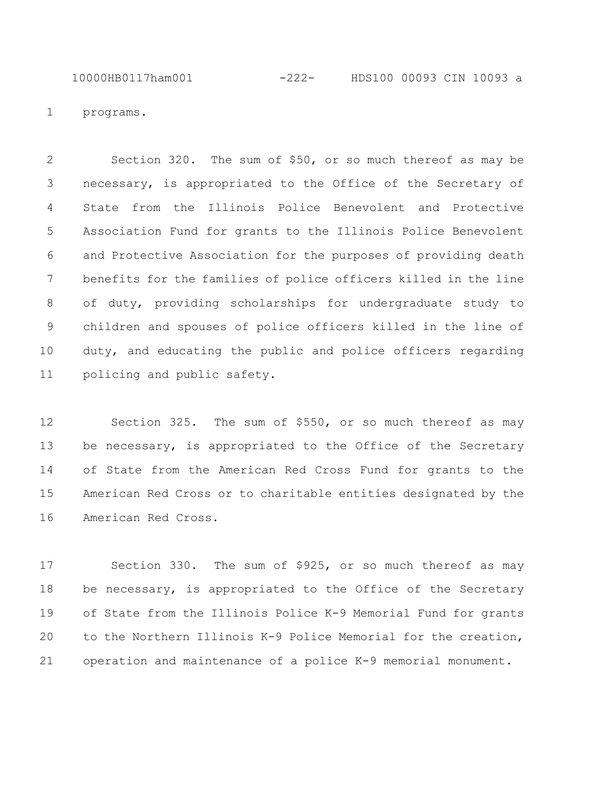10000HB0117ham001 -222- HDS100 00093 CIN 10093 a

programs.

 Section 320. The sum of \$50, or so much thereof as may be necessary, is appropriated to the Office of the Secretary of State from the Illinois Police Benevolent and Protective Association Fund for grants to the Illinois Police Benevolent and Protective Association for the purposes of providing death benefits for the families of police officers killed in the line of duty, providing scholarships for undergraduate study to children and spouses of police officers killed in the line of duty, and educating the public and police officers regarding policing and public safety.

 Section 325. The sum of \$550, or so much thereof as may 13 be necessary, is appropriated to the Office of the Secretary of State from the American Red Cross Fund for grants to the American Red Cross or to charitable entities designated by the American Red Cross.

 Section 330. The sum of \$925, or so much thereof as may 18 be necessary, is appropriated to the Office of the Secretary of State from the Illinois Police K-9 Memorial Fund for grants to the Northern Illinois K-9 Police Memorial for the creation, operation and maintenance of a police K-9 memorial monument.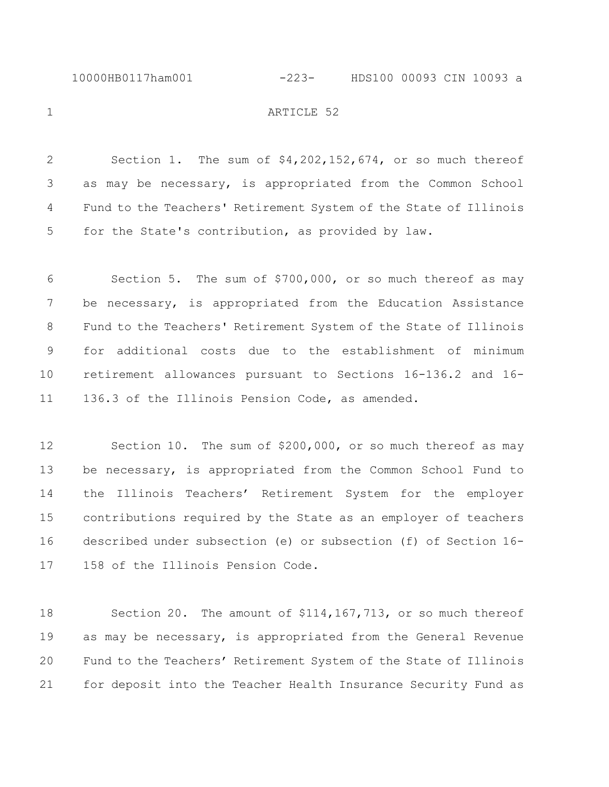## 10000HB0117ham001 -223- HDS100 00093 CIN 10093 a

## 1 ARTICLE 52

 Section 1. The sum of \$4,202,152,674, or so much thereof as may be necessary, is appropriated from the Common School Fund to the Teachers' Retirement System of the State of Illinois for the State's contribution, as provided by law.

 Section 5. The sum of \$700,000, or so much thereof as may be necessary, is appropriated from the Education Assistance Fund to the Teachers' Retirement System of the State of Illinois for additional costs due to the establishment of minimum retirement allowances pursuant to Sections 16-136.2 and 16- 136.3 of the Illinois Pension Code, as amended.

 Section 10. The sum of \$200,000, or so much thereof as may 13 be necessary, is appropriated from the Common School Fund to the Illinois Teachers' Retirement System for the employer contributions required by the State as an employer of teachers described under subsection (e) or subsection (f) of Section 16- 158 of the Illinois Pension Code.

 Section 20. The amount of \$114,167,713, or so much thereof as may be necessary, is appropriated from the General Revenue Fund to the Teachers' Retirement System of the State of Illinois for deposit into the Teacher Health Insurance Security Fund as